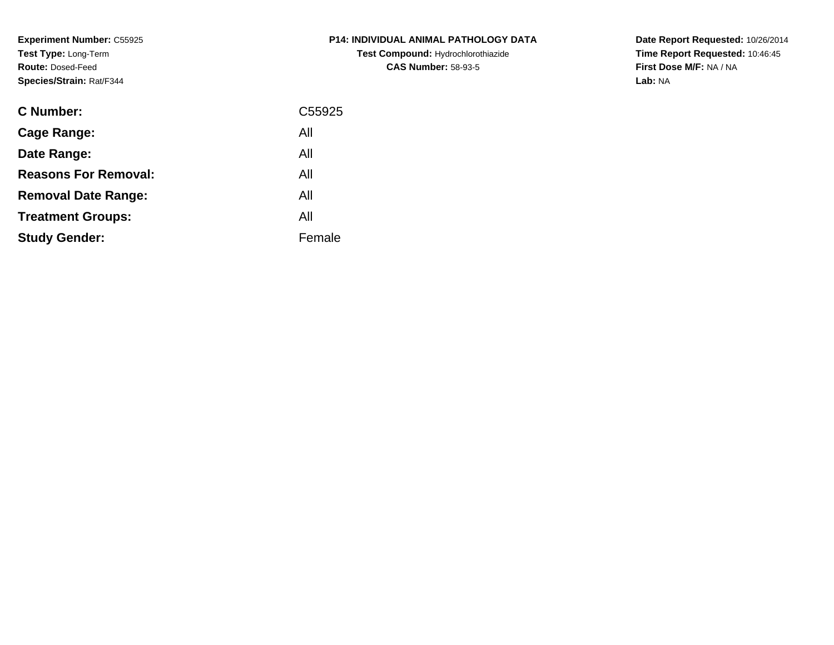**Experiment Number:** C55925**Test Type:** Long-Term**Route:** Dosed-Feed**Species/Strain:** Rat/F344

| <b>C Number:</b>            | C55925 |
|-----------------------------|--------|
| <b>Cage Range:</b>          | All    |
| Date Range:                 | All    |
| <b>Reasons For Removal:</b> | All    |
| <b>Removal Date Range:</b>  | All    |
| <b>Treatment Groups:</b>    | All    |
| <b>Study Gender:</b>        | Female |
|                             |        |

# **P14: INDIVIDUAL ANIMAL PATHOLOGY DATATest Compound:** Hydrochlorothiazide**CAS Number:** 58-93-5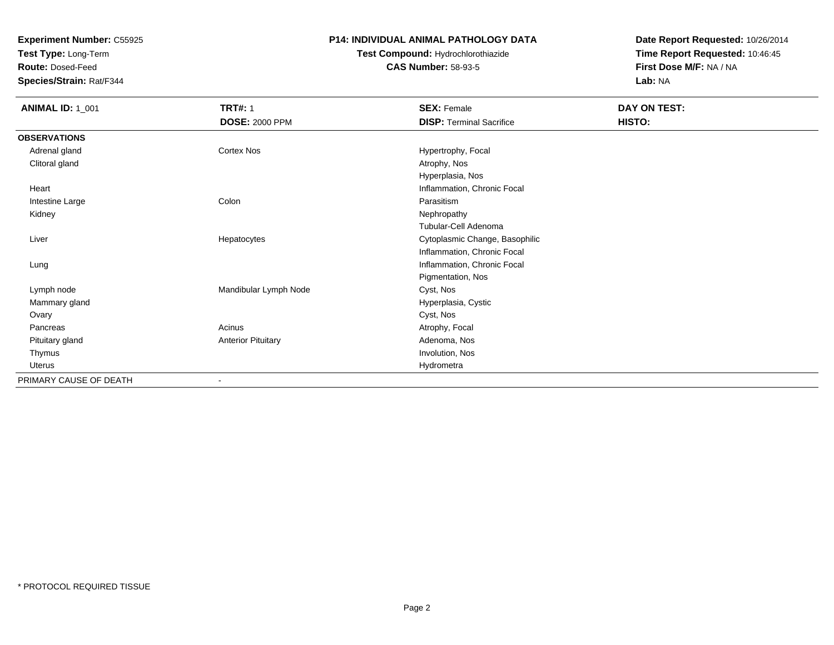**Test Type:** Long-Term

**Route:** Dosed-Feed

**Species/Strain:** Rat/F344

### **P14: INDIVIDUAL ANIMAL PATHOLOGY DATA**

# **Test Compound:** Hydrochlorothiazide**CAS Number:** 58-93-5

| <b>ANIMAL ID: 1_001</b> | <b>TRT#: 1</b>               | <b>SEX: Female</b>              | DAY ON TEST: |
|-------------------------|------------------------------|---------------------------------|--------------|
|                         | <b>DOSE: 2000 PPM</b>        | <b>DISP: Terminal Sacrifice</b> | HISTO:       |
| <b>OBSERVATIONS</b>     |                              |                                 |              |
| Adrenal gland           | Cortex Nos                   | Hypertrophy, Focal              |              |
| Clitoral gland          |                              | Atrophy, Nos                    |              |
|                         |                              | Hyperplasia, Nos                |              |
| Heart                   |                              | Inflammation, Chronic Focal     |              |
| Intestine Large         | Colon                        | Parasitism                      |              |
| Kidney                  |                              | Nephropathy                     |              |
|                         |                              | Tubular-Cell Adenoma            |              |
| Liver                   | Hepatocytes                  | Cytoplasmic Change, Basophilic  |              |
|                         |                              | Inflammation, Chronic Focal     |              |
| Lung                    |                              | Inflammation, Chronic Focal     |              |
|                         |                              | Pigmentation, Nos               |              |
| Lymph node              | Mandibular Lymph Node        | Cyst, Nos                       |              |
| Mammary gland           |                              | Hyperplasia, Cystic             |              |
| Ovary                   |                              | Cyst, Nos                       |              |
| Pancreas                | Acinus                       | Atrophy, Focal                  |              |
| Pituitary gland         | <b>Anterior Pituitary</b>    | Adenoma, Nos                    |              |
| Thymus                  |                              | Involution, Nos                 |              |
| Uterus                  |                              | Hydrometra                      |              |
| PRIMARY CAUSE OF DEATH  | $\qquad \qquad \blacksquare$ |                                 |              |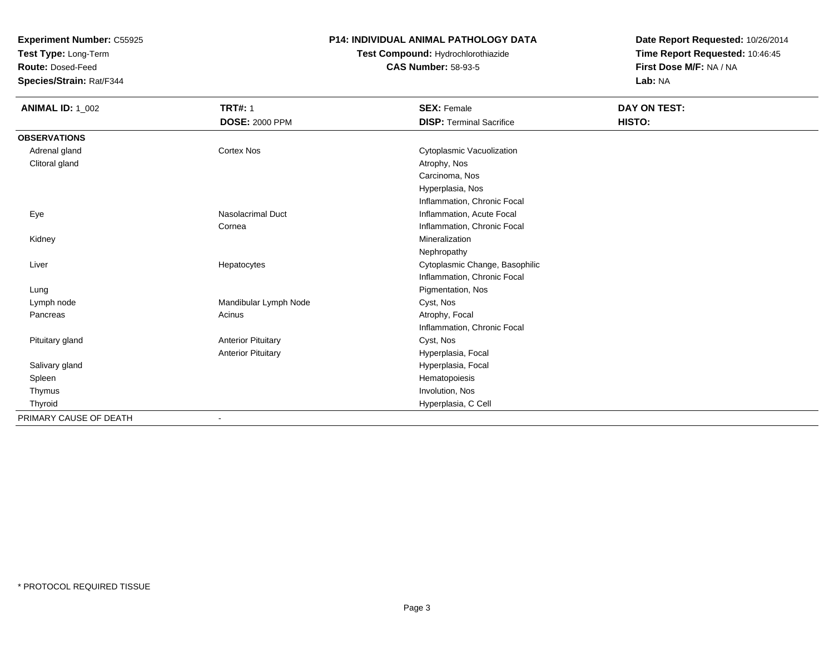**Test Type:** Long-Term

**Route:** Dosed-Feed

**Species/Strain:** Rat/F344

### **P14: INDIVIDUAL ANIMAL PATHOLOGY DATA**

# **Test Compound:** Hydrochlorothiazide**CAS Number:** 58-93-5

| <b>ANIMAL ID: 1_002</b> | <b>TRT#: 1</b>            | <b>SEX: Female</b>              | DAY ON TEST: |  |
|-------------------------|---------------------------|---------------------------------|--------------|--|
|                         | <b>DOSE: 2000 PPM</b>     | <b>DISP: Terminal Sacrifice</b> | HISTO:       |  |
| <b>OBSERVATIONS</b>     |                           |                                 |              |  |
| Adrenal gland           | <b>Cortex Nos</b>         | Cytoplasmic Vacuolization       |              |  |
| Clitoral gland          |                           | Atrophy, Nos                    |              |  |
|                         |                           | Carcinoma, Nos                  |              |  |
|                         |                           | Hyperplasia, Nos                |              |  |
|                         |                           | Inflammation, Chronic Focal     |              |  |
| Eye                     | Nasolacrimal Duct         | Inflammation, Acute Focal       |              |  |
|                         | Cornea                    | Inflammation, Chronic Focal     |              |  |
| Kidney                  |                           | Mineralization                  |              |  |
|                         |                           | Nephropathy                     |              |  |
| Liver                   | Hepatocytes               | Cytoplasmic Change, Basophilic  |              |  |
|                         |                           | Inflammation, Chronic Focal     |              |  |
| Lung                    |                           | Pigmentation, Nos               |              |  |
| Lymph node              | Mandibular Lymph Node     | Cyst, Nos                       |              |  |
| Pancreas                | Acinus                    | Atrophy, Focal                  |              |  |
|                         |                           | Inflammation, Chronic Focal     |              |  |
| Pituitary gland         | <b>Anterior Pituitary</b> | Cyst, Nos                       |              |  |
|                         | <b>Anterior Pituitary</b> | Hyperplasia, Focal              |              |  |
| Salivary gland          |                           | Hyperplasia, Focal              |              |  |
| Spleen                  |                           | Hematopoiesis                   |              |  |
| Thymus                  |                           | Involution, Nos                 |              |  |
| Thyroid                 |                           | Hyperplasia, C Cell             |              |  |
| PRIMARY CAUSE OF DEATH  |                           |                                 |              |  |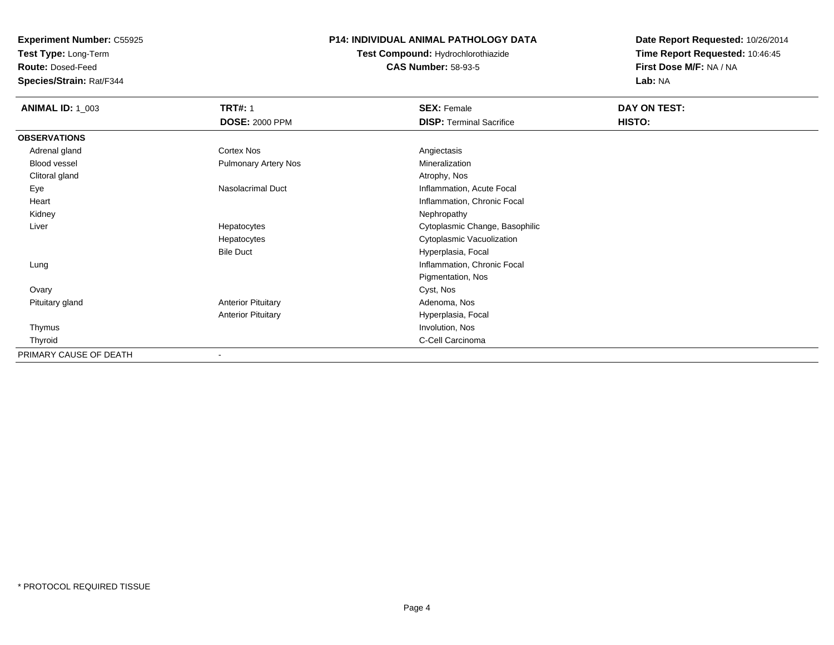**Test Type:** Long-Term

**Route:** Dosed-Feed

**Species/Strain:** Rat/F344

### **P14: INDIVIDUAL ANIMAL PATHOLOGY DATA**

**Test Compound:** Hydrochlorothiazide**CAS Number:** 58-93-5

| <b>ANIMAL ID: 1_003</b> | <b>TRT#: 1</b>              | <b>SEX: Female</b>              | DAY ON TEST: |
|-------------------------|-----------------------------|---------------------------------|--------------|
|                         | <b>DOSE: 2000 PPM</b>       | <b>DISP: Terminal Sacrifice</b> | HISTO:       |
| <b>OBSERVATIONS</b>     |                             |                                 |              |
| Adrenal gland           | <b>Cortex Nos</b>           | Angiectasis                     |              |
| Blood vessel            | <b>Pulmonary Artery Nos</b> | Mineralization                  |              |
| Clitoral gland          |                             | Atrophy, Nos                    |              |
| Eye                     | <b>Nasolacrimal Duct</b>    | Inflammation, Acute Focal       |              |
| Heart                   |                             | Inflammation, Chronic Focal     |              |
| Kidney                  |                             | Nephropathy                     |              |
| Liver                   | Hepatocytes                 | Cytoplasmic Change, Basophilic  |              |
|                         | Hepatocytes                 | Cytoplasmic Vacuolization       |              |
|                         | <b>Bile Duct</b>            | Hyperplasia, Focal              |              |
| Lung                    |                             | Inflammation, Chronic Focal     |              |
|                         |                             | Pigmentation, Nos               |              |
| Ovary                   |                             | Cyst, Nos                       |              |
| Pituitary gland         | <b>Anterior Pituitary</b>   | Adenoma, Nos                    |              |
|                         | <b>Anterior Pituitary</b>   | Hyperplasia, Focal              |              |
| Thymus                  |                             | Involution, Nos                 |              |
| Thyroid                 |                             | C-Cell Carcinoma                |              |
| PRIMARY CAUSE OF DEATH  |                             |                                 |              |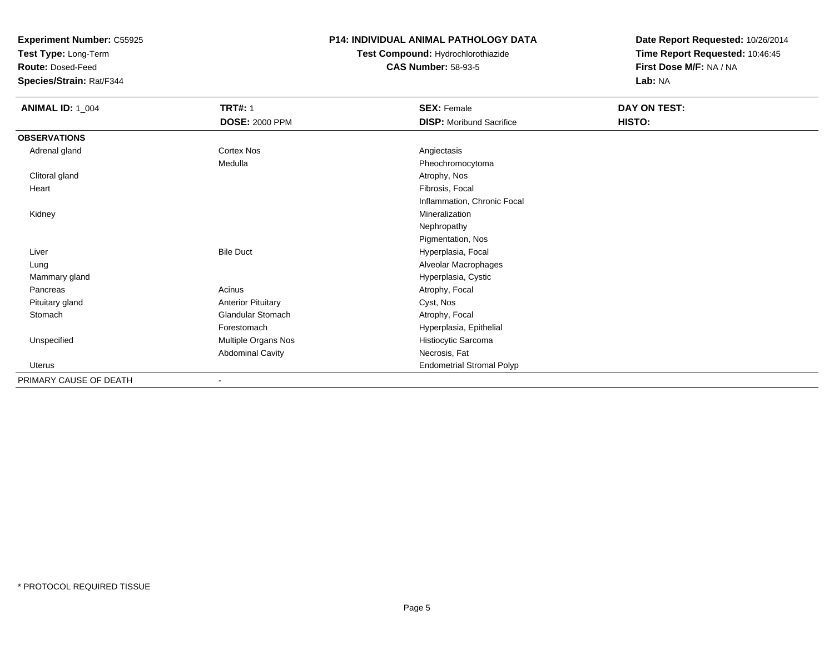**Test Type:** Long-Term

**Route:** Dosed-Feed

**Species/Strain:** Rat/F344

### **P14: INDIVIDUAL ANIMAL PATHOLOGY DATA**

**Test Compound:** Hydrochlorothiazide**CAS Number:** 58-93-5

| <b>ANIMAL ID: 1_004</b> | <b>TRT#: 1</b>            | <b>SEX: Female</b>               | DAY ON TEST: |
|-------------------------|---------------------------|----------------------------------|--------------|
|                         | <b>DOSE: 2000 PPM</b>     | <b>DISP:</b> Moribund Sacrifice  | HISTO:       |
| <b>OBSERVATIONS</b>     |                           |                                  |              |
| Adrenal gland           | Cortex Nos                | Angiectasis                      |              |
|                         | Medulla                   | Pheochromocytoma                 |              |
| Clitoral gland          |                           | Atrophy, Nos                     |              |
| Heart                   |                           | Fibrosis, Focal                  |              |
|                         |                           | Inflammation, Chronic Focal      |              |
| Kidney                  |                           | Mineralization                   |              |
|                         |                           | Nephropathy                      |              |
|                         |                           | Pigmentation, Nos                |              |
| Liver                   | <b>Bile Duct</b>          | Hyperplasia, Focal               |              |
| Lung                    |                           | Alveolar Macrophages             |              |
| Mammary gland           |                           | Hyperplasia, Cystic              |              |
| Pancreas                | Acinus                    | Atrophy, Focal                   |              |
| Pituitary gland         | <b>Anterior Pituitary</b> | Cyst, Nos                        |              |
| Stomach                 | Glandular Stomach         | Atrophy, Focal                   |              |
|                         | Forestomach               | Hyperplasia, Epithelial          |              |
| Unspecified             | Multiple Organs Nos       | Histiocytic Sarcoma              |              |
|                         | <b>Abdominal Cavity</b>   | Necrosis, Fat                    |              |
| <b>Uterus</b>           |                           | <b>Endometrial Stromal Polyp</b> |              |
| PRIMARY CAUSE OF DEATH  |                           |                                  |              |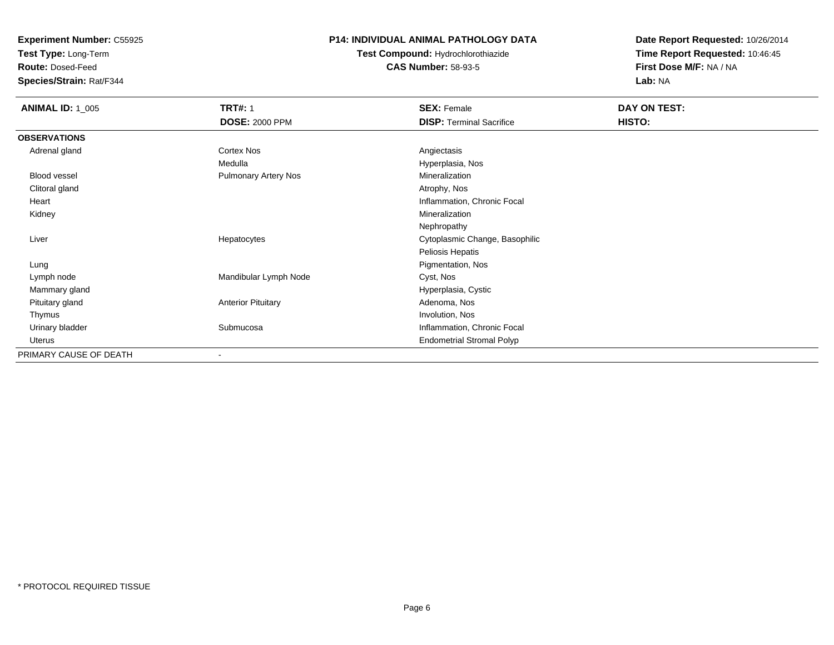**Test Type:** Long-Term

**Route:** Dosed-Feed

**Species/Strain:** Rat/F344

### **P14: INDIVIDUAL ANIMAL PATHOLOGY DATA**

**Test Compound:** Hydrochlorothiazide**CAS Number:** 58-93-5

| <b>ANIMAL ID: 1_005</b> | <b>TRT#: 1</b>              | <b>SEX: Female</b>               | DAY ON TEST: |
|-------------------------|-----------------------------|----------------------------------|--------------|
|                         | <b>DOSE: 2000 PPM</b>       | <b>DISP: Terminal Sacrifice</b>  | HISTO:       |
| <b>OBSERVATIONS</b>     |                             |                                  |              |
| Adrenal gland           | Cortex Nos                  | Angiectasis                      |              |
|                         | Medulla                     | Hyperplasia, Nos                 |              |
| Blood vessel            | <b>Pulmonary Artery Nos</b> | Mineralization                   |              |
| Clitoral gland          |                             | Atrophy, Nos                     |              |
| Heart                   |                             | Inflammation, Chronic Focal      |              |
| Kidney                  |                             | Mineralization                   |              |
|                         |                             | Nephropathy                      |              |
| Liver                   | Hepatocytes                 | Cytoplasmic Change, Basophilic   |              |
|                         |                             | Peliosis Hepatis                 |              |
| Lung                    |                             | Pigmentation, Nos                |              |
| Lymph node              | Mandibular Lymph Node       | Cyst, Nos                        |              |
| Mammary gland           |                             | Hyperplasia, Cystic              |              |
| Pituitary gland         | <b>Anterior Pituitary</b>   | Adenoma, Nos                     |              |
| Thymus                  |                             | Involution, Nos                  |              |
| Urinary bladder         | Submucosa                   | Inflammation, Chronic Focal      |              |
| Uterus                  |                             | <b>Endometrial Stromal Polyp</b> |              |
| PRIMARY CAUSE OF DEATH  |                             |                                  |              |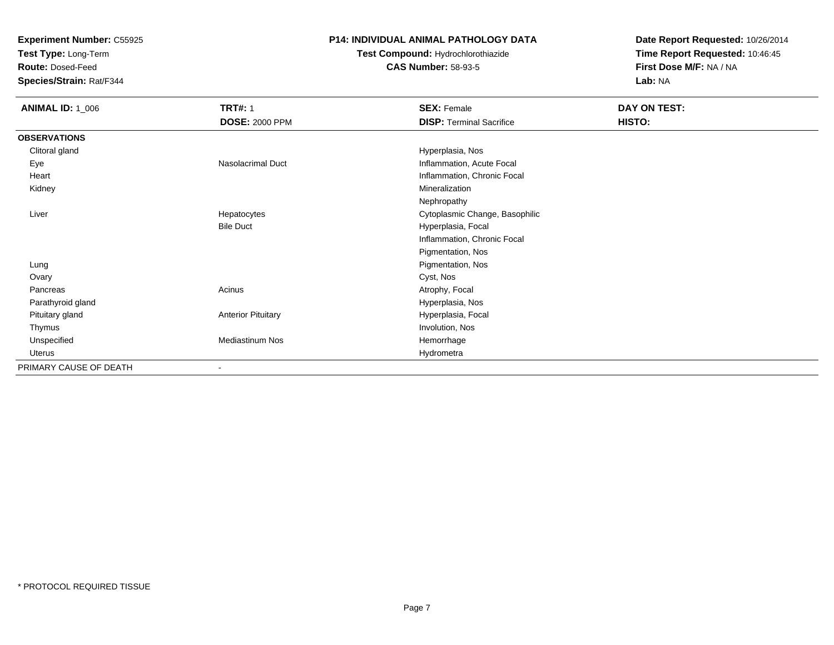**Test Type:** Long-Term

**Route:** Dosed-Feed

**Species/Strain:** Rat/F344

### **P14: INDIVIDUAL ANIMAL PATHOLOGY DATA**

# **Test Compound:** Hydrochlorothiazide**CAS Number:** 58-93-5

| <b>ANIMAL ID: 1_006</b> | <b>TRT#: 1</b>            | <b>SEX: Female</b>              | DAY ON TEST: |  |
|-------------------------|---------------------------|---------------------------------|--------------|--|
|                         | <b>DOSE: 2000 PPM</b>     | <b>DISP: Terminal Sacrifice</b> | HISTO:       |  |
| <b>OBSERVATIONS</b>     |                           |                                 |              |  |
| Clitoral gland          |                           | Hyperplasia, Nos                |              |  |
| Eye                     | <b>Nasolacrimal Duct</b>  | Inflammation, Acute Focal       |              |  |
| Heart                   |                           | Inflammation, Chronic Focal     |              |  |
| Kidney                  |                           | Mineralization                  |              |  |
|                         |                           | Nephropathy                     |              |  |
| Liver                   | Hepatocytes               | Cytoplasmic Change, Basophilic  |              |  |
|                         | <b>Bile Duct</b>          | Hyperplasia, Focal              |              |  |
|                         |                           | Inflammation, Chronic Focal     |              |  |
|                         |                           | Pigmentation, Nos               |              |  |
| Lung                    |                           | Pigmentation, Nos               |              |  |
| Ovary                   |                           | Cyst, Nos                       |              |  |
| Pancreas                | Acinus                    | Atrophy, Focal                  |              |  |
| Parathyroid gland       |                           | Hyperplasia, Nos                |              |  |
| Pituitary gland         | <b>Anterior Pituitary</b> | Hyperplasia, Focal              |              |  |
| Thymus                  |                           | Involution, Nos                 |              |  |
| Unspecified             | <b>Mediastinum Nos</b>    | Hemorrhage                      |              |  |
| Uterus                  |                           | Hydrometra                      |              |  |
| PRIMARY CAUSE OF DEATH  | ۰                         |                                 |              |  |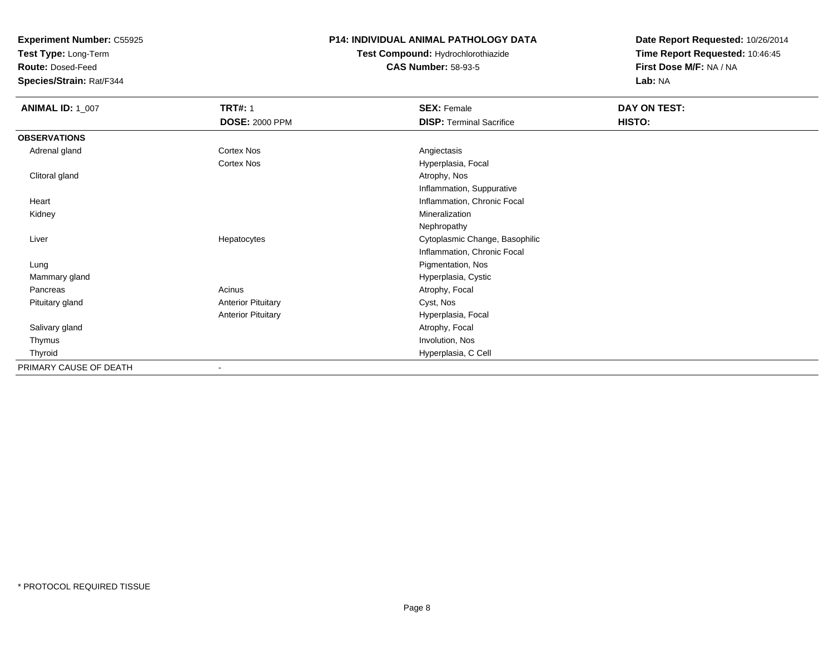**Test Type:** Long-Term

**Route:** Dosed-Feed

**Species/Strain:** Rat/F344

### **P14: INDIVIDUAL ANIMAL PATHOLOGY DATA**

**Test Compound:** Hydrochlorothiazide**CAS Number:** 58-93-5

| <b>ANIMAL ID: 1_007</b> | <b>TRT#: 1</b>            | <b>SEX: Female</b>              | DAY ON TEST: |
|-------------------------|---------------------------|---------------------------------|--------------|
|                         | <b>DOSE: 2000 PPM</b>     | <b>DISP: Terminal Sacrifice</b> | HISTO:       |
| <b>OBSERVATIONS</b>     |                           |                                 |              |
| Adrenal gland           | <b>Cortex Nos</b>         | Angiectasis                     |              |
|                         | <b>Cortex Nos</b>         | Hyperplasia, Focal              |              |
| Clitoral gland          |                           | Atrophy, Nos                    |              |
|                         |                           | Inflammation, Suppurative       |              |
| Heart                   |                           | Inflammation, Chronic Focal     |              |
| Kidney                  |                           | Mineralization                  |              |
|                         |                           | Nephropathy                     |              |
| Liver                   | Hepatocytes               | Cytoplasmic Change, Basophilic  |              |
|                         |                           | Inflammation, Chronic Focal     |              |
| Lung                    |                           | Pigmentation, Nos               |              |
| Mammary gland           |                           | Hyperplasia, Cystic             |              |
| Pancreas                | Acinus                    | Atrophy, Focal                  |              |
| Pituitary gland         | <b>Anterior Pituitary</b> | Cyst, Nos                       |              |
|                         | <b>Anterior Pituitary</b> | Hyperplasia, Focal              |              |
| Salivary gland          |                           | Atrophy, Focal                  |              |
| Thymus                  |                           | Involution, Nos                 |              |
| Thyroid                 |                           | Hyperplasia, C Cell             |              |
| PRIMARY CAUSE OF DEATH  |                           |                                 |              |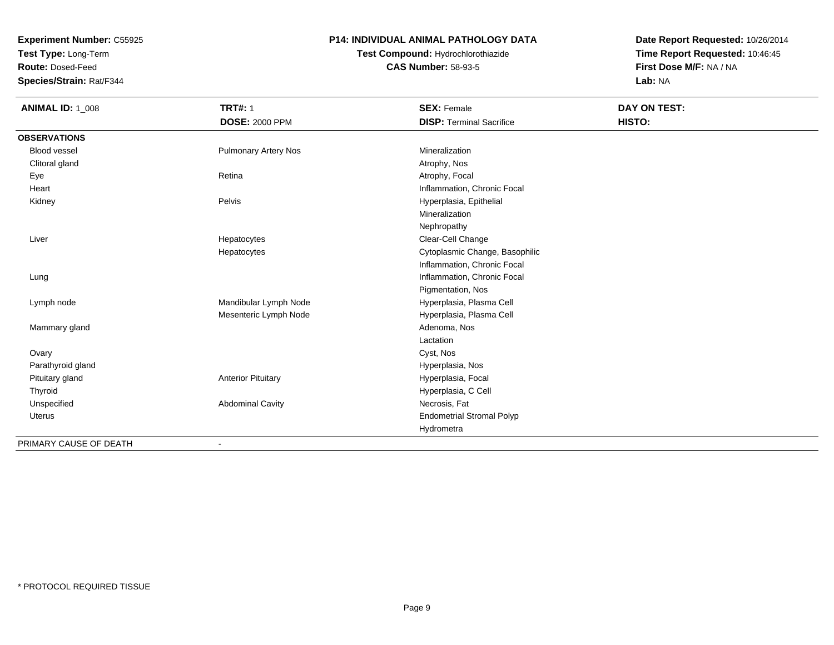**Test Type:** Long-Term

**Route:** Dosed-Feed

**Species/Strain:** Rat/F344

### **P14: INDIVIDUAL ANIMAL PATHOLOGY DATA**

**Test Compound:** Hydrochlorothiazide**CAS Number:** 58-93-5

| <b>ANIMAL ID: 1_008</b> | <b>TRT#: 1</b>              | <b>SEX: Female</b>               | DAY ON TEST: |
|-------------------------|-----------------------------|----------------------------------|--------------|
|                         | <b>DOSE: 2000 PPM</b>       | <b>DISP: Terminal Sacrifice</b>  | HISTO:       |
| <b>OBSERVATIONS</b>     |                             |                                  |              |
| <b>Blood vessel</b>     | <b>Pulmonary Artery Nos</b> | Mineralization                   |              |
| Clitoral gland          |                             | Atrophy, Nos                     |              |
| Eye                     | Retina                      | Atrophy, Focal                   |              |
| Heart                   |                             | Inflammation, Chronic Focal      |              |
| Kidney                  | Pelvis                      | Hyperplasia, Epithelial          |              |
|                         |                             | Mineralization                   |              |
|                         |                             | Nephropathy                      |              |
| Liver                   | Hepatocytes                 | Clear-Cell Change                |              |
|                         | Hepatocytes                 | Cytoplasmic Change, Basophilic   |              |
|                         |                             | Inflammation, Chronic Focal      |              |
| Lung                    |                             | Inflammation, Chronic Focal      |              |
|                         |                             | Pigmentation, Nos                |              |
| Lymph node              | Mandibular Lymph Node       | Hyperplasia, Plasma Cell         |              |
|                         | Mesenteric Lymph Node       | Hyperplasia, Plasma Cell         |              |
| Mammary gland           |                             | Adenoma, Nos                     |              |
|                         |                             | Lactation                        |              |
| Ovary                   |                             | Cyst, Nos                        |              |
| Parathyroid gland       |                             | Hyperplasia, Nos                 |              |
| Pituitary gland         | <b>Anterior Pituitary</b>   | Hyperplasia, Focal               |              |
| Thyroid                 |                             | Hyperplasia, C Cell              |              |
| Unspecified             | <b>Abdominal Cavity</b>     | Necrosis, Fat                    |              |
| Uterus                  |                             | <b>Endometrial Stromal Polyp</b> |              |
|                         |                             | Hydrometra                       |              |
| PRIMARY CAUSE OF DEATH  |                             |                                  |              |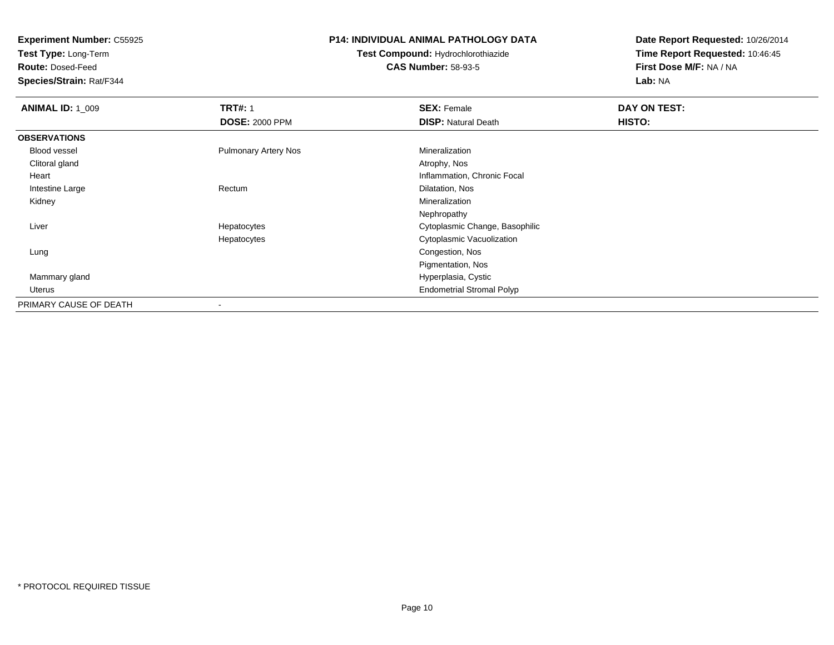**Test Type:** Long-Term

**Route:** Dosed-Feed

**Species/Strain:** Rat/F344

### **P14: INDIVIDUAL ANIMAL PATHOLOGY DATA**

**Test Compound:** Hydrochlorothiazide**CAS Number:** 58-93-5

| <b>ANIMAL ID: 1_009</b> | <b>TRT#: 1</b>              | <b>SEX: Female</b>               | DAY ON TEST: |  |
|-------------------------|-----------------------------|----------------------------------|--------------|--|
|                         | <b>DOSE: 2000 PPM</b>       | <b>DISP: Natural Death</b>       | HISTO:       |  |
| <b>OBSERVATIONS</b>     |                             |                                  |              |  |
| <b>Blood vessel</b>     | <b>Pulmonary Artery Nos</b> | Mineralization                   |              |  |
| Clitoral gland          |                             | Atrophy, Nos                     |              |  |
| Heart                   |                             | Inflammation, Chronic Focal      |              |  |
| Intestine Large         | Rectum                      | Dilatation, Nos                  |              |  |
| Kidney                  |                             | Mineralization                   |              |  |
|                         |                             | Nephropathy                      |              |  |
| Liver                   | Hepatocytes                 | Cytoplasmic Change, Basophilic   |              |  |
|                         | Hepatocytes                 | Cytoplasmic Vacuolization        |              |  |
| Lung                    |                             | Congestion, Nos                  |              |  |
|                         |                             | Pigmentation, Nos                |              |  |
| Mammary gland           |                             | Hyperplasia, Cystic              |              |  |
| Uterus                  |                             | <b>Endometrial Stromal Polyp</b> |              |  |
| PRIMARY CAUSE OF DEATH  |                             |                                  |              |  |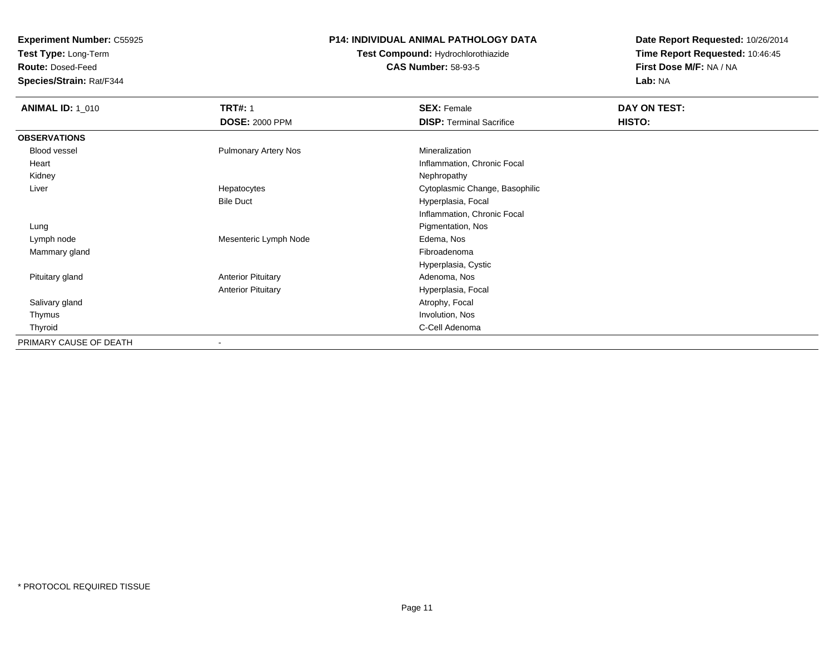**Test Type:** Long-Term

**Route:** Dosed-Feed

**Species/Strain:** Rat/F344

### **P14: INDIVIDUAL ANIMAL PATHOLOGY DATA**

**Test Compound:** Hydrochlorothiazide**CAS Number:** 58-93-5

| <b>ANIMAL ID: 1_010</b> | <b>TRT#: 1</b>              | <b>SEX: Female</b>              | DAY ON TEST: |  |
|-------------------------|-----------------------------|---------------------------------|--------------|--|
|                         | <b>DOSE: 2000 PPM</b>       | <b>DISP: Terminal Sacrifice</b> | HISTO:       |  |
| <b>OBSERVATIONS</b>     |                             |                                 |              |  |
| Blood vessel            | <b>Pulmonary Artery Nos</b> | Mineralization                  |              |  |
| Heart                   |                             | Inflammation, Chronic Focal     |              |  |
| Kidney                  |                             | Nephropathy                     |              |  |
| Liver                   | Hepatocytes                 | Cytoplasmic Change, Basophilic  |              |  |
|                         | <b>Bile Duct</b>            | Hyperplasia, Focal              |              |  |
|                         |                             | Inflammation, Chronic Focal     |              |  |
| Lung                    |                             | Pigmentation, Nos               |              |  |
| Lymph node              | Mesenteric Lymph Node       | Edema, Nos                      |              |  |
| Mammary gland           |                             | Fibroadenoma                    |              |  |
|                         |                             | Hyperplasia, Cystic             |              |  |
| Pituitary gland         | <b>Anterior Pituitary</b>   | Adenoma, Nos                    |              |  |
|                         | <b>Anterior Pituitary</b>   | Hyperplasia, Focal              |              |  |
| Salivary gland          |                             | Atrophy, Focal                  |              |  |
| Thymus                  |                             | Involution, Nos                 |              |  |
| Thyroid                 |                             | C-Cell Adenoma                  |              |  |
| PRIMARY CAUSE OF DEATH  |                             |                                 |              |  |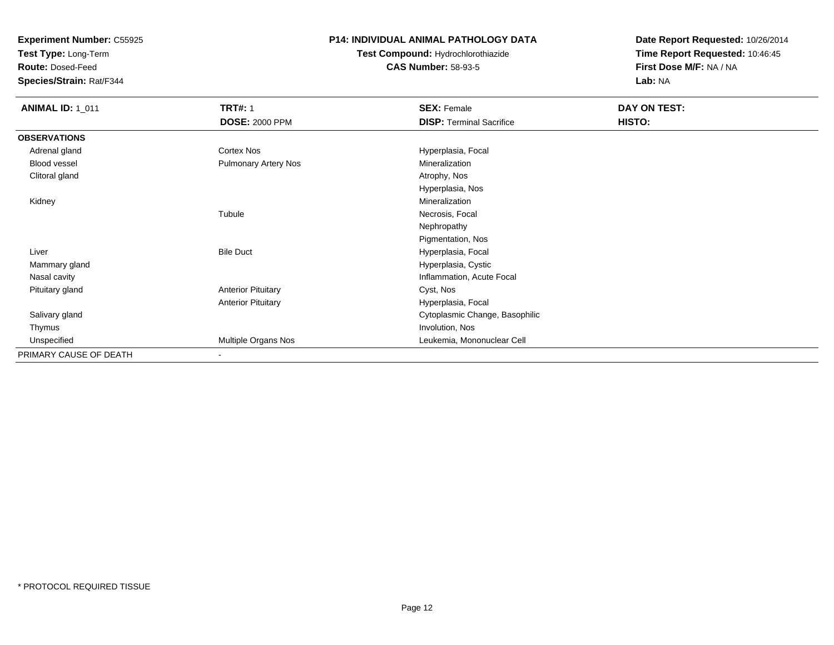**Test Type:** Long-Term

**Route:** Dosed-Feed

**Species/Strain:** Rat/F344

### **P14: INDIVIDUAL ANIMAL PATHOLOGY DATA**

### **Test Compound:** Hydrochlorothiazide**CAS Number:** 58-93-5

| <b>ANIMAL ID: 1_011</b> | <b>TRT#: 1</b>              | <b>SEX: Female</b>              | DAY ON TEST: |  |
|-------------------------|-----------------------------|---------------------------------|--------------|--|
|                         | <b>DOSE: 2000 PPM</b>       | <b>DISP: Terminal Sacrifice</b> | HISTO:       |  |
| <b>OBSERVATIONS</b>     |                             |                                 |              |  |
| Adrenal gland           | Cortex Nos                  | Hyperplasia, Focal              |              |  |
| Blood vessel            | <b>Pulmonary Artery Nos</b> | Mineralization                  |              |  |
| Clitoral gland          |                             | Atrophy, Nos                    |              |  |
|                         |                             | Hyperplasia, Nos                |              |  |
| Kidney                  |                             | Mineralization                  |              |  |
|                         | Tubule                      | Necrosis, Focal                 |              |  |
|                         |                             | Nephropathy                     |              |  |
|                         |                             | Pigmentation, Nos               |              |  |
| Liver                   | <b>Bile Duct</b>            | Hyperplasia, Focal              |              |  |
| Mammary gland           |                             | Hyperplasia, Cystic             |              |  |
| Nasal cavity            |                             | Inflammation, Acute Focal       |              |  |
| Pituitary gland         | <b>Anterior Pituitary</b>   | Cyst, Nos                       |              |  |
|                         | <b>Anterior Pituitary</b>   | Hyperplasia, Focal              |              |  |
| Salivary gland          |                             | Cytoplasmic Change, Basophilic  |              |  |
| Thymus                  |                             | Involution, Nos                 |              |  |
| Unspecified             | Multiple Organs Nos         | Leukemia, Mononuclear Cell      |              |  |
| PRIMARY CAUSE OF DEATH  |                             |                                 |              |  |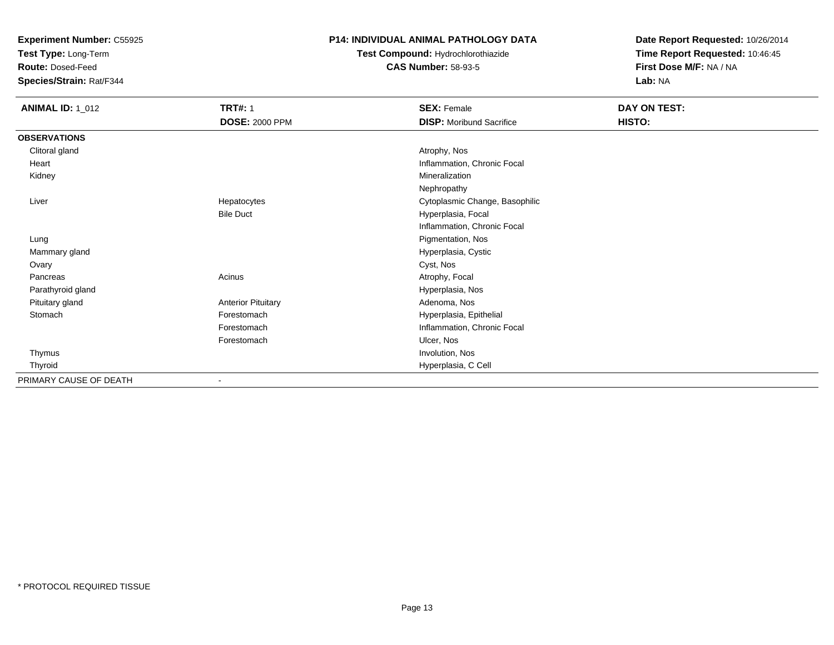**Test Type:** Long-Term

**Route:** Dosed-Feed

**Species/Strain:** Rat/F344

### **P14: INDIVIDUAL ANIMAL PATHOLOGY DATA**

**Test Compound:** Hydrochlorothiazide**CAS Number:** 58-93-5

| <b>ANIMAL ID: 1_012</b> | <b>TRT#: 1</b>            | <b>SEX: Female</b>              | DAY ON TEST: |
|-------------------------|---------------------------|---------------------------------|--------------|
|                         | <b>DOSE: 2000 PPM</b>     | <b>DISP:</b> Moribund Sacrifice | HISTO:       |
| <b>OBSERVATIONS</b>     |                           |                                 |              |
| Clitoral gland          |                           | Atrophy, Nos                    |              |
| Heart                   |                           | Inflammation, Chronic Focal     |              |
| Kidney                  |                           | Mineralization                  |              |
|                         |                           | Nephropathy                     |              |
| Liver                   | Hepatocytes               | Cytoplasmic Change, Basophilic  |              |
|                         | <b>Bile Duct</b>          | Hyperplasia, Focal              |              |
|                         |                           | Inflammation, Chronic Focal     |              |
| Lung                    |                           | Pigmentation, Nos               |              |
| Mammary gland           |                           | Hyperplasia, Cystic             |              |
| Ovary                   |                           | Cyst, Nos                       |              |
| Pancreas                | Acinus                    | Atrophy, Focal                  |              |
| Parathyroid gland       |                           | Hyperplasia, Nos                |              |
| Pituitary gland         | <b>Anterior Pituitary</b> | Adenoma, Nos                    |              |
| Stomach                 | Forestomach               | Hyperplasia, Epithelial         |              |
|                         | Forestomach               | Inflammation, Chronic Focal     |              |
|                         | Forestomach               | Ulcer, Nos                      |              |
| Thymus                  |                           | Involution, Nos                 |              |
| Thyroid                 |                           | Hyperplasia, C Cell             |              |
| PRIMARY CAUSE OF DEATH  |                           |                                 |              |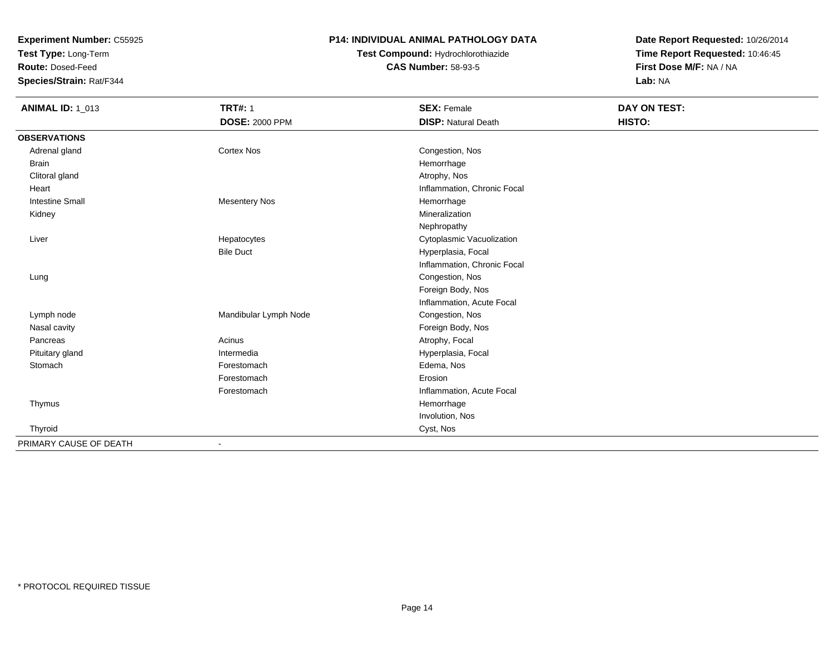**Test Type:** Long-Term

**Route:** Dosed-Feed

**Species/Strain:** Rat/F344

### **P14: INDIVIDUAL ANIMAL PATHOLOGY DATA**

# **Test Compound:** Hydrochlorothiazide**CAS Number:** 58-93-5

| <b>ANIMAL ID: 1_013</b> | <b>TRT#: 1</b>           | <b>SEX: Female</b>          | DAY ON TEST: |  |
|-------------------------|--------------------------|-----------------------------|--------------|--|
|                         | <b>DOSE: 2000 PPM</b>    | <b>DISP: Natural Death</b>  | HISTO:       |  |
| <b>OBSERVATIONS</b>     |                          |                             |              |  |
| Adrenal gland           | <b>Cortex Nos</b>        | Congestion, Nos             |              |  |
| <b>Brain</b>            |                          | Hemorrhage                  |              |  |
| Clitoral gland          |                          | Atrophy, Nos                |              |  |
| Heart                   |                          | Inflammation, Chronic Focal |              |  |
| <b>Intestine Small</b>  | <b>Mesentery Nos</b>     | Hemorrhage                  |              |  |
| Kidney                  |                          | Mineralization              |              |  |
|                         |                          | Nephropathy                 |              |  |
| Liver                   | Hepatocytes              | Cytoplasmic Vacuolization   |              |  |
|                         | <b>Bile Duct</b>         | Hyperplasia, Focal          |              |  |
|                         |                          | Inflammation, Chronic Focal |              |  |
| Lung                    |                          | Congestion, Nos             |              |  |
|                         |                          | Foreign Body, Nos           |              |  |
|                         |                          | Inflammation, Acute Focal   |              |  |
| Lymph node              | Mandibular Lymph Node    | Congestion, Nos             |              |  |
| Nasal cavity            |                          | Foreign Body, Nos           |              |  |
| Pancreas                | Acinus                   | Atrophy, Focal              |              |  |
| Pituitary gland         | Intermedia               | Hyperplasia, Focal          |              |  |
| Stomach                 | Forestomach              | Edema, Nos                  |              |  |
|                         | Forestomach              | Erosion                     |              |  |
|                         | Forestomach              | Inflammation, Acute Focal   |              |  |
| Thymus                  |                          | Hemorrhage                  |              |  |
|                         |                          | Involution, Nos             |              |  |
| Thyroid                 |                          | Cyst, Nos                   |              |  |
| PRIMARY CAUSE OF DEATH  | $\overline{\phantom{a}}$ |                             |              |  |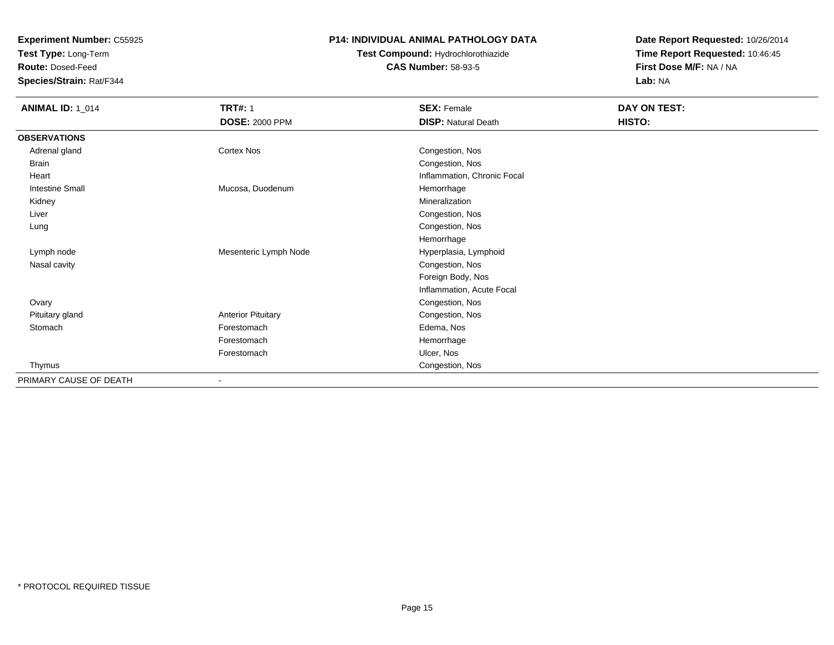**Test Type:** Long-Term

**Route:** Dosed-Feed

**Species/Strain:** Rat/F344

### **P14: INDIVIDUAL ANIMAL PATHOLOGY DATA**

### **Test Compound:** Hydrochlorothiazide**CAS Number:** 58-93-5

| <b>ANIMAL ID: 1_014</b> | <b>TRT#: 1</b><br><b>DOSE: 2000 PPM</b> | <b>SEX: Female</b><br><b>DISP: Natural Death</b> | DAY ON TEST:<br>HISTO: |
|-------------------------|-----------------------------------------|--------------------------------------------------|------------------------|
| <b>OBSERVATIONS</b>     |                                         |                                                  |                        |
| Adrenal gland           | <b>Cortex Nos</b>                       | Congestion, Nos                                  |                        |
| <b>Brain</b>            |                                         | Congestion, Nos                                  |                        |
| Heart                   |                                         | Inflammation, Chronic Focal                      |                        |
| <b>Intestine Small</b>  | Mucosa, Duodenum                        | Hemorrhage                                       |                        |
| Kidney                  |                                         | Mineralization                                   |                        |
| Liver                   |                                         | Congestion, Nos                                  |                        |
| Lung                    |                                         | Congestion, Nos                                  |                        |
|                         |                                         | Hemorrhage                                       |                        |
| Lymph node              | Mesenteric Lymph Node                   | Hyperplasia, Lymphoid                            |                        |
| Nasal cavity            |                                         | Congestion, Nos                                  |                        |
|                         |                                         | Foreign Body, Nos                                |                        |
|                         |                                         | Inflammation, Acute Focal                        |                        |
| Ovary                   |                                         | Congestion, Nos                                  |                        |
| Pituitary gland         | <b>Anterior Pituitary</b>               | Congestion, Nos                                  |                        |
| Stomach                 | Forestomach                             | Edema, Nos                                       |                        |
|                         | Forestomach                             | Hemorrhage                                       |                        |
|                         | Forestomach                             | Ulcer, Nos                                       |                        |
| Thymus                  |                                         | Congestion, Nos                                  |                        |
| PRIMARY CAUSE OF DEATH  | $\overline{\phantom{a}}$                |                                                  |                        |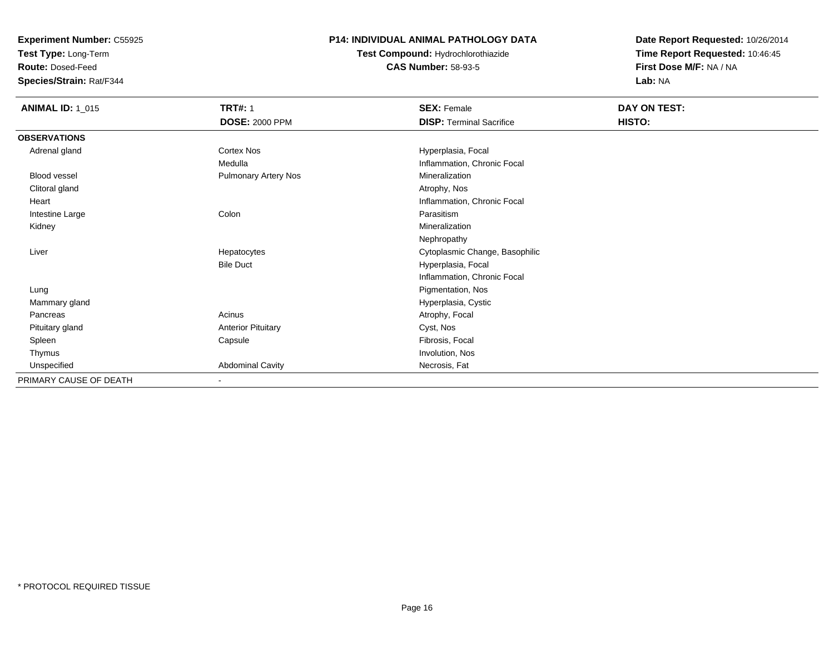**Test Type:** Long-Term

**Route:** Dosed-Feed

**Species/Strain:** Rat/F344

### **P14: INDIVIDUAL ANIMAL PATHOLOGY DATA**

**Test Compound:** Hydrochlorothiazide**CAS Number:** 58-93-5

| <b>ANIMAL ID: 1_015</b> | <b>TRT#: 1</b><br><b>DOSE: 2000 PPM</b> | <b>SEX: Female</b><br><b>DISP: Terminal Sacrifice</b> | <b>DAY ON TEST:</b><br>HISTO: |
|-------------------------|-----------------------------------------|-------------------------------------------------------|-------------------------------|
| <b>OBSERVATIONS</b>     |                                         |                                                       |                               |
| Adrenal gland           | Cortex Nos                              | Hyperplasia, Focal                                    |                               |
|                         | Medulla                                 | Inflammation, Chronic Focal                           |                               |
| Blood vessel            | <b>Pulmonary Artery Nos</b>             | Mineralization                                        |                               |
| Clitoral gland          |                                         | Atrophy, Nos                                          |                               |
| Heart                   |                                         | Inflammation, Chronic Focal                           |                               |
| Intestine Large         | Colon                                   | Parasitism                                            |                               |
| Kidney                  |                                         | Mineralization                                        |                               |
|                         |                                         | Nephropathy                                           |                               |
| Liver                   | Hepatocytes                             | Cytoplasmic Change, Basophilic                        |                               |
|                         | <b>Bile Duct</b>                        | Hyperplasia, Focal                                    |                               |
|                         |                                         | Inflammation, Chronic Focal                           |                               |
| Lung                    |                                         | Pigmentation, Nos                                     |                               |
| Mammary gland           |                                         | Hyperplasia, Cystic                                   |                               |
| Pancreas                | Acinus                                  | Atrophy, Focal                                        |                               |
| Pituitary gland         | <b>Anterior Pituitary</b>               | Cyst, Nos                                             |                               |
| Spleen                  | Capsule                                 | Fibrosis, Focal                                       |                               |
| Thymus                  |                                         | Involution, Nos                                       |                               |
| Unspecified             | <b>Abdominal Cavity</b>                 | Necrosis, Fat                                         |                               |
| PRIMARY CAUSE OF DEATH  | ٠                                       |                                                       |                               |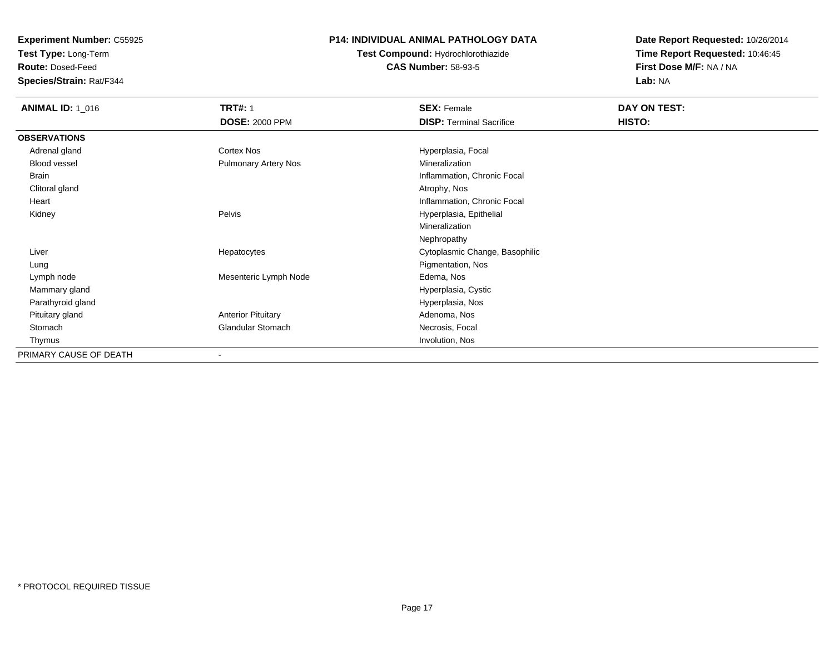**Test Type:** Long-Term

**Route:** Dosed-Feed

**Species/Strain:** Rat/F344

### **P14: INDIVIDUAL ANIMAL PATHOLOGY DATA**

**Test Compound:** Hydrochlorothiazide**CAS Number:** 58-93-5

| <b>ANIMAL ID: 1_016</b> | <b>TRT#: 1</b>              | <b>SEX: Female</b>              | DAY ON TEST: |  |
|-------------------------|-----------------------------|---------------------------------|--------------|--|
|                         | <b>DOSE: 2000 PPM</b>       | <b>DISP:</b> Terminal Sacrifice | HISTO:       |  |
| <b>OBSERVATIONS</b>     |                             |                                 |              |  |
| Adrenal gland           | Cortex Nos                  | Hyperplasia, Focal              |              |  |
| Blood vessel            | <b>Pulmonary Artery Nos</b> | Mineralization                  |              |  |
| Brain                   |                             | Inflammation, Chronic Focal     |              |  |
| Clitoral gland          |                             | Atrophy, Nos                    |              |  |
| Heart                   |                             | Inflammation, Chronic Focal     |              |  |
| Kidney                  | Pelvis                      | Hyperplasia, Epithelial         |              |  |
|                         |                             | Mineralization                  |              |  |
|                         |                             | Nephropathy                     |              |  |
| Liver                   | Hepatocytes                 | Cytoplasmic Change, Basophilic  |              |  |
| Lung                    |                             | Pigmentation, Nos               |              |  |
| Lymph node              | Mesenteric Lymph Node       | Edema, Nos                      |              |  |
| Mammary gland           |                             | Hyperplasia, Cystic             |              |  |
| Parathyroid gland       |                             | Hyperplasia, Nos                |              |  |
| Pituitary gland         | <b>Anterior Pituitary</b>   | Adenoma, Nos                    |              |  |
| Stomach                 | Glandular Stomach           | Necrosis, Focal                 |              |  |
| Thymus                  |                             | Involution, Nos                 |              |  |
| PRIMARY CAUSE OF DEATH  |                             |                                 |              |  |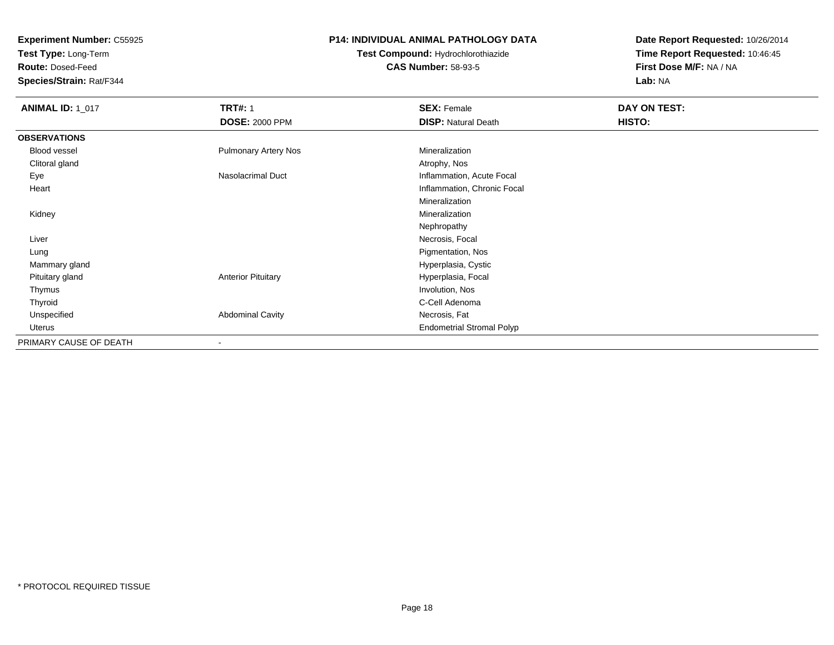**Test Type:** Long-Term

**Route:** Dosed-Feed

**Species/Strain:** Rat/F344

### **P14: INDIVIDUAL ANIMAL PATHOLOGY DATA**

# **Test Compound:** Hydrochlorothiazide**CAS Number:** 58-93-5

| <b>ANIMAL ID: 1_017</b> | <b>TRT#: 1</b>              | <b>SEX: Female</b>               | DAY ON TEST: |  |
|-------------------------|-----------------------------|----------------------------------|--------------|--|
|                         | <b>DOSE: 2000 PPM</b>       | <b>DISP: Natural Death</b>       | HISTO:       |  |
| <b>OBSERVATIONS</b>     |                             |                                  |              |  |
| Blood vessel            | <b>Pulmonary Artery Nos</b> | Mineralization                   |              |  |
| Clitoral gland          |                             | Atrophy, Nos                     |              |  |
| Eye                     | Nasolacrimal Duct           | Inflammation, Acute Focal        |              |  |
| Heart                   |                             | Inflammation, Chronic Focal      |              |  |
|                         |                             | Mineralization                   |              |  |
| Kidney                  |                             | Mineralization                   |              |  |
|                         |                             | Nephropathy                      |              |  |
| Liver                   |                             | Necrosis, Focal                  |              |  |
| Lung                    |                             | Pigmentation, Nos                |              |  |
| Mammary gland           |                             | Hyperplasia, Cystic              |              |  |
| Pituitary gland         | <b>Anterior Pituitary</b>   | Hyperplasia, Focal               |              |  |
| Thymus                  |                             | Involution, Nos                  |              |  |
| Thyroid                 |                             | C-Cell Adenoma                   |              |  |
| Unspecified             | <b>Abdominal Cavity</b>     | Necrosis, Fat                    |              |  |
| Uterus                  |                             | <b>Endometrial Stromal Polyp</b> |              |  |
| PRIMARY CAUSE OF DEATH  | $\overline{\phantom{a}}$    |                                  |              |  |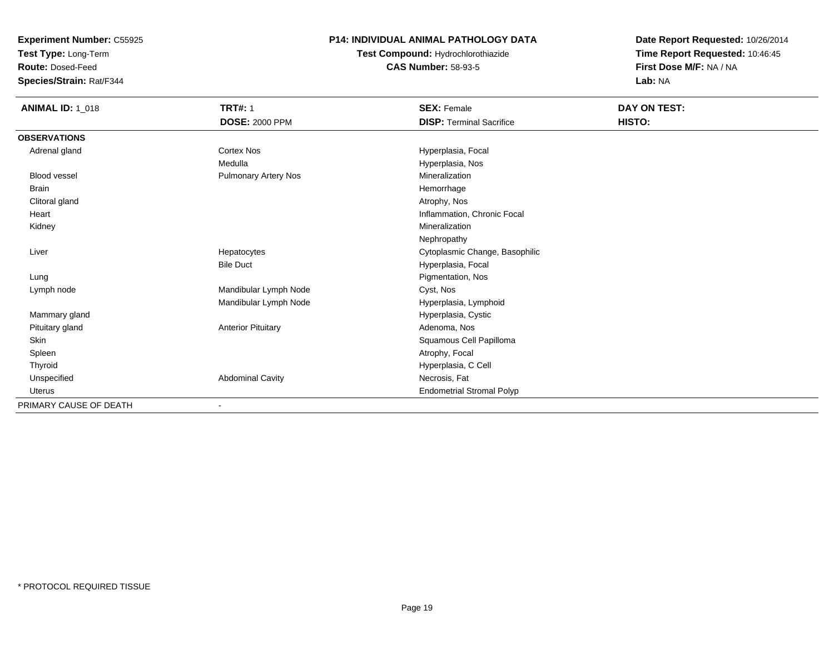**Test Type:** Long-Term

**Route:** Dosed-Feed

**Species/Strain:** Rat/F344

### **P14: INDIVIDUAL ANIMAL PATHOLOGY DATA**

**Test Compound:** Hydrochlorothiazide**CAS Number:** 58-93-5

| <b>ANIMAL ID: 1_018</b> | <b>TRT#: 1</b>            | <b>SEX: Female</b>               | DAY ON TEST: |  |
|-------------------------|---------------------------|----------------------------------|--------------|--|
|                         | <b>DOSE: 2000 PPM</b>     | <b>DISP: Terminal Sacrifice</b>  | HISTO:       |  |
| <b>OBSERVATIONS</b>     |                           |                                  |              |  |
| Adrenal gland           | <b>Cortex Nos</b>         | Hyperplasia, Focal               |              |  |
|                         | Medulla                   | Hyperplasia, Nos                 |              |  |
| <b>Blood vessel</b>     | Pulmonary Artery Nos      | Mineralization                   |              |  |
| <b>Brain</b>            |                           | Hemorrhage                       |              |  |
| Clitoral gland          |                           | Atrophy, Nos                     |              |  |
| Heart                   |                           | Inflammation, Chronic Focal      |              |  |
| Kidney                  |                           | Mineralization                   |              |  |
|                         |                           | Nephropathy                      |              |  |
| Liver                   | Hepatocytes               | Cytoplasmic Change, Basophilic   |              |  |
|                         | <b>Bile Duct</b>          | Hyperplasia, Focal               |              |  |
| Lung                    |                           | Pigmentation, Nos                |              |  |
| Lymph node              | Mandibular Lymph Node     | Cyst, Nos                        |              |  |
|                         | Mandibular Lymph Node     | Hyperplasia, Lymphoid            |              |  |
| Mammary gland           |                           | Hyperplasia, Cystic              |              |  |
| Pituitary gland         | <b>Anterior Pituitary</b> | Adenoma, Nos                     |              |  |
| Skin                    |                           | Squamous Cell Papilloma          |              |  |
| Spleen                  |                           | Atrophy, Focal                   |              |  |
| Thyroid                 |                           | Hyperplasia, C Cell              |              |  |
| Unspecified             | Abdominal Cavity          | Necrosis, Fat                    |              |  |
| <b>Uterus</b>           |                           | <b>Endometrial Stromal Polyp</b> |              |  |
| PRIMARY CAUSE OF DEATH  |                           |                                  |              |  |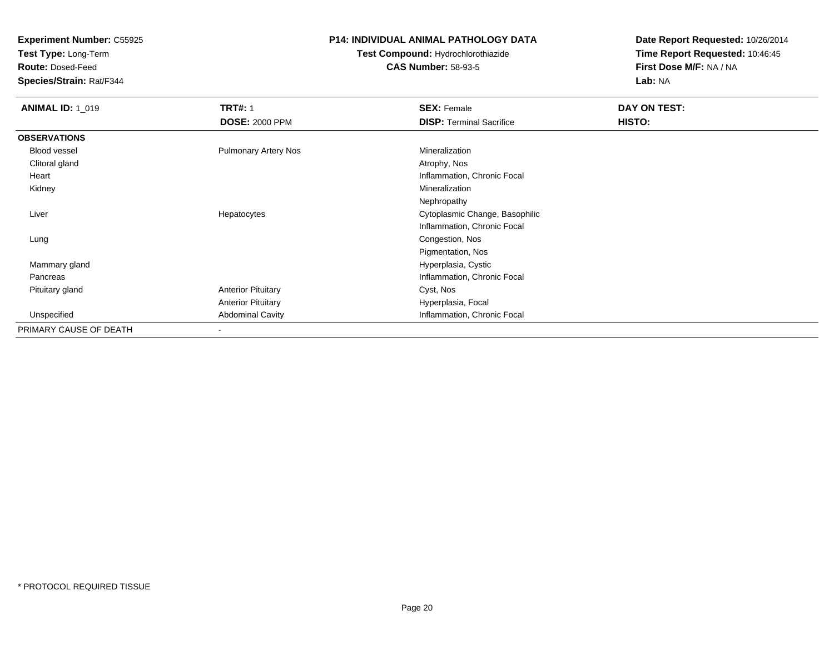**Test Type:** Long-Term

**Route:** Dosed-Feed

**Species/Strain:** Rat/F344

#### **P14: INDIVIDUAL ANIMAL PATHOLOGY DATA**

# **Test Compound:** Hydrochlorothiazide**CAS Number:** 58-93-5

| <b>ANIMAL ID: 1_019</b> | <b>TRT#: 1</b>              | <b>SEX: Female</b>              | DAY ON TEST: |  |
|-------------------------|-----------------------------|---------------------------------|--------------|--|
|                         | <b>DOSE: 2000 PPM</b>       | <b>DISP: Terminal Sacrifice</b> | HISTO:       |  |
| <b>OBSERVATIONS</b>     |                             |                                 |              |  |
| Blood vessel            | <b>Pulmonary Artery Nos</b> | Mineralization                  |              |  |
| Clitoral gland          |                             | Atrophy, Nos                    |              |  |
| Heart                   |                             | Inflammation, Chronic Focal     |              |  |
| Kidney                  |                             | Mineralization                  |              |  |
|                         |                             | Nephropathy                     |              |  |
| Liver                   | Hepatocytes                 | Cytoplasmic Change, Basophilic  |              |  |
|                         |                             | Inflammation, Chronic Focal     |              |  |
| Lung                    |                             | Congestion, Nos                 |              |  |
|                         |                             | Pigmentation, Nos               |              |  |
| Mammary gland           |                             | Hyperplasia, Cystic             |              |  |
| Pancreas                |                             | Inflammation, Chronic Focal     |              |  |
| Pituitary gland         | <b>Anterior Pituitary</b>   | Cyst, Nos                       |              |  |
|                         | <b>Anterior Pituitary</b>   | Hyperplasia, Focal              |              |  |
| Unspecified             | <b>Abdominal Cavity</b>     | Inflammation, Chronic Focal     |              |  |
| PRIMARY CAUSE OF DEATH  | ٠                           |                                 |              |  |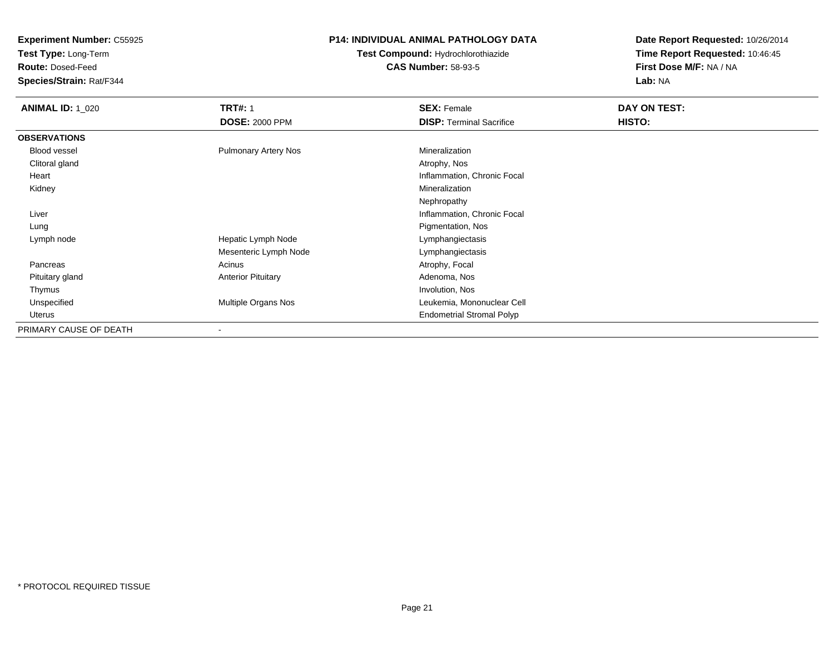**Test Type:** Long-Term

**Route:** Dosed-Feed

**Species/Strain:** Rat/F344

### **P14: INDIVIDUAL ANIMAL PATHOLOGY DATA**

**Test Compound:** Hydrochlorothiazide**CAS Number:** 58-93-5

| <b>ANIMAL ID: 1 020</b> | <b>TRT#: 1</b>              | <b>SEX: Female</b>               | DAY ON TEST: |
|-------------------------|-----------------------------|----------------------------------|--------------|
|                         | <b>DOSE: 2000 PPM</b>       | <b>DISP: Terminal Sacrifice</b>  | HISTO:       |
| <b>OBSERVATIONS</b>     |                             |                                  |              |
| Blood vessel            | <b>Pulmonary Artery Nos</b> | Mineralization                   |              |
| Clitoral gland          |                             | Atrophy, Nos                     |              |
| Heart                   |                             | Inflammation, Chronic Focal      |              |
| Kidney                  |                             | Mineralization                   |              |
|                         |                             | Nephropathy                      |              |
| Liver                   |                             | Inflammation, Chronic Focal      |              |
| Lung                    |                             | Pigmentation, Nos                |              |
| Lymph node              | Hepatic Lymph Node          | Lymphangiectasis                 |              |
|                         | Mesenteric Lymph Node       | Lymphangiectasis                 |              |
| Pancreas                | Acinus                      | Atrophy, Focal                   |              |
| Pituitary gland         | <b>Anterior Pituitary</b>   | Adenoma, Nos                     |              |
| Thymus                  |                             | Involution, Nos                  |              |
| Unspecified             | Multiple Organs Nos         | Leukemia, Mononuclear Cell       |              |
| Uterus                  |                             | <b>Endometrial Stromal Polyp</b> |              |
| PRIMARY CAUSE OF DEATH  | -                           |                                  |              |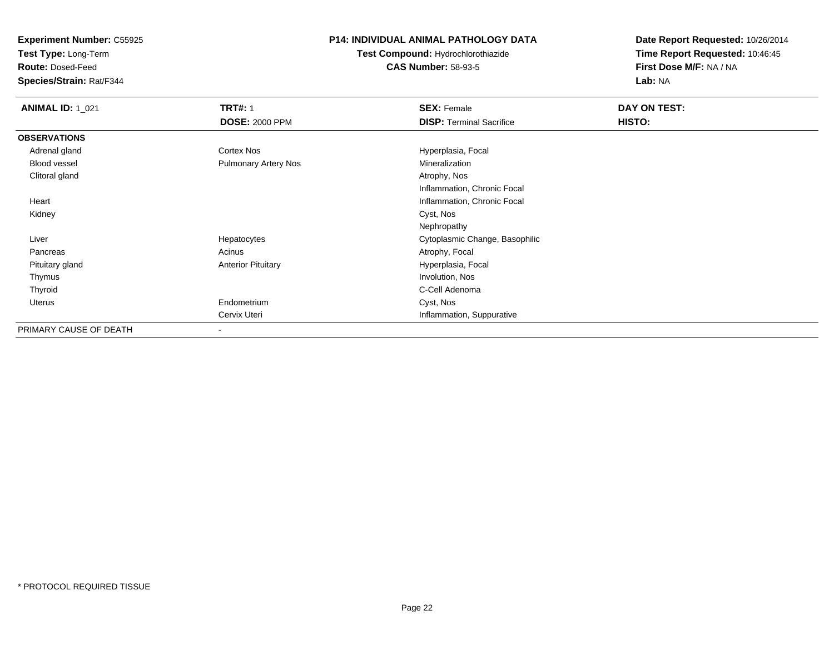**Test Type:** Long-Term

**Route:** Dosed-Feed

**Species/Strain:** Rat/F344

### **P14: INDIVIDUAL ANIMAL PATHOLOGY DATA**

**Test Compound:** Hydrochlorothiazide**CAS Number:** 58-93-5

| <b>ANIMAL ID: 1_021</b> | <b>TRT#: 1</b>              | <b>SEX: Female</b>              | DAY ON TEST: |  |
|-------------------------|-----------------------------|---------------------------------|--------------|--|
|                         | <b>DOSE: 2000 PPM</b>       | <b>DISP: Terminal Sacrifice</b> | HISTO:       |  |
| <b>OBSERVATIONS</b>     |                             |                                 |              |  |
| Adrenal gland           | Cortex Nos                  | Hyperplasia, Focal              |              |  |
| <b>Blood vessel</b>     | <b>Pulmonary Artery Nos</b> | Mineralization                  |              |  |
| Clitoral gland          |                             | Atrophy, Nos                    |              |  |
|                         |                             | Inflammation, Chronic Focal     |              |  |
| Heart                   |                             | Inflammation, Chronic Focal     |              |  |
| Kidney                  |                             | Cyst, Nos                       |              |  |
|                         |                             | Nephropathy                     |              |  |
| Liver                   | Hepatocytes                 | Cytoplasmic Change, Basophilic  |              |  |
| Pancreas                | Acinus                      | Atrophy, Focal                  |              |  |
| Pituitary gland         | <b>Anterior Pituitary</b>   | Hyperplasia, Focal              |              |  |
| Thymus                  |                             | Involution, Nos                 |              |  |
| Thyroid                 |                             | C-Cell Adenoma                  |              |  |
| Uterus                  | Endometrium                 | Cyst, Nos                       |              |  |
|                         | Cervix Uteri                | Inflammation, Suppurative       |              |  |
| PRIMARY CAUSE OF DEATH  | $\overline{\phantom{a}}$    |                                 |              |  |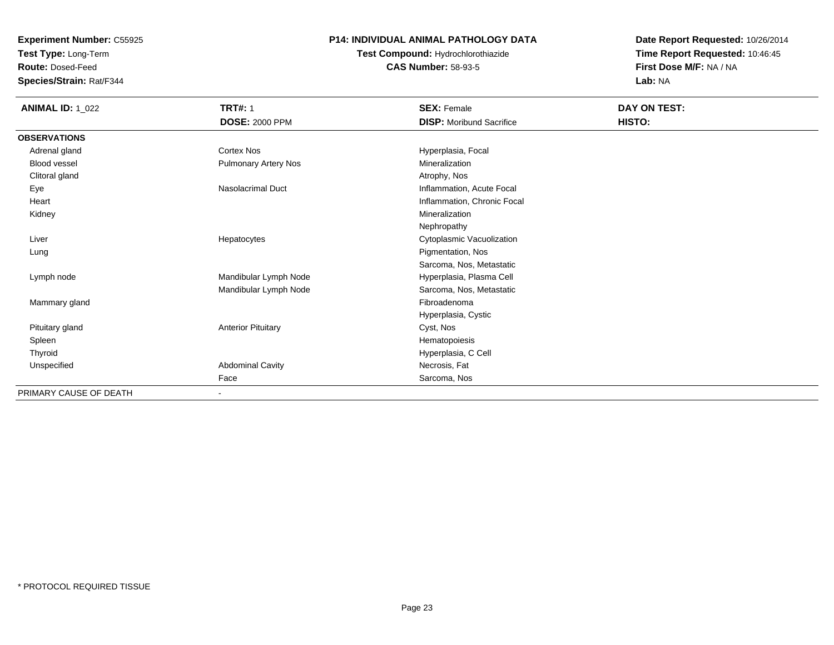**Test Type:** Long-Term

**Route:** Dosed-Feed

**Species/Strain:** Rat/F344

### **P14: INDIVIDUAL ANIMAL PATHOLOGY DATA**

### **Test Compound:** Hydrochlorothiazide**CAS Number:** 58-93-5

| <b>ANIMAL ID: 1_022</b> | <b>TRT#: 1</b>            | <b>SEX: Female</b>              | DAY ON TEST: |
|-------------------------|---------------------------|---------------------------------|--------------|
|                         | <b>DOSE: 2000 PPM</b>     | <b>DISP:</b> Moribund Sacrifice | HISTO:       |
| <b>OBSERVATIONS</b>     |                           |                                 |              |
| Adrenal gland           | Cortex Nos                | Hyperplasia, Focal              |              |
| Blood vessel            | Pulmonary Artery Nos      | Mineralization                  |              |
| Clitoral gland          |                           | Atrophy, Nos                    |              |
| Eye                     | <b>Nasolacrimal Duct</b>  | Inflammation, Acute Focal       |              |
| Heart                   |                           | Inflammation, Chronic Focal     |              |
| Kidney                  |                           | Mineralization                  |              |
|                         |                           | Nephropathy                     |              |
| Liver                   | Hepatocytes               | Cytoplasmic Vacuolization       |              |
| Lung                    |                           | Pigmentation, Nos               |              |
|                         |                           | Sarcoma, Nos, Metastatic        |              |
| Lymph node              | Mandibular Lymph Node     | Hyperplasia, Plasma Cell        |              |
|                         | Mandibular Lymph Node     | Sarcoma, Nos, Metastatic        |              |
| Mammary gland           |                           | Fibroadenoma                    |              |
|                         |                           | Hyperplasia, Cystic             |              |
| Pituitary gland         | <b>Anterior Pituitary</b> | Cyst, Nos                       |              |
| Spleen                  |                           | Hematopoiesis                   |              |
| Thyroid                 |                           | Hyperplasia, C Cell             |              |
| Unspecified             | <b>Abdominal Cavity</b>   | Necrosis, Fat                   |              |
|                         | Face                      | Sarcoma, Nos                    |              |
| PRIMARY CAUSE OF DEATH  | ٠                         |                                 |              |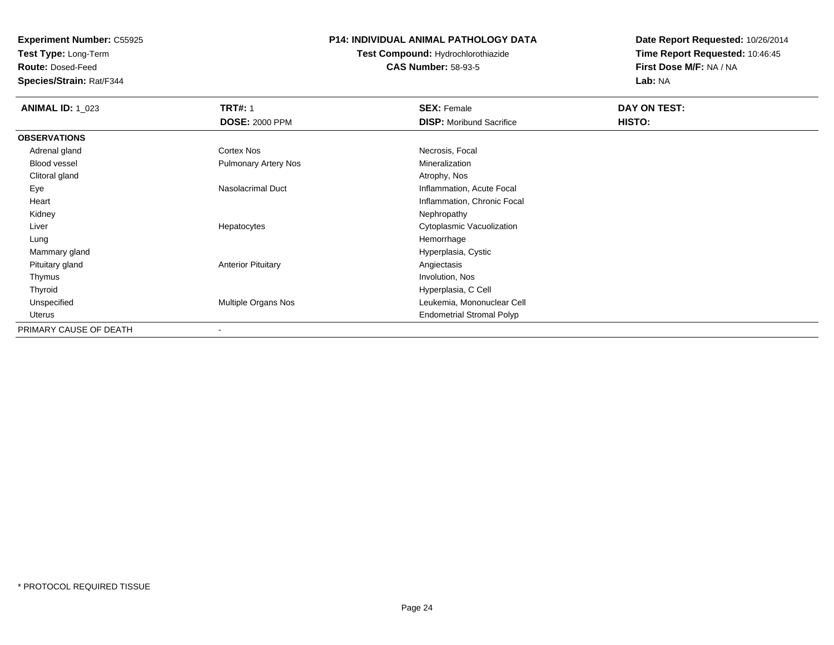**Test Type:** Long-Term

**Route:** Dosed-Feed

**Species/Strain:** Rat/F344

### **P14: INDIVIDUAL ANIMAL PATHOLOGY DATA**

# **Test Compound:** Hydrochlorothiazide**CAS Number:** 58-93-5

| <b>ANIMAL ID: 1 023</b> | <b>TRT#: 1</b>              | <b>SEX: Female</b>               | DAY ON TEST: |
|-------------------------|-----------------------------|----------------------------------|--------------|
|                         | <b>DOSE: 2000 PPM</b>       | <b>DISP:</b> Moribund Sacrifice  | HISTO:       |
| <b>OBSERVATIONS</b>     |                             |                                  |              |
| Adrenal gland           | <b>Cortex Nos</b>           | Necrosis, Focal                  |              |
| <b>Blood vessel</b>     | <b>Pulmonary Artery Nos</b> | Mineralization                   |              |
| Clitoral gland          |                             | Atrophy, Nos                     |              |
| Eye                     | Nasolacrimal Duct           | Inflammation, Acute Focal        |              |
| Heart                   |                             | Inflammation, Chronic Focal      |              |
| Kidney                  |                             | Nephropathy                      |              |
| Liver                   | Hepatocytes                 | Cytoplasmic Vacuolization        |              |
| Lung                    |                             | Hemorrhage                       |              |
| Mammary gland           |                             | Hyperplasia, Cystic              |              |
| Pituitary gland         | <b>Anterior Pituitary</b>   | Angiectasis                      |              |
| Thymus                  |                             | Involution, Nos                  |              |
| Thyroid                 |                             | Hyperplasia, C Cell              |              |
| Unspecified             | Multiple Organs Nos         | Leukemia, Mononuclear Cell       |              |
| Uterus                  |                             | <b>Endometrial Stromal Polyp</b> |              |
| PRIMARY CAUSE OF DEATH  | $\overline{\phantom{a}}$    |                                  |              |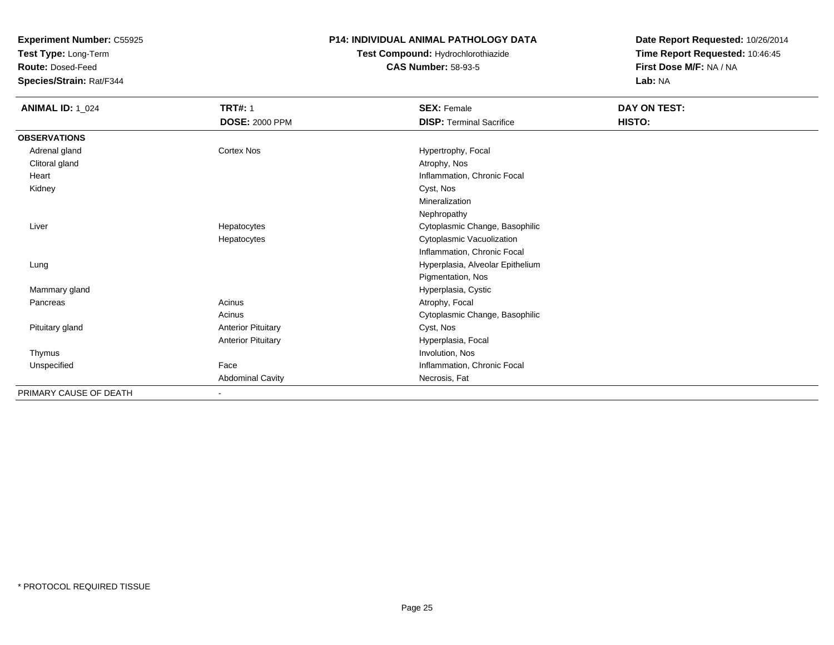**Test Type:** Long-Term

**Route:** Dosed-Feed

**Species/Strain:** Rat/F344

### **P14: INDIVIDUAL ANIMAL PATHOLOGY DATA**

# **Test Compound:** Hydrochlorothiazide**CAS Number:** 58-93-5

| <b>ANIMAL ID: 1_024</b> | <b>TRT#: 1</b>            | <b>SEX: Female</b>               | DAY ON TEST: |  |
|-------------------------|---------------------------|----------------------------------|--------------|--|
|                         | <b>DOSE: 2000 PPM</b>     | <b>DISP: Terminal Sacrifice</b>  | HISTO:       |  |
| <b>OBSERVATIONS</b>     |                           |                                  |              |  |
| Adrenal gland           | Cortex Nos                | Hypertrophy, Focal               |              |  |
| Clitoral gland          |                           | Atrophy, Nos                     |              |  |
| Heart                   |                           | Inflammation, Chronic Focal      |              |  |
| Kidney                  |                           | Cyst, Nos                        |              |  |
|                         |                           | Mineralization                   |              |  |
|                         |                           | Nephropathy                      |              |  |
| Liver                   | Hepatocytes               | Cytoplasmic Change, Basophilic   |              |  |
|                         | Hepatocytes               | Cytoplasmic Vacuolization        |              |  |
|                         |                           | Inflammation, Chronic Focal      |              |  |
| Lung                    |                           | Hyperplasia, Alveolar Epithelium |              |  |
|                         |                           | Pigmentation, Nos                |              |  |
| Mammary gland           |                           | Hyperplasia, Cystic              |              |  |
| Pancreas                | Acinus                    | Atrophy, Focal                   |              |  |
|                         | Acinus                    | Cytoplasmic Change, Basophilic   |              |  |
| Pituitary gland         | <b>Anterior Pituitary</b> | Cyst, Nos                        |              |  |
|                         | <b>Anterior Pituitary</b> | Hyperplasia, Focal               |              |  |
| Thymus                  |                           | Involution, Nos                  |              |  |
| Unspecified             | Face                      | Inflammation, Chronic Focal      |              |  |
|                         | <b>Abdominal Cavity</b>   | Necrosis, Fat                    |              |  |
| PRIMARY CAUSE OF DEATH  | $\blacksquare$            |                                  |              |  |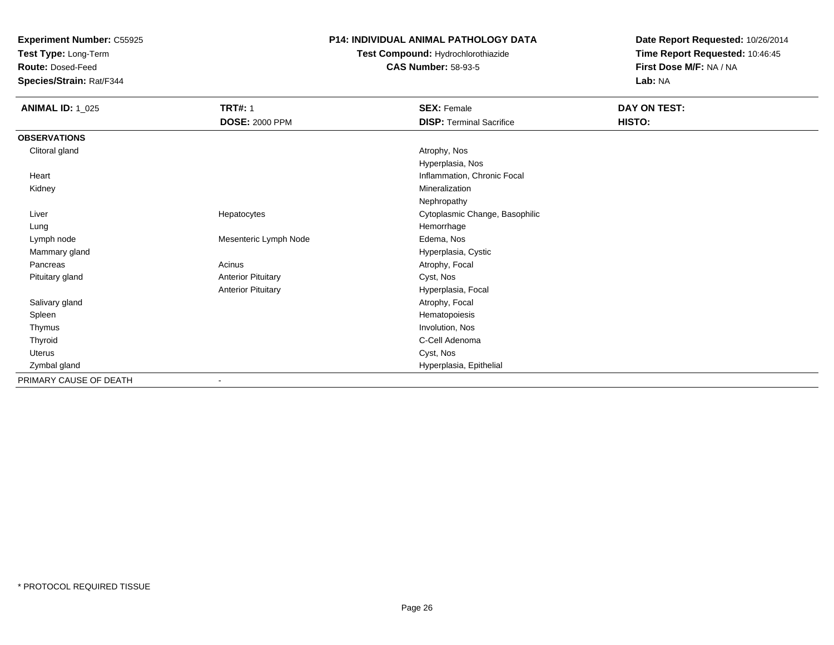**Test Type:** Long-Term

**Route:** Dosed-Feed

**Species/Strain:** Rat/F344

### **P14: INDIVIDUAL ANIMAL PATHOLOGY DATA**

**Test Compound:** Hydrochlorothiazide**CAS Number:** 58-93-5

| <b>ANIMAL ID: 1_025</b> | <b>TRT#: 1</b>            | <b>SEX: Female</b>              | DAY ON TEST: |  |
|-------------------------|---------------------------|---------------------------------|--------------|--|
|                         | <b>DOSE: 2000 PPM</b>     | <b>DISP: Terminal Sacrifice</b> | HISTO:       |  |
| <b>OBSERVATIONS</b>     |                           |                                 |              |  |
| Clitoral gland          |                           | Atrophy, Nos                    |              |  |
|                         |                           | Hyperplasia, Nos                |              |  |
| Heart                   |                           | Inflammation, Chronic Focal     |              |  |
| Kidney                  |                           | Mineralization                  |              |  |
|                         |                           | Nephropathy                     |              |  |
| Liver                   | Hepatocytes               | Cytoplasmic Change, Basophilic  |              |  |
| Lung                    |                           | Hemorrhage                      |              |  |
| Lymph node              | Mesenteric Lymph Node     | Edema, Nos                      |              |  |
| Mammary gland           |                           | Hyperplasia, Cystic             |              |  |
| Pancreas                | Acinus                    | Atrophy, Focal                  |              |  |
| Pituitary gland         | <b>Anterior Pituitary</b> | Cyst, Nos                       |              |  |
|                         | <b>Anterior Pituitary</b> | Hyperplasia, Focal              |              |  |
| Salivary gland          |                           | Atrophy, Focal                  |              |  |
| Spleen                  |                           | Hematopoiesis                   |              |  |
| Thymus                  |                           | Involution, Nos                 |              |  |
| Thyroid                 |                           | C-Cell Adenoma                  |              |  |
| Uterus                  |                           | Cyst, Nos                       |              |  |
| Zymbal gland            |                           | Hyperplasia, Epithelial         |              |  |
| PRIMARY CAUSE OF DEATH  | ٠                         |                                 |              |  |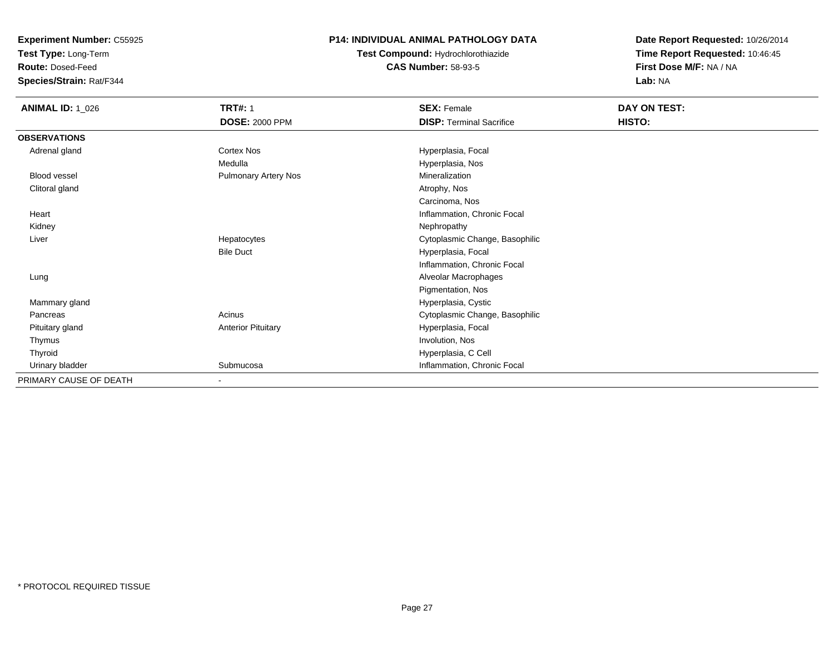**Test Type:** Long-Term

**Route:** Dosed-Feed

**Species/Strain:** Rat/F344

### **P14: INDIVIDUAL ANIMAL PATHOLOGY DATA**

**Test Compound:** Hydrochlorothiazide**CAS Number:** 58-93-5

| <b>ANIMAL ID: 1_026</b> | <b>TRT#: 1</b><br><b>DOSE: 2000 PPM</b> | <b>SEX: Female</b><br><b>DISP: Terminal Sacrifice</b> | DAY ON TEST:<br>HISTO: |
|-------------------------|-----------------------------------------|-------------------------------------------------------|------------------------|
| <b>OBSERVATIONS</b>     |                                         |                                                       |                        |
| Adrenal gland           | Cortex Nos                              | Hyperplasia, Focal                                    |                        |
|                         | Medulla                                 | Hyperplasia, Nos                                      |                        |
| Blood vessel            | <b>Pulmonary Artery Nos</b>             | Mineralization                                        |                        |
| Clitoral gland          |                                         | Atrophy, Nos                                          |                        |
|                         |                                         | Carcinoma, Nos                                        |                        |
| Heart                   |                                         | Inflammation, Chronic Focal                           |                        |
| Kidney                  |                                         | Nephropathy                                           |                        |
| Liver                   | Hepatocytes                             | Cytoplasmic Change, Basophilic                        |                        |
|                         | <b>Bile Duct</b>                        | Hyperplasia, Focal                                    |                        |
|                         |                                         | Inflammation, Chronic Focal                           |                        |
| Lung                    |                                         | Alveolar Macrophages                                  |                        |
|                         |                                         | Pigmentation, Nos                                     |                        |
| Mammary gland           |                                         | Hyperplasia, Cystic                                   |                        |
| Pancreas                | Acinus                                  | Cytoplasmic Change, Basophilic                        |                        |
| Pituitary gland         | <b>Anterior Pituitary</b>               | Hyperplasia, Focal                                    |                        |
| Thymus                  |                                         | Involution, Nos                                       |                        |
| Thyroid                 |                                         | Hyperplasia, C Cell                                   |                        |
| Urinary bladder         | Submucosa                               | Inflammation, Chronic Focal                           |                        |
| PRIMARY CAUSE OF DEATH  |                                         |                                                       |                        |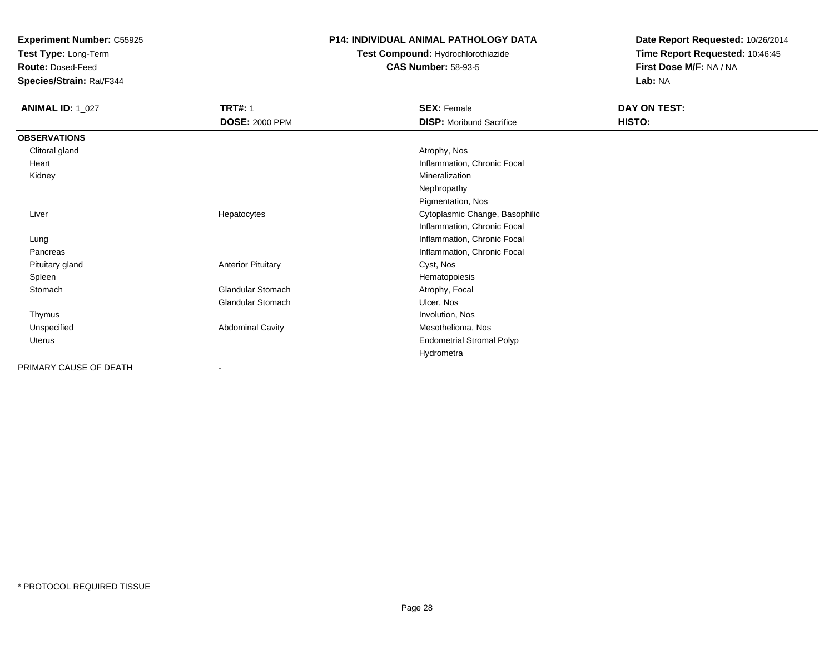**Test Type:** Long-Term

**Route:** Dosed-Feed

**Species/Strain:** Rat/F344

### **P14: INDIVIDUAL ANIMAL PATHOLOGY DATA**

# **Test Compound:** Hydrochlorothiazide**CAS Number:** 58-93-5

| <b>ANIMAL ID: 1_027</b> | <b>TRT#: 1</b>            | <b>SEX: Female</b>               | DAY ON TEST: |  |
|-------------------------|---------------------------|----------------------------------|--------------|--|
|                         | <b>DOSE: 2000 PPM</b>     | <b>DISP:</b> Moribund Sacrifice  | HISTO:       |  |
| <b>OBSERVATIONS</b>     |                           |                                  |              |  |
| Clitoral gland          |                           | Atrophy, Nos                     |              |  |
| Heart                   |                           | Inflammation, Chronic Focal      |              |  |
| Kidney                  |                           | Mineralization                   |              |  |
|                         |                           | Nephropathy                      |              |  |
|                         |                           | Pigmentation, Nos                |              |  |
| Liver                   | Hepatocytes               | Cytoplasmic Change, Basophilic   |              |  |
|                         |                           | Inflammation, Chronic Focal      |              |  |
| Lung                    |                           | Inflammation, Chronic Focal      |              |  |
| Pancreas                |                           | Inflammation, Chronic Focal      |              |  |
| Pituitary gland         | <b>Anterior Pituitary</b> | Cyst, Nos                        |              |  |
| Spleen                  |                           | Hematopoiesis                    |              |  |
| Stomach                 | <b>Glandular Stomach</b>  | Atrophy, Focal                   |              |  |
|                         | Glandular Stomach         | Ulcer, Nos                       |              |  |
| Thymus                  |                           | Involution, Nos                  |              |  |
| Unspecified             | <b>Abdominal Cavity</b>   | Mesothelioma, Nos                |              |  |
| Uterus                  |                           | <b>Endometrial Stromal Polyp</b> |              |  |
|                         |                           | Hydrometra                       |              |  |
| PRIMARY CAUSE OF DEATH  |                           |                                  |              |  |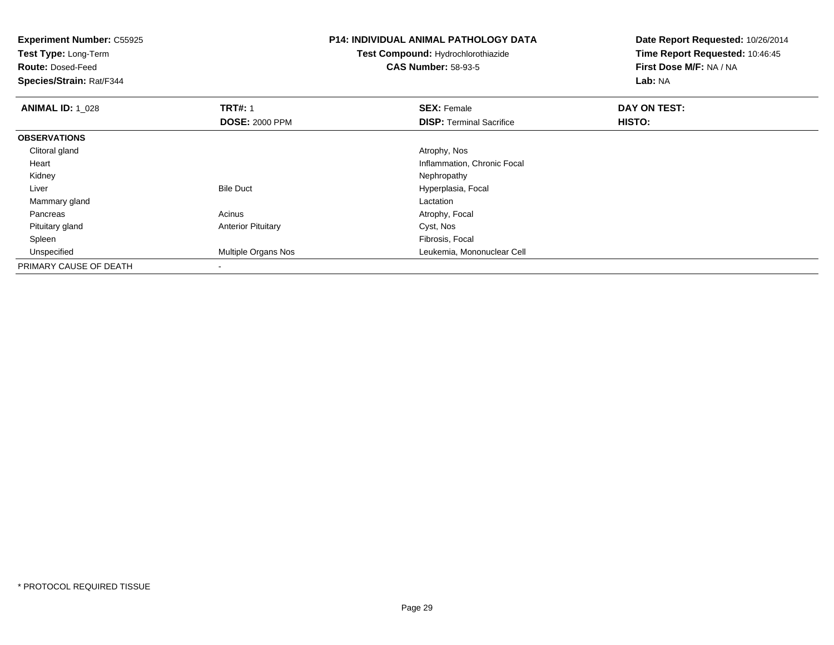| <b>Experiment Number: C55925</b><br>Test Type: Long-Term<br><b>Route: Dosed-Feed</b><br>Species/Strain: Rat/F344 |                           | <b>P14: INDIVIDUAL ANIMAL PATHOLOGY DATA</b><br><b>Test Compound: Hydrochlorothiazide</b><br><b>CAS Number: 58-93-5</b> | Date Report Requested: 10/26/2014<br>Time Report Requested: 10:46:45<br>First Dose M/F: NA / NA<br>Lab: NA |
|------------------------------------------------------------------------------------------------------------------|---------------------------|-------------------------------------------------------------------------------------------------------------------------|------------------------------------------------------------------------------------------------------------|
| <b>ANIMAL ID: 1 028</b>                                                                                          | <b>TRT#: 1</b>            | <b>SEX: Female</b>                                                                                                      | DAY ON TEST:                                                                                               |
|                                                                                                                  | <b>DOSE: 2000 PPM</b>     | <b>DISP: Terminal Sacrifice</b>                                                                                         | HISTO:                                                                                                     |
| <b>OBSERVATIONS</b>                                                                                              |                           |                                                                                                                         |                                                                                                            |
| Clitoral gland                                                                                                   |                           | Atrophy, Nos                                                                                                            |                                                                                                            |
| Heart                                                                                                            |                           | Inflammation, Chronic Focal                                                                                             |                                                                                                            |
| Kidney                                                                                                           |                           | Nephropathy                                                                                                             |                                                                                                            |
| Liver                                                                                                            | <b>Bile Duct</b>          | Hyperplasia, Focal                                                                                                      |                                                                                                            |
| Mammary gland                                                                                                    |                           | Lactation                                                                                                               |                                                                                                            |
| Pancreas                                                                                                         | Acinus                    | Atrophy, Focal                                                                                                          |                                                                                                            |
| Pituitary gland                                                                                                  | <b>Anterior Pituitary</b> | Cyst, Nos                                                                                                               |                                                                                                            |
| Spleen                                                                                                           |                           | Fibrosis, Focal                                                                                                         |                                                                                                            |
| Unspecified                                                                                                      | Multiple Organs Nos       | Leukemia, Mononuclear Cell                                                                                              |                                                                                                            |
| PRIMARY CAUSE OF DEATH                                                                                           |                           |                                                                                                                         |                                                                                                            |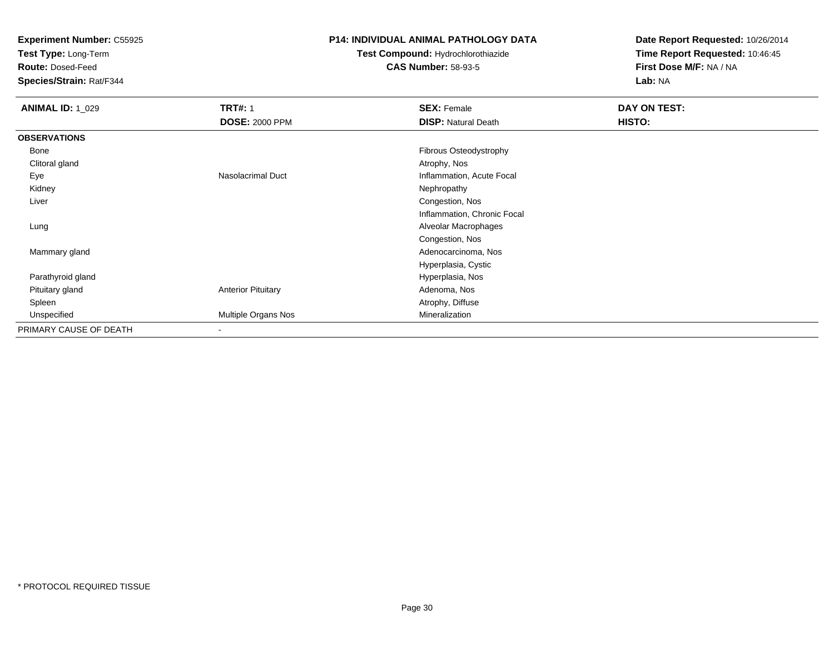**Test Type:** Long-Term

**Route:** Dosed-Feed

**Species/Strain:** Rat/F344

### **P14: INDIVIDUAL ANIMAL PATHOLOGY DATA**

# **Test Compound:** Hydrochlorothiazide**CAS Number:** 58-93-5

| <b>ANIMAL ID: 1_029</b> | <b>TRT#: 1</b>            | <b>SEX: Female</b>          | DAY ON TEST: |  |
|-------------------------|---------------------------|-----------------------------|--------------|--|
|                         | <b>DOSE: 2000 PPM</b>     | <b>DISP: Natural Death</b>  | HISTO:       |  |
| <b>OBSERVATIONS</b>     |                           |                             |              |  |
| Bone                    |                           | Fibrous Osteodystrophy      |              |  |
| Clitoral gland          |                           | Atrophy, Nos                |              |  |
| Eye                     | Nasolacrimal Duct         | Inflammation, Acute Focal   |              |  |
| Kidney                  |                           | Nephropathy                 |              |  |
| Liver                   |                           | Congestion, Nos             |              |  |
|                         |                           | Inflammation, Chronic Focal |              |  |
| Lung                    |                           | Alveolar Macrophages        |              |  |
|                         |                           | Congestion, Nos             |              |  |
| Mammary gland           |                           | Adenocarcinoma, Nos         |              |  |
|                         |                           | Hyperplasia, Cystic         |              |  |
| Parathyroid gland       |                           | Hyperplasia, Nos            |              |  |
| Pituitary gland         | <b>Anterior Pituitary</b> | Adenoma, Nos                |              |  |
| Spleen                  |                           | Atrophy, Diffuse            |              |  |
| Unspecified             | Multiple Organs Nos       | Mineralization              |              |  |
| PRIMARY CAUSE OF DEATH  | $\overline{\phantom{a}}$  |                             |              |  |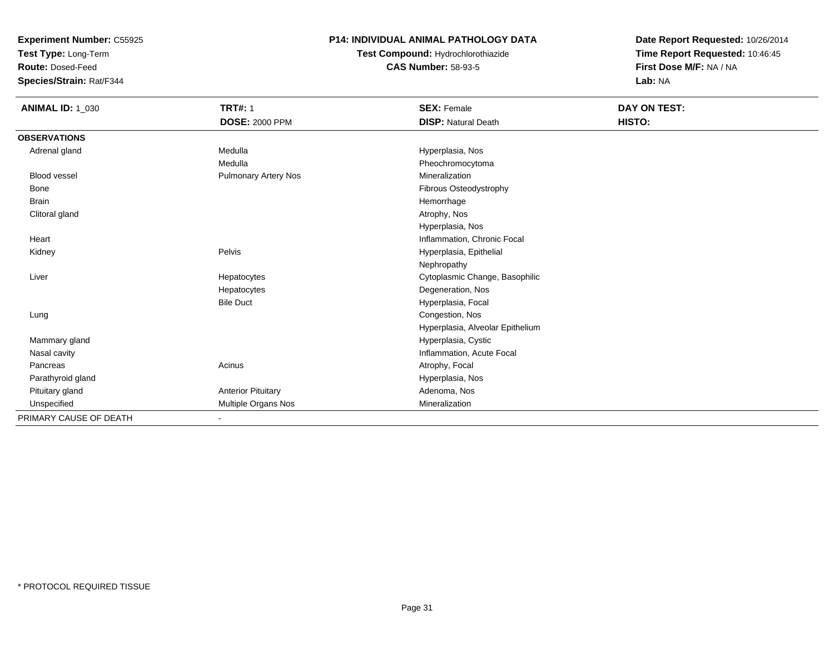**Test Type:** Long-Term

**Route:** Dosed-Feed

**Species/Strain:** Rat/F344

### **P14: INDIVIDUAL ANIMAL PATHOLOGY DATA**

# **Test Compound:** Hydrochlorothiazide**CAS Number:** 58-93-5

| <b>ANIMAL ID: 1_030</b> | <b>TRT#: 1</b>              | <b>SEX: Female</b>               | <b>DAY ON TEST:</b> |  |
|-------------------------|-----------------------------|----------------------------------|---------------------|--|
|                         | <b>DOSE: 2000 PPM</b>       | <b>DISP: Natural Death</b>       | HISTO:              |  |
| <b>OBSERVATIONS</b>     |                             |                                  |                     |  |
| Adrenal gland           | Medulla                     | Hyperplasia, Nos                 |                     |  |
|                         | Medulla                     | Pheochromocytoma                 |                     |  |
| <b>Blood vessel</b>     | <b>Pulmonary Artery Nos</b> | Mineralization                   |                     |  |
| Bone                    |                             | Fibrous Osteodystrophy           |                     |  |
| <b>Brain</b>            |                             | Hemorrhage                       |                     |  |
| Clitoral gland          |                             | Atrophy, Nos                     |                     |  |
|                         |                             | Hyperplasia, Nos                 |                     |  |
| Heart                   |                             | Inflammation, Chronic Focal      |                     |  |
| Kidney                  | Pelvis                      | Hyperplasia, Epithelial          |                     |  |
|                         |                             | Nephropathy                      |                     |  |
| Liver                   | Hepatocytes                 | Cytoplasmic Change, Basophilic   |                     |  |
|                         | Hepatocytes                 | Degeneration, Nos                |                     |  |
|                         | <b>Bile Duct</b>            | Hyperplasia, Focal               |                     |  |
| Lung                    |                             | Congestion, Nos                  |                     |  |
|                         |                             | Hyperplasia, Alveolar Epithelium |                     |  |
| Mammary gland           |                             | Hyperplasia, Cystic              |                     |  |
| Nasal cavity            |                             | Inflammation, Acute Focal        |                     |  |
| Pancreas                | Acinus                      | Atrophy, Focal                   |                     |  |
| Parathyroid gland       |                             | Hyperplasia, Nos                 |                     |  |
| Pituitary gland         | <b>Anterior Pituitary</b>   | Adenoma, Nos                     |                     |  |
| Unspecified             | Multiple Organs Nos         | Mineralization                   |                     |  |
| PRIMARY CAUSE OF DEATH  |                             |                                  |                     |  |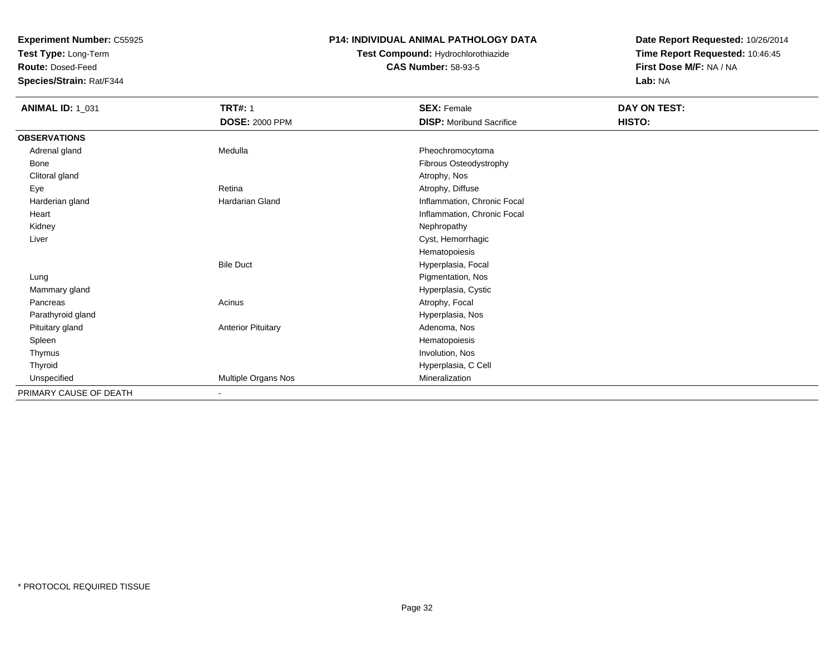**Test Type:** Long-Term

**Route:** Dosed-Feed

**Species/Strain:** Rat/F344

### **P14: INDIVIDUAL ANIMAL PATHOLOGY DATA**

### **Test Compound:** Hydrochlorothiazide**CAS Number:** 58-93-5

| <b>ANIMAL ID: 1_031</b> | <b>TRT#: 1</b>            | <b>SEX: Female</b>              | DAY ON TEST: |  |
|-------------------------|---------------------------|---------------------------------|--------------|--|
|                         | <b>DOSE: 2000 PPM</b>     | <b>DISP:</b> Moribund Sacrifice | HISTO:       |  |
| <b>OBSERVATIONS</b>     |                           |                                 |              |  |
| Adrenal gland           | Medulla                   | Pheochromocytoma                |              |  |
| Bone                    |                           | Fibrous Osteodystrophy          |              |  |
| Clitoral gland          |                           | Atrophy, Nos                    |              |  |
| Eye                     | Retina                    | Atrophy, Diffuse                |              |  |
| Harderian gland         | Hardarian Gland           | Inflammation, Chronic Focal     |              |  |
| Heart                   |                           | Inflammation, Chronic Focal     |              |  |
| Kidney                  |                           | Nephropathy                     |              |  |
| Liver                   |                           | Cyst, Hemorrhagic               |              |  |
|                         |                           | Hematopoiesis                   |              |  |
|                         | <b>Bile Duct</b>          | Hyperplasia, Focal              |              |  |
| Lung                    |                           | Pigmentation, Nos               |              |  |
| Mammary gland           |                           | Hyperplasia, Cystic             |              |  |
| Pancreas                | Acinus                    | Atrophy, Focal                  |              |  |
| Parathyroid gland       |                           | Hyperplasia, Nos                |              |  |
| Pituitary gland         | <b>Anterior Pituitary</b> | Adenoma, Nos                    |              |  |
| Spleen                  |                           | Hematopoiesis                   |              |  |
| Thymus                  |                           | Involution, Nos                 |              |  |
| Thyroid                 |                           | Hyperplasia, C Cell             |              |  |
| Unspecified             | Multiple Organs Nos       | Mineralization                  |              |  |
| PRIMARY CAUSE OF DEATH  | $\blacksquare$            |                                 |              |  |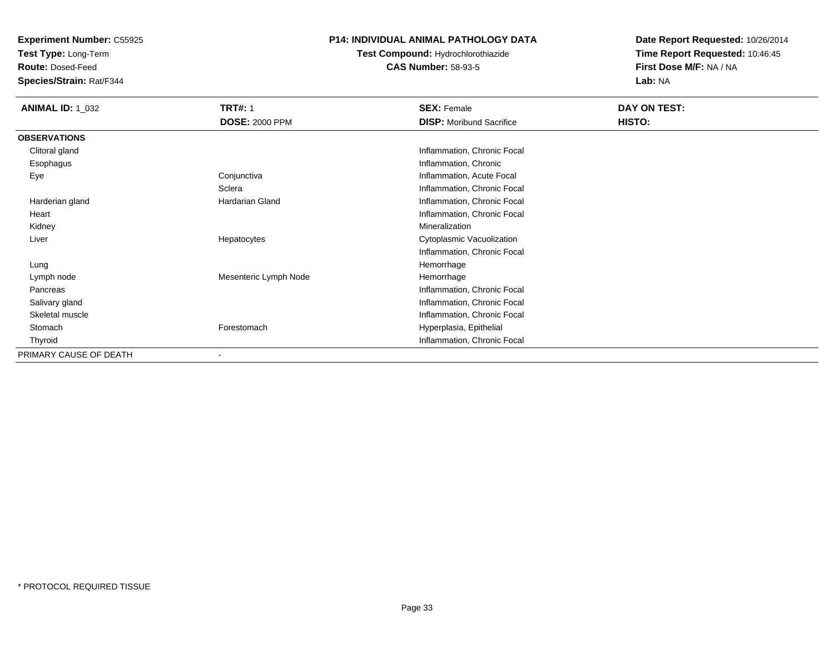**Test Type:** Long-Term

**Route:** Dosed-Feed

**Species/Strain:** Rat/F344

### **P14: INDIVIDUAL ANIMAL PATHOLOGY DATA**

**Test Compound:** Hydrochlorothiazide**CAS Number:** 58-93-5

| <b>ANIMAL ID: 1_032</b> | <b>TRT#: 1</b>        | <b>SEX: Female</b>              | DAY ON TEST: |  |
|-------------------------|-----------------------|---------------------------------|--------------|--|
|                         | <b>DOSE: 2000 PPM</b> | <b>DISP:</b> Moribund Sacrifice | HISTO:       |  |
| <b>OBSERVATIONS</b>     |                       |                                 |              |  |
| Clitoral gland          |                       | Inflammation, Chronic Focal     |              |  |
| Esophagus               |                       | Inflammation, Chronic           |              |  |
| Eye                     | Conjunctiva           | Inflammation, Acute Focal       |              |  |
|                         | Sclera                | Inflammation, Chronic Focal     |              |  |
| Harderian gland         | Hardarian Gland       | Inflammation, Chronic Focal     |              |  |
| Heart                   |                       | Inflammation, Chronic Focal     |              |  |
| Kidney                  |                       | Mineralization                  |              |  |
| Liver                   | Hepatocytes           | Cytoplasmic Vacuolization       |              |  |
|                         |                       | Inflammation, Chronic Focal     |              |  |
| Lung                    |                       | Hemorrhage                      |              |  |
| Lymph node              | Mesenteric Lymph Node | Hemorrhage                      |              |  |
| Pancreas                |                       | Inflammation, Chronic Focal     |              |  |
| Salivary gland          |                       | Inflammation, Chronic Focal     |              |  |
| Skeletal muscle         |                       | Inflammation, Chronic Focal     |              |  |
| Stomach                 | Forestomach           | Hyperplasia, Epithelial         |              |  |
| Thyroid                 |                       | Inflammation, Chronic Focal     |              |  |
| PRIMARY CAUSE OF DEATH  |                       |                                 |              |  |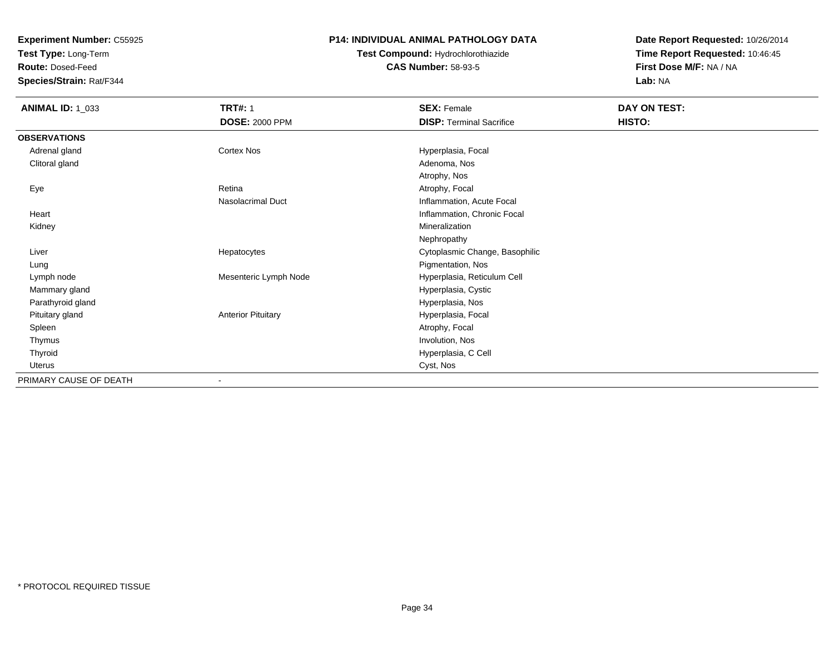**Test Type:** Long-Term

**Route:** Dosed-Feed

**Species/Strain:** Rat/F344

### **P14: INDIVIDUAL ANIMAL PATHOLOGY DATA**

# **Test Compound:** Hydrochlorothiazide**CAS Number:** 58-93-5

| <b>ANIMAL ID: 1_033</b> | <b>TRT#: 1</b><br><b>DOSE: 2000 PPM</b> | <b>SEX: Female</b><br><b>DISP: Terminal Sacrifice</b> | DAY ON TEST:<br>HISTO: |
|-------------------------|-----------------------------------------|-------------------------------------------------------|------------------------|
| <b>OBSERVATIONS</b>     |                                         |                                                       |                        |
| Adrenal gland           | Cortex Nos                              | Hyperplasia, Focal                                    |                        |
| Clitoral gland          |                                         | Adenoma, Nos                                          |                        |
|                         |                                         | Atrophy, Nos                                          |                        |
| Eye                     | Retina                                  | Atrophy, Focal                                        |                        |
|                         | Nasolacrimal Duct                       | Inflammation, Acute Focal                             |                        |
| Heart                   |                                         | Inflammation, Chronic Focal                           |                        |
| Kidney                  |                                         | Mineralization                                        |                        |
|                         |                                         | Nephropathy                                           |                        |
| Liver                   | Hepatocytes                             | Cytoplasmic Change, Basophilic                        |                        |
| Lung                    |                                         | Pigmentation, Nos                                     |                        |
| Lymph node              | Mesenteric Lymph Node                   | Hyperplasia, Reticulum Cell                           |                        |
| Mammary gland           |                                         | Hyperplasia, Cystic                                   |                        |
| Parathyroid gland       |                                         | Hyperplasia, Nos                                      |                        |
| Pituitary gland         | <b>Anterior Pituitary</b>               | Hyperplasia, Focal                                    |                        |
| Spleen                  |                                         | Atrophy, Focal                                        |                        |
| Thymus                  |                                         | Involution, Nos                                       |                        |
| Thyroid                 |                                         | Hyperplasia, C Cell                                   |                        |
| <b>Uterus</b>           |                                         | Cyst, Nos                                             |                        |
| PRIMARY CAUSE OF DEATH  | $\overline{\phantom{a}}$                |                                                       |                        |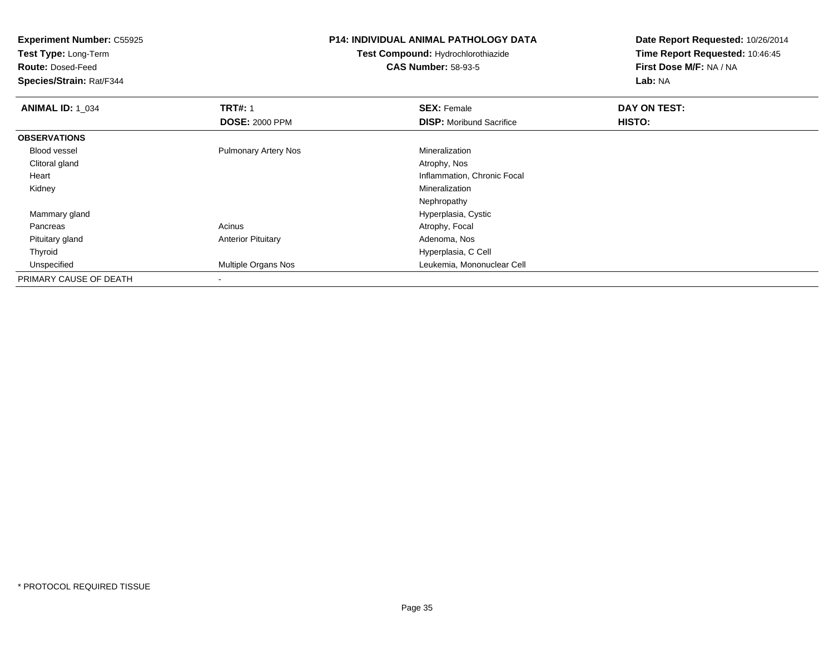**Experiment Number:** C55925**Test Type:** Long-Term**Route:** Dosed-Feed **Species/Strain:** Rat/F344**P14: INDIVIDUAL ANIMAL PATHOLOGY DATATest Compound:** Hydrochlorothiazide**CAS Number:** 58-93-5**Date Report Requested:** 10/26/2014**Time Report Requested:** 10:46:45**First Dose M/F:** NA / NA**Lab:** NA**ANIMAL ID: 1\_034 TRT#:** 1 **SEX:** Female **DAY ON TEST: DOSE:** 2000 PPM**DISP:** Moribund Sacrifice **HISTO: OBSERVATIONS** Blood vessel Pulmonary Artery Nos MineralizationAtrophy, Nos Clitoral glandd and the control of the control of the control of the control of the control of the control of the control of the control of the control of the control of the control of the control of the control of the control of the co Heart Inflammation, Chronic Focal Kidneyy with the control of the control of the control of the control of the control of the control of the control of the control of the control of the control of the control of the control of the control of the control of the c Nephropathyd **Hyperplasia, Cystic**  Mammary gland PancreasAcinus **Acinus** Atrophy, Focal Pituitary glandAnterior Pituitary **Adenoma, Nos** Adenoma, Nos Thyroid Hyperplasia, C Cell UnspecifiedLeukemia, Mononuclear Cell PRIMARY CAUSE OF DEATH-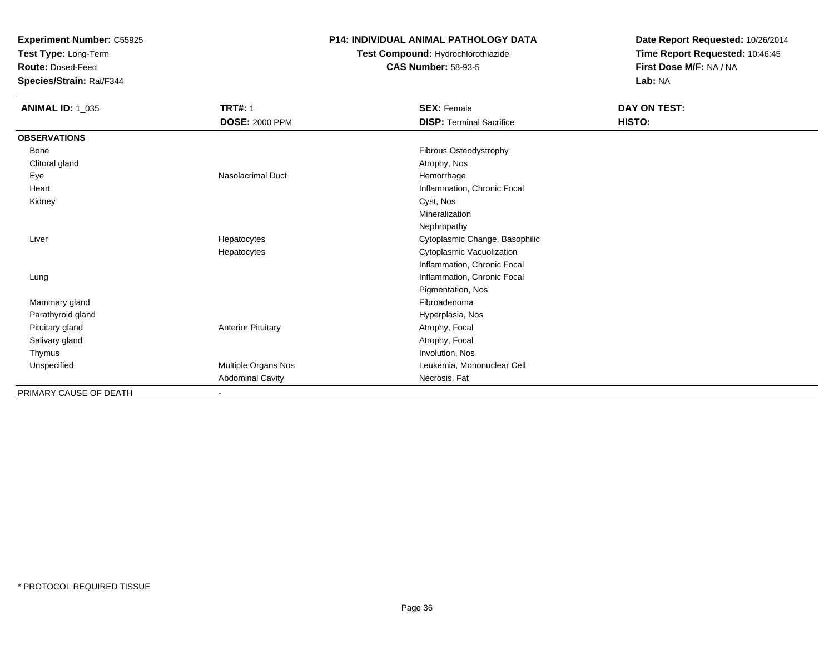**Test Type:** Long-Term

**Route:** Dosed-Feed

**Species/Strain:** Rat/F344

### **P14: INDIVIDUAL ANIMAL PATHOLOGY DATA**

**Test Compound:** Hydrochlorothiazide**CAS Number:** 58-93-5

| <b>ANIMAL ID: 1_035</b> | <b>TRT#: 1</b>            | <b>SEX: Female</b>              | DAY ON TEST: |  |
|-------------------------|---------------------------|---------------------------------|--------------|--|
|                         | <b>DOSE: 2000 PPM</b>     | <b>DISP: Terminal Sacrifice</b> | HISTO:       |  |
| <b>OBSERVATIONS</b>     |                           |                                 |              |  |
| Bone                    |                           | Fibrous Osteodystrophy          |              |  |
| Clitoral gland          |                           | Atrophy, Nos                    |              |  |
| Eye                     | Nasolacrimal Duct         | Hemorrhage                      |              |  |
| Heart                   |                           | Inflammation, Chronic Focal     |              |  |
| Kidney                  |                           | Cyst, Nos                       |              |  |
|                         |                           | Mineralization                  |              |  |
|                         |                           | Nephropathy                     |              |  |
| Liver                   | Hepatocytes               | Cytoplasmic Change, Basophilic  |              |  |
|                         | Hepatocytes               | Cytoplasmic Vacuolization       |              |  |
|                         |                           | Inflammation, Chronic Focal     |              |  |
| Lung                    |                           | Inflammation, Chronic Focal     |              |  |
|                         |                           | Pigmentation, Nos               |              |  |
| Mammary gland           |                           | Fibroadenoma                    |              |  |
| Parathyroid gland       |                           | Hyperplasia, Nos                |              |  |
| Pituitary gland         | <b>Anterior Pituitary</b> | Atrophy, Focal                  |              |  |
| Salivary gland          |                           | Atrophy, Focal                  |              |  |
| Thymus                  |                           | Involution, Nos                 |              |  |
| Unspecified             | Multiple Organs Nos       | Leukemia, Mononuclear Cell      |              |  |
|                         | <b>Abdominal Cavity</b>   | Necrosis, Fat                   |              |  |
| PRIMARY CAUSE OF DEATH  |                           |                                 |              |  |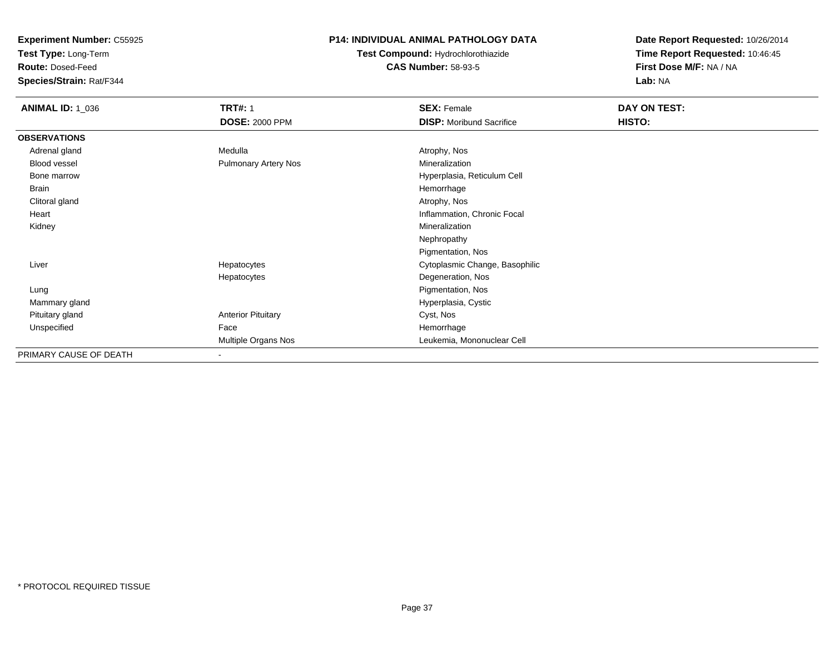**Test Type:** Long-Term

**Route:** Dosed-Feed

**Species/Strain:** Rat/F344

## **P14: INDIVIDUAL ANIMAL PATHOLOGY DATA**

**Test Compound:** Hydrochlorothiazide**CAS Number:** 58-93-5

| <b>ANIMAL ID: 1_036</b> | <b>TRT#: 1</b>            | <b>SEX: Female</b>              | DAY ON TEST: |  |
|-------------------------|---------------------------|---------------------------------|--------------|--|
|                         | <b>DOSE: 2000 PPM</b>     | <b>DISP:</b> Moribund Sacrifice | HISTO:       |  |
| <b>OBSERVATIONS</b>     |                           |                                 |              |  |
| Adrenal gland           | Medulla                   | Atrophy, Nos                    |              |  |
| Blood vessel            | Pulmonary Artery Nos      | Mineralization                  |              |  |
| Bone marrow             |                           | Hyperplasia, Reticulum Cell     |              |  |
| Brain                   |                           | Hemorrhage                      |              |  |
| Clitoral gland          |                           | Atrophy, Nos                    |              |  |
| Heart                   |                           | Inflammation, Chronic Focal     |              |  |
| Kidney                  |                           | Mineralization                  |              |  |
|                         |                           | Nephropathy                     |              |  |
|                         |                           | Pigmentation, Nos               |              |  |
| Liver                   | Hepatocytes               | Cytoplasmic Change, Basophilic  |              |  |
|                         | Hepatocytes               | Degeneration, Nos               |              |  |
| Lung                    |                           | Pigmentation, Nos               |              |  |
| Mammary gland           |                           | Hyperplasia, Cystic             |              |  |
| Pituitary gland         | <b>Anterior Pituitary</b> | Cyst, Nos                       |              |  |
| Unspecified             | Face                      | Hemorrhage                      |              |  |
|                         | Multiple Organs Nos       | Leukemia, Mononuclear Cell      |              |  |
| PRIMARY CAUSE OF DEATH  | $\overline{\phantom{a}}$  |                                 |              |  |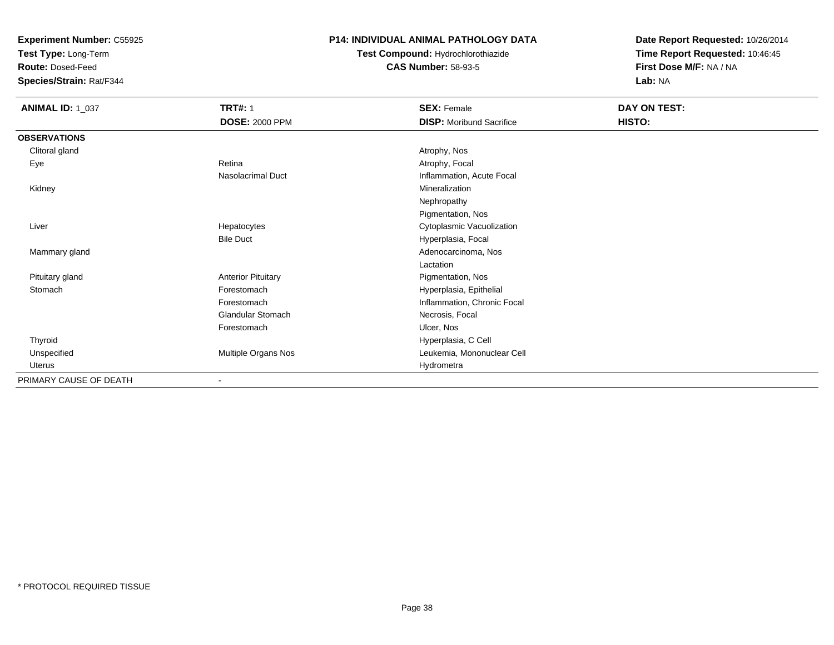**Test Type:** Long-Term

**Route:** Dosed-Feed

**Species/Strain:** Rat/F344

### **P14: INDIVIDUAL ANIMAL PATHOLOGY DATA**

# **Test Compound:** Hydrochlorothiazide**CAS Number:** 58-93-5

| <b>ANIMAL ID: 1_037</b> | <b>TRT#: 1</b><br><b>DOSE: 2000 PPM</b> | <b>SEX: Female</b><br><b>DISP:</b> Moribund Sacrifice | DAY ON TEST:<br>HISTO: |
|-------------------------|-----------------------------------------|-------------------------------------------------------|------------------------|
|                         |                                         |                                                       |                        |
| <b>OBSERVATIONS</b>     |                                         |                                                       |                        |
| Clitoral gland          |                                         | Atrophy, Nos                                          |                        |
| Eye                     | Retina                                  | Atrophy, Focal                                        |                        |
|                         | Nasolacrimal Duct                       | Inflammation, Acute Focal                             |                        |
| Kidney                  |                                         | Mineralization                                        |                        |
|                         |                                         | Nephropathy                                           |                        |
|                         |                                         | Pigmentation, Nos                                     |                        |
| Liver                   | Hepatocytes                             | Cytoplasmic Vacuolization                             |                        |
|                         | <b>Bile Duct</b>                        | Hyperplasia, Focal                                    |                        |
| Mammary gland           |                                         | Adenocarcinoma, Nos                                   |                        |
|                         |                                         | Lactation                                             |                        |
| Pituitary gland         | <b>Anterior Pituitary</b>               | Pigmentation, Nos                                     |                        |
| Stomach                 | Forestomach                             | Hyperplasia, Epithelial                               |                        |
|                         | Forestomach                             | Inflammation, Chronic Focal                           |                        |
|                         | Glandular Stomach                       | Necrosis, Focal                                       |                        |
|                         | Forestomach                             | Ulcer, Nos                                            |                        |
| Thyroid                 |                                         | Hyperplasia, C Cell                                   |                        |
| Unspecified             | Multiple Organs Nos                     | Leukemia, Mononuclear Cell                            |                        |
| Uterus                  |                                         | Hydrometra                                            |                        |
| PRIMARY CAUSE OF DEATH  | $\blacksquare$                          |                                                       |                        |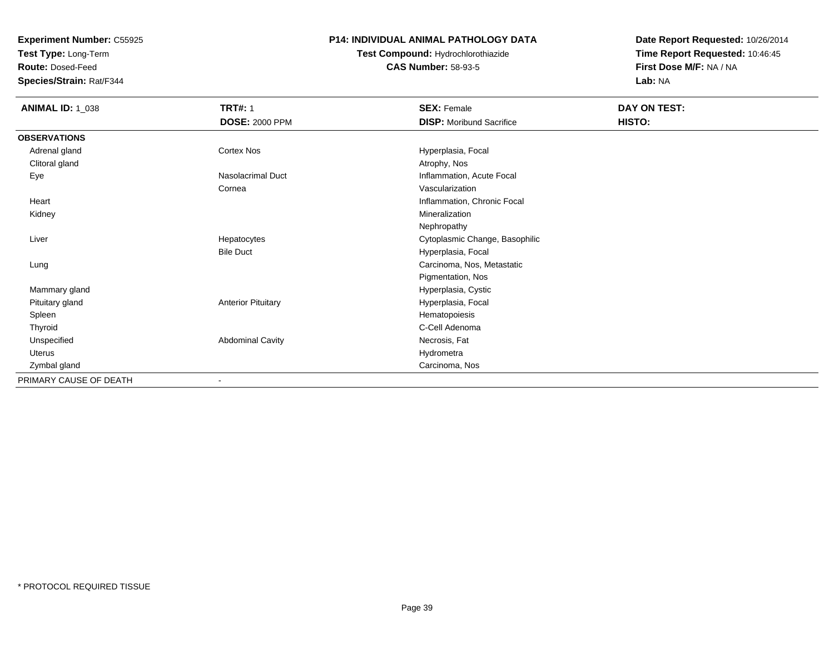**Test Type:** Long-Term

**Route:** Dosed-Feed

**Species/Strain:** Rat/F344

### **P14: INDIVIDUAL ANIMAL PATHOLOGY DATA**

# **Test Compound:** Hydrochlorothiazide**CAS Number:** 58-93-5

| <b>ANIMAL ID: 1_038</b> | <b>TRT#: 1</b><br><b>DOSE: 2000 PPM</b> | <b>SEX: Female</b><br><b>DISP:</b> Moribund Sacrifice | DAY ON TEST:<br>HISTO: |  |
|-------------------------|-----------------------------------------|-------------------------------------------------------|------------------------|--|
| <b>OBSERVATIONS</b>     |                                         |                                                       |                        |  |
| Adrenal gland           | <b>Cortex Nos</b>                       | Hyperplasia, Focal                                    |                        |  |
| Clitoral gland          |                                         | Atrophy, Nos                                          |                        |  |
| Eye                     | Nasolacrimal Duct                       | Inflammation, Acute Focal                             |                        |  |
|                         | Cornea                                  | Vascularization                                       |                        |  |
| Heart                   |                                         | Inflammation, Chronic Focal                           |                        |  |
| Kidney                  |                                         | Mineralization                                        |                        |  |
|                         |                                         | Nephropathy                                           |                        |  |
| Liver                   | Hepatocytes                             | Cytoplasmic Change, Basophilic                        |                        |  |
|                         | <b>Bile Duct</b>                        | Hyperplasia, Focal                                    |                        |  |
| Lung                    |                                         | Carcinoma, Nos, Metastatic                            |                        |  |
|                         |                                         | Pigmentation, Nos                                     |                        |  |
| Mammary gland           |                                         | Hyperplasia, Cystic                                   |                        |  |
| Pituitary gland         | <b>Anterior Pituitary</b>               | Hyperplasia, Focal                                    |                        |  |
| Spleen                  |                                         | Hematopoiesis                                         |                        |  |
| Thyroid                 |                                         | C-Cell Adenoma                                        |                        |  |
| Unspecified             | <b>Abdominal Cavity</b>                 | Necrosis, Fat                                         |                        |  |
| Uterus                  |                                         | Hydrometra                                            |                        |  |
| Zymbal gland            |                                         | Carcinoma, Nos                                        |                        |  |
| PRIMARY CAUSE OF DEATH  |                                         |                                                       |                        |  |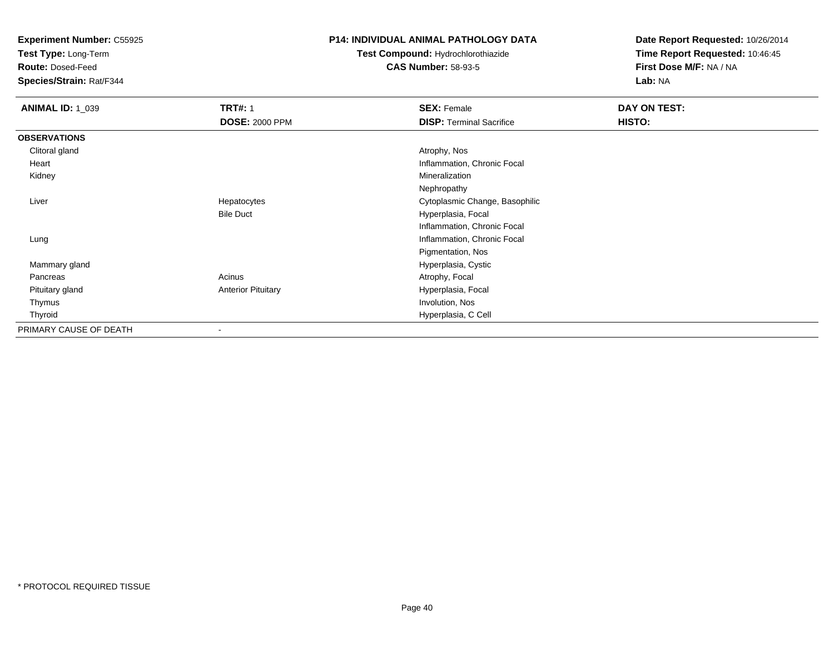**Test Type:** Long-Term

**Route:** Dosed-Feed

**Species/Strain:** Rat/F344

## **P14: INDIVIDUAL ANIMAL PATHOLOGY DATA**

**Test Compound:** Hydrochlorothiazide**CAS Number:** 58-93-5

| <b>ANIMAL ID: 1_039</b> | <b>TRT#: 1</b>            | <b>SEX: Female</b>              | DAY ON TEST: |
|-------------------------|---------------------------|---------------------------------|--------------|
|                         | <b>DOSE: 2000 PPM</b>     | <b>DISP: Terminal Sacrifice</b> | HISTO:       |
| <b>OBSERVATIONS</b>     |                           |                                 |              |
| Clitoral gland          |                           | Atrophy, Nos                    |              |
| Heart                   |                           | Inflammation, Chronic Focal     |              |
| Kidney                  |                           | Mineralization                  |              |
|                         |                           | Nephropathy                     |              |
| Liver                   | Hepatocytes               | Cytoplasmic Change, Basophilic  |              |
|                         | <b>Bile Duct</b>          | Hyperplasia, Focal              |              |
|                         |                           | Inflammation, Chronic Focal     |              |
| Lung                    |                           | Inflammation, Chronic Focal     |              |
|                         |                           | Pigmentation, Nos               |              |
| Mammary gland           |                           | Hyperplasia, Cystic             |              |
| Pancreas                | Acinus                    | Atrophy, Focal                  |              |
| Pituitary gland         | <b>Anterior Pituitary</b> | Hyperplasia, Focal              |              |
| Thymus                  |                           | Involution, Nos                 |              |
| Thyroid                 |                           | Hyperplasia, C Cell             |              |
| PRIMARY CAUSE OF DEATH  | $\blacksquare$            |                                 |              |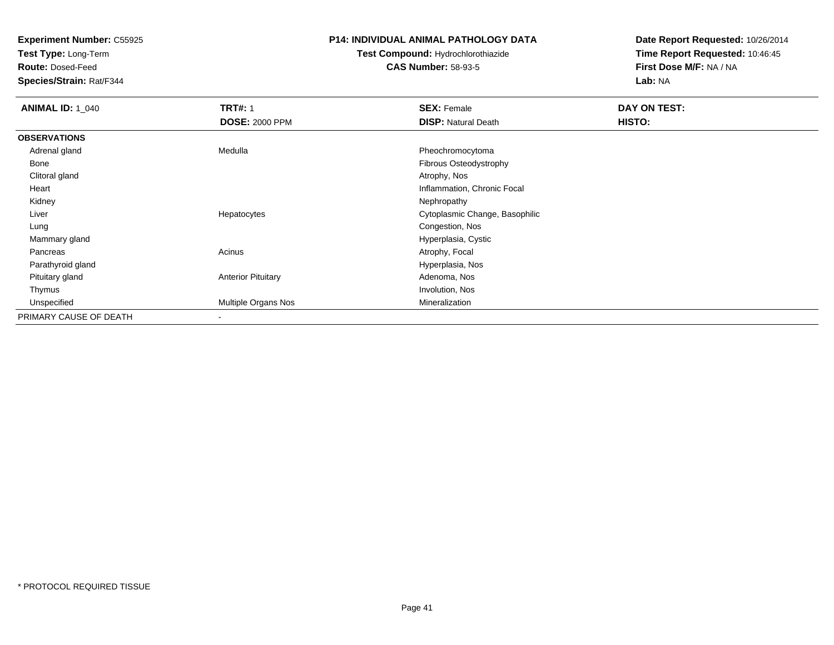**Test Type:** Long-Term

**Route:** Dosed-Feed

**Species/Strain:** Rat/F344

#### **P14: INDIVIDUAL ANIMAL PATHOLOGY DATA**

## **Test Compound:** Hydrochlorothiazide**CAS Number:** 58-93-5

| <b>ANIMAL ID: 1_040</b> | <b>TRT#: 1</b>            | <b>SEX: Female</b>             | DAY ON TEST: |  |
|-------------------------|---------------------------|--------------------------------|--------------|--|
|                         | <b>DOSE: 2000 PPM</b>     | <b>DISP: Natural Death</b>     | HISTO:       |  |
| <b>OBSERVATIONS</b>     |                           |                                |              |  |
| Adrenal gland           | Medulla                   | Pheochromocytoma               |              |  |
| Bone                    |                           | Fibrous Osteodystrophy         |              |  |
| Clitoral gland          |                           | Atrophy, Nos                   |              |  |
| Heart                   |                           | Inflammation, Chronic Focal    |              |  |
| Kidney                  |                           | Nephropathy                    |              |  |
| Liver                   | Hepatocytes               | Cytoplasmic Change, Basophilic |              |  |
| Lung                    |                           | Congestion, Nos                |              |  |
| Mammary gland           |                           | Hyperplasia, Cystic            |              |  |
| Pancreas                | Acinus                    | Atrophy, Focal                 |              |  |
| Parathyroid gland       |                           | Hyperplasia, Nos               |              |  |
| Pituitary gland         | <b>Anterior Pituitary</b> | Adenoma, Nos                   |              |  |
| Thymus                  |                           | Involution, Nos                |              |  |
| Unspecified             | Multiple Organs Nos       | Mineralization                 |              |  |
| PRIMARY CAUSE OF DEATH  | $\,$                      |                                |              |  |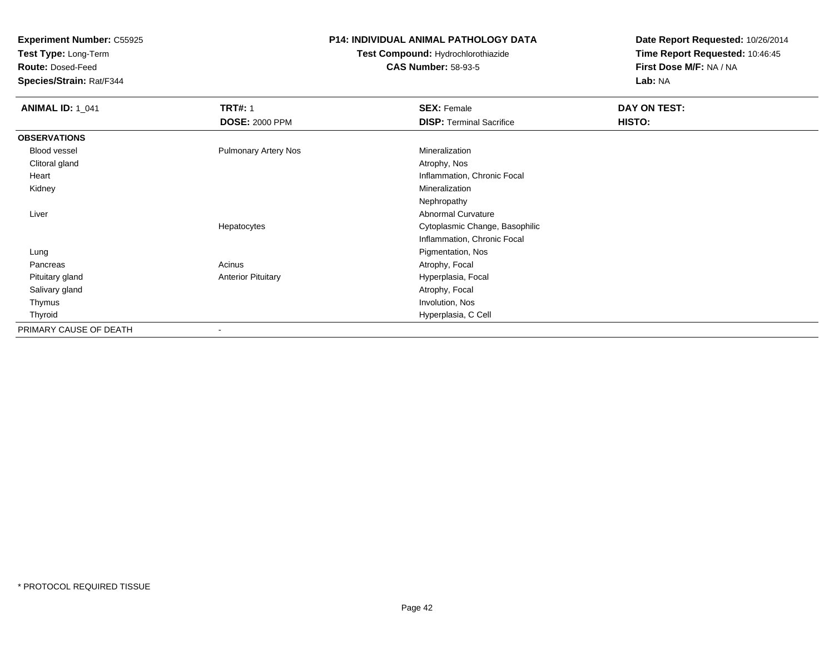**Test Type:** Long-Term

**Route:** Dosed-Feed

**Species/Strain:** Rat/F344

### **P14: INDIVIDUAL ANIMAL PATHOLOGY DATA**

# **Test Compound:** Hydrochlorothiazide**CAS Number:** 58-93-5

| <b>ANIMAL ID: 1_041</b> | <b>TRT#: 1</b>              | <b>SEX: Female</b>              | DAY ON TEST: |  |
|-------------------------|-----------------------------|---------------------------------|--------------|--|
|                         | <b>DOSE: 2000 PPM</b>       | <b>DISP: Terminal Sacrifice</b> | HISTO:       |  |
| <b>OBSERVATIONS</b>     |                             |                                 |              |  |
| Blood vessel            | <b>Pulmonary Artery Nos</b> | Mineralization                  |              |  |
| Clitoral gland          |                             | Atrophy, Nos                    |              |  |
| Heart                   |                             | Inflammation, Chronic Focal     |              |  |
| Kidney                  |                             | Mineralization                  |              |  |
|                         |                             | Nephropathy                     |              |  |
| Liver                   |                             | Abnormal Curvature              |              |  |
|                         | Hepatocytes                 | Cytoplasmic Change, Basophilic  |              |  |
|                         |                             | Inflammation, Chronic Focal     |              |  |
| Lung                    |                             | Pigmentation, Nos               |              |  |
| Pancreas                | Acinus                      | Atrophy, Focal                  |              |  |
| Pituitary gland         | <b>Anterior Pituitary</b>   | Hyperplasia, Focal              |              |  |
| Salivary gland          |                             | Atrophy, Focal                  |              |  |
| Thymus                  |                             | Involution, Nos                 |              |  |
| Thyroid                 |                             | Hyperplasia, C Cell             |              |  |
| PRIMARY CAUSE OF DEATH  | $\overline{\phantom{a}}$    |                                 |              |  |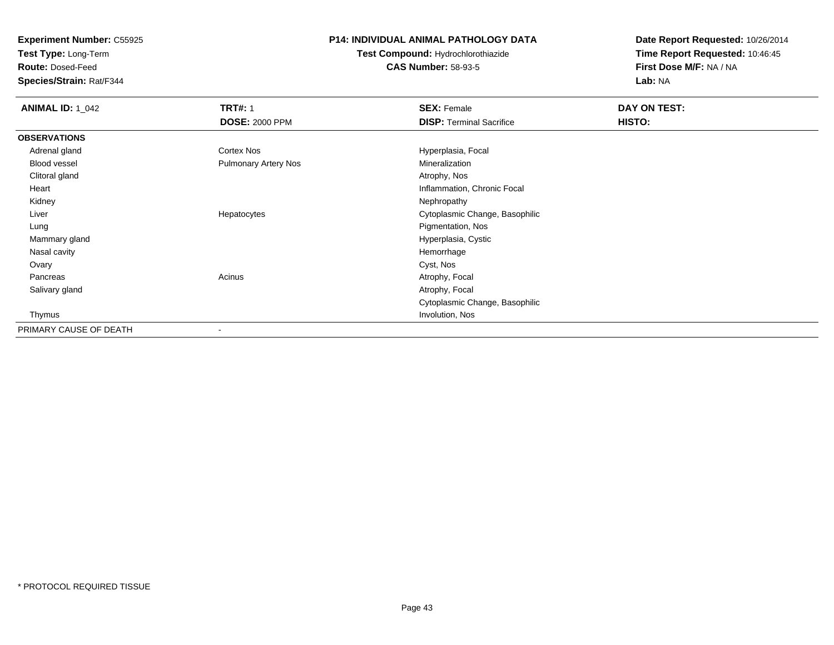**Test Type:** Long-Term

**Route:** Dosed-Feed

**Species/Strain:** Rat/F344

### **P14: INDIVIDUAL ANIMAL PATHOLOGY DATA**

**Test Compound:** Hydrochlorothiazide**CAS Number:** 58-93-5

| <b>ANIMAL ID: 1_042</b> | <b>TRT#: 1</b>              | <b>SEX: Female</b>              | DAY ON TEST: |  |
|-------------------------|-----------------------------|---------------------------------|--------------|--|
|                         | <b>DOSE: 2000 PPM</b>       | <b>DISP:</b> Terminal Sacrifice | HISTO:       |  |
| <b>OBSERVATIONS</b>     |                             |                                 |              |  |
| Adrenal gland           | Cortex Nos                  | Hyperplasia, Focal              |              |  |
| Blood vessel            | <b>Pulmonary Artery Nos</b> | Mineralization                  |              |  |
| Clitoral gland          |                             | Atrophy, Nos                    |              |  |
| Heart                   |                             | Inflammation, Chronic Focal     |              |  |
| Kidney                  |                             | Nephropathy                     |              |  |
| Liver                   | Hepatocytes                 | Cytoplasmic Change, Basophilic  |              |  |
| Lung                    |                             | Pigmentation, Nos               |              |  |
| Mammary gland           |                             | Hyperplasia, Cystic             |              |  |
| Nasal cavity            |                             | Hemorrhage                      |              |  |
| Ovary                   |                             | Cyst, Nos                       |              |  |
| Pancreas                | Acinus                      | Atrophy, Focal                  |              |  |
| Salivary gland          |                             | Atrophy, Focal                  |              |  |
|                         |                             | Cytoplasmic Change, Basophilic  |              |  |
| Thymus                  |                             | Involution, Nos                 |              |  |
| PRIMARY CAUSE OF DEATH  |                             |                                 |              |  |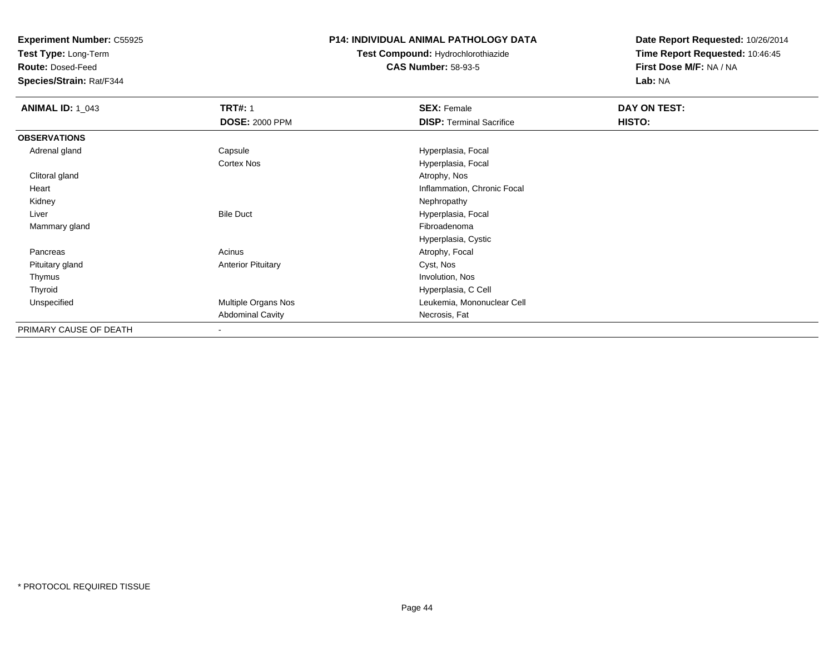**Test Type:** Long-Term

**Route:** Dosed-Feed

**Species/Strain:** Rat/F344

### **P14: INDIVIDUAL ANIMAL PATHOLOGY DATA**

**Test Compound:** Hydrochlorothiazide**CAS Number:** 58-93-5

| <b>ANIMAL ID: 1_043</b> | <b>TRT#: 1</b>            | <b>SEX: Female</b>              | DAY ON TEST: |  |
|-------------------------|---------------------------|---------------------------------|--------------|--|
|                         | <b>DOSE: 2000 PPM</b>     | <b>DISP: Terminal Sacrifice</b> | HISTO:       |  |
| <b>OBSERVATIONS</b>     |                           |                                 |              |  |
| Adrenal gland           | Capsule                   | Hyperplasia, Focal              |              |  |
|                         | Cortex Nos                | Hyperplasia, Focal              |              |  |
| Clitoral gland          |                           | Atrophy, Nos                    |              |  |
| Heart                   |                           | Inflammation, Chronic Focal     |              |  |
| Kidney                  |                           | Nephropathy                     |              |  |
| Liver                   | <b>Bile Duct</b>          | Hyperplasia, Focal              |              |  |
| Mammary gland           |                           | Fibroadenoma                    |              |  |
|                         |                           | Hyperplasia, Cystic             |              |  |
| Pancreas                | Acinus                    | Atrophy, Focal                  |              |  |
| Pituitary gland         | <b>Anterior Pituitary</b> | Cyst, Nos                       |              |  |
| Thymus                  |                           | Involution, Nos                 |              |  |
| Thyroid                 |                           | Hyperplasia, C Cell             |              |  |
| Unspecified             | Multiple Organs Nos       | Leukemia, Mononuclear Cell      |              |  |
|                         | <b>Abdominal Cavity</b>   | Necrosis, Fat                   |              |  |
| PRIMARY CAUSE OF DEATH  | $\overline{\phantom{a}}$  |                                 |              |  |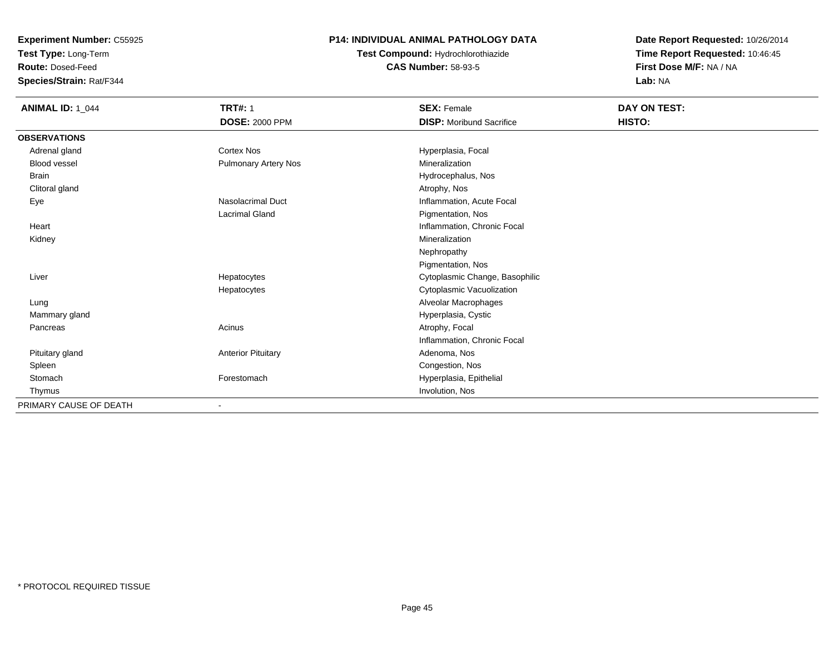**Test Type:** Long-Term

**Route:** Dosed-Feed

**Species/Strain:** Rat/F344

### **P14: INDIVIDUAL ANIMAL PATHOLOGY DATA**

# **Test Compound:** Hydrochlorothiazide**CAS Number:** 58-93-5

| <b>ANIMAL ID: 1_044</b> | <b>TRT#: 1</b>              | <b>SEX: Female</b>              | DAY ON TEST: |  |
|-------------------------|-----------------------------|---------------------------------|--------------|--|
|                         | <b>DOSE: 2000 PPM</b>       | <b>DISP: Moribund Sacrifice</b> | HISTO:       |  |
| <b>OBSERVATIONS</b>     |                             |                                 |              |  |
| Adrenal gland           | Cortex Nos                  | Hyperplasia, Focal              |              |  |
| Blood vessel            | <b>Pulmonary Artery Nos</b> | Mineralization                  |              |  |
| <b>Brain</b>            |                             | Hydrocephalus, Nos              |              |  |
| Clitoral gland          |                             | Atrophy, Nos                    |              |  |
| Eye                     | Nasolacrimal Duct           | Inflammation, Acute Focal       |              |  |
|                         | <b>Lacrimal Gland</b>       | Pigmentation, Nos               |              |  |
| Heart                   |                             | Inflammation, Chronic Focal     |              |  |
| Kidney                  |                             | Mineralization                  |              |  |
|                         |                             | Nephropathy                     |              |  |
|                         |                             | Pigmentation, Nos               |              |  |
| Liver                   | Hepatocytes                 | Cytoplasmic Change, Basophilic  |              |  |
|                         | Hepatocytes                 | Cytoplasmic Vacuolization       |              |  |
| Lung                    |                             | Alveolar Macrophages            |              |  |
| Mammary gland           |                             | Hyperplasia, Cystic             |              |  |
| Pancreas                | Acinus                      | Atrophy, Focal                  |              |  |
|                         |                             | Inflammation, Chronic Focal     |              |  |
| Pituitary gland         | <b>Anterior Pituitary</b>   | Adenoma, Nos                    |              |  |
| Spleen                  |                             | Congestion, Nos                 |              |  |
| Stomach                 | Forestomach                 | Hyperplasia, Epithelial         |              |  |
| Thymus                  |                             | Involution, Nos                 |              |  |
| PRIMARY CAUSE OF DEATH  | $\blacksquare$              |                                 |              |  |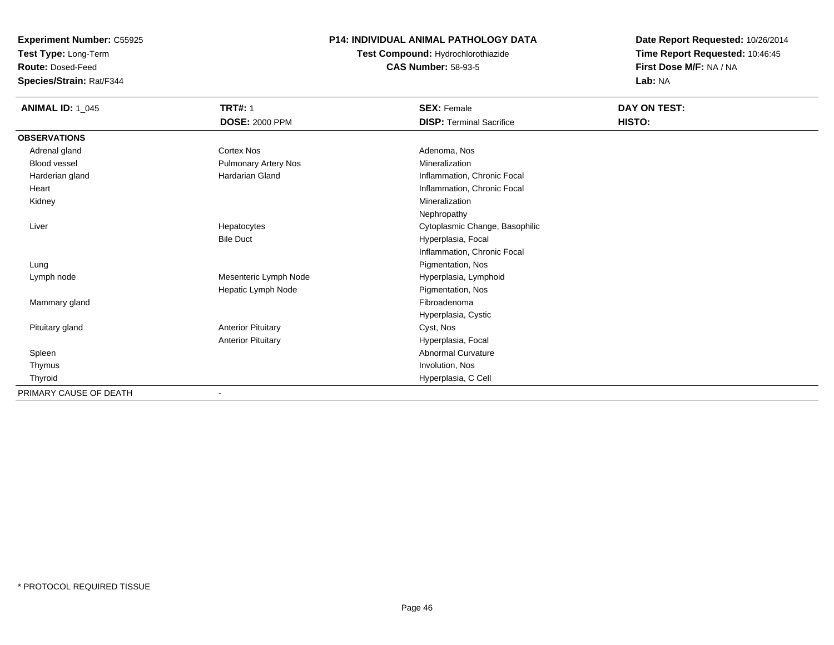**Test Type:** Long-Term

**Route:** Dosed-Feed

**Species/Strain:** Rat/F344

## **P14: INDIVIDUAL ANIMAL PATHOLOGY DATA**

**Test Compound:** Hydrochlorothiazide**CAS Number:** 58-93-5

| <b>ANIMAL ID: 1_045</b> | <b>TRT#: 1</b>              | <b>SEX: Female</b>              | DAY ON TEST: |  |
|-------------------------|-----------------------------|---------------------------------|--------------|--|
|                         | <b>DOSE: 2000 PPM</b>       | <b>DISP: Terminal Sacrifice</b> | HISTO:       |  |
| <b>OBSERVATIONS</b>     |                             |                                 |              |  |
| Adrenal gland           | Cortex Nos                  | Adenoma, Nos                    |              |  |
| <b>Blood vessel</b>     | <b>Pulmonary Artery Nos</b> | Mineralization                  |              |  |
| Harderian gland         | Hardarian Gland             | Inflammation, Chronic Focal     |              |  |
| Heart                   |                             | Inflammation, Chronic Focal     |              |  |
| Kidney                  |                             | Mineralization                  |              |  |
|                         |                             | Nephropathy                     |              |  |
| Liver                   | Hepatocytes                 | Cytoplasmic Change, Basophilic  |              |  |
|                         | <b>Bile Duct</b>            | Hyperplasia, Focal              |              |  |
|                         |                             | Inflammation, Chronic Focal     |              |  |
| Lung                    |                             | Pigmentation, Nos               |              |  |
| Lymph node              | Mesenteric Lymph Node       | Hyperplasia, Lymphoid           |              |  |
|                         | Hepatic Lymph Node          | Pigmentation, Nos               |              |  |
| Mammary gland           |                             | Fibroadenoma                    |              |  |
|                         |                             | Hyperplasia, Cystic             |              |  |
| Pituitary gland         | <b>Anterior Pituitary</b>   | Cyst, Nos                       |              |  |
|                         | <b>Anterior Pituitary</b>   | Hyperplasia, Focal              |              |  |
| Spleen                  |                             | <b>Abnormal Curvature</b>       |              |  |
| Thymus                  |                             | Involution, Nos                 |              |  |
| Thyroid                 |                             | Hyperplasia, C Cell             |              |  |
| PRIMARY CAUSE OF DEATH  | ۰                           |                                 |              |  |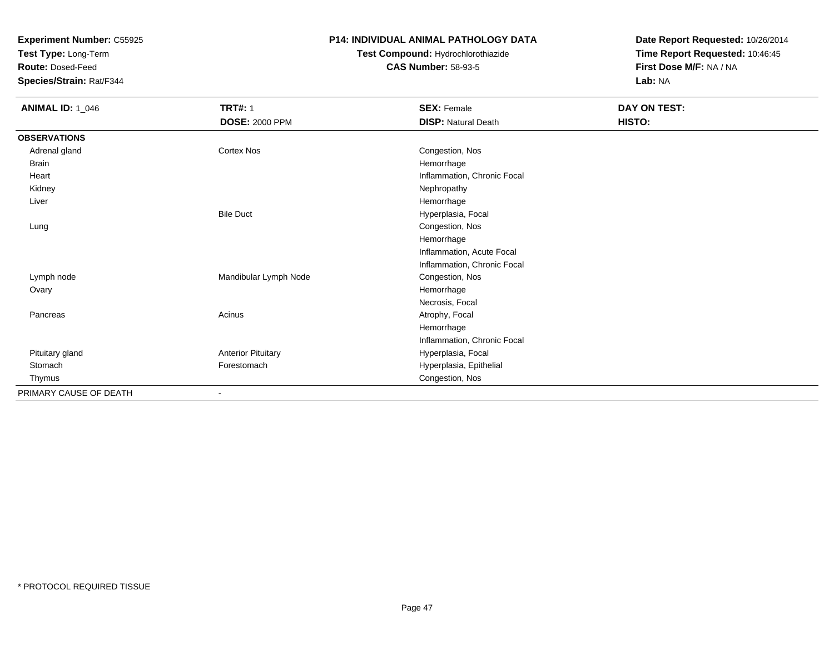**Test Type:** Long-Term

**Route:** Dosed-Feed

**Species/Strain:** Rat/F344

### **P14: INDIVIDUAL ANIMAL PATHOLOGY DATA**

# **Test Compound:** Hydrochlorothiazide**CAS Number:** 58-93-5

| <b>ANIMAL ID: 1_046</b> | <b>TRT#: 1</b>               | <b>SEX: Female</b>          | DAY ON TEST: |  |
|-------------------------|------------------------------|-----------------------------|--------------|--|
|                         | <b>DOSE: 2000 PPM</b>        | <b>DISP: Natural Death</b>  | HISTO:       |  |
| <b>OBSERVATIONS</b>     |                              |                             |              |  |
| Adrenal gland           | Cortex Nos                   | Congestion, Nos             |              |  |
| <b>Brain</b>            |                              | Hemorrhage                  |              |  |
| Heart                   |                              | Inflammation, Chronic Focal |              |  |
| Kidney                  |                              | Nephropathy                 |              |  |
| Liver                   |                              | Hemorrhage                  |              |  |
|                         | <b>Bile Duct</b>             | Hyperplasia, Focal          |              |  |
| Lung                    |                              | Congestion, Nos             |              |  |
|                         |                              | Hemorrhage                  |              |  |
|                         |                              | Inflammation, Acute Focal   |              |  |
|                         |                              | Inflammation, Chronic Focal |              |  |
| Lymph node              | Mandibular Lymph Node        | Congestion, Nos             |              |  |
| Ovary                   |                              | Hemorrhage                  |              |  |
|                         |                              | Necrosis, Focal             |              |  |
| Pancreas                | Acinus                       | Atrophy, Focal              |              |  |
|                         |                              | Hemorrhage                  |              |  |
|                         |                              | Inflammation, Chronic Focal |              |  |
| Pituitary gland         | <b>Anterior Pituitary</b>    | Hyperplasia, Focal          |              |  |
| Stomach                 | Forestomach                  | Hyperplasia, Epithelial     |              |  |
| Thymus                  |                              | Congestion, Nos             |              |  |
| PRIMARY CAUSE OF DEATH  | $\qquad \qquad \blacksquare$ |                             |              |  |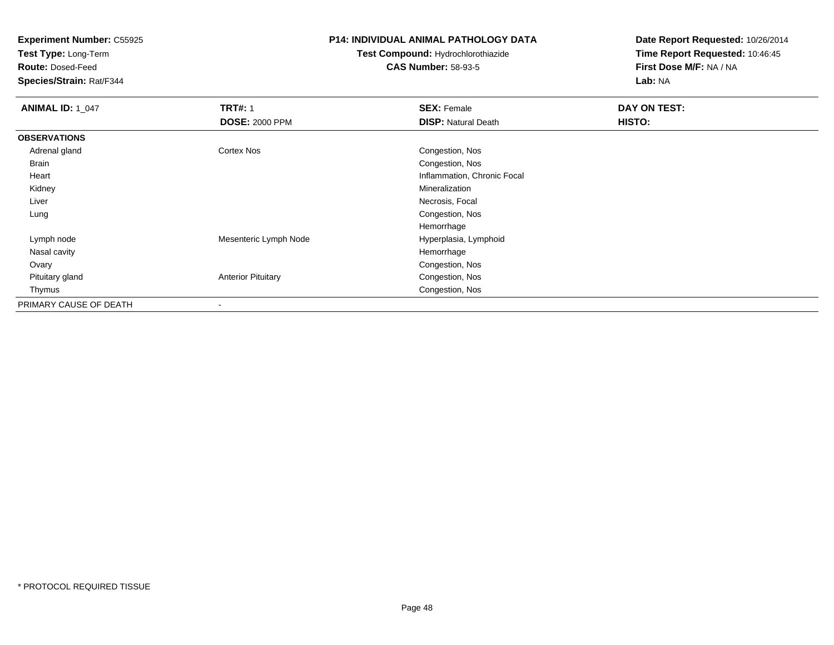**Test Type:** Long-Term

**Route:** Dosed-Feed

**Species/Strain:** Rat/F344

### **P14: INDIVIDUAL ANIMAL PATHOLOGY DATA**

## **Test Compound:** Hydrochlorothiazide**CAS Number:** 58-93-5

| <b>ANIMAL ID: 1_047</b> | <b>TRT#: 1</b>            | <b>SEX: Female</b>          | DAY ON TEST: |
|-------------------------|---------------------------|-----------------------------|--------------|
|                         | <b>DOSE: 2000 PPM</b>     | <b>DISP: Natural Death</b>  | HISTO:       |
| <b>OBSERVATIONS</b>     |                           |                             |              |
| Adrenal gland           | <b>Cortex Nos</b>         | Congestion, Nos             |              |
| <b>Brain</b>            |                           | Congestion, Nos             |              |
| Heart                   |                           | Inflammation, Chronic Focal |              |
| Kidney                  |                           | Mineralization              |              |
| Liver                   |                           | Necrosis, Focal             |              |
| Lung                    |                           | Congestion, Nos             |              |
|                         |                           | Hemorrhage                  |              |
| Lymph node              | Mesenteric Lymph Node     | Hyperplasia, Lymphoid       |              |
| Nasal cavity            |                           | Hemorrhage                  |              |
| Ovary                   |                           | Congestion, Nos             |              |
| Pituitary gland         | <b>Anterior Pituitary</b> | Congestion, Nos             |              |
| Thymus                  |                           | Congestion, Nos             |              |
| PRIMARY CAUSE OF DEATH  |                           |                             |              |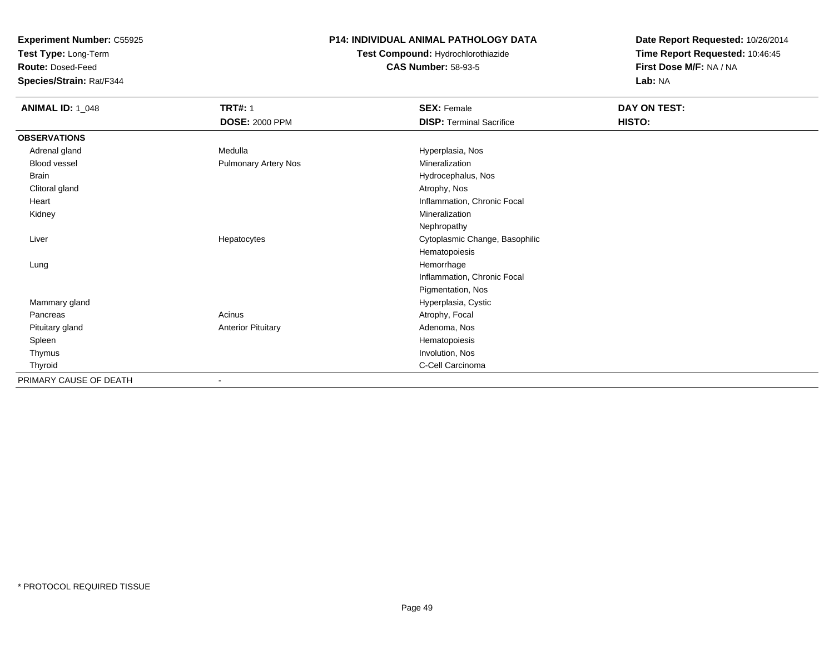**Test Type:** Long-Term

**Route:** Dosed-Feed

**Species/Strain:** Rat/F344

### **P14: INDIVIDUAL ANIMAL PATHOLOGY DATA**

# **Test Compound:** Hydrochlorothiazide**CAS Number:** 58-93-5

| <b>ANIMAL ID: 1_048</b> | <b>TRT#: 1</b>              | <b>SEX: Female</b>              | DAY ON TEST: |
|-------------------------|-----------------------------|---------------------------------|--------------|
|                         | <b>DOSE: 2000 PPM</b>       | <b>DISP: Terminal Sacrifice</b> | HISTO:       |
| <b>OBSERVATIONS</b>     |                             |                                 |              |
| Adrenal gland           | Medulla                     | Hyperplasia, Nos                |              |
| Blood vessel            | <b>Pulmonary Artery Nos</b> | Mineralization                  |              |
| Brain                   |                             | Hydrocephalus, Nos              |              |
| Clitoral gland          |                             | Atrophy, Nos                    |              |
| Heart                   |                             | Inflammation, Chronic Focal     |              |
| Kidney                  |                             | Mineralization                  |              |
|                         |                             | Nephropathy                     |              |
| Liver                   | Hepatocytes                 | Cytoplasmic Change, Basophilic  |              |
|                         |                             | Hematopoiesis                   |              |
| Lung                    |                             | Hemorrhage                      |              |
|                         |                             | Inflammation, Chronic Focal     |              |
|                         |                             | Pigmentation, Nos               |              |
| Mammary gland           |                             | Hyperplasia, Cystic             |              |
| Pancreas                | Acinus                      | Atrophy, Focal                  |              |
| Pituitary gland         | <b>Anterior Pituitary</b>   | Adenoma, Nos                    |              |
| Spleen                  |                             | Hematopoiesis                   |              |
| Thymus                  |                             | Involution, Nos                 |              |
| Thyroid                 |                             | C-Cell Carcinoma                |              |
| PRIMARY CAUSE OF DEATH  | $\blacksquare$              |                                 |              |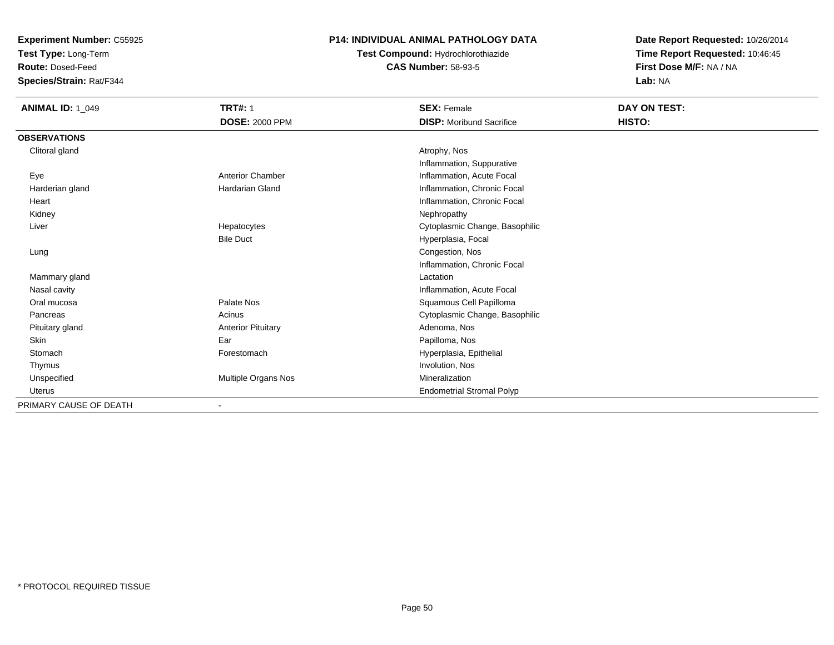**Test Type:** Long-Term

**Route:** Dosed-Feed

**Species/Strain:** Rat/F344

### **P14: INDIVIDUAL ANIMAL PATHOLOGY DATA**

# **Test Compound:** Hydrochlorothiazide**CAS Number:** 58-93-5

| <b>ANIMAL ID: 1_049</b> | <b>TRT#: 1</b>            | <b>SEX: Female</b>               | DAY ON TEST: |  |
|-------------------------|---------------------------|----------------------------------|--------------|--|
|                         | <b>DOSE: 2000 PPM</b>     | <b>DISP:</b> Moribund Sacrifice  | HISTO:       |  |
| <b>OBSERVATIONS</b>     |                           |                                  |              |  |
| Clitoral gland          |                           | Atrophy, Nos                     |              |  |
|                         |                           | Inflammation, Suppurative        |              |  |
| Eye                     | <b>Anterior Chamber</b>   | Inflammation, Acute Focal        |              |  |
| Harderian gland         | <b>Hardarian Gland</b>    | Inflammation, Chronic Focal      |              |  |
| Heart                   |                           | Inflammation, Chronic Focal      |              |  |
| Kidney                  |                           | Nephropathy                      |              |  |
| Liver                   | Hepatocytes               | Cytoplasmic Change, Basophilic   |              |  |
|                         | <b>Bile Duct</b>          | Hyperplasia, Focal               |              |  |
| Lung                    |                           | Congestion, Nos                  |              |  |
|                         |                           | Inflammation, Chronic Focal      |              |  |
| Mammary gland           |                           | Lactation                        |              |  |
| Nasal cavity            |                           | Inflammation, Acute Focal        |              |  |
| Oral mucosa             | Palate Nos                | Squamous Cell Papilloma          |              |  |
| Pancreas                | Acinus                    | Cytoplasmic Change, Basophilic   |              |  |
| Pituitary gland         | <b>Anterior Pituitary</b> | Adenoma, Nos                     |              |  |
| <b>Skin</b>             | Ear                       | Papilloma, Nos                   |              |  |
| Stomach                 | Forestomach               | Hyperplasia, Epithelial          |              |  |
| Thymus                  |                           | Involution, Nos                  |              |  |
| Unspecified             | Multiple Organs Nos       | Mineralization                   |              |  |
| Uterus                  |                           | <b>Endometrial Stromal Polyp</b> |              |  |
| PRIMARY CAUSE OF DEATH  |                           |                                  |              |  |
|                         |                           |                                  |              |  |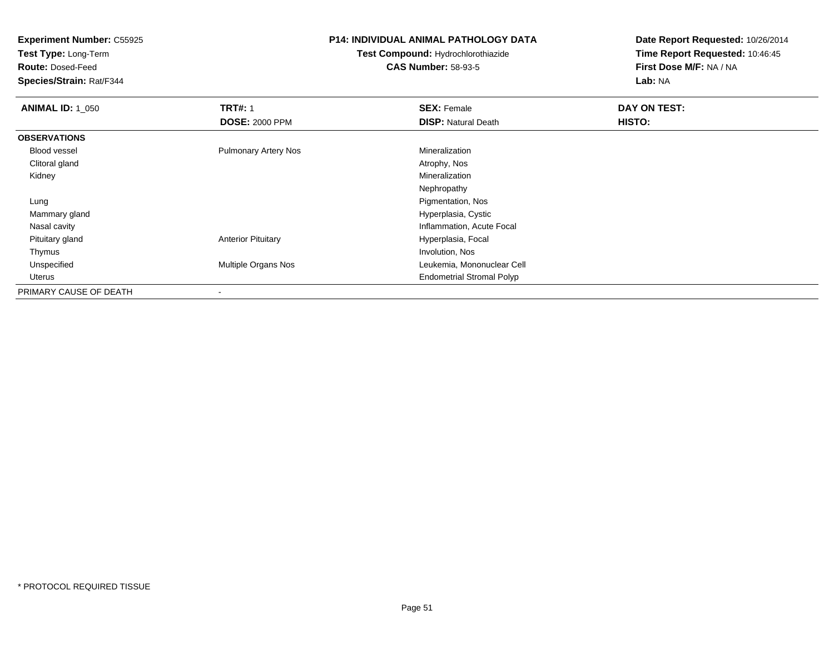**Test Type:** Long-Term

**Route:** Dosed-Feed

**Species/Strain:** Rat/F344

### **P14: INDIVIDUAL ANIMAL PATHOLOGY DATA**

**Test Compound:** Hydrochlorothiazide**CAS Number:** 58-93-5

| <b>ANIMAL ID: 1 050</b> | <b>TRT#: 1</b>              | <b>SEX: Female</b>               | DAY ON TEST: |
|-------------------------|-----------------------------|----------------------------------|--------------|
|                         | <b>DOSE: 2000 PPM</b>       | <b>DISP: Natural Death</b>       | HISTO:       |
| <b>OBSERVATIONS</b>     |                             |                                  |              |
| <b>Blood vessel</b>     | <b>Pulmonary Artery Nos</b> | Mineralization                   |              |
| Clitoral gland          |                             | Atrophy, Nos                     |              |
| Kidney                  |                             | Mineralization                   |              |
|                         |                             | Nephropathy                      |              |
| Lung                    |                             | Pigmentation, Nos                |              |
| Mammary gland           |                             | Hyperplasia, Cystic              |              |
| Nasal cavity            |                             | Inflammation, Acute Focal        |              |
| Pituitary gland         | <b>Anterior Pituitary</b>   | Hyperplasia, Focal               |              |
| Thymus                  |                             | Involution, Nos                  |              |
| Unspecified             | Multiple Organs Nos         | Leukemia, Mononuclear Cell       |              |
| Uterus                  |                             | <b>Endometrial Stromal Polyp</b> |              |
| PRIMARY CAUSE OF DEATH  | $\,$                        |                                  |              |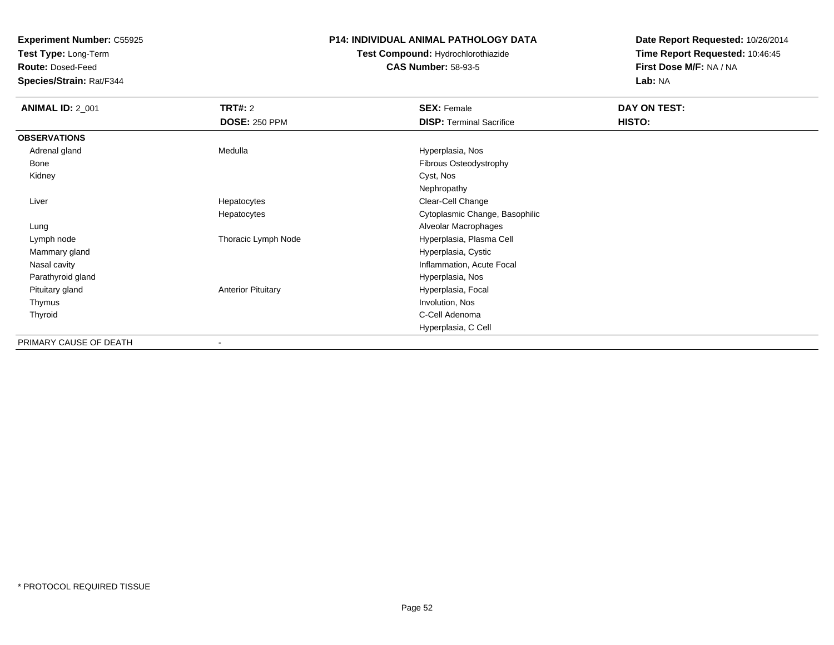**Test Type:** Long-Term

**Route:** Dosed-Feed

**Species/Strain:** Rat/F344

### **P14: INDIVIDUAL ANIMAL PATHOLOGY DATA**

# **Test Compound:** Hydrochlorothiazide**CAS Number:** 58-93-5

| <b>ANIMAL ID: 2_001</b> | TRT#: 2                   | <b>SEX: Female</b>              | DAY ON TEST: |
|-------------------------|---------------------------|---------------------------------|--------------|
|                         | <b>DOSE: 250 PPM</b>      | <b>DISP: Terminal Sacrifice</b> | HISTO:       |
| <b>OBSERVATIONS</b>     |                           |                                 |              |
| Adrenal gland           | Medulla                   | Hyperplasia, Nos                |              |
| Bone                    |                           | Fibrous Osteodystrophy          |              |
| Kidney                  |                           | Cyst, Nos                       |              |
|                         |                           | Nephropathy                     |              |
| Liver                   | Hepatocytes               | Clear-Cell Change               |              |
|                         | Hepatocytes               | Cytoplasmic Change, Basophilic  |              |
| Lung                    |                           | Alveolar Macrophages            |              |
| Lymph node              | Thoracic Lymph Node       | Hyperplasia, Plasma Cell        |              |
| Mammary gland           |                           | Hyperplasia, Cystic             |              |
| Nasal cavity            |                           | Inflammation, Acute Focal       |              |
| Parathyroid gland       |                           | Hyperplasia, Nos                |              |
| Pituitary gland         | <b>Anterior Pituitary</b> | Hyperplasia, Focal              |              |
| Thymus                  |                           | Involution, Nos                 |              |
| Thyroid                 |                           | C-Cell Adenoma                  |              |
|                         |                           | Hyperplasia, C Cell             |              |
| PRIMARY CAUSE OF DEATH  | -                         |                                 |              |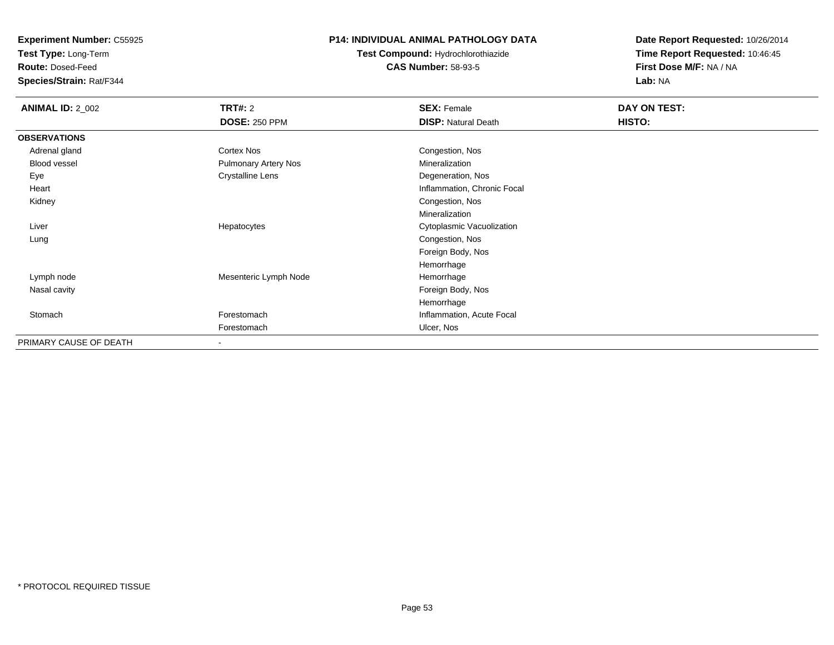**Test Type:** Long-Term

**Route:** Dosed-Feed

**Species/Strain:** Rat/F344

### **P14: INDIVIDUAL ANIMAL PATHOLOGY DATA**

# **Test Compound:** Hydrochlorothiazide**CAS Number:** 58-93-5

| <b>ANIMAL ID: 2_002</b> | <b>TRT#:</b> 2              | <b>SEX: Female</b>          | DAY ON TEST: |  |
|-------------------------|-----------------------------|-----------------------------|--------------|--|
|                         | <b>DOSE: 250 PPM</b>        | <b>DISP: Natural Death</b>  | HISTO:       |  |
| <b>OBSERVATIONS</b>     |                             |                             |              |  |
| Adrenal gland           | Cortex Nos                  | Congestion, Nos             |              |  |
| Blood vessel            | <b>Pulmonary Artery Nos</b> | Mineralization              |              |  |
| Eye                     | <b>Crystalline Lens</b>     | Degeneration, Nos           |              |  |
| Heart                   |                             | Inflammation, Chronic Focal |              |  |
| Kidney                  |                             | Congestion, Nos             |              |  |
|                         |                             | Mineralization              |              |  |
| Liver                   | Hepatocytes                 | Cytoplasmic Vacuolization   |              |  |
| Lung                    |                             | Congestion, Nos             |              |  |
|                         |                             | Foreign Body, Nos           |              |  |
|                         |                             | Hemorrhage                  |              |  |
| Lymph node              | Mesenteric Lymph Node       | Hemorrhage                  |              |  |
| Nasal cavity            |                             | Foreign Body, Nos           |              |  |
|                         |                             | Hemorrhage                  |              |  |
| Stomach                 | Forestomach                 | Inflammation, Acute Focal   |              |  |
|                         | Forestomach                 | Ulcer, Nos                  |              |  |
| PRIMARY CAUSE OF DEATH  | $\overline{\phantom{a}}$    |                             |              |  |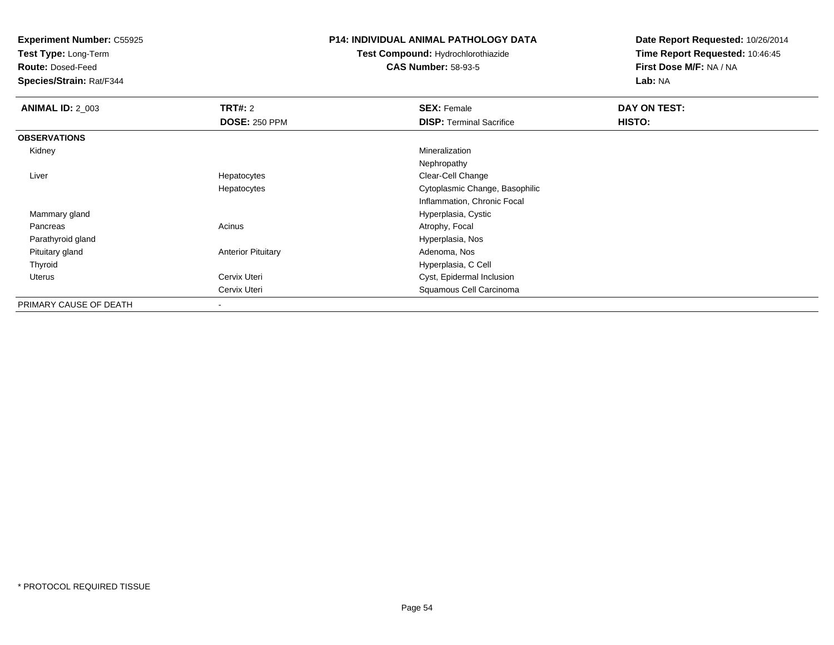**Test Type:** Long-Term

**Route:** Dosed-Feed

**Species/Strain:** Rat/F344

### **P14: INDIVIDUAL ANIMAL PATHOLOGY DATA**

**Test Compound:** Hydrochlorothiazide**CAS Number:** 58-93-5

| <b>ANIMAL ID: 2 003</b> | TRT#: 2                   | <b>SEX: Female</b>              | DAY ON TEST: |
|-------------------------|---------------------------|---------------------------------|--------------|
|                         | <b>DOSE: 250 PPM</b>      | <b>DISP: Terminal Sacrifice</b> | HISTO:       |
| <b>OBSERVATIONS</b>     |                           |                                 |              |
| Kidney                  |                           | Mineralization                  |              |
|                         |                           | Nephropathy                     |              |
| Liver                   | Hepatocytes               | Clear-Cell Change               |              |
|                         | Hepatocytes               | Cytoplasmic Change, Basophilic  |              |
|                         |                           | Inflammation, Chronic Focal     |              |
| Mammary gland           |                           | Hyperplasia, Cystic             |              |
| Pancreas                | Acinus                    | Atrophy, Focal                  |              |
| Parathyroid gland       |                           | Hyperplasia, Nos                |              |
| Pituitary gland         | <b>Anterior Pituitary</b> | Adenoma, Nos                    |              |
| Thyroid                 |                           | Hyperplasia, C Cell             |              |
| Uterus                  | Cervix Uteri              | Cyst, Epidermal Inclusion       |              |
|                         | Cervix Uteri              | Squamous Cell Carcinoma         |              |
| PRIMARY CAUSE OF DEATH  | $\overline{\phantom{a}}$  |                                 |              |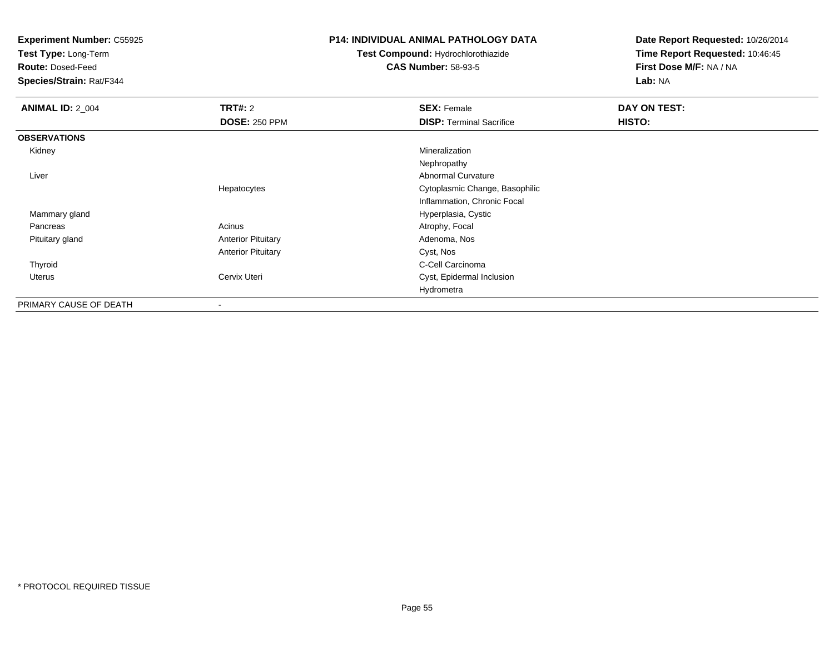**Test Type:** Long-Term

**Route:** Dosed-Feed

**Species/Strain:** Rat/F344

#### **P14: INDIVIDUAL ANIMAL PATHOLOGY DATA**

**Test Compound:** Hydrochlorothiazide**CAS Number:** 58-93-5

| <b>ANIMAL ID: 2_004</b> | TRT#: 2                   | <b>SEX: Female</b>              | DAY ON TEST: |
|-------------------------|---------------------------|---------------------------------|--------------|
|                         | <b>DOSE: 250 PPM</b>      | <b>DISP: Terminal Sacrifice</b> | HISTO:       |
| <b>OBSERVATIONS</b>     |                           |                                 |              |
| Kidney                  |                           | Mineralization                  |              |
|                         |                           | Nephropathy                     |              |
| Liver                   |                           | Abnormal Curvature              |              |
|                         | Hepatocytes               | Cytoplasmic Change, Basophilic  |              |
|                         |                           | Inflammation, Chronic Focal     |              |
| Mammary gland           |                           | Hyperplasia, Cystic             |              |
| Pancreas                | Acinus                    | Atrophy, Focal                  |              |
| Pituitary gland         | <b>Anterior Pituitary</b> | Adenoma, Nos                    |              |
|                         | <b>Anterior Pituitary</b> | Cyst, Nos                       |              |
| Thyroid                 |                           | C-Cell Carcinoma                |              |
| Uterus                  | Cervix Uteri              | Cyst, Epidermal Inclusion       |              |
|                         |                           | Hydrometra                      |              |
| PRIMARY CAUSE OF DEATH  | -                         |                                 |              |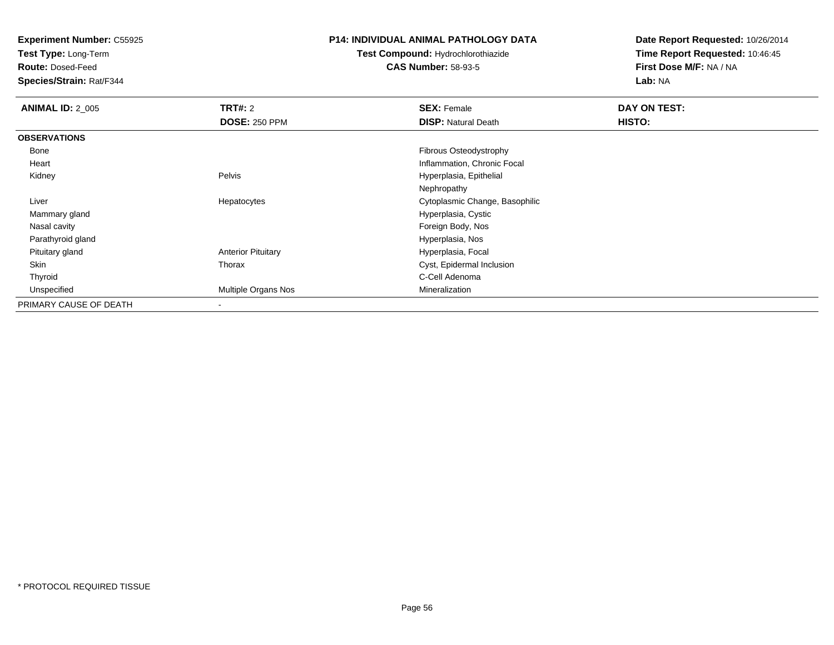**Test Type:** Long-Term

**Route:** Dosed-Feed

**Species/Strain:** Rat/F344

### **P14: INDIVIDUAL ANIMAL PATHOLOGY DATA**

# **Test Compound:** Hydrochlorothiazide**CAS Number:** 58-93-5

| <b>ANIMAL ID: 2_005</b> | TRT#: 2                   | <b>SEX: Female</b>             | DAY ON TEST: |  |
|-------------------------|---------------------------|--------------------------------|--------------|--|
|                         | <b>DOSE: 250 PPM</b>      | <b>DISP: Natural Death</b>     | HISTO:       |  |
| <b>OBSERVATIONS</b>     |                           |                                |              |  |
| Bone                    |                           | <b>Fibrous Osteodystrophy</b>  |              |  |
| Heart                   |                           | Inflammation, Chronic Focal    |              |  |
| Kidney                  | Pelvis                    | Hyperplasia, Epithelial        |              |  |
|                         |                           | Nephropathy                    |              |  |
| Liver                   | Hepatocytes               | Cytoplasmic Change, Basophilic |              |  |
| Mammary gland           |                           | Hyperplasia, Cystic            |              |  |
| Nasal cavity            |                           | Foreign Body, Nos              |              |  |
| Parathyroid gland       |                           | Hyperplasia, Nos               |              |  |
| Pituitary gland         | <b>Anterior Pituitary</b> | Hyperplasia, Focal             |              |  |
| Skin                    | Thorax                    | Cyst, Epidermal Inclusion      |              |  |
| Thyroid                 |                           | C-Cell Adenoma                 |              |  |
| Unspecified             | Multiple Organs Nos       | Mineralization                 |              |  |
| PRIMARY CAUSE OF DEATH  | ۰                         |                                |              |  |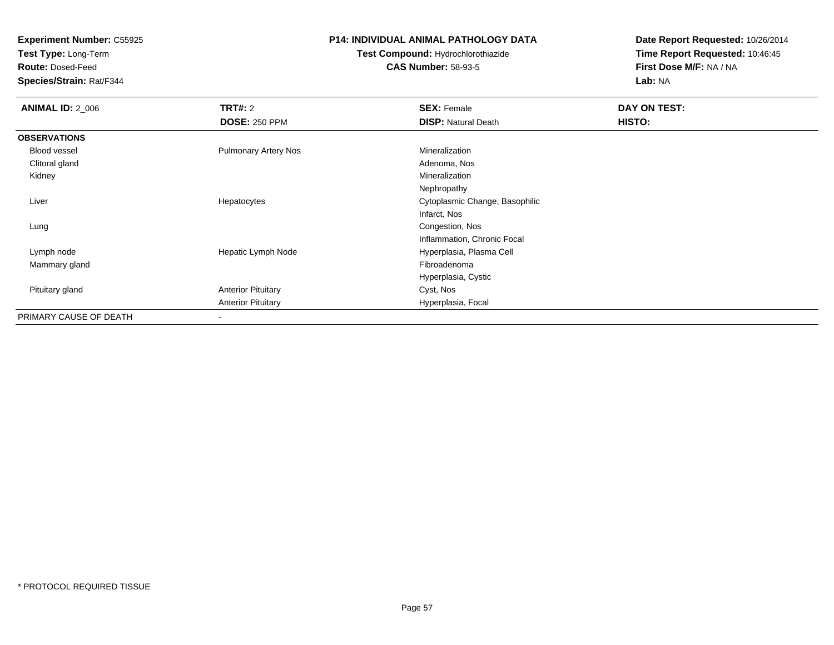**Test Type:** Long-Term

**Route:** Dosed-Feed

**Species/Strain:** Rat/F344

### **P14: INDIVIDUAL ANIMAL PATHOLOGY DATA**

## **Test Compound:** Hydrochlorothiazide**CAS Number:** 58-93-5

| <b>ANIMAL ID: 2_006</b> | <b>TRT#: 2</b>              | <b>SEX: Female</b>             | DAY ON TEST:  |  |
|-------------------------|-----------------------------|--------------------------------|---------------|--|
|                         | <b>DOSE: 250 PPM</b>        | <b>DISP: Natural Death</b>     | <b>HISTO:</b> |  |
| <b>OBSERVATIONS</b>     |                             |                                |               |  |
| Blood vessel            | <b>Pulmonary Artery Nos</b> | Mineralization                 |               |  |
| Clitoral gland          |                             | Adenoma, Nos                   |               |  |
| Kidney                  |                             | Mineralization                 |               |  |
|                         |                             | Nephropathy                    |               |  |
| Liver                   | Hepatocytes                 | Cytoplasmic Change, Basophilic |               |  |
|                         |                             | Infarct, Nos                   |               |  |
| Lung                    |                             | Congestion, Nos                |               |  |
|                         |                             | Inflammation, Chronic Focal    |               |  |
| Lymph node              | Hepatic Lymph Node          | Hyperplasia, Plasma Cell       |               |  |
| Mammary gland           |                             | Fibroadenoma                   |               |  |
|                         |                             | Hyperplasia, Cystic            |               |  |
| Pituitary gland         | <b>Anterior Pituitary</b>   | Cyst, Nos                      |               |  |
|                         | <b>Anterior Pituitary</b>   | Hyperplasia, Focal             |               |  |
| PRIMARY CAUSE OF DEATH  |                             |                                |               |  |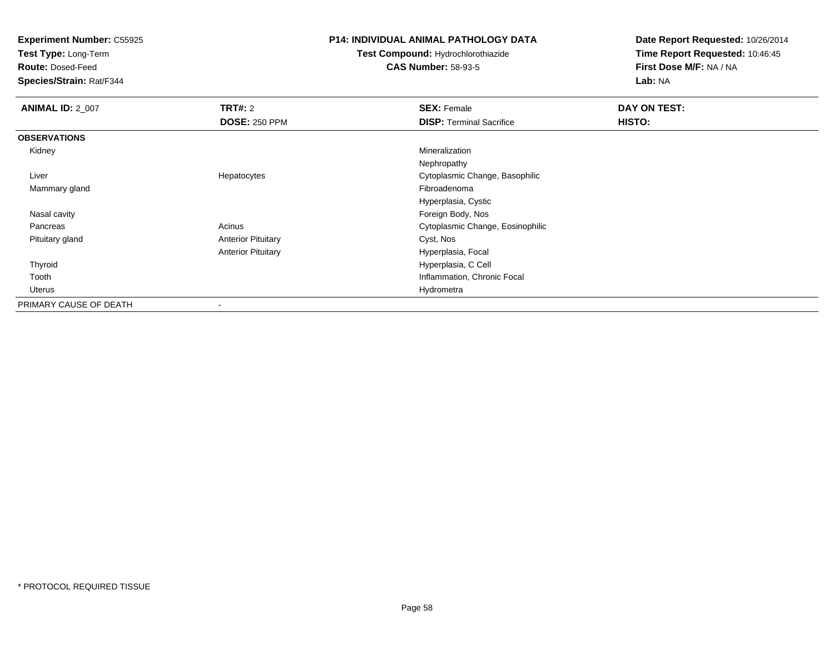**Test Type:** Long-Term

**Route:** Dosed-Feed

**Species/Strain:** Rat/F344

### **P14: INDIVIDUAL ANIMAL PATHOLOGY DATA**

**Test Compound:** Hydrochlorothiazide**CAS Number:** 58-93-5

| <b>ANIMAL ID: 2 007</b> | TRT#: 2                   | <b>SEX: Female</b>               | DAY ON TEST: |
|-------------------------|---------------------------|----------------------------------|--------------|
|                         | <b>DOSE: 250 PPM</b>      | <b>DISP: Terminal Sacrifice</b>  | HISTO:       |
| <b>OBSERVATIONS</b>     |                           |                                  |              |
| Kidney                  |                           | Mineralization                   |              |
|                         |                           | Nephropathy                      |              |
| Liver                   | Hepatocytes               | Cytoplasmic Change, Basophilic   |              |
| Mammary gland           |                           | Fibroadenoma                     |              |
|                         |                           | Hyperplasia, Cystic              |              |
| Nasal cavity            |                           | Foreign Body, Nos                |              |
| Pancreas                | Acinus                    | Cytoplasmic Change, Eosinophilic |              |
| Pituitary gland         | <b>Anterior Pituitary</b> | Cyst, Nos                        |              |
|                         | <b>Anterior Pituitary</b> | Hyperplasia, Focal               |              |
| Thyroid                 |                           | Hyperplasia, C Cell              |              |
| Tooth                   |                           | Inflammation, Chronic Focal      |              |
| Uterus                  |                           | Hydrometra                       |              |
| PRIMARY CAUSE OF DEATH  | -                         |                                  |              |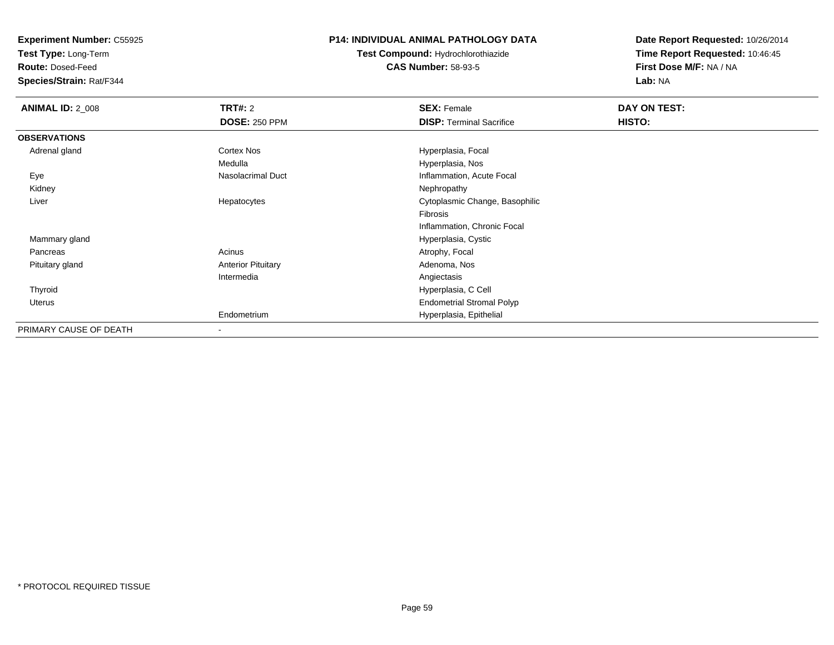**Test Type:** Long-Term

**Route:** Dosed-Feed

**Species/Strain:** Rat/F344

### **P14: INDIVIDUAL ANIMAL PATHOLOGY DATA**

**Test Compound:** Hydrochlorothiazide**CAS Number:** 58-93-5

| <b>ANIMAL ID: 2_008</b> | <b>TRT#: 2</b>            | <b>SEX: Female</b>               | DAY ON TEST: |  |
|-------------------------|---------------------------|----------------------------------|--------------|--|
|                         | <b>DOSE: 250 PPM</b>      | <b>DISP: Terminal Sacrifice</b>  | HISTO:       |  |
| <b>OBSERVATIONS</b>     |                           |                                  |              |  |
| Adrenal gland           | Cortex Nos                | Hyperplasia, Focal               |              |  |
|                         | Medulla                   | Hyperplasia, Nos                 |              |  |
| Eye                     | Nasolacrimal Duct         | Inflammation, Acute Focal        |              |  |
| Kidney                  |                           | Nephropathy                      |              |  |
| Liver                   | Hepatocytes               | Cytoplasmic Change, Basophilic   |              |  |
|                         |                           | Fibrosis                         |              |  |
|                         |                           | Inflammation, Chronic Focal      |              |  |
| Mammary gland           |                           | Hyperplasia, Cystic              |              |  |
| Pancreas                | Acinus                    | Atrophy, Focal                   |              |  |
| Pituitary gland         | <b>Anterior Pituitary</b> | Adenoma, Nos                     |              |  |
|                         | Intermedia                | Angiectasis                      |              |  |
| Thyroid                 |                           | Hyperplasia, C Cell              |              |  |
| Uterus                  |                           | <b>Endometrial Stromal Polyp</b> |              |  |
|                         | Endometrium               | Hyperplasia, Epithelial          |              |  |
| PRIMARY CAUSE OF DEATH  | $\overline{\phantom{a}}$  |                                  |              |  |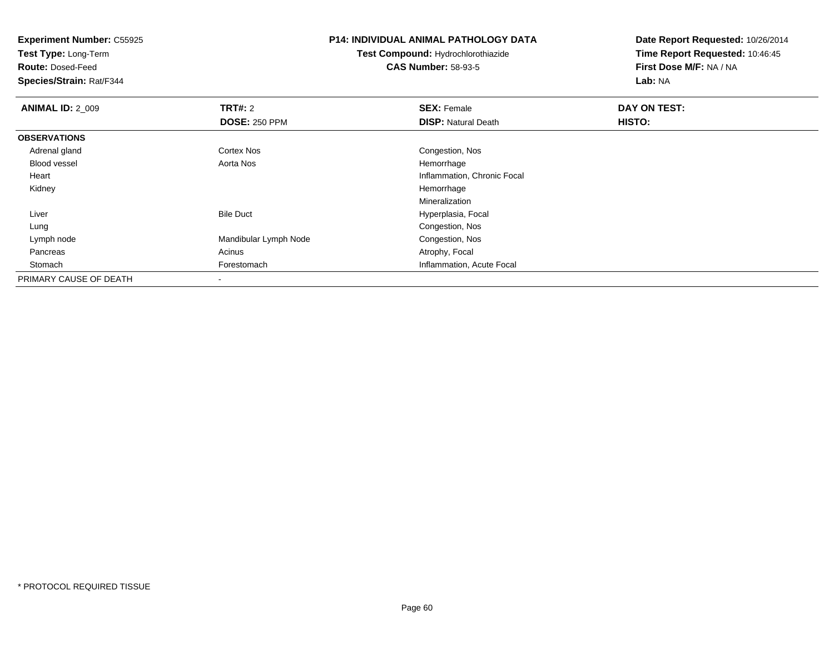**Test Type:** Long-Term

**Route:** Dosed-Feed

**Species/Strain:** Rat/F344

### **P14: INDIVIDUAL ANIMAL PATHOLOGY DATA**

**Test Compound:** Hydrochlorothiazide**CAS Number:** 58-93-5

| <b>ANIMAL ID: 2 009</b> | <b>TRT#: 2</b>        | <b>SEX: Female</b>          | DAY ON TEST:  |  |
|-------------------------|-----------------------|-----------------------------|---------------|--|
|                         | <b>DOSE: 250 PPM</b>  | <b>DISP: Natural Death</b>  | <b>HISTO:</b> |  |
| <b>OBSERVATIONS</b>     |                       |                             |               |  |
| Adrenal gland           | <b>Cortex Nos</b>     | Congestion, Nos             |               |  |
| Blood vessel            | Aorta Nos             | Hemorrhage                  |               |  |
| Heart                   |                       | Inflammation, Chronic Focal |               |  |
| Kidney                  |                       | Hemorrhage                  |               |  |
|                         |                       | Mineralization              |               |  |
| Liver                   | <b>Bile Duct</b>      | Hyperplasia, Focal          |               |  |
| Lung                    |                       | Congestion, Nos             |               |  |
| Lymph node              | Mandibular Lymph Node | Congestion, Nos             |               |  |
| Pancreas                | Acinus                | Atrophy, Focal              |               |  |
| Stomach                 | Forestomach           | Inflammation, Acute Focal   |               |  |
| PRIMARY CAUSE OF DEATH  |                       |                             |               |  |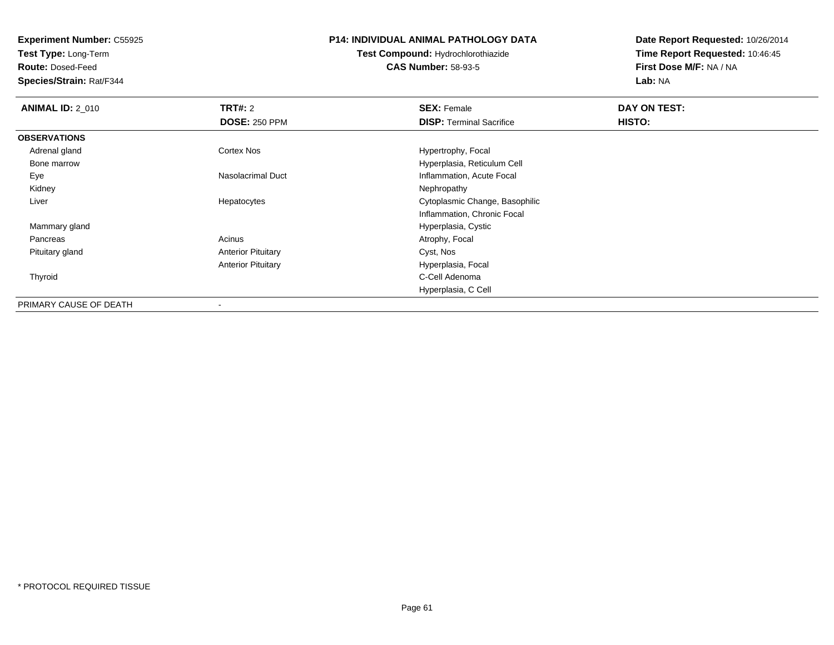**Test Type:** Long-Term

**Route:** Dosed-Feed

**Species/Strain:** Rat/F344

### **P14: INDIVIDUAL ANIMAL PATHOLOGY DATA**

# **Test Compound:** Hydrochlorothiazide**CAS Number:** 58-93-5

| <b>ANIMAL ID: 2 010</b> | <b>TRT#: 2</b>            | <b>SEX: Female</b>              | DAY ON TEST: |  |
|-------------------------|---------------------------|---------------------------------|--------------|--|
|                         | <b>DOSE: 250 PPM</b>      | <b>DISP: Terminal Sacrifice</b> | HISTO:       |  |
| <b>OBSERVATIONS</b>     |                           |                                 |              |  |
| Adrenal gland           | Cortex Nos                | Hypertrophy, Focal              |              |  |
| Bone marrow             |                           | Hyperplasia, Reticulum Cell     |              |  |
| Eye                     | Nasolacrimal Duct         | Inflammation, Acute Focal       |              |  |
| Kidney                  |                           | Nephropathy                     |              |  |
| Liver                   | Hepatocytes               | Cytoplasmic Change, Basophilic  |              |  |
|                         |                           | Inflammation, Chronic Focal     |              |  |
| Mammary gland           |                           | Hyperplasia, Cystic             |              |  |
| Pancreas                | Acinus                    | Atrophy, Focal                  |              |  |
| Pituitary gland         | <b>Anterior Pituitary</b> | Cyst, Nos                       |              |  |
|                         | <b>Anterior Pituitary</b> | Hyperplasia, Focal              |              |  |
| Thyroid                 |                           | C-Cell Adenoma                  |              |  |
|                         |                           | Hyperplasia, C Cell             |              |  |
| PRIMARY CAUSE OF DEATH  |                           |                                 |              |  |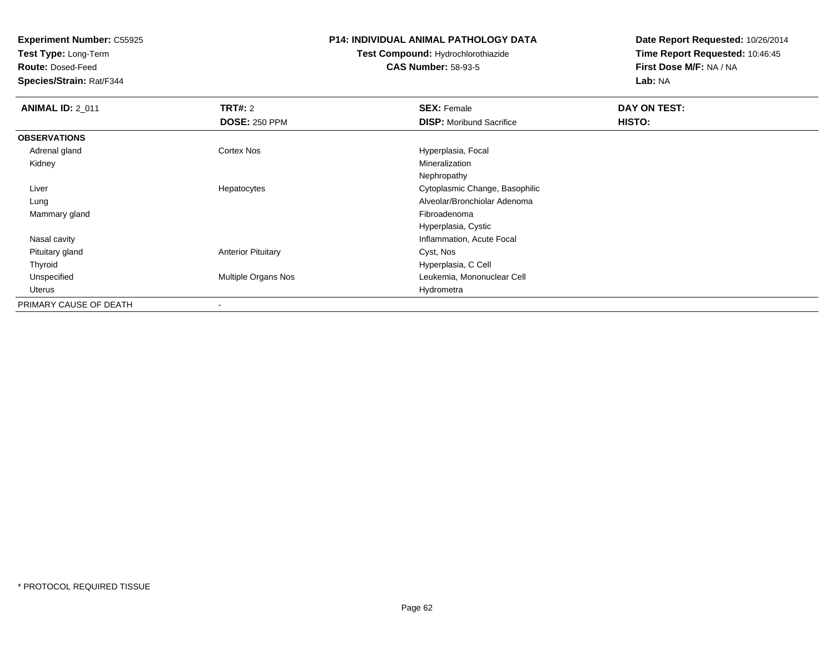**Test Type:** Long-Term

**Route:** Dosed-Feed

**Species/Strain:** Rat/F344

#### **P14: INDIVIDUAL ANIMAL PATHOLOGY DATA**

# **Test Compound:** Hydrochlorothiazide**CAS Number:** 58-93-5

| <b>ANIMAL ID: 2_011</b> | TRT#: 2                    | <b>SEX: Female</b>              | DAY ON TEST: |  |
|-------------------------|----------------------------|---------------------------------|--------------|--|
|                         | <b>DOSE: 250 PPM</b>       | <b>DISP:</b> Moribund Sacrifice | HISTO:       |  |
| <b>OBSERVATIONS</b>     |                            |                                 |              |  |
| Adrenal gland           | Cortex Nos                 | Hyperplasia, Focal              |              |  |
| Kidney                  |                            | Mineralization                  |              |  |
|                         |                            | Nephropathy                     |              |  |
| Liver                   | Hepatocytes                | Cytoplasmic Change, Basophilic  |              |  |
| Lung                    |                            | Alveolar/Bronchiolar Adenoma    |              |  |
| Mammary gland           |                            | Fibroadenoma                    |              |  |
|                         |                            | Hyperplasia, Cystic             |              |  |
| Nasal cavity            |                            | Inflammation, Acute Focal       |              |  |
| Pituitary gland         | <b>Anterior Pituitary</b>  | Cyst, Nos                       |              |  |
| Thyroid                 |                            | Hyperplasia, C Cell             |              |  |
| Unspecified             | <b>Multiple Organs Nos</b> | Leukemia, Mononuclear Cell      |              |  |
| Uterus                  |                            | Hydrometra                      |              |  |
| PRIMARY CAUSE OF DEATH  | $\overline{\phantom{a}}$   |                                 |              |  |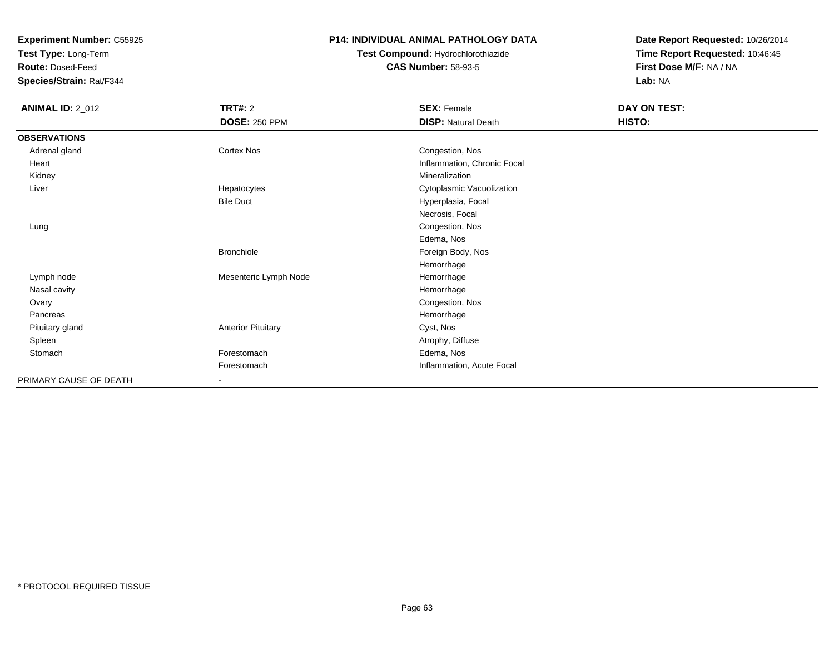**Test Type:** Long-Term

**Route:** Dosed-Feed

**Species/Strain:** Rat/F344

### **P14: INDIVIDUAL ANIMAL PATHOLOGY DATA**

# **Test Compound:** Hydrochlorothiazide**CAS Number:** 58-93-5

| <b>ANIMAL ID: 2_012</b> | TRT#: 2<br><b>DOSE: 250 PPM</b> | <b>SEX: Female</b><br><b>DISP: Natural Death</b> | DAY ON TEST:<br>HISTO: |
|-------------------------|---------------------------------|--------------------------------------------------|------------------------|
| <b>OBSERVATIONS</b>     |                                 |                                                  |                        |
| Adrenal gland           | <b>Cortex Nos</b>               | Congestion, Nos                                  |                        |
| Heart                   |                                 | Inflammation, Chronic Focal                      |                        |
| Kidney                  |                                 | Mineralization                                   |                        |
| Liver                   | Hepatocytes                     | Cytoplasmic Vacuolization                        |                        |
|                         | <b>Bile Duct</b>                | Hyperplasia, Focal                               |                        |
|                         |                                 | Necrosis, Focal                                  |                        |
| Lung                    |                                 | Congestion, Nos                                  |                        |
|                         |                                 | Edema, Nos                                       |                        |
|                         | Bronchiole                      | Foreign Body, Nos                                |                        |
|                         |                                 | Hemorrhage                                       |                        |
| Lymph node              | Mesenteric Lymph Node           | Hemorrhage                                       |                        |
| Nasal cavity            |                                 | Hemorrhage                                       |                        |
| Ovary                   |                                 | Congestion, Nos                                  |                        |
| Pancreas                |                                 | Hemorrhage                                       |                        |
| Pituitary gland         | <b>Anterior Pituitary</b>       | Cyst, Nos                                        |                        |
| Spleen                  |                                 | Atrophy, Diffuse                                 |                        |
| Stomach                 | Forestomach                     | Edema, Nos                                       |                        |
|                         | Forestomach                     | Inflammation, Acute Focal                        |                        |
| PRIMARY CAUSE OF DEATH  | $\sim$                          |                                                  |                        |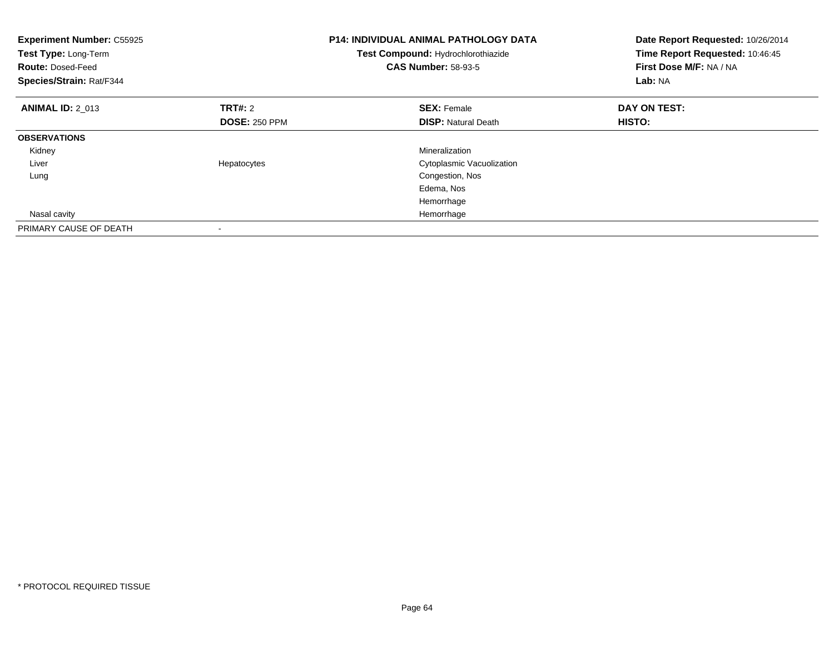| <b>Experiment Number: C55925</b><br>Test Type: Long-Term<br><b>Route: Dosed-Feed</b><br>Species/Strain: Rat/F344 |                      | <b>P14: INDIVIDUAL ANIMAL PATHOLOGY DATA</b><br>Test Compound: Hydrochlorothiazide<br><b>CAS Number: 58-93-5</b> | Date Report Requested: 10/26/2014<br>Time Report Requested: 10:46:45<br>First Dose M/F: NA / NA<br>Lab: NA |  |
|------------------------------------------------------------------------------------------------------------------|----------------------|------------------------------------------------------------------------------------------------------------------|------------------------------------------------------------------------------------------------------------|--|
| <b>ANIMAL ID: 2 013</b>                                                                                          | TRT#: 2              | <b>SEX: Female</b>                                                                                               | DAY ON TEST:                                                                                               |  |
|                                                                                                                  | <b>DOSE: 250 PPM</b> | <b>DISP: Natural Death</b>                                                                                       | HISTO:                                                                                                     |  |
| <b>OBSERVATIONS</b>                                                                                              |                      |                                                                                                                  |                                                                                                            |  |
| Kidney                                                                                                           |                      | Mineralization                                                                                                   |                                                                                                            |  |
| Liver                                                                                                            | Hepatocytes          | Cytoplasmic Vacuolization                                                                                        |                                                                                                            |  |
| Lung                                                                                                             |                      | Congestion, Nos                                                                                                  |                                                                                                            |  |
|                                                                                                                  |                      | Edema, Nos                                                                                                       |                                                                                                            |  |
|                                                                                                                  |                      | Hemorrhage                                                                                                       |                                                                                                            |  |
| Nasal cavity                                                                                                     |                      | Hemorrhage                                                                                                       |                                                                                                            |  |
| PRIMARY CAUSE OF DEATH                                                                                           |                      |                                                                                                                  |                                                                                                            |  |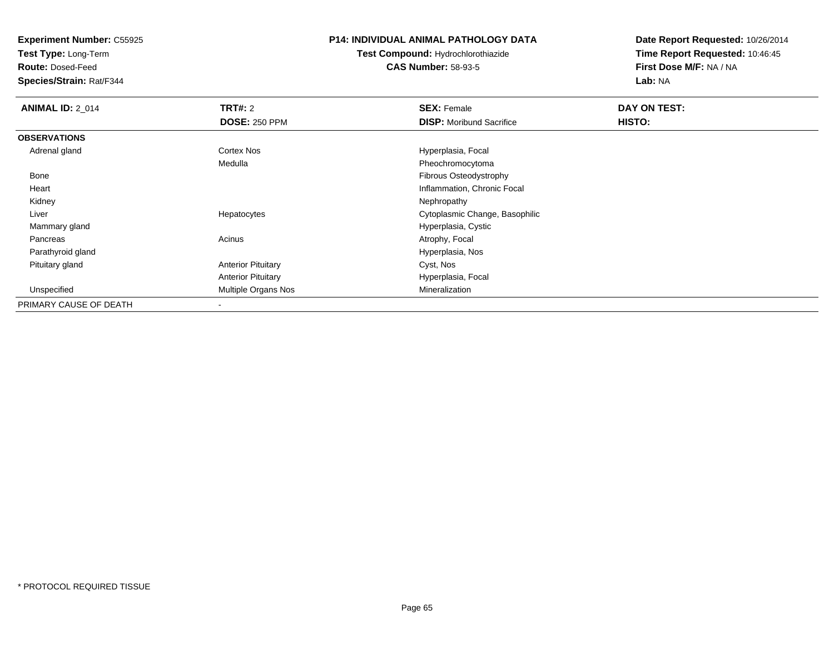**Test Type:** Long-Term

**Route:** Dosed-Feed

**Species/Strain:** Rat/F344

#### **P14: INDIVIDUAL ANIMAL PATHOLOGY DATA**

**Test Compound:** Hydrochlorothiazide**CAS Number:** 58-93-5

| <b>ANIMAL ID: 2_014</b> | TRT#: 2                   | <b>SEX: Female</b>              | DAY ON TEST: |  |
|-------------------------|---------------------------|---------------------------------|--------------|--|
|                         | <b>DOSE: 250 PPM</b>      | <b>DISP:</b> Moribund Sacrifice | HISTO:       |  |
| <b>OBSERVATIONS</b>     |                           |                                 |              |  |
| Adrenal gland           | Cortex Nos                | Hyperplasia, Focal              |              |  |
|                         | Medulla                   | Pheochromocytoma                |              |  |
| Bone                    |                           | Fibrous Osteodystrophy          |              |  |
| Heart                   |                           | Inflammation, Chronic Focal     |              |  |
| Kidney                  |                           | Nephropathy                     |              |  |
| Liver                   | Hepatocytes               | Cytoplasmic Change, Basophilic  |              |  |
| Mammary gland           |                           | Hyperplasia, Cystic             |              |  |
| Pancreas                | Acinus                    | Atrophy, Focal                  |              |  |
| Parathyroid gland       |                           | Hyperplasia, Nos                |              |  |
| Pituitary gland         | <b>Anterior Pituitary</b> | Cyst, Nos                       |              |  |
|                         | <b>Anterior Pituitary</b> | Hyperplasia, Focal              |              |  |
| Unspecified             | Multiple Organs Nos       | Mineralization                  |              |  |
| PRIMARY CAUSE OF DEATH  | $\overline{\phantom{a}}$  |                                 |              |  |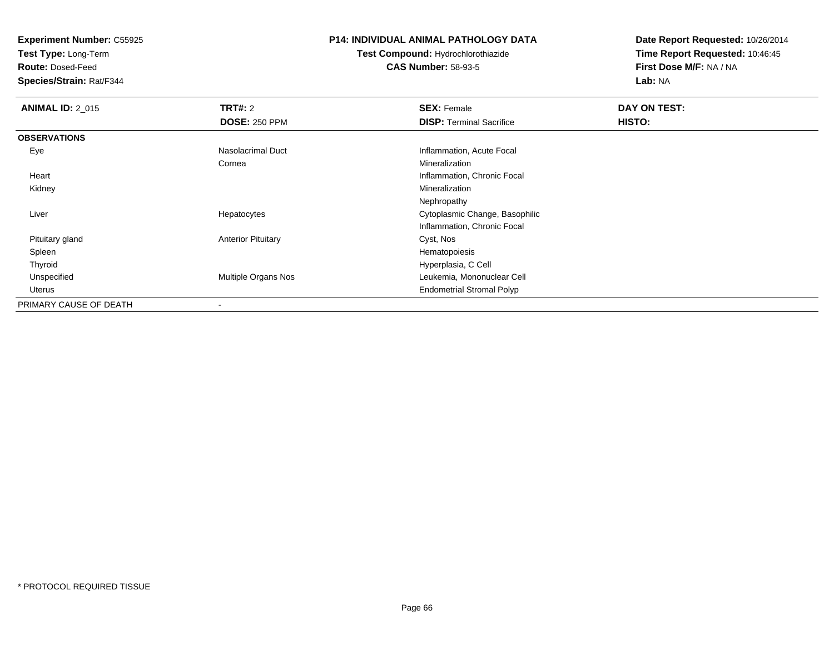**Test Type:** Long-Term

**Route:** Dosed-Feed

**Species/Strain:** Rat/F344

#### **P14: INDIVIDUAL ANIMAL PATHOLOGY DATA**

**Test Compound:** Hydrochlorothiazide**CAS Number:** 58-93-5

| <b>ANIMAL ID: 2 015</b> | <b>TRT#: 2</b>            | <b>SEX: Female</b>               | DAY ON TEST: |  |
|-------------------------|---------------------------|----------------------------------|--------------|--|
|                         | <b>DOSE: 250 PPM</b>      | <b>DISP: Terminal Sacrifice</b>  | HISTO:       |  |
| <b>OBSERVATIONS</b>     |                           |                                  |              |  |
| Eye                     | Nasolacrimal Duct         | Inflammation, Acute Focal        |              |  |
|                         | Cornea                    | Mineralization                   |              |  |
| Heart                   |                           | Inflammation, Chronic Focal      |              |  |
| Kidney                  |                           | Mineralization                   |              |  |
|                         |                           | Nephropathy                      |              |  |
| Liver                   | Hepatocytes               | Cytoplasmic Change, Basophilic   |              |  |
|                         |                           | Inflammation, Chronic Focal      |              |  |
| Pituitary gland         | <b>Anterior Pituitary</b> | Cyst, Nos                        |              |  |
| Spleen                  |                           | Hematopoiesis                    |              |  |
| Thyroid                 |                           | Hyperplasia, C Cell              |              |  |
| Unspecified             | Multiple Organs Nos       | Leukemia, Mononuclear Cell       |              |  |
| Uterus                  |                           | <b>Endometrial Stromal Polyp</b> |              |  |
| PRIMARY CAUSE OF DEATH  |                           |                                  |              |  |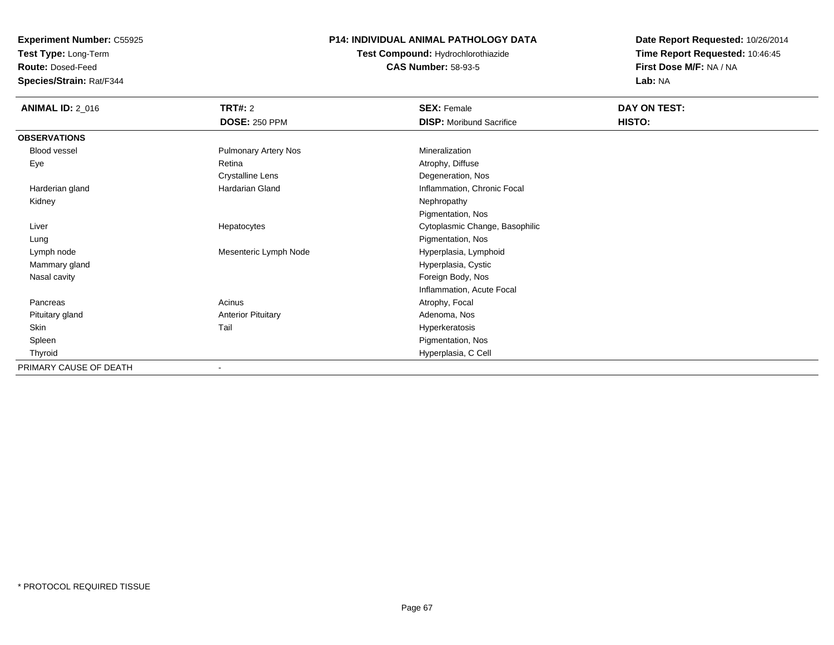**Test Type:** Long-Term

**Route:** Dosed-Feed

**Species/Strain:** Rat/F344

### **P14: INDIVIDUAL ANIMAL PATHOLOGY DATA**

**Test Compound:** Hydrochlorothiazide**CAS Number:** 58-93-5

| <b>ANIMAL ID: 2_016</b> | <b>TRT#: 2</b>              | <b>SEX: Female</b>              | <b>DAY ON TEST:</b> |
|-------------------------|-----------------------------|---------------------------------|---------------------|
|                         | <b>DOSE: 250 PPM</b>        | <b>DISP:</b> Moribund Sacrifice | HISTO:              |
| <b>OBSERVATIONS</b>     |                             |                                 |                     |
| <b>Blood vessel</b>     | <b>Pulmonary Artery Nos</b> | Mineralization                  |                     |
| Eye                     | Retina                      | Atrophy, Diffuse                |                     |
|                         | <b>Crystalline Lens</b>     | Degeneration, Nos               |                     |
| Harderian gland         | Hardarian Gland             | Inflammation, Chronic Focal     |                     |
| Kidney                  |                             | Nephropathy                     |                     |
|                         |                             | Pigmentation, Nos               |                     |
| Liver                   | Hepatocytes                 | Cytoplasmic Change, Basophilic  |                     |
| Lung                    |                             | Pigmentation, Nos               |                     |
| Lymph node              | Mesenteric Lymph Node       | Hyperplasia, Lymphoid           |                     |
| Mammary gland           |                             | Hyperplasia, Cystic             |                     |
| Nasal cavity            |                             | Foreign Body, Nos               |                     |
|                         |                             | Inflammation, Acute Focal       |                     |
| Pancreas                | Acinus                      | Atrophy, Focal                  |                     |
| Pituitary gland         | <b>Anterior Pituitary</b>   | Adenoma, Nos                    |                     |
| Skin                    | Tail                        | Hyperkeratosis                  |                     |
| Spleen                  |                             | Pigmentation, Nos               |                     |
| Thyroid                 |                             | Hyperplasia, C Cell             |                     |
| PRIMARY CAUSE OF DEATH  | $\blacksquare$              |                                 |                     |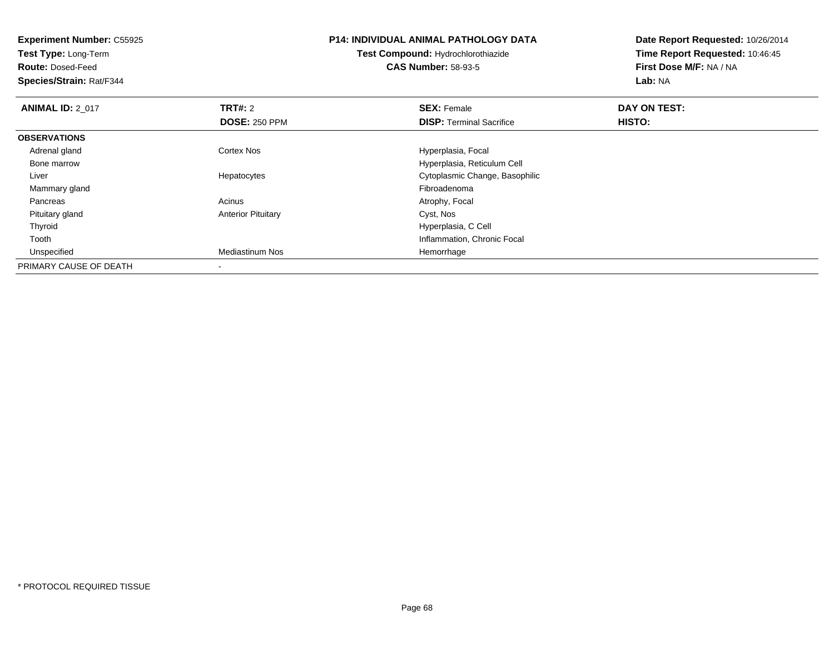| <b>Experiment Number: C55925</b><br>Test Type: Long-Term<br><b>Route: Dosed-Feed</b><br>Species/Strain: Rat/F344 |                           | <b>P14: INDIVIDUAL ANIMAL PATHOLOGY DATA</b><br><b>Test Compound: Hydrochlorothiazide</b><br><b>CAS Number: 58-93-5</b> | Date Report Requested: 10/26/2014<br>Time Report Requested: 10:46:45<br>First Dose M/F: NA / NA<br>Lab: NA |  |
|------------------------------------------------------------------------------------------------------------------|---------------------------|-------------------------------------------------------------------------------------------------------------------------|------------------------------------------------------------------------------------------------------------|--|
| <b>ANIMAL ID: 2_017</b>                                                                                          | TRT#: 2                   | <b>SEX: Female</b>                                                                                                      | DAY ON TEST:                                                                                               |  |
|                                                                                                                  | <b>DOSE: 250 PPM</b>      | <b>DISP:</b> Terminal Sacrifice                                                                                         | <b>HISTO:</b>                                                                                              |  |
| <b>OBSERVATIONS</b>                                                                                              |                           |                                                                                                                         |                                                                                                            |  |
| Adrenal gland                                                                                                    | Cortex Nos                | Hyperplasia, Focal                                                                                                      |                                                                                                            |  |
| Bone marrow                                                                                                      |                           | Hyperplasia, Reticulum Cell                                                                                             |                                                                                                            |  |
| Liver                                                                                                            | Hepatocytes               | Cytoplasmic Change, Basophilic                                                                                          |                                                                                                            |  |
| Mammary gland                                                                                                    |                           | Fibroadenoma                                                                                                            |                                                                                                            |  |
| Pancreas                                                                                                         | Acinus                    | Atrophy, Focal                                                                                                          |                                                                                                            |  |
| Pituitary gland                                                                                                  | <b>Anterior Pituitary</b> | Cyst, Nos                                                                                                               |                                                                                                            |  |
| Thyroid                                                                                                          |                           | Hyperplasia, C Cell                                                                                                     |                                                                                                            |  |
| Tooth                                                                                                            |                           | Inflammation, Chronic Focal                                                                                             |                                                                                                            |  |
| Unspecified                                                                                                      | <b>Mediastinum Nos</b>    | Hemorrhage                                                                                                              |                                                                                                            |  |
| PRIMARY CAUSE OF DEATH                                                                                           | $\,$                      |                                                                                                                         |                                                                                                            |  |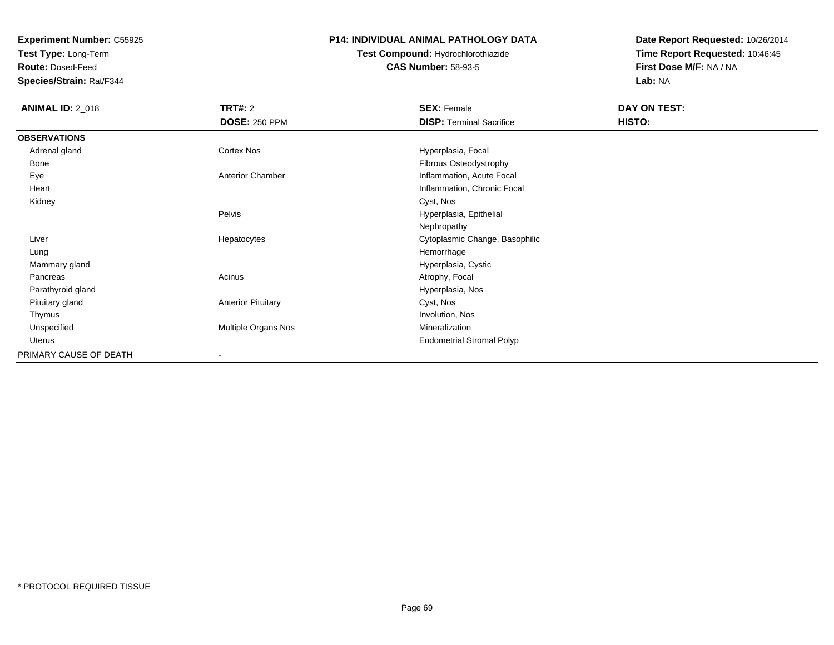**Test Type:** Long-Term

**Route:** Dosed-Feed

**Species/Strain:** Rat/F344

### **P14: INDIVIDUAL ANIMAL PATHOLOGY DATA**

# **Test Compound:** Hydrochlorothiazide**CAS Number:** 58-93-5

| <b>ANIMAL ID: 2_018</b> | <b>TRT#: 2</b>            | <b>SEX: Female</b>               | DAY ON TEST: |  |
|-------------------------|---------------------------|----------------------------------|--------------|--|
|                         | <b>DOSE: 250 PPM</b>      | <b>DISP: Terminal Sacrifice</b>  | HISTO:       |  |
| <b>OBSERVATIONS</b>     |                           |                                  |              |  |
| Adrenal gland           | Cortex Nos                | Hyperplasia, Focal               |              |  |
| Bone                    |                           | Fibrous Osteodystrophy           |              |  |
| Eye                     | Anterior Chamber          | Inflammation, Acute Focal        |              |  |
| Heart                   |                           | Inflammation, Chronic Focal      |              |  |
| Kidney                  |                           | Cyst, Nos                        |              |  |
|                         | Pelvis                    | Hyperplasia, Epithelial          |              |  |
|                         |                           | Nephropathy                      |              |  |
| Liver                   | Hepatocytes               | Cytoplasmic Change, Basophilic   |              |  |
| Lung                    |                           | Hemorrhage                       |              |  |
| Mammary gland           |                           | Hyperplasia, Cystic              |              |  |
| Pancreas                | Acinus                    | Atrophy, Focal                   |              |  |
| Parathyroid gland       |                           | Hyperplasia, Nos                 |              |  |
| Pituitary gland         | <b>Anterior Pituitary</b> | Cyst, Nos                        |              |  |
| Thymus                  |                           | Involution, Nos                  |              |  |
| Unspecified             | Multiple Organs Nos       | Mineralization                   |              |  |
| Uterus                  |                           | <b>Endometrial Stromal Polyp</b> |              |  |
| PRIMARY CAUSE OF DEATH  | ۰                         |                                  |              |  |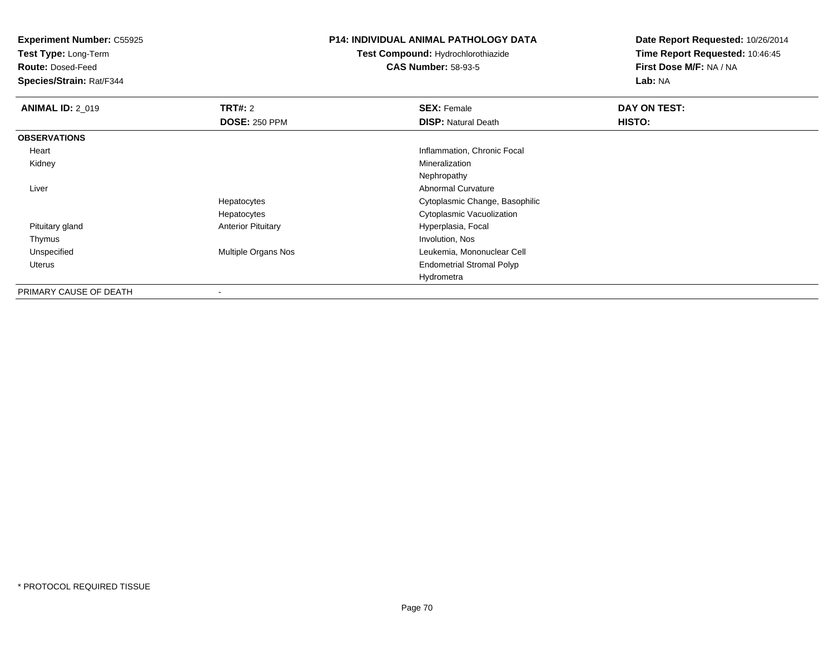**Test Type:** Long-Term

**Route:** Dosed-Feed

**Species/Strain:** Rat/F344

### **P14: INDIVIDUAL ANIMAL PATHOLOGY DATA**

**Test Compound:** Hydrochlorothiazide**CAS Number:** 58-93-5

| <b>ANIMAL ID: 2_019</b> | <b>TRT#: 2</b>            | <b>SEX: Female</b>               | DAY ON TEST: |  |
|-------------------------|---------------------------|----------------------------------|--------------|--|
|                         | <b>DOSE: 250 PPM</b>      | <b>DISP: Natural Death</b>       | HISTO:       |  |
| <b>OBSERVATIONS</b>     |                           |                                  |              |  |
| Heart                   |                           | Inflammation, Chronic Focal      |              |  |
| Kidney                  |                           | Mineralization                   |              |  |
|                         |                           | Nephropathy                      |              |  |
| Liver                   |                           | Abnormal Curvature               |              |  |
|                         | Hepatocytes               | Cytoplasmic Change, Basophilic   |              |  |
|                         | Hepatocytes               | Cytoplasmic Vacuolization        |              |  |
| Pituitary gland         | <b>Anterior Pituitary</b> | Hyperplasia, Focal               |              |  |
| Thymus                  |                           | Involution, Nos                  |              |  |
| Unspecified             | Multiple Organs Nos       | Leukemia, Mononuclear Cell       |              |  |
| Uterus                  |                           | <b>Endometrial Stromal Polyp</b> |              |  |
|                         |                           | Hydrometra                       |              |  |
| PRIMARY CAUSE OF DEATH  |                           |                                  |              |  |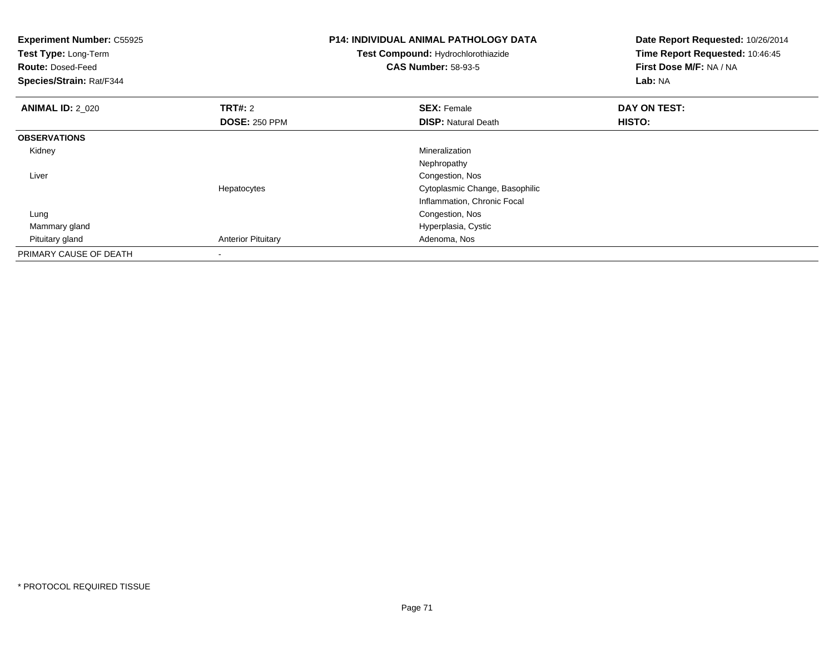| <b>Experiment Number: C55925</b><br>Test Type: Long-Term<br><b>Route: Dosed-Feed</b><br>Species/Strain: Rat/F344 |                           | <b>P14: INDIVIDUAL ANIMAL PATHOLOGY DATA</b><br>Test Compound: Hydrochlorothiazide<br><b>CAS Number: 58-93-5</b> | Date Report Requested: 10/26/2014<br>Time Report Requested: 10:46:45<br>First Dose M/F: NA / NA<br>Lab: NA |  |
|------------------------------------------------------------------------------------------------------------------|---------------------------|------------------------------------------------------------------------------------------------------------------|------------------------------------------------------------------------------------------------------------|--|
| <b>ANIMAL ID: 2_020</b>                                                                                          | <b>TRT#: 2</b>            | <b>SEX: Female</b>                                                                                               | DAY ON TEST:                                                                                               |  |
|                                                                                                                  | <b>DOSE: 250 PPM</b>      | <b>DISP:</b> Natural Death                                                                                       | HISTO:                                                                                                     |  |
| <b>OBSERVATIONS</b>                                                                                              |                           |                                                                                                                  |                                                                                                            |  |
| Kidney                                                                                                           |                           | Mineralization                                                                                                   |                                                                                                            |  |
|                                                                                                                  |                           | Nephropathy                                                                                                      |                                                                                                            |  |
| Liver                                                                                                            |                           | Congestion, Nos                                                                                                  |                                                                                                            |  |
|                                                                                                                  | Hepatocytes               | Cytoplasmic Change, Basophilic                                                                                   |                                                                                                            |  |
|                                                                                                                  |                           | Inflammation, Chronic Focal                                                                                      |                                                                                                            |  |
| Lung                                                                                                             |                           | Congestion, Nos                                                                                                  |                                                                                                            |  |
| Mammary gland                                                                                                    |                           | Hyperplasia, Cystic                                                                                              |                                                                                                            |  |
| Pituitary gland                                                                                                  | <b>Anterior Pituitary</b> | Adenoma, Nos                                                                                                     |                                                                                                            |  |
| PRIMARY CAUSE OF DEATH                                                                                           | $\overline{\phantom{a}}$  |                                                                                                                  |                                                                                                            |  |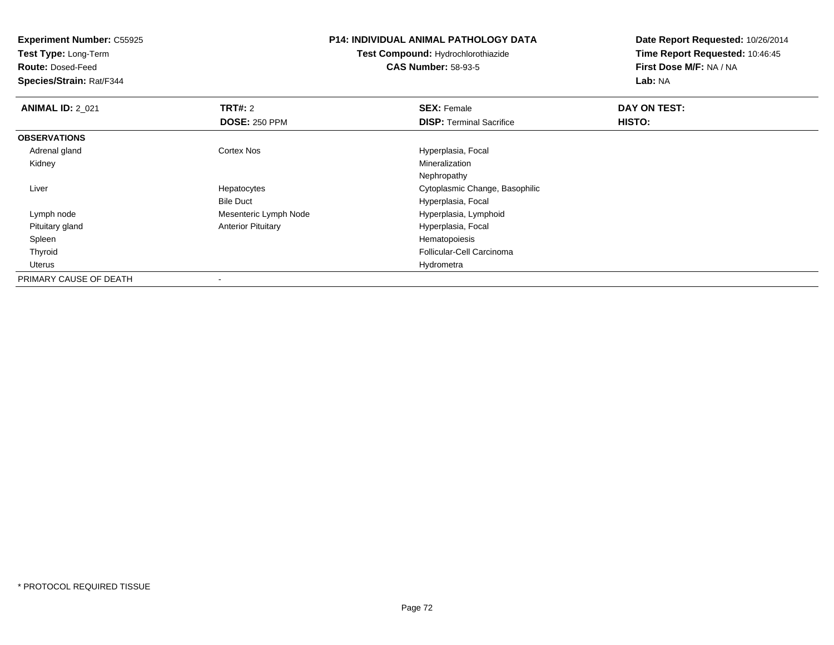**Experiment Number:** C55925**Test Type:** Long-Term**Route:** Dosed-Feed **Species/Strain:** Rat/F344**P14: INDIVIDUAL ANIMAL PATHOLOGY DATATest Compound:** Hydrochlorothiazide**CAS Number:** 58-93-5**Date Report Requested:** 10/26/2014**Time Report Requested:** 10:46:45**First Dose M/F:** NA / NA**Lab:** NA**ANIMAL ID: 2 021 TRT#:** 2 **SEX:** Female **DAY ON TEST: DOSE:** 250 PPM**DISP:** Terminal Sacrifice **HISTO: OBSERVATIONS** Adrenal glandCortex Nos **Exercía Exercía Exercía Exercía Exercía Exercía Exercía Exercía Exercía Exercía Exercía Exercía Exercía Exercía Exercía Exercía Exercía Exercía Exercía Exercía Exercía Exercía Exercía Exercía Exercía Exercía Ex**  Kidneyy with the control of the control of the control of the control of the control of the control of the control of the control of the control of the control of the control of the control of the control of the control of the c NephropathyS<br>
Secret Cytoplasmic Change, Basophilic Liver HepatocytesBile Duct Hyperplasia, Focal Lymph nodeMesenteric Lymph Node Hyperplasia, Lymphoid Hyperplasia, Lymphoid Anterior Pituitary Pituitary glandHyperplasia, Focal<br>Hematopoiesis Spleenn and the state of the state of the state of the state of the state of the state of the state of the state of the state of the state of the state of the state of the state of the state of the state of the state of the stat Thyroid Follicular-Cell Carcinoma Uteruss and the contract of the contract of the contract of the contract of the contract of the contract of the contract of the contract of the contract of the contract of the contract of the contract of the contract of the cont PRIMARY CAUSE OF DEATH-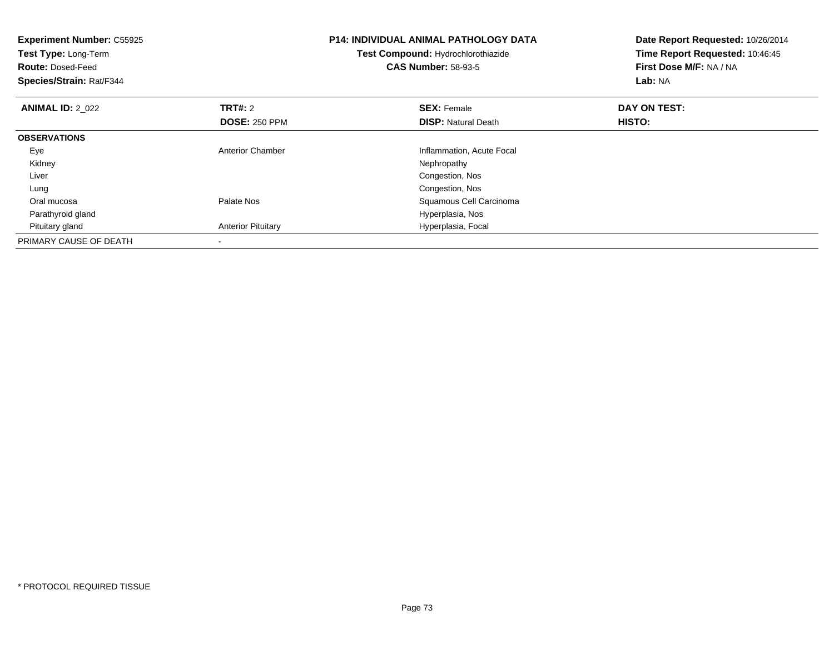| <b>Experiment Number: C55925</b><br>Test Type: Long-Term<br><b>Route: Dosed-Feed</b><br>Species/Strain: Rat/F344 |                                        | <b>P14: INDIVIDUAL ANIMAL PATHOLOGY DATA</b><br>Test Compound: Hydrochlorothiazide<br><b>CAS Number: 58-93-5</b> | Date Report Requested: 10/26/2014<br>Time Report Requested: 10:46:45<br>First Dose M/F: NA / NA<br>Lab: NA |
|------------------------------------------------------------------------------------------------------------------|----------------------------------------|------------------------------------------------------------------------------------------------------------------|------------------------------------------------------------------------------------------------------------|
| <b>ANIMAL ID: 2 022</b>                                                                                          | <b>TRT#: 2</b><br><b>DOSE: 250 PPM</b> | <b>SEX: Female</b><br><b>DISP:</b> Natural Death                                                                 | DAY ON TEST:<br>HISTO:                                                                                     |
| <b>OBSERVATIONS</b>                                                                                              |                                        |                                                                                                                  |                                                                                                            |
| Eye                                                                                                              | <b>Anterior Chamber</b>                | Inflammation, Acute Focal                                                                                        |                                                                                                            |
| Kidney                                                                                                           |                                        | Nephropathy                                                                                                      |                                                                                                            |
| Liver                                                                                                            |                                        | Congestion, Nos                                                                                                  |                                                                                                            |
| Lung                                                                                                             |                                        | Congestion, Nos                                                                                                  |                                                                                                            |
| Oral mucosa                                                                                                      | Palate Nos                             | Squamous Cell Carcinoma                                                                                          |                                                                                                            |
| Parathyroid gland                                                                                                |                                        | Hyperplasia, Nos                                                                                                 |                                                                                                            |
| Pituitary gland                                                                                                  | <b>Anterior Pituitary</b>              | Hyperplasia, Focal                                                                                               |                                                                                                            |
| PRIMARY CAUSE OF DEATH                                                                                           |                                        |                                                                                                                  |                                                                                                            |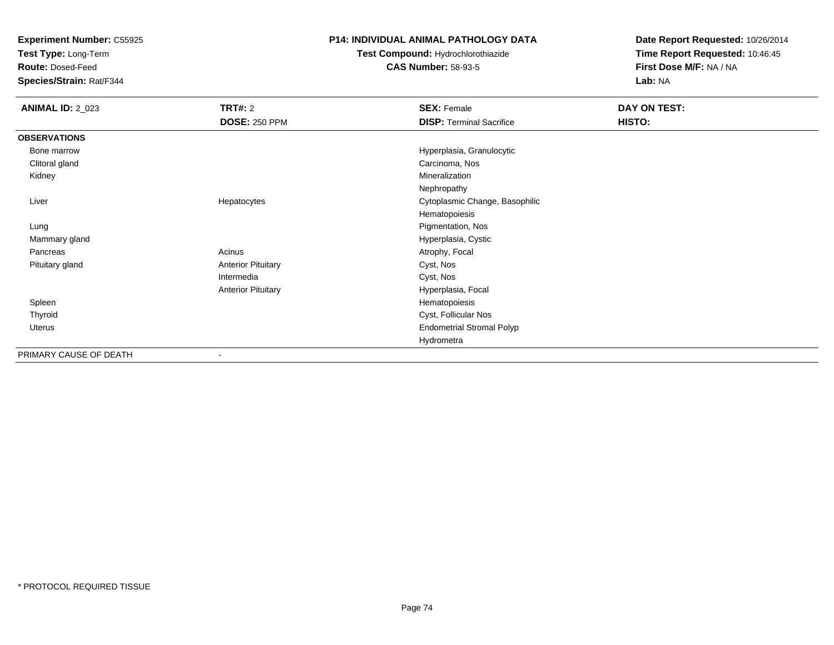**Test Type:** Long-Term

**Route:** Dosed-Feed

**Species/Strain:** Rat/F344

#### **P14: INDIVIDUAL ANIMAL PATHOLOGY DATA**

**Test Compound:** Hydrochlorothiazide**CAS Number:** 58-93-5

| <b>ANIMAL ID: 2_023</b> | <b>TRT#: 2</b>            | <b>SEX: Female</b>               | DAY ON TEST: |
|-------------------------|---------------------------|----------------------------------|--------------|
|                         | <b>DOSE: 250 PPM</b>      | <b>DISP: Terminal Sacrifice</b>  | HISTO:       |
| <b>OBSERVATIONS</b>     |                           |                                  |              |
| Bone marrow             |                           | Hyperplasia, Granulocytic        |              |
| Clitoral gland          |                           | Carcinoma, Nos                   |              |
| Kidney                  |                           | Mineralization                   |              |
|                         |                           | Nephropathy                      |              |
| Liver                   | Hepatocytes               | Cytoplasmic Change, Basophilic   |              |
|                         |                           | Hematopoiesis                    |              |
| Lung                    |                           | Pigmentation, Nos                |              |
| Mammary gland           |                           | Hyperplasia, Cystic              |              |
| Pancreas                | Acinus                    | Atrophy, Focal                   |              |
| Pituitary gland         | <b>Anterior Pituitary</b> | Cyst, Nos                        |              |
|                         | Intermedia                | Cyst, Nos                        |              |
|                         | <b>Anterior Pituitary</b> | Hyperplasia, Focal               |              |
| Spleen                  |                           | Hematopoiesis                    |              |
| Thyroid                 |                           | Cyst, Follicular Nos             |              |
| Uterus                  |                           | <b>Endometrial Stromal Polyp</b> |              |
|                         |                           | Hydrometra                       |              |
| PRIMARY CAUSE OF DEATH  | ۰                         |                                  |              |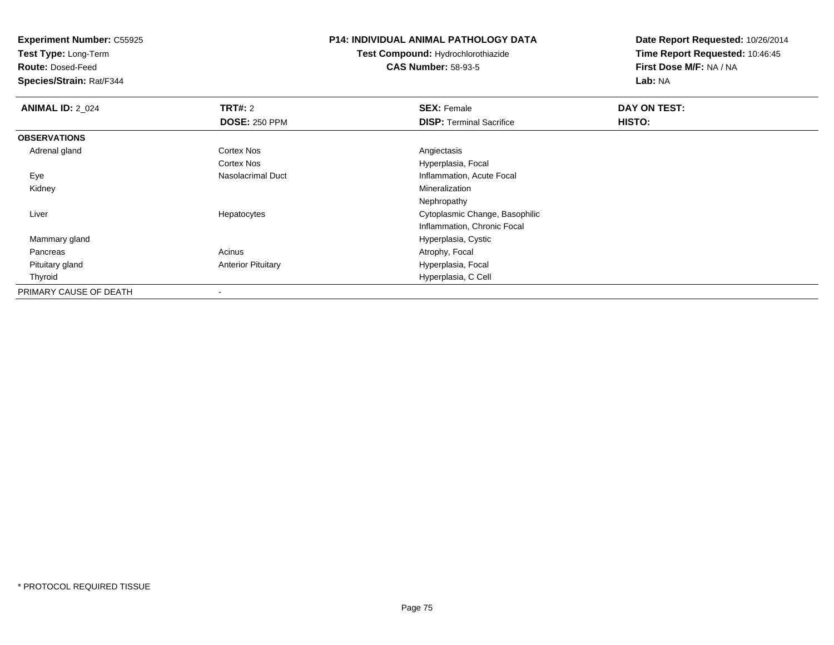**Test Type:** Long-Term

**Route:** Dosed-Feed

**Species/Strain:** Rat/F344

### **P14: INDIVIDUAL ANIMAL PATHOLOGY DATA**

**Test Compound:** Hydrochlorothiazide**CAS Number:** 58-93-5

| <b>ANIMAL ID: 2_024</b> | <b>TRT#: 2</b>            | <b>SEX: Female</b>              | DAY ON TEST: |  |
|-------------------------|---------------------------|---------------------------------|--------------|--|
|                         | <b>DOSE: 250 PPM</b>      | <b>DISP: Terminal Sacrifice</b> | HISTO:       |  |
| <b>OBSERVATIONS</b>     |                           |                                 |              |  |
| Adrenal gland           | Cortex Nos                | Angiectasis                     |              |  |
|                         | Cortex Nos                | Hyperplasia, Focal              |              |  |
| Eye                     | <b>Nasolacrimal Duct</b>  | Inflammation, Acute Focal       |              |  |
| Kidney                  |                           | Mineralization                  |              |  |
|                         |                           | Nephropathy                     |              |  |
| Liver                   | Hepatocytes               | Cytoplasmic Change, Basophilic  |              |  |
|                         |                           | Inflammation, Chronic Focal     |              |  |
| Mammary gland           |                           | Hyperplasia, Cystic             |              |  |
| Pancreas                | Acinus                    | Atrophy, Focal                  |              |  |
| Pituitary gland         | <b>Anterior Pituitary</b> | Hyperplasia, Focal              |              |  |
| Thyroid                 |                           | Hyperplasia, C Cell             |              |  |
| PRIMARY CAUSE OF DEATH  |                           |                                 |              |  |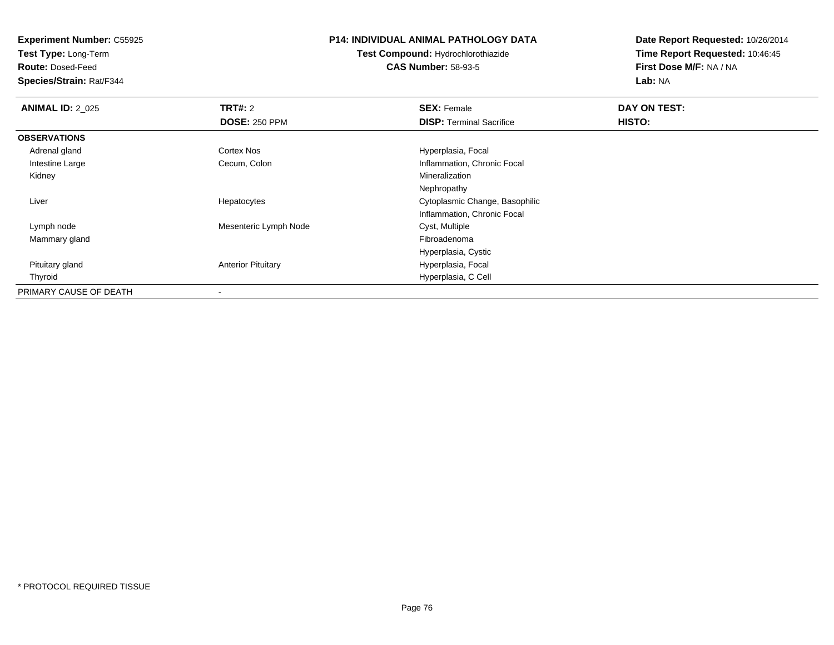**Test Type:** Long-Term

**Route:** Dosed-Feed

**Species/Strain:** Rat/F344

### **P14: INDIVIDUAL ANIMAL PATHOLOGY DATA**

**Test Compound:** Hydrochlorothiazide**CAS Number:** 58-93-5

| <b>ANIMAL ID: 2_025</b> | <b>TRT#: 2</b>            | <b>SEX: Female</b>              | DAY ON TEST: |  |
|-------------------------|---------------------------|---------------------------------|--------------|--|
|                         | <b>DOSE: 250 PPM</b>      | <b>DISP:</b> Terminal Sacrifice | HISTO:       |  |
| <b>OBSERVATIONS</b>     |                           |                                 |              |  |
| Adrenal gland           | Cortex Nos                | Hyperplasia, Focal              |              |  |
| Intestine Large         | Cecum, Colon              | Inflammation, Chronic Focal     |              |  |
| Kidney                  |                           | Mineralization                  |              |  |
|                         |                           | Nephropathy                     |              |  |
| Liver                   | Hepatocytes               | Cytoplasmic Change, Basophilic  |              |  |
|                         |                           | Inflammation, Chronic Focal     |              |  |
| Lymph node              | Mesenteric Lymph Node     | Cyst, Multiple                  |              |  |
| Mammary gland           |                           | Fibroadenoma                    |              |  |
|                         |                           | Hyperplasia, Cystic             |              |  |
| Pituitary gland         | <b>Anterior Pituitary</b> | Hyperplasia, Focal              |              |  |
| Thyroid                 |                           | Hyperplasia, C Cell             |              |  |
| PRIMARY CAUSE OF DEATH  |                           |                                 |              |  |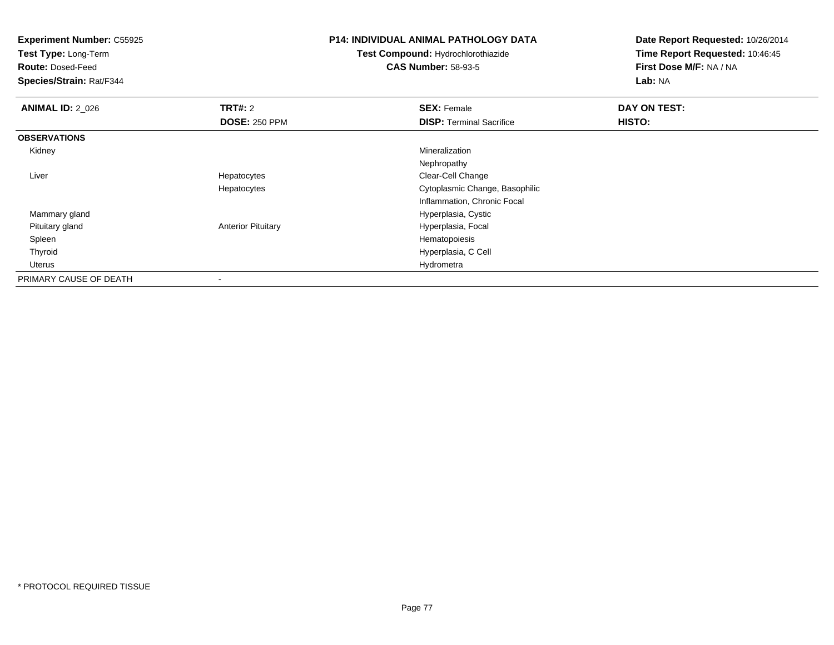| <b>Experiment Number: C55925</b><br>Test Type: Long-Term<br><b>Route: Dosed-Feed</b><br>Species/Strain: Rat/F344 |                                        | <b>P14: INDIVIDUAL ANIMAL PATHOLOGY DATA</b><br>Test Compound: Hydrochlorothiazide<br><b>CAS Number: 58-93-5</b> | Date Report Requested: 10/26/2014<br>Time Report Requested: 10:46:45<br>First Dose M/F: NA / NA<br>Lab: NA |
|------------------------------------------------------------------------------------------------------------------|----------------------------------------|------------------------------------------------------------------------------------------------------------------|------------------------------------------------------------------------------------------------------------|
| <b>ANIMAL ID: 2_026</b>                                                                                          | <b>TRT#: 2</b><br><b>DOSE: 250 PPM</b> | <b>SEX: Female</b><br><b>DISP: Terminal Sacrifice</b>                                                            | DAY ON TEST:<br>HISTO:                                                                                     |
| <b>OBSERVATIONS</b>                                                                                              |                                        |                                                                                                                  |                                                                                                            |
| Kidney                                                                                                           |                                        | Mineralization                                                                                                   |                                                                                                            |
|                                                                                                                  |                                        | Nephropathy                                                                                                      |                                                                                                            |
| Liver                                                                                                            | Hepatocytes                            | Clear-Cell Change                                                                                                |                                                                                                            |
|                                                                                                                  | Hepatocytes                            | Cytoplasmic Change, Basophilic                                                                                   |                                                                                                            |
|                                                                                                                  |                                        | Inflammation, Chronic Focal                                                                                      |                                                                                                            |
| Mammary gland                                                                                                    |                                        | Hyperplasia, Cystic                                                                                              |                                                                                                            |
| Pituitary gland                                                                                                  | <b>Anterior Pituitary</b>              | Hyperplasia, Focal                                                                                               |                                                                                                            |
| Spleen                                                                                                           |                                        | Hematopoiesis                                                                                                    |                                                                                                            |
| Thyroid                                                                                                          |                                        | Hyperplasia, C Cell                                                                                              |                                                                                                            |
| Uterus                                                                                                           |                                        | Hydrometra                                                                                                       |                                                                                                            |
| PRIMARY CAUSE OF DEATH                                                                                           |                                        |                                                                                                                  |                                                                                                            |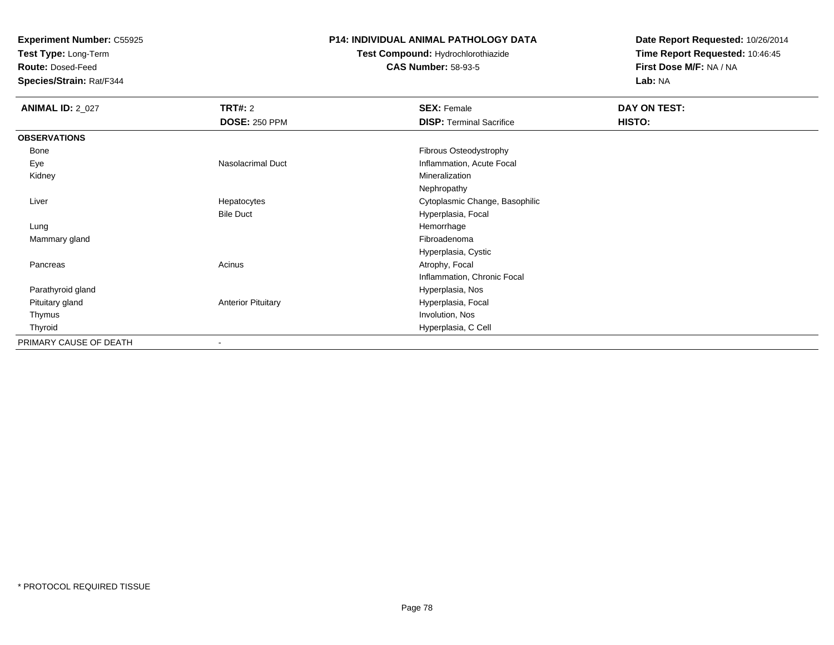**Test Type:** Long-Term

**Route:** Dosed-Feed

**Species/Strain:** Rat/F344

### **P14: INDIVIDUAL ANIMAL PATHOLOGY DATA**

# **Test Compound:** Hydrochlorothiazide**CAS Number:** 58-93-5

| <b>ANIMAL ID: 2_027</b> | TRT#: 2                   | <b>SEX: Female</b>              | DAY ON TEST: |  |
|-------------------------|---------------------------|---------------------------------|--------------|--|
|                         | <b>DOSE: 250 PPM</b>      | <b>DISP: Terminal Sacrifice</b> | HISTO:       |  |
| <b>OBSERVATIONS</b>     |                           |                                 |              |  |
| Bone                    |                           | Fibrous Osteodystrophy          |              |  |
| Eye                     | Nasolacrimal Duct         | Inflammation, Acute Focal       |              |  |
| Kidney                  |                           | Mineralization                  |              |  |
|                         |                           | Nephropathy                     |              |  |
| Liver                   | Hepatocytes               | Cytoplasmic Change, Basophilic  |              |  |
|                         | <b>Bile Duct</b>          | Hyperplasia, Focal              |              |  |
| Lung                    |                           | Hemorrhage                      |              |  |
| Mammary gland           |                           | Fibroadenoma                    |              |  |
|                         |                           | Hyperplasia, Cystic             |              |  |
| Pancreas                | Acinus                    | Atrophy, Focal                  |              |  |
|                         |                           | Inflammation, Chronic Focal     |              |  |
| Parathyroid gland       |                           | Hyperplasia, Nos                |              |  |
| Pituitary gland         | <b>Anterior Pituitary</b> | Hyperplasia, Focal              |              |  |
| Thymus                  |                           | Involution, Nos                 |              |  |
| Thyroid                 |                           | Hyperplasia, C Cell             |              |  |
| PRIMARY CAUSE OF DEATH  | $\overline{\phantom{a}}$  |                                 |              |  |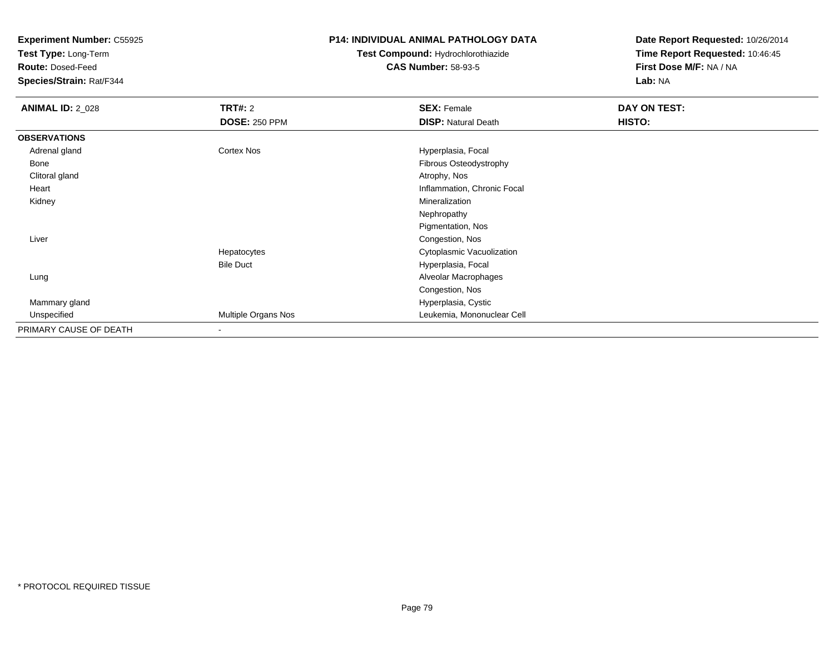**Test Type:** Long-Term

**Route:** Dosed-Feed

**Species/Strain:** Rat/F344

### **P14: INDIVIDUAL ANIMAL PATHOLOGY DATA**

# **Test Compound:** Hydrochlorothiazide**CAS Number:** 58-93-5

| <b>ANIMAL ID: 2_028</b> | <b>TRT#: 2</b>       | <b>SEX: Female</b>          | DAY ON TEST: |  |
|-------------------------|----------------------|-----------------------------|--------------|--|
|                         | <b>DOSE: 250 PPM</b> | <b>DISP: Natural Death</b>  | HISTO:       |  |
| <b>OBSERVATIONS</b>     |                      |                             |              |  |
| Adrenal gland           | <b>Cortex Nos</b>    | Hyperplasia, Focal          |              |  |
| Bone                    |                      | Fibrous Osteodystrophy      |              |  |
| Clitoral gland          |                      | Atrophy, Nos                |              |  |
| Heart                   |                      | Inflammation, Chronic Focal |              |  |
| Kidney                  |                      | Mineralization              |              |  |
|                         |                      | Nephropathy                 |              |  |
|                         |                      | Pigmentation, Nos           |              |  |
| Liver                   |                      | Congestion, Nos             |              |  |
|                         | Hepatocytes          | Cytoplasmic Vacuolization   |              |  |
|                         | <b>Bile Duct</b>     | Hyperplasia, Focal          |              |  |
| Lung                    |                      | Alveolar Macrophages        |              |  |
|                         |                      | Congestion, Nos             |              |  |
| Mammary gland           |                      | Hyperplasia, Cystic         |              |  |
| Unspecified             | Multiple Organs Nos  | Leukemia, Mononuclear Cell  |              |  |
| PRIMARY CAUSE OF DEATH  |                      |                             |              |  |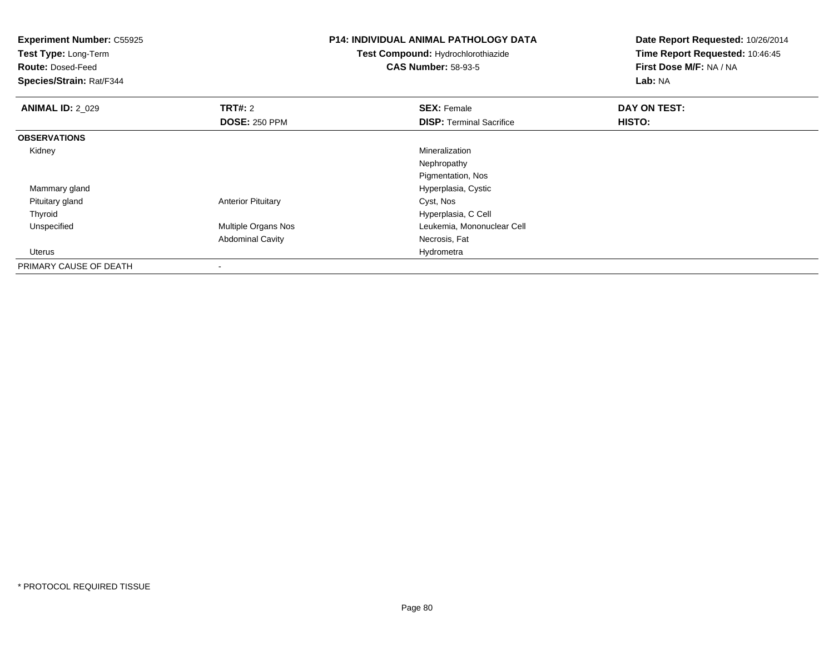| <b>Experiment Number: C55925</b><br>Test Type: Long-Term<br><b>Route: Dosed-Feed</b><br>Species/Strain: Rat/F344 |                           | <b>P14: INDIVIDUAL ANIMAL PATHOLOGY DATA</b><br>Test Compound: Hydrochlorothiazide<br><b>CAS Number: 58-93-5</b> | Date Report Requested: 10/26/2014<br>Time Report Requested: 10:46:45<br>First Dose M/F: NA / NA<br>Lab: NA |
|------------------------------------------------------------------------------------------------------------------|---------------------------|------------------------------------------------------------------------------------------------------------------|------------------------------------------------------------------------------------------------------------|
| <b>ANIMAL ID: 2_029</b>                                                                                          | <b>TRT#: 2</b>            | <b>SEX: Female</b>                                                                                               | DAY ON TEST:                                                                                               |
|                                                                                                                  | <b>DOSE: 250 PPM</b>      | <b>DISP: Terminal Sacrifice</b>                                                                                  | HISTO:                                                                                                     |
| <b>OBSERVATIONS</b>                                                                                              |                           |                                                                                                                  |                                                                                                            |
| Kidney                                                                                                           |                           | Mineralization                                                                                                   |                                                                                                            |
|                                                                                                                  |                           | Nephropathy                                                                                                      |                                                                                                            |
|                                                                                                                  |                           | Pigmentation, Nos                                                                                                |                                                                                                            |
| Mammary gland                                                                                                    |                           | Hyperplasia, Cystic                                                                                              |                                                                                                            |
| Pituitary gland                                                                                                  | <b>Anterior Pituitary</b> | Cyst, Nos                                                                                                        |                                                                                                            |
| Thyroid                                                                                                          |                           | Hyperplasia, C Cell                                                                                              |                                                                                                            |
| Unspecified                                                                                                      | Multiple Organs Nos       | Leukemia, Mononuclear Cell                                                                                       |                                                                                                            |
|                                                                                                                  | <b>Abdominal Cavity</b>   | Necrosis, Fat                                                                                                    |                                                                                                            |
| Uterus                                                                                                           |                           | Hydrometra                                                                                                       |                                                                                                            |
| PRIMARY CAUSE OF DEATH                                                                                           |                           |                                                                                                                  |                                                                                                            |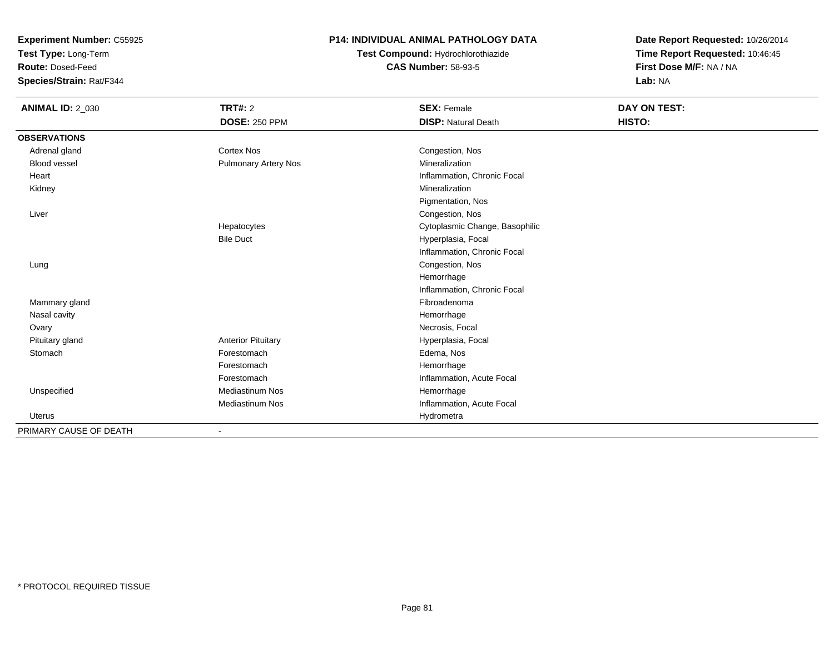**Test Type:** Long-Term

**Route:** Dosed-Feed

**Species/Strain:** Rat/F344

### **P14: INDIVIDUAL ANIMAL PATHOLOGY DATA**

# **Test Compound:** Hydrochlorothiazide**CAS Number:** 58-93-5

| <b>ANIMAL ID: 2_030</b> | <b>TRT#: 2</b>            | <b>SEX: Female</b>             | DAY ON TEST: |  |
|-------------------------|---------------------------|--------------------------------|--------------|--|
|                         | <b>DOSE: 250 PPM</b>      | <b>DISP: Natural Death</b>     | HISTO:       |  |
| <b>OBSERVATIONS</b>     |                           |                                |              |  |
| Adrenal gland           | <b>Cortex Nos</b>         | Congestion, Nos                |              |  |
| Blood vessel            | Pulmonary Artery Nos      | Mineralization                 |              |  |
| Heart                   |                           | Inflammation, Chronic Focal    |              |  |
| Kidney                  |                           | Mineralization                 |              |  |
|                         |                           | Pigmentation, Nos              |              |  |
| Liver                   |                           | Congestion, Nos                |              |  |
|                         | Hepatocytes               | Cytoplasmic Change, Basophilic |              |  |
|                         | <b>Bile Duct</b>          | Hyperplasia, Focal             |              |  |
|                         |                           | Inflammation, Chronic Focal    |              |  |
| Lung                    |                           | Congestion, Nos                |              |  |
|                         |                           | Hemorrhage                     |              |  |
|                         |                           | Inflammation, Chronic Focal    |              |  |
| Mammary gland           |                           | Fibroadenoma                   |              |  |
| Nasal cavity            |                           | Hemorrhage                     |              |  |
| Ovary                   |                           | Necrosis, Focal                |              |  |
| Pituitary gland         | <b>Anterior Pituitary</b> | Hyperplasia, Focal             |              |  |
| Stomach                 | Forestomach               | Edema, Nos                     |              |  |
|                         | Forestomach               | Hemorrhage                     |              |  |
|                         | Forestomach               | Inflammation, Acute Focal      |              |  |
| Unspecified             | <b>Mediastinum Nos</b>    | Hemorrhage                     |              |  |
|                         | <b>Mediastinum Nos</b>    | Inflammation, Acute Focal      |              |  |
| <b>Uterus</b>           |                           | Hydrometra                     |              |  |
| PRIMARY CAUSE OF DEATH  |                           |                                |              |  |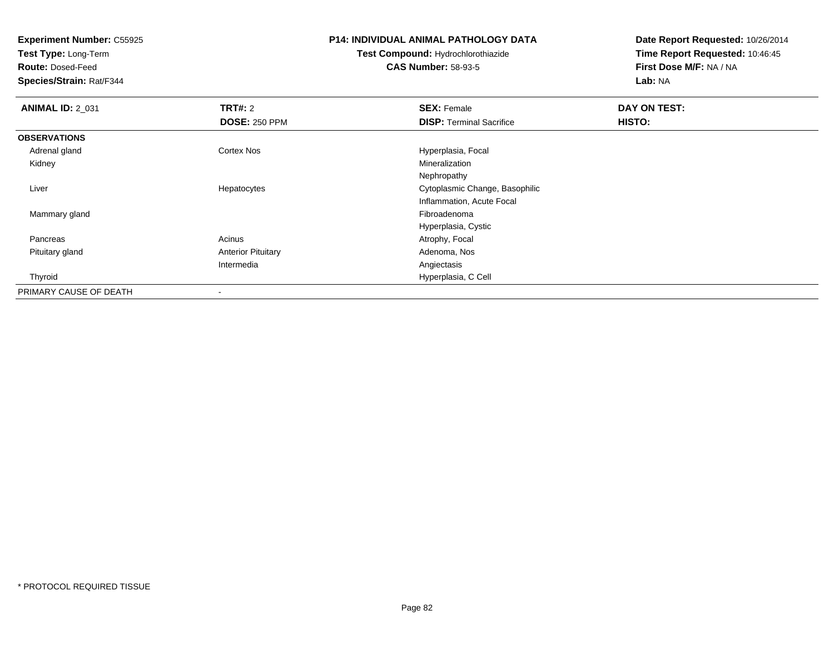**Test Type:** Long-Term

**Route:** Dosed-Feed

**Species/Strain:** Rat/F344

#### **P14: INDIVIDUAL ANIMAL PATHOLOGY DATA**

# **Test Compound:** Hydrochlorothiazide**CAS Number:** 58-93-5

| <b>ANIMAL ID: 2_031</b> | <b>TRT#: 2</b>            | <b>SEX: Female</b>              | DAY ON TEST:  |  |
|-------------------------|---------------------------|---------------------------------|---------------|--|
|                         | <b>DOSE: 250 PPM</b>      | <b>DISP: Terminal Sacrifice</b> | <b>HISTO:</b> |  |
| <b>OBSERVATIONS</b>     |                           |                                 |               |  |
| Adrenal gland           | Cortex Nos                | Hyperplasia, Focal              |               |  |
| Kidney                  |                           | Mineralization                  |               |  |
|                         |                           | Nephropathy                     |               |  |
| Liver                   | Hepatocytes               | Cytoplasmic Change, Basophilic  |               |  |
|                         |                           | Inflammation, Acute Focal       |               |  |
| Mammary gland           |                           | Fibroadenoma                    |               |  |
|                         |                           | Hyperplasia, Cystic             |               |  |
| Pancreas                | Acinus                    | Atrophy, Focal                  |               |  |
| Pituitary gland         | <b>Anterior Pituitary</b> | Adenoma, Nos                    |               |  |
|                         | Intermedia                | Angiectasis                     |               |  |
| Thyroid                 |                           | Hyperplasia, C Cell             |               |  |
| PRIMARY CAUSE OF DEATH  |                           |                                 |               |  |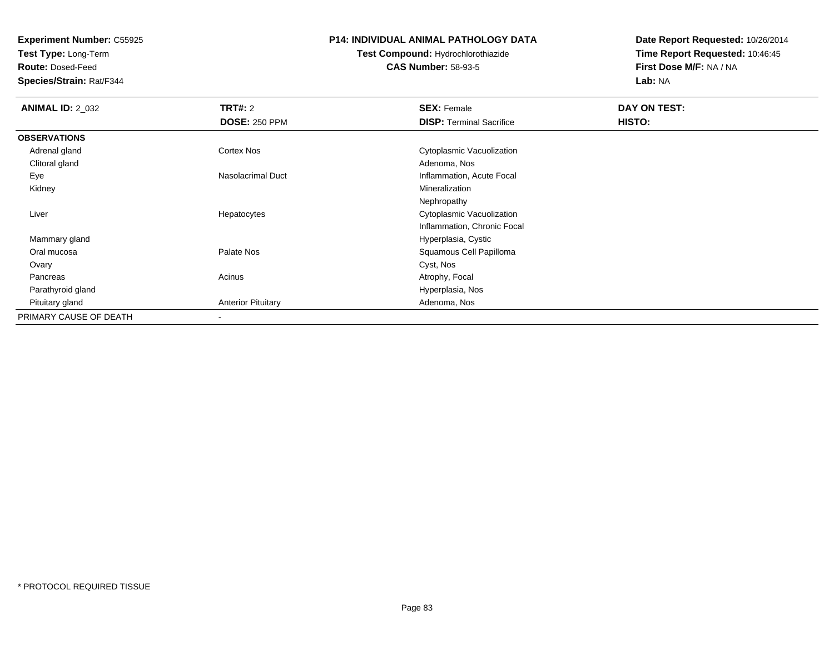**Test Type:** Long-Term

**Route:** Dosed-Feed

**Species/Strain:** Rat/F344

### **P14: INDIVIDUAL ANIMAL PATHOLOGY DATA**

# **Test Compound:** Hydrochlorothiazide**CAS Number:** 58-93-5

| <b>ANIMAL ID: 2_032</b> | <b>TRT#: 2</b>            | <b>SEX: Female</b>              | DAY ON TEST: |  |
|-------------------------|---------------------------|---------------------------------|--------------|--|
|                         | <b>DOSE: 250 PPM</b>      | <b>DISP: Terminal Sacrifice</b> | HISTO:       |  |
| <b>OBSERVATIONS</b>     |                           |                                 |              |  |
| Adrenal gland           | <b>Cortex Nos</b>         | Cytoplasmic Vacuolization       |              |  |
| Clitoral gland          |                           | Adenoma, Nos                    |              |  |
| Eye                     | Nasolacrimal Duct         | Inflammation, Acute Focal       |              |  |
| Kidney                  |                           | Mineralization                  |              |  |
|                         |                           | Nephropathy                     |              |  |
| Liver                   | Hepatocytes               | Cytoplasmic Vacuolization       |              |  |
|                         |                           | Inflammation, Chronic Focal     |              |  |
| Mammary gland           |                           | Hyperplasia, Cystic             |              |  |
| Oral mucosa             | Palate Nos                | Squamous Cell Papilloma         |              |  |
| Ovary                   |                           | Cyst, Nos                       |              |  |
| Pancreas                | Acinus                    | Atrophy, Focal                  |              |  |
| Parathyroid gland       |                           | Hyperplasia, Nos                |              |  |
| Pituitary gland         | <b>Anterior Pituitary</b> | Adenoma, Nos                    |              |  |
| PRIMARY CAUSE OF DEATH  | $\overline{\phantom{a}}$  |                                 |              |  |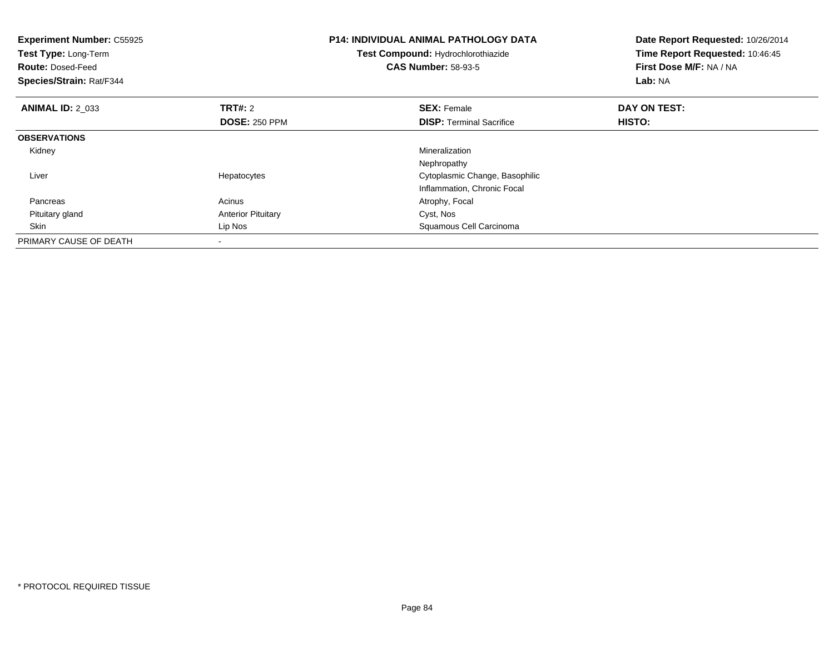| <b>Experiment Number: C55925</b><br>Test Type: Long-Term<br><b>Route: Dosed-Feed</b><br>Species/Strain: Rat/F344 |                                        | <b>P14: INDIVIDUAL ANIMAL PATHOLOGY DATA</b><br>Test Compound: Hydrochlorothiazide<br><b>CAS Number: 58-93-5</b> | Date Report Requested: 10/26/2014<br>Time Report Requested: 10:46:45<br>First Dose M/F: NA / NA<br>Lab: NA |
|------------------------------------------------------------------------------------------------------------------|----------------------------------------|------------------------------------------------------------------------------------------------------------------|------------------------------------------------------------------------------------------------------------|
| <b>ANIMAL ID: 2 033</b>                                                                                          | <b>TRT#: 2</b><br><b>DOSE: 250 PPM</b> | <b>SEX: Female</b><br><b>DISP:</b> Terminal Sacrifice                                                            | DAY ON TEST:<br><b>HISTO:</b>                                                                              |
| <b>OBSERVATIONS</b>                                                                                              |                                        |                                                                                                                  |                                                                                                            |
| Kidney                                                                                                           |                                        | Mineralization<br>Nephropathy                                                                                    |                                                                                                            |
| Liver                                                                                                            | Hepatocytes                            | Cytoplasmic Change, Basophilic<br>Inflammation, Chronic Focal                                                    |                                                                                                            |
| Pancreas                                                                                                         | Acinus                                 | Atrophy, Focal                                                                                                   |                                                                                                            |
| Pituitary gland                                                                                                  | <b>Anterior Pituitary</b>              | Cyst, Nos                                                                                                        |                                                                                                            |
| Skin                                                                                                             | Lip Nos                                | Squamous Cell Carcinoma                                                                                          |                                                                                                            |
| PRIMARY CAUSE OF DEATH                                                                                           |                                        |                                                                                                                  |                                                                                                            |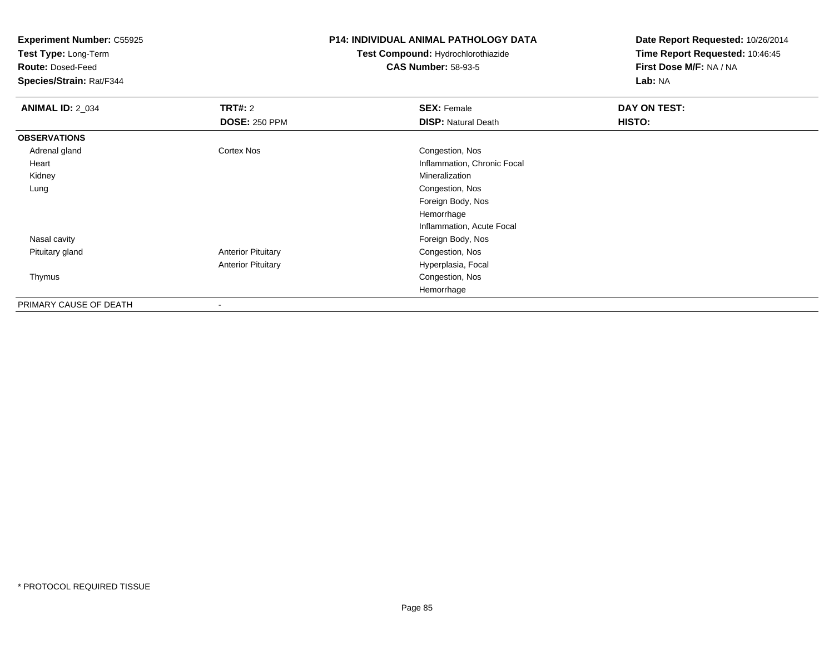**Test Type:** Long-Term

**Route:** Dosed-Feed

**Species/Strain:** Rat/F344

### **P14: INDIVIDUAL ANIMAL PATHOLOGY DATA**

# **Test Compound:** Hydrochlorothiazide**CAS Number:** 58-93-5

| <b>ANIMAL ID: 2_034</b> | <b>TRT#: 2</b>            | <b>SEX: Female</b>          | DAY ON TEST: |  |
|-------------------------|---------------------------|-----------------------------|--------------|--|
|                         | <b>DOSE: 250 PPM</b>      | <b>DISP:</b> Natural Death  | HISTO:       |  |
| <b>OBSERVATIONS</b>     |                           |                             |              |  |
| Adrenal gland           | Cortex Nos                | Congestion, Nos             |              |  |
| Heart                   |                           | Inflammation, Chronic Focal |              |  |
| Kidney                  |                           | Mineralization              |              |  |
| Lung                    |                           | Congestion, Nos             |              |  |
|                         |                           | Foreign Body, Nos           |              |  |
|                         |                           | Hemorrhage                  |              |  |
|                         |                           | Inflammation, Acute Focal   |              |  |
| Nasal cavity            |                           | Foreign Body, Nos           |              |  |
| Pituitary gland         | <b>Anterior Pituitary</b> | Congestion, Nos             |              |  |
|                         | <b>Anterior Pituitary</b> | Hyperplasia, Focal          |              |  |
| Thymus                  |                           | Congestion, Nos             |              |  |
|                         |                           | Hemorrhage                  |              |  |
| PRIMARY CAUSE OF DEATH  |                           |                             |              |  |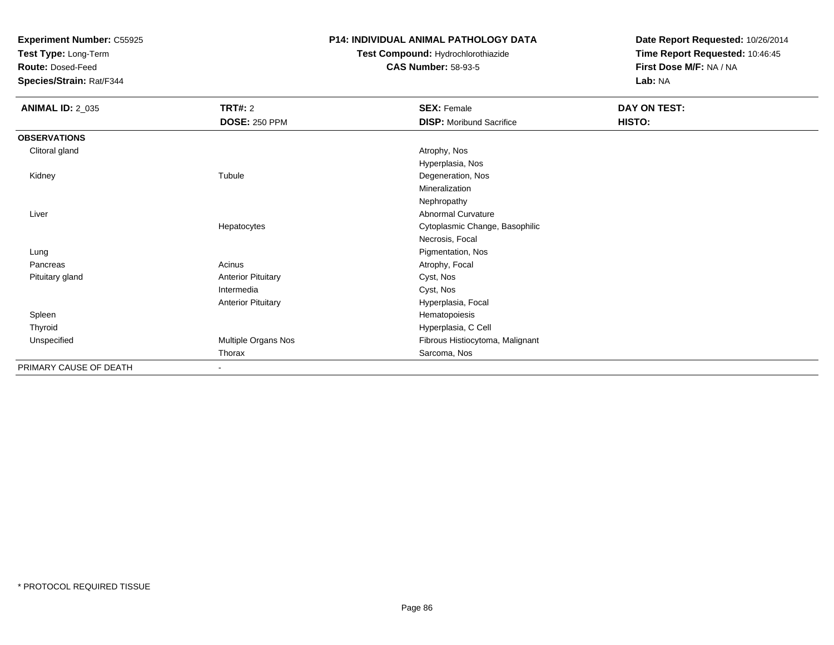**Test Type:** Long-Term

**Route:** Dosed-Feed

**Species/Strain:** Rat/F344

## **P14: INDIVIDUAL ANIMAL PATHOLOGY DATA**

# **Test Compound:** Hydrochlorothiazide**CAS Number:** 58-93-5

| <b>ANIMAL ID: 2_035</b> | TRT#: 2                   | <b>SEX: Female</b>              | DAY ON TEST: |  |
|-------------------------|---------------------------|---------------------------------|--------------|--|
|                         | <b>DOSE: 250 PPM</b>      | <b>DISP:</b> Moribund Sacrifice | HISTO:       |  |
| <b>OBSERVATIONS</b>     |                           |                                 |              |  |
| Clitoral gland          |                           | Atrophy, Nos                    |              |  |
|                         |                           | Hyperplasia, Nos                |              |  |
| Kidney                  | Tubule                    | Degeneration, Nos               |              |  |
|                         |                           | Mineralization                  |              |  |
|                         |                           | Nephropathy                     |              |  |
| Liver                   |                           | Abnormal Curvature              |              |  |
|                         | Hepatocytes               | Cytoplasmic Change, Basophilic  |              |  |
|                         |                           | Necrosis, Focal                 |              |  |
| Lung                    |                           | Pigmentation, Nos               |              |  |
| Pancreas                | Acinus                    | Atrophy, Focal                  |              |  |
| Pituitary gland         | <b>Anterior Pituitary</b> | Cyst, Nos                       |              |  |
|                         | Intermedia                | Cyst, Nos                       |              |  |
|                         | <b>Anterior Pituitary</b> | Hyperplasia, Focal              |              |  |
| Spleen                  |                           | Hematopoiesis                   |              |  |
| Thyroid                 |                           | Hyperplasia, C Cell             |              |  |
| Unspecified             | Multiple Organs Nos       | Fibrous Histiocytoma, Malignant |              |  |
|                         | Thorax                    | Sarcoma, Nos                    |              |  |
| PRIMARY CAUSE OF DEATH  | $\overline{\phantom{a}}$  |                                 |              |  |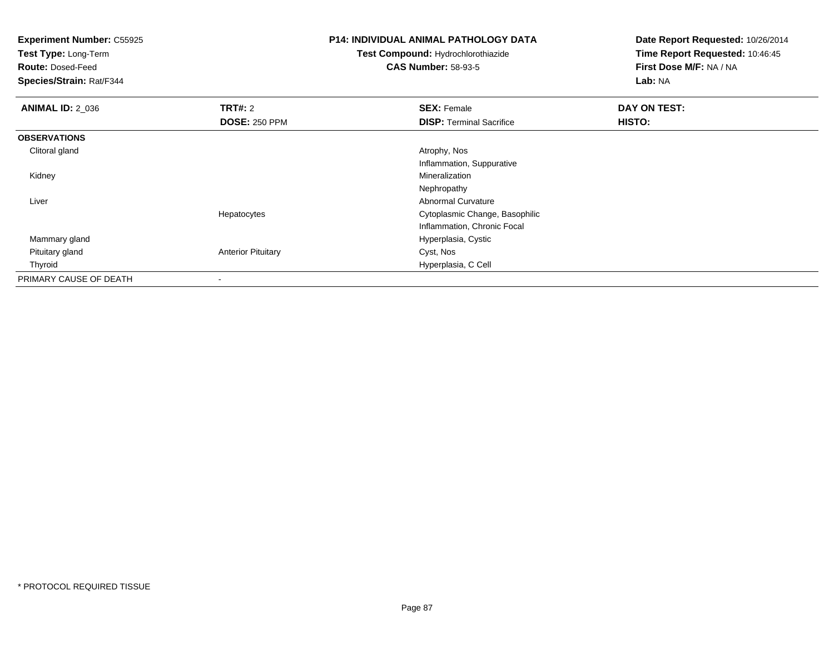**Test Type:** Long-Term

**Route:** Dosed-Feed

**Species/Strain:** Rat/F344

### **P14: INDIVIDUAL ANIMAL PATHOLOGY DATA**

**Test Compound:** Hydrochlorothiazide**CAS Number:** 58-93-5

| <b>ANIMAL ID: 2_036</b> | <b>TRT#: 2</b>            | <b>SEX: Female</b>              | DAY ON TEST: |  |
|-------------------------|---------------------------|---------------------------------|--------------|--|
|                         | <b>DOSE: 250 PPM</b>      | <b>DISP: Terminal Sacrifice</b> | HISTO:       |  |
| <b>OBSERVATIONS</b>     |                           |                                 |              |  |
| Clitoral gland          |                           | Atrophy, Nos                    |              |  |
|                         |                           | Inflammation, Suppurative       |              |  |
| Kidney                  |                           | Mineralization                  |              |  |
|                         |                           | Nephropathy                     |              |  |
| Liver                   |                           | <b>Abnormal Curvature</b>       |              |  |
|                         | Hepatocytes               | Cytoplasmic Change, Basophilic  |              |  |
|                         |                           | Inflammation, Chronic Focal     |              |  |
| Mammary gland           |                           | Hyperplasia, Cystic             |              |  |
| Pituitary gland         | <b>Anterior Pituitary</b> | Cyst, Nos                       |              |  |
| Thyroid                 |                           | Hyperplasia, C Cell             |              |  |
| PRIMARY CAUSE OF DEATH  |                           |                                 |              |  |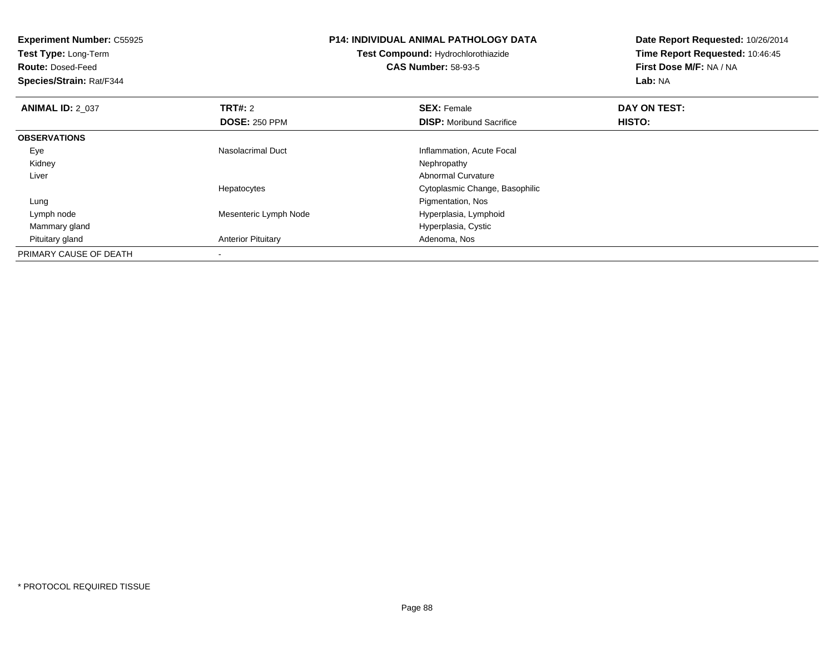| <b>Experiment Number: C55925</b><br>Test Type: Long-Term |                           | <b>P14: INDIVIDUAL ANIMAL PATHOLOGY DATA</b><br><b>Test Compound: Hydrochlorothiazide</b> | Date Report Requested: 10/26/2014<br>Time Report Requested: 10:46:45 |
|----------------------------------------------------------|---------------------------|-------------------------------------------------------------------------------------------|----------------------------------------------------------------------|
| <b>Route: Dosed-Feed</b>                                 |                           | <b>CAS Number: 58-93-5</b>                                                                | First Dose M/F: NA / NA                                              |
| Species/Strain: Rat/F344                                 |                           |                                                                                           | Lab: NA                                                              |
| <b>ANIMAL ID: 2 037</b>                                  | <b>TRT#: 2</b>            | <b>SEX: Female</b>                                                                        | DAY ON TEST:                                                         |
|                                                          | <b>DOSE: 250 PPM</b>      | <b>DISP:</b> Moribund Sacrifice                                                           | HISTO:                                                               |
| <b>OBSERVATIONS</b>                                      |                           |                                                                                           |                                                                      |
| Eye                                                      | <b>Nasolacrimal Duct</b>  | Inflammation, Acute Focal                                                                 |                                                                      |
| Kidney                                                   |                           | Nephropathy                                                                               |                                                                      |
| Liver                                                    |                           | Abnormal Curvature                                                                        |                                                                      |
|                                                          | Hepatocytes               | Cytoplasmic Change, Basophilic                                                            |                                                                      |
| Lung                                                     |                           | Pigmentation, Nos                                                                         |                                                                      |
| Lymph node                                               | Mesenteric Lymph Node     | Hyperplasia, Lymphoid                                                                     |                                                                      |
| Mammary gland                                            |                           | Hyperplasia, Cystic                                                                       |                                                                      |
| Pituitary gland                                          | <b>Anterior Pituitary</b> | Adenoma, Nos                                                                              |                                                                      |
| PRIMARY CAUSE OF DEATH                                   |                           |                                                                                           |                                                                      |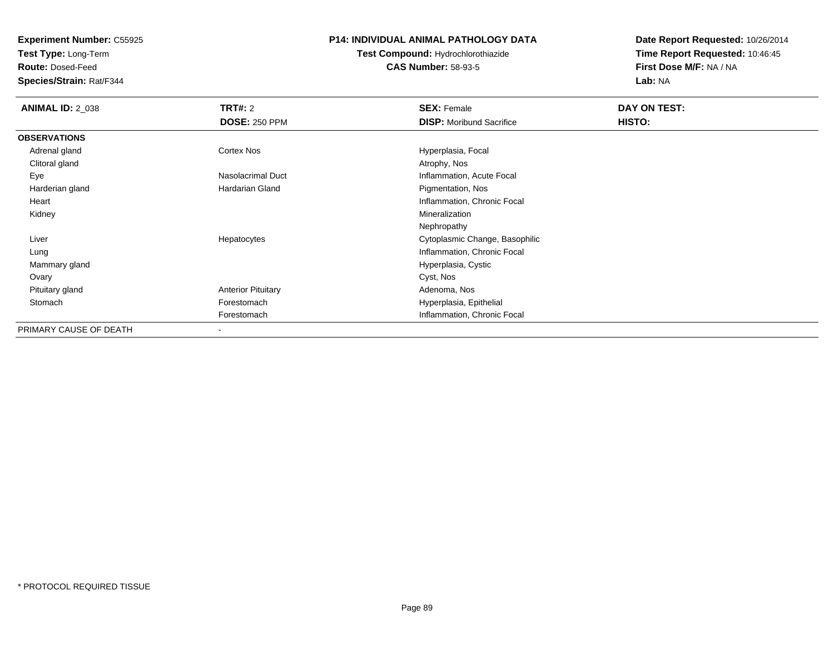**Test Type:** Long-Term

**Route:** Dosed-Feed

**Species/Strain:** Rat/F344

### **P14: INDIVIDUAL ANIMAL PATHOLOGY DATA**

# **Test Compound:** Hydrochlorothiazide**CAS Number:** 58-93-5

| <b>ANIMAL ID: 2_038</b> | <b>TRT#: 2</b>            | <b>SEX: Female</b>              | DAY ON TEST: |  |
|-------------------------|---------------------------|---------------------------------|--------------|--|
|                         | <b>DOSE: 250 PPM</b>      | <b>DISP:</b> Moribund Sacrifice | HISTO:       |  |
| <b>OBSERVATIONS</b>     |                           |                                 |              |  |
| Adrenal gland           | Cortex Nos                | Hyperplasia, Focal              |              |  |
| Clitoral gland          |                           | Atrophy, Nos                    |              |  |
| Eye                     | Nasolacrimal Duct         | Inflammation, Acute Focal       |              |  |
| Harderian gland         | Hardarian Gland           | Pigmentation, Nos               |              |  |
| Heart                   |                           | Inflammation, Chronic Focal     |              |  |
| Kidney                  |                           | Mineralization                  |              |  |
|                         |                           | Nephropathy                     |              |  |
| Liver                   | Hepatocytes               | Cytoplasmic Change, Basophilic  |              |  |
| Lung                    |                           | Inflammation, Chronic Focal     |              |  |
| Mammary gland           |                           | Hyperplasia, Cystic             |              |  |
| Ovary                   |                           | Cyst, Nos                       |              |  |
| Pituitary gland         | <b>Anterior Pituitary</b> | Adenoma, Nos                    |              |  |
| Stomach                 | Forestomach               | Hyperplasia, Epithelial         |              |  |
|                         | Forestomach               | Inflammation, Chronic Focal     |              |  |
| PRIMARY CAUSE OF DEATH  | $\overline{\phantom{a}}$  |                                 |              |  |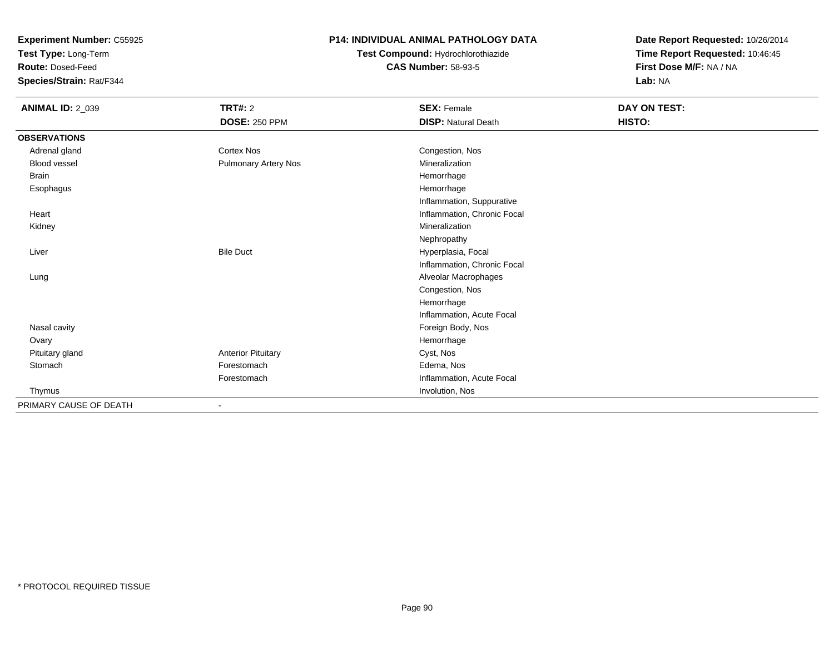**Test Type:** Long-Term

**Route:** Dosed-Feed

**Species/Strain:** Rat/F344

## **P14: INDIVIDUAL ANIMAL PATHOLOGY DATA**

# **Test Compound:** Hydrochlorothiazide**CAS Number:** 58-93-5

| <b>ANIMAL ID: 2_039</b> | <b>TRT#: 2</b>              | <b>SEX: Female</b>          | DAY ON TEST: |  |
|-------------------------|-----------------------------|-----------------------------|--------------|--|
|                         | <b>DOSE: 250 PPM</b>        | <b>DISP: Natural Death</b>  | HISTO:       |  |
| <b>OBSERVATIONS</b>     |                             |                             |              |  |
| Adrenal gland           | Cortex Nos                  | Congestion, Nos             |              |  |
| Blood vessel            | <b>Pulmonary Artery Nos</b> | Mineralization              |              |  |
| <b>Brain</b>            |                             | Hemorrhage                  |              |  |
| Esophagus               |                             | Hemorrhage                  |              |  |
|                         |                             | Inflammation, Suppurative   |              |  |
| Heart                   |                             | Inflammation, Chronic Focal |              |  |
| Kidney                  |                             | Mineralization              |              |  |
|                         |                             | Nephropathy                 |              |  |
| Liver                   | <b>Bile Duct</b>            | Hyperplasia, Focal          |              |  |
|                         |                             | Inflammation, Chronic Focal |              |  |
| Lung                    |                             | Alveolar Macrophages        |              |  |
|                         |                             | Congestion, Nos             |              |  |
|                         |                             | Hemorrhage                  |              |  |
|                         |                             | Inflammation, Acute Focal   |              |  |
| Nasal cavity            |                             | Foreign Body, Nos           |              |  |
| Ovary                   |                             | Hemorrhage                  |              |  |
| Pituitary gland         | <b>Anterior Pituitary</b>   | Cyst, Nos                   |              |  |
| Stomach                 | Forestomach                 | Edema, Nos                  |              |  |
|                         | Forestomach                 | Inflammation, Acute Focal   |              |  |
| Thymus                  |                             | Involution, Nos             |              |  |
| PRIMARY CAUSE OF DEATH  | $\overline{\phantom{a}}$    |                             |              |  |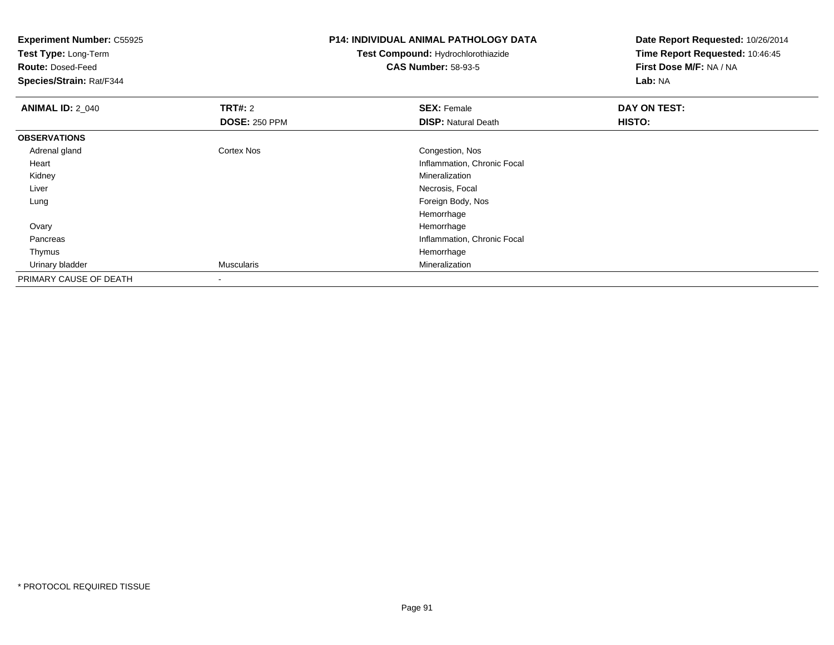| <b>Experiment Number: C55925</b>                 |                      | <b>P14: INDIVIDUAL ANIMAL PATHOLOGY DATA</b> | Date Report Requested: 10/26/2014 |
|--------------------------------------------------|----------------------|----------------------------------------------|-----------------------------------|
| Test Type: Long-Term<br><b>Route: Dosed-Feed</b> |                      | Test Compound: Hydrochlorothiazide           | Time Report Requested: 10:46:45   |
|                                                  |                      | <b>CAS Number: 58-93-5</b>                   | First Dose M/F: NA / NA           |
| Species/Strain: Rat/F344                         |                      |                                              | Lab: NA                           |
| <b>ANIMAL ID: 2_040</b>                          | <b>TRT#: 2</b>       | <b>SEX: Female</b>                           | DAY ON TEST:                      |
|                                                  | <b>DOSE: 250 PPM</b> | <b>DISP: Natural Death</b>                   | HISTO:                            |
| <b>OBSERVATIONS</b>                              |                      |                                              |                                   |
| Adrenal gland                                    | <b>Cortex Nos</b>    | Congestion, Nos                              |                                   |
| Heart                                            |                      | Inflammation, Chronic Focal                  |                                   |
| Kidney                                           |                      | Mineralization                               |                                   |
| Liver                                            |                      | Necrosis, Focal                              |                                   |
| Lung                                             |                      | Foreign Body, Nos                            |                                   |
|                                                  |                      | Hemorrhage                                   |                                   |
| Ovary                                            |                      | Hemorrhage                                   |                                   |
| Pancreas                                         |                      | Inflammation, Chronic Focal                  |                                   |
| Thymus                                           |                      | Hemorrhage                                   |                                   |
| Urinary bladder                                  | <b>Muscularis</b>    | Mineralization                               |                                   |
| PRIMARY CAUSE OF DEATH                           |                      |                                              |                                   |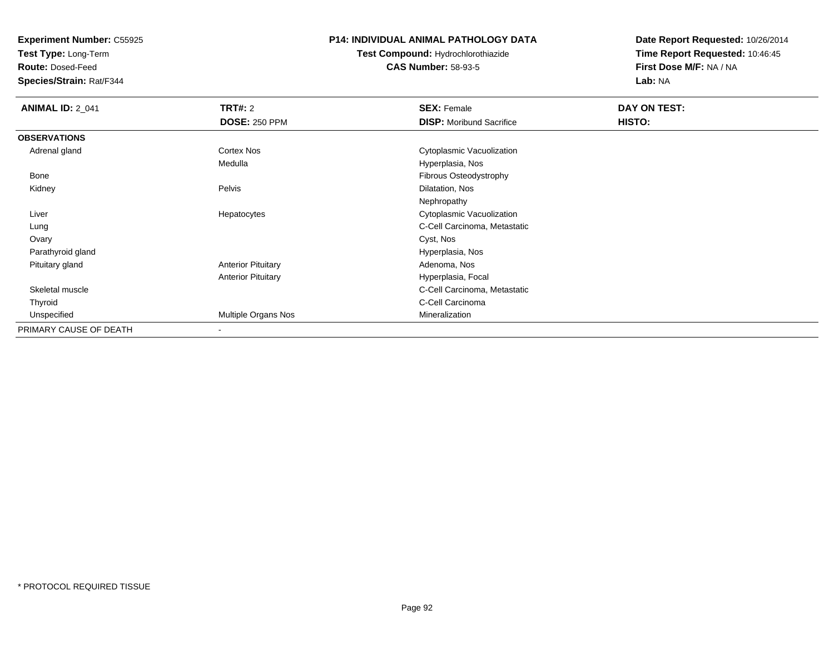**Test Type:** Long-Term

**Route:** Dosed-Feed

**Species/Strain:** Rat/F344

### **P14: INDIVIDUAL ANIMAL PATHOLOGY DATA**

**Test Compound:** Hydrochlorothiazide**CAS Number:** 58-93-5

| <b>ANIMAL ID: 2_041</b> | <b>TRT#: 2</b>            | <b>SEX: Female</b>              | DAY ON TEST: |  |
|-------------------------|---------------------------|---------------------------------|--------------|--|
|                         | <b>DOSE: 250 PPM</b>      | <b>DISP:</b> Moribund Sacrifice | HISTO:       |  |
| <b>OBSERVATIONS</b>     |                           |                                 |              |  |
| Adrenal gland           | Cortex Nos                | Cytoplasmic Vacuolization       |              |  |
|                         | Medulla                   | Hyperplasia, Nos                |              |  |
| Bone                    |                           | Fibrous Osteodystrophy          |              |  |
| Kidney                  | Pelvis                    | Dilatation, Nos                 |              |  |
|                         |                           | Nephropathy                     |              |  |
| Liver                   | Hepatocytes               | Cytoplasmic Vacuolization       |              |  |
| Lung                    |                           | C-Cell Carcinoma, Metastatic    |              |  |
| Ovary                   |                           | Cyst, Nos                       |              |  |
| Parathyroid gland       |                           | Hyperplasia, Nos                |              |  |
| Pituitary gland         | <b>Anterior Pituitary</b> | Adenoma, Nos                    |              |  |
|                         | <b>Anterior Pituitary</b> | Hyperplasia, Focal              |              |  |
| Skeletal muscle         |                           | C-Cell Carcinoma, Metastatic    |              |  |
| Thyroid                 |                           | C-Cell Carcinoma                |              |  |
| Unspecified             | Multiple Organs Nos       | Mineralization                  |              |  |
| PRIMARY CAUSE OF DEATH  | $\overline{\phantom{a}}$  |                                 |              |  |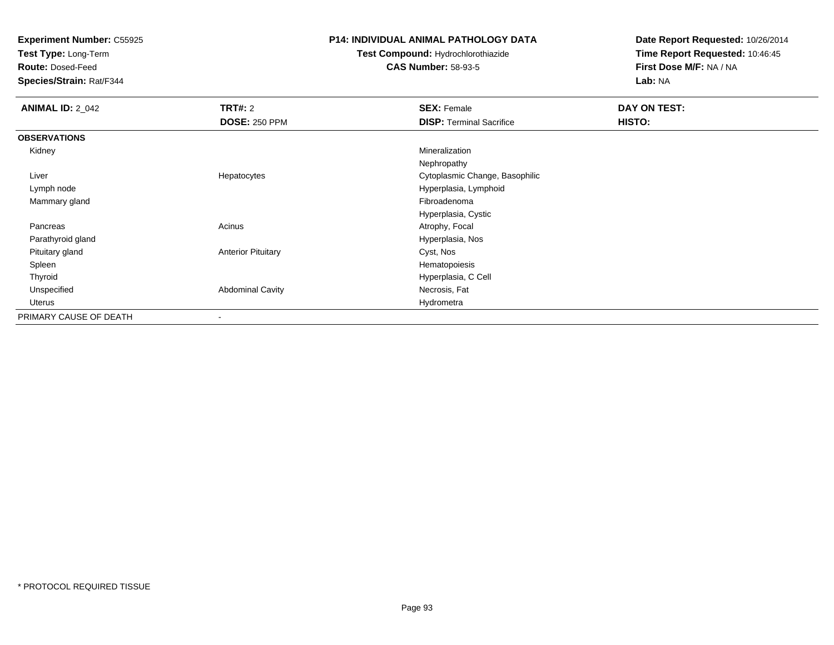**Test Type:** Long-Term

**Route:** Dosed-Feed

**Species/Strain:** Rat/F344

### **P14: INDIVIDUAL ANIMAL PATHOLOGY DATA**

# **Test Compound:** Hydrochlorothiazide**CAS Number:** 58-93-5

| <b>ANIMAL ID: 2_042</b> | <b>TRT#: 2</b>            | <b>SEX: Female</b>              | DAY ON TEST: |  |
|-------------------------|---------------------------|---------------------------------|--------------|--|
|                         | <b>DOSE: 250 PPM</b>      | <b>DISP: Terminal Sacrifice</b> | HISTO:       |  |
| <b>OBSERVATIONS</b>     |                           |                                 |              |  |
| Kidney                  |                           | Mineralization                  |              |  |
|                         |                           | Nephropathy                     |              |  |
| Liver                   | Hepatocytes               | Cytoplasmic Change, Basophilic  |              |  |
| Lymph node              |                           | Hyperplasia, Lymphoid           |              |  |
| Mammary gland           |                           | Fibroadenoma                    |              |  |
|                         |                           | Hyperplasia, Cystic             |              |  |
| Pancreas                | Acinus                    | Atrophy, Focal                  |              |  |
| Parathyroid gland       |                           | Hyperplasia, Nos                |              |  |
| Pituitary gland         | <b>Anterior Pituitary</b> | Cyst, Nos                       |              |  |
| Spleen                  |                           | Hematopoiesis                   |              |  |
| Thyroid                 |                           | Hyperplasia, C Cell             |              |  |
| Unspecified             | <b>Abdominal Cavity</b>   | Necrosis, Fat                   |              |  |
| Uterus                  |                           | Hydrometra                      |              |  |
| PRIMARY CAUSE OF DEATH  | $\overline{\phantom{a}}$  |                                 |              |  |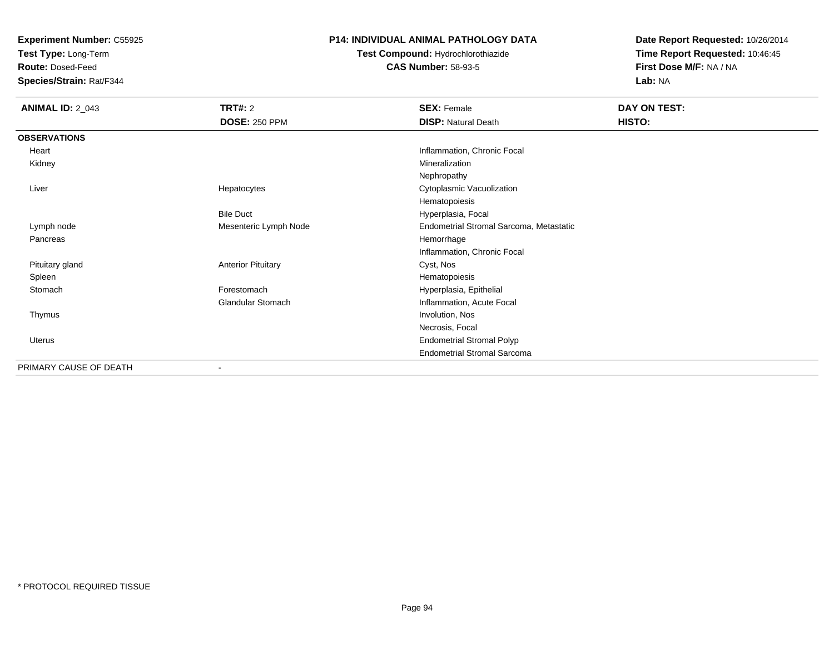**Test Type:** Long-Term

**Route:** Dosed-Feed

**Species/Strain:** Rat/F344

## **P14: INDIVIDUAL ANIMAL PATHOLOGY DATA**

**Test Compound:** Hydrochlorothiazide**CAS Number:** 58-93-5

| <b>ANIMAL ID: 2_043</b> | TRT#: 2                   | <b>SEX: Female</b>                      | DAY ON TEST: |
|-------------------------|---------------------------|-----------------------------------------|--------------|
|                         | <b>DOSE: 250 PPM</b>      | <b>DISP: Natural Death</b>              | HISTO:       |
| <b>OBSERVATIONS</b>     |                           |                                         |              |
| Heart                   |                           | Inflammation, Chronic Focal             |              |
| Kidney                  |                           | Mineralization                          |              |
|                         |                           | Nephropathy                             |              |
| Liver                   | Hepatocytes               | Cytoplasmic Vacuolization               |              |
|                         |                           | Hematopoiesis                           |              |
|                         | <b>Bile Duct</b>          | Hyperplasia, Focal                      |              |
| Lymph node              | Mesenteric Lymph Node     | Endometrial Stromal Sarcoma, Metastatic |              |
| Pancreas                |                           | Hemorrhage                              |              |
|                         |                           | Inflammation, Chronic Focal             |              |
| Pituitary gland         | <b>Anterior Pituitary</b> | Cyst, Nos                               |              |
| Spleen                  |                           | Hematopoiesis                           |              |
| Stomach                 | Forestomach               | Hyperplasia, Epithelial                 |              |
|                         | <b>Glandular Stomach</b>  | Inflammation, Acute Focal               |              |
| Thymus                  |                           | Involution, Nos                         |              |
|                         |                           | Necrosis, Focal                         |              |
| Uterus                  |                           | <b>Endometrial Stromal Polyp</b>        |              |
|                         |                           | <b>Endometrial Stromal Sarcoma</b>      |              |
| PRIMARY CAUSE OF DEATH  | $\blacksquare$            |                                         |              |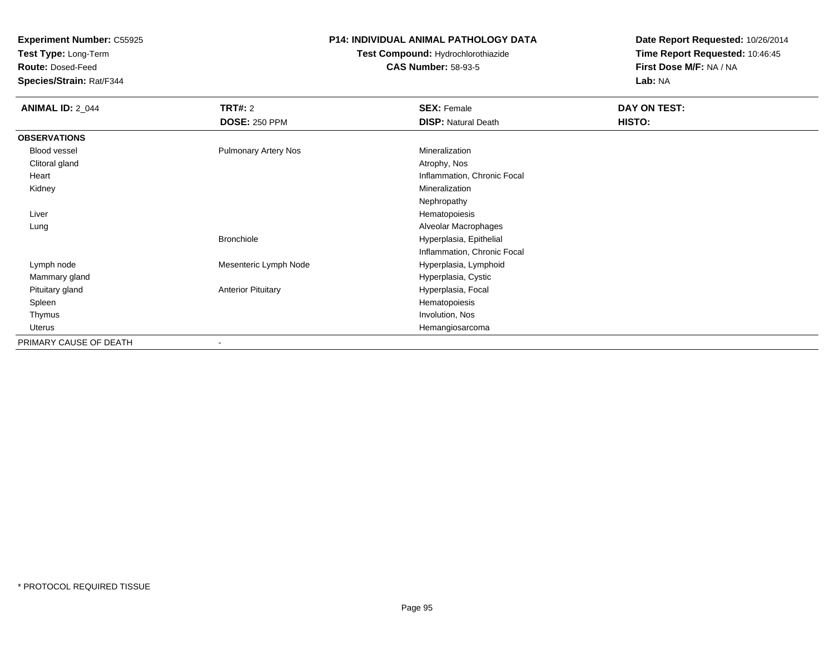**Test Type:** Long-Term

**Route:** Dosed-Feed

**Species/Strain:** Rat/F344

### **P14: INDIVIDUAL ANIMAL PATHOLOGY DATA**

# **Test Compound:** Hydrochlorothiazide**CAS Number:** 58-93-5

| <b>ANIMAL ID: 2_044</b> | <b>TRT#: 2</b>              | <b>SEX: Female</b>          | DAY ON TEST: |  |
|-------------------------|-----------------------------|-----------------------------|--------------|--|
|                         | <b>DOSE: 250 PPM</b>        | <b>DISP: Natural Death</b>  | HISTO:       |  |
| <b>OBSERVATIONS</b>     |                             |                             |              |  |
| Blood vessel            | <b>Pulmonary Artery Nos</b> | Mineralization              |              |  |
| Clitoral gland          |                             | Atrophy, Nos                |              |  |
| Heart                   |                             | Inflammation, Chronic Focal |              |  |
| Kidney                  |                             | Mineralization              |              |  |
|                         |                             | Nephropathy                 |              |  |
| Liver                   |                             | Hematopoiesis               |              |  |
| Lung                    |                             | Alveolar Macrophages        |              |  |
|                         | <b>Bronchiole</b>           | Hyperplasia, Epithelial     |              |  |
|                         |                             | Inflammation, Chronic Focal |              |  |
| Lymph node              | Mesenteric Lymph Node       | Hyperplasia, Lymphoid       |              |  |
| Mammary gland           |                             | Hyperplasia, Cystic         |              |  |
| Pituitary gland         | <b>Anterior Pituitary</b>   | Hyperplasia, Focal          |              |  |
| Spleen                  |                             | Hematopoiesis               |              |  |
| Thymus                  |                             | Involution, Nos             |              |  |
| Uterus                  |                             | Hemangiosarcoma             |              |  |
| PRIMARY CAUSE OF DEATH  |                             |                             |              |  |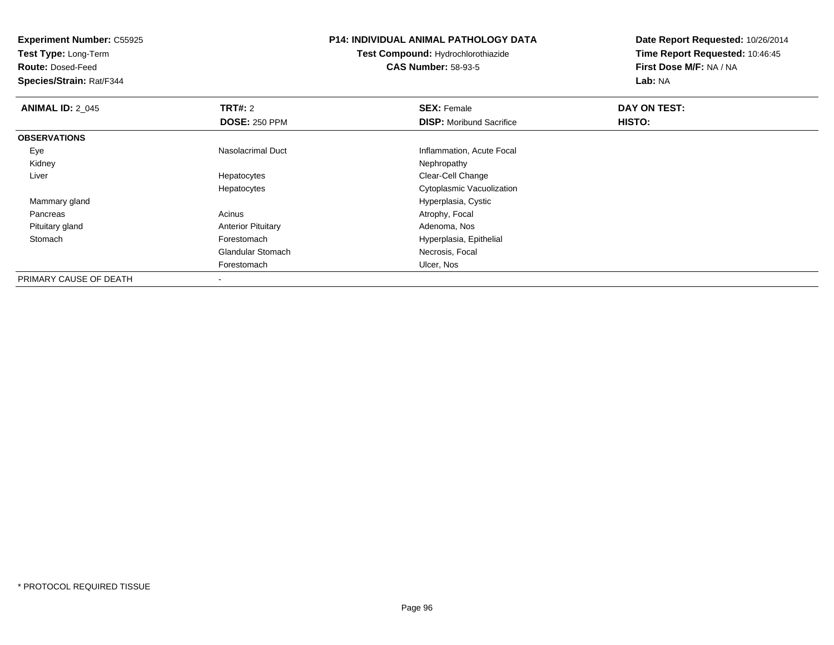**Test Type:** Long-Term

**Route:** Dosed-Feed

**Species/Strain:** Rat/F344

### **P14: INDIVIDUAL ANIMAL PATHOLOGY DATA**

**Test Compound:** Hydrochlorothiazide**CAS Number:** 58-93-5

| <b>ANIMAL ID: 2 045</b> | TRT#: 2                   | <b>SEX: Female</b>              | DAY ON TEST: |  |
|-------------------------|---------------------------|---------------------------------|--------------|--|
|                         | <b>DOSE: 250 PPM</b>      | <b>DISP:</b> Moribund Sacrifice | HISTO:       |  |
| <b>OBSERVATIONS</b>     |                           |                                 |              |  |
| Eye                     | Nasolacrimal Duct         | Inflammation, Acute Focal       |              |  |
| Kidney                  |                           | Nephropathy                     |              |  |
| Liver                   | Hepatocytes               | Clear-Cell Change               |              |  |
|                         | Hepatocytes               | Cytoplasmic Vacuolization       |              |  |
| Mammary gland           |                           | Hyperplasia, Cystic             |              |  |
| Pancreas                | Acinus                    | Atrophy, Focal                  |              |  |
| Pituitary gland         | <b>Anterior Pituitary</b> | Adenoma, Nos                    |              |  |
| Stomach                 | Forestomach               | Hyperplasia, Epithelial         |              |  |
|                         | <b>Glandular Stomach</b>  | Necrosis, Focal                 |              |  |
|                         | Forestomach               | Ulcer, Nos                      |              |  |
| PRIMARY CAUSE OF DEATH  | $\overline{\phantom{a}}$  |                                 |              |  |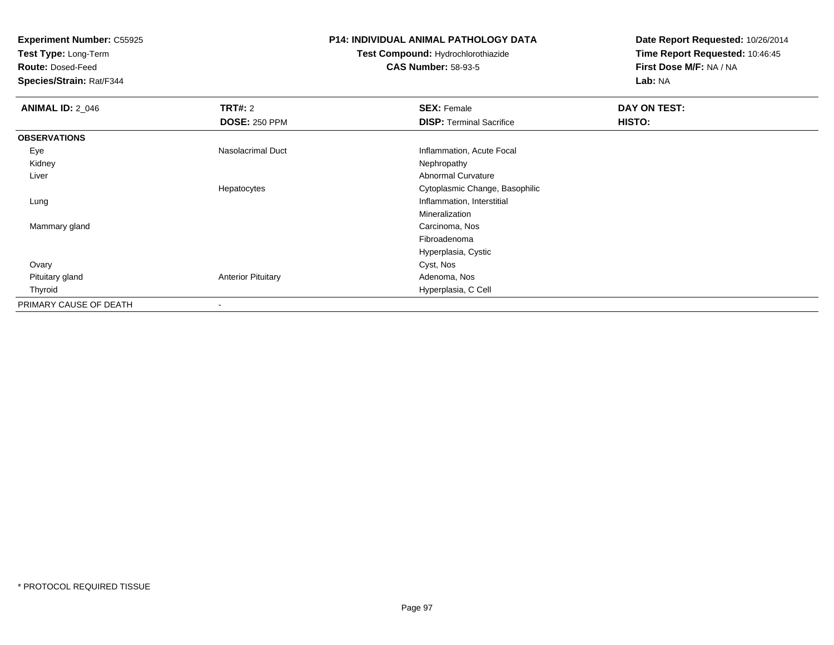**Test Type:** Long-Term

**Route:** Dosed-Feed

**Species/Strain:** Rat/F344

### **P14: INDIVIDUAL ANIMAL PATHOLOGY DATA**

# **Test Compound:** Hydrochlorothiazide**CAS Number:** 58-93-5

| <b>ANIMAL ID: 2_046</b> | TRT#: 2                   | <b>SEX: Female</b>              | DAY ON TEST: |  |
|-------------------------|---------------------------|---------------------------------|--------------|--|
|                         | <b>DOSE: 250 PPM</b>      | <b>DISP: Terminal Sacrifice</b> | HISTO:       |  |
| <b>OBSERVATIONS</b>     |                           |                                 |              |  |
| Eye                     | Nasolacrimal Duct         | Inflammation, Acute Focal       |              |  |
| Kidney                  |                           | Nephropathy                     |              |  |
| Liver                   |                           | Abnormal Curvature              |              |  |
|                         | Hepatocytes               | Cytoplasmic Change, Basophilic  |              |  |
| Lung                    |                           | Inflammation, Interstitial      |              |  |
|                         |                           | Mineralization                  |              |  |
| Mammary gland           |                           | Carcinoma, Nos                  |              |  |
|                         |                           | Fibroadenoma                    |              |  |
|                         |                           | Hyperplasia, Cystic             |              |  |
| Ovary                   |                           | Cyst, Nos                       |              |  |
| Pituitary gland         | <b>Anterior Pituitary</b> | Adenoma, Nos                    |              |  |
| Thyroid                 |                           | Hyperplasia, C Cell             |              |  |
| PRIMARY CAUSE OF DEATH  | $\overline{\phantom{a}}$  |                                 |              |  |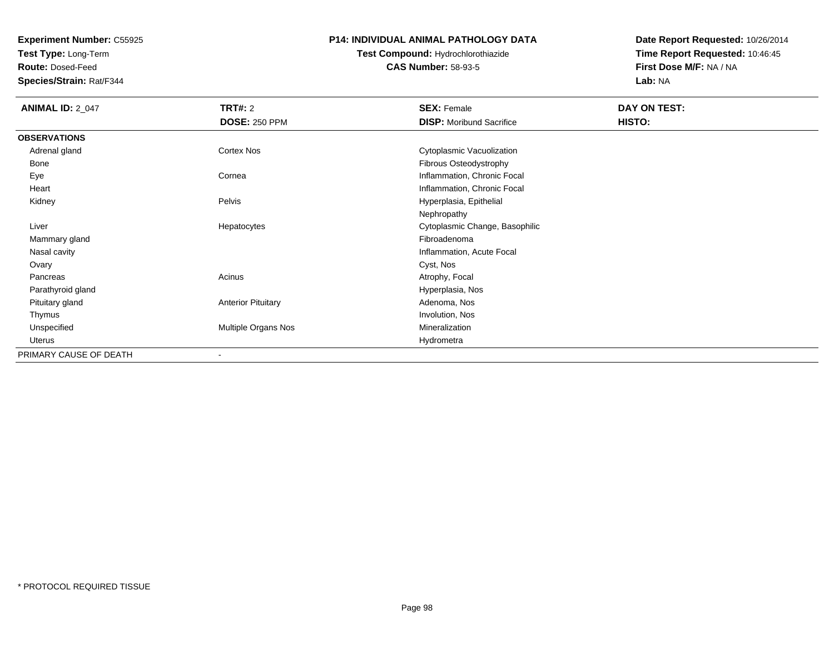**Test Type:** Long-Term

**Route:** Dosed-Feed

**Species/Strain:** Rat/F344

### **P14: INDIVIDUAL ANIMAL PATHOLOGY DATA**

# **Test Compound:** Hydrochlorothiazide**CAS Number:** 58-93-5

| <b>ANIMAL ID: 2_047</b> | <b>TRT#: 2</b>            | <b>SEX: Female</b>              | DAY ON TEST: |  |
|-------------------------|---------------------------|---------------------------------|--------------|--|
|                         | <b>DOSE: 250 PPM</b>      | <b>DISP:</b> Moribund Sacrifice | HISTO:       |  |
| <b>OBSERVATIONS</b>     |                           |                                 |              |  |
| Adrenal gland           | Cortex Nos                | Cytoplasmic Vacuolization       |              |  |
| Bone                    |                           | Fibrous Osteodystrophy          |              |  |
| Eye                     | Cornea                    | Inflammation, Chronic Focal     |              |  |
| Heart                   |                           | Inflammation, Chronic Focal     |              |  |
| Kidney                  | Pelvis                    | Hyperplasia, Epithelial         |              |  |
|                         |                           | Nephropathy                     |              |  |
| Liver                   | Hepatocytes               | Cytoplasmic Change, Basophilic  |              |  |
| Mammary gland           |                           | Fibroadenoma                    |              |  |
| Nasal cavity            |                           | Inflammation, Acute Focal       |              |  |
| Ovary                   |                           | Cyst, Nos                       |              |  |
| Pancreas                | Acinus                    | Atrophy, Focal                  |              |  |
| Parathyroid gland       |                           | Hyperplasia, Nos                |              |  |
| Pituitary gland         | <b>Anterior Pituitary</b> | Adenoma, Nos                    |              |  |
| Thymus                  |                           | Involution, Nos                 |              |  |
| Unspecified             | Multiple Organs Nos       | Mineralization                  |              |  |
| Uterus                  |                           | Hydrometra                      |              |  |
| PRIMARY CAUSE OF DEATH  | $\blacksquare$            |                                 |              |  |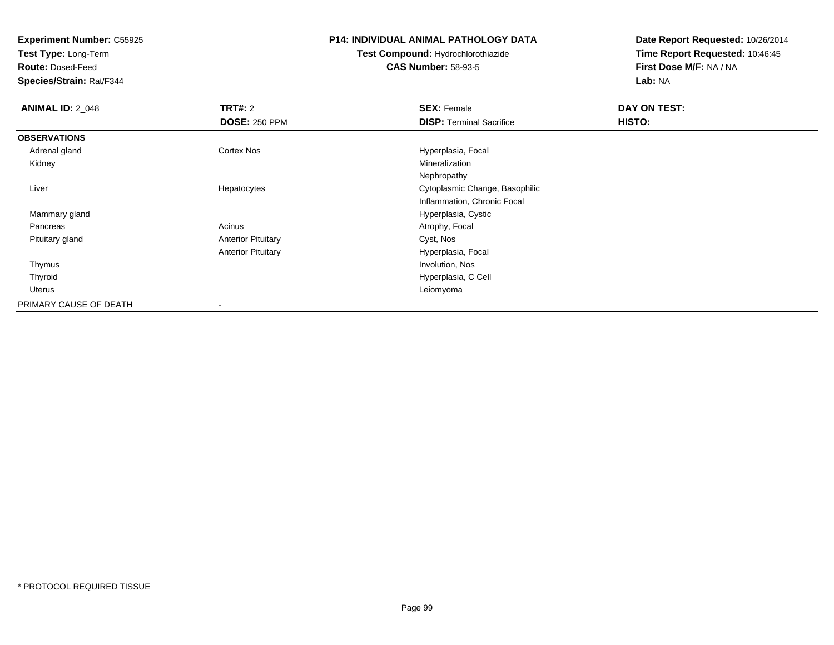**Test Type:** Long-Term

**Route:** Dosed-Feed

**Species/Strain:** Rat/F344

#### **P14: INDIVIDUAL ANIMAL PATHOLOGY DATA**

# **Test Compound:** Hydrochlorothiazide**CAS Number:** 58-93-5

| <b>ANIMAL ID: 2 048</b> | <b>TRT#: 2</b>            | <b>SEX: Female</b>              | DAY ON TEST: |  |
|-------------------------|---------------------------|---------------------------------|--------------|--|
|                         | <b>DOSE: 250 PPM</b>      | <b>DISP: Terminal Sacrifice</b> | HISTO:       |  |
| <b>OBSERVATIONS</b>     |                           |                                 |              |  |
| Adrenal gland           | <b>Cortex Nos</b>         | Hyperplasia, Focal              |              |  |
| Kidney                  |                           | Mineralization                  |              |  |
|                         |                           | Nephropathy                     |              |  |
| Liver                   | Hepatocytes               | Cytoplasmic Change, Basophilic  |              |  |
|                         |                           | Inflammation, Chronic Focal     |              |  |
| Mammary gland           |                           | Hyperplasia, Cystic             |              |  |
| Pancreas                | Acinus                    | Atrophy, Focal                  |              |  |
| Pituitary gland         | <b>Anterior Pituitary</b> | Cyst, Nos                       |              |  |
|                         | <b>Anterior Pituitary</b> | Hyperplasia, Focal              |              |  |
| Thymus                  |                           | Involution, Nos                 |              |  |
| Thyroid                 |                           | Hyperplasia, C Cell             |              |  |
| Uterus                  |                           | Leiomyoma                       |              |  |
| PRIMARY CAUSE OF DEATH  |                           |                                 |              |  |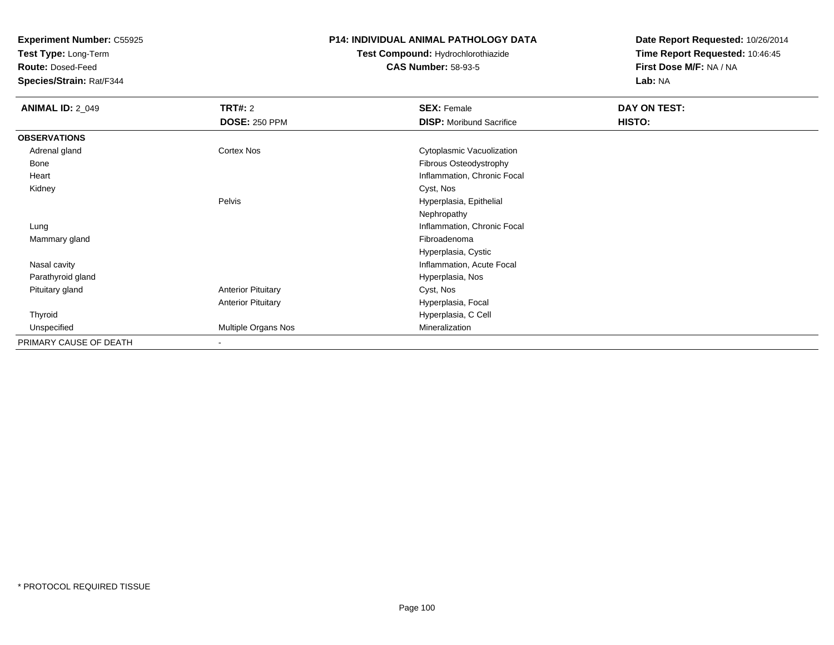**Test Type:** Long-Term

**Route:** Dosed-Feed

**Species/Strain:** Rat/F344

### **P14: INDIVIDUAL ANIMAL PATHOLOGY DATA**

# **Test Compound:** Hydrochlorothiazide**CAS Number:** 58-93-5

| <b>ANIMAL ID: 2_049</b> | <b>TRT#: 2</b>            | <b>SEX: Female</b>              | DAY ON TEST:  |  |
|-------------------------|---------------------------|---------------------------------|---------------|--|
|                         | <b>DOSE: 250 PPM</b>      | <b>DISP:</b> Moribund Sacrifice | <b>HISTO:</b> |  |
| <b>OBSERVATIONS</b>     |                           |                                 |               |  |
| Adrenal gland           | Cortex Nos                | Cytoplasmic Vacuolization       |               |  |
| Bone                    |                           | Fibrous Osteodystrophy          |               |  |
| Heart                   |                           | Inflammation, Chronic Focal     |               |  |
| Kidney                  |                           | Cyst, Nos                       |               |  |
|                         | Pelvis                    | Hyperplasia, Epithelial         |               |  |
|                         |                           | Nephropathy                     |               |  |
| Lung                    |                           | Inflammation, Chronic Focal     |               |  |
| Mammary gland           |                           | Fibroadenoma                    |               |  |
|                         |                           | Hyperplasia, Cystic             |               |  |
| Nasal cavity            |                           | Inflammation, Acute Focal       |               |  |
| Parathyroid gland       |                           | Hyperplasia, Nos                |               |  |
| Pituitary gland         | <b>Anterior Pituitary</b> | Cyst, Nos                       |               |  |
|                         | <b>Anterior Pituitary</b> | Hyperplasia, Focal              |               |  |
| Thyroid                 |                           | Hyperplasia, C Cell             |               |  |
| Unspecified             | Multiple Organs Nos       | Mineralization                  |               |  |
| PRIMARY CAUSE OF DEATH  |                           |                                 |               |  |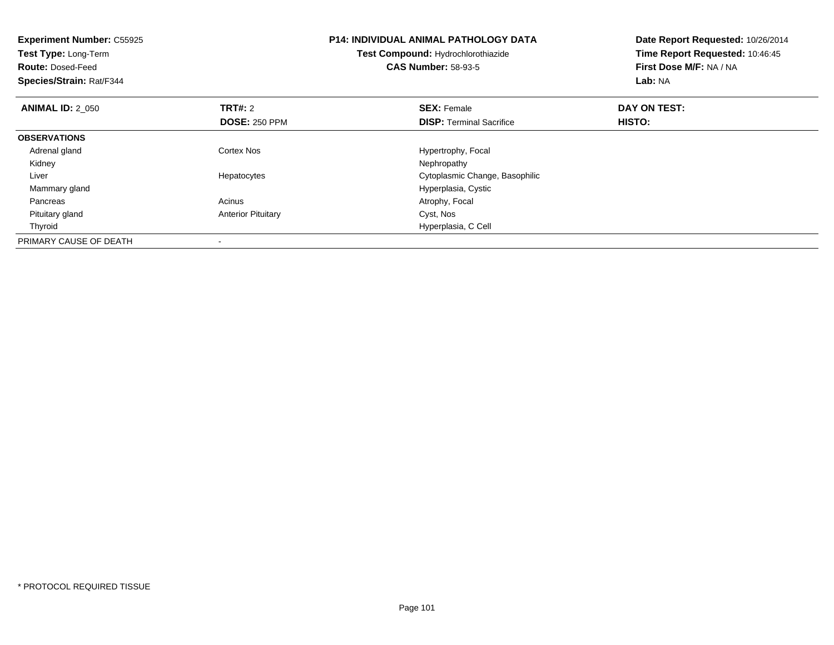| <b>Experiment Number: C55925</b><br>Test Type: Long-Term<br><b>Route: Dosed-Feed</b><br>Species/Strain: Rat/F344 |                                        | <b>P14: INDIVIDUAL ANIMAL PATHOLOGY DATA</b><br>Test Compound: Hydrochlorothiazide<br><b>CAS Number: 58-93-5</b> | Date Report Requested: 10/26/2014<br>Time Report Requested: 10:46:45<br>First Dose M/F: NA / NA<br>Lab: NA |  |
|------------------------------------------------------------------------------------------------------------------|----------------------------------------|------------------------------------------------------------------------------------------------------------------|------------------------------------------------------------------------------------------------------------|--|
| <b>ANIMAL ID: 2 050</b>                                                                                          | <b>TRT#: 2</b><br><b>DOSE: 250 PPM</b> | <b>SEX: Female</b><br><b>DISP:</b> Terminal Sacrifice                                                            | DAY ON TEST:<br>HISTO:                                                                                     |  |
| <b>OBSERVATIONS</b>                                                                                              |                                        |                                                                                                                  |                                                                                                            |  |
| Adrenal gland                                                                                                    | Cortex Nos                             | Hypertrophy, Focal                                                                                               |                                                                                                            |  |
| Kidney                                                                                                           |                                        | Nephropathy                                                                                                      |                                                                                                            |  |
| Liver                                                                                                            | Hepatocytes                            | Cytoplasmic Change, Basophilic                                                                                   |                                                                                                            |  |
| Mammary gland                                                                                                    |                                        | Hyperplasia, Cystic                                                                                              |                                                                                                            |  |
| Pancreas                                                                                                         | Acinus                                 | Atrophy, Focal                                                                                                   |                                                                                                            |  |
| Pituitary gland                                                                                                  | <b>Anterior Pituitary</b>              | Cyst, Nos                                                                                                        |                                                                                                            |  |
| Thyroid                                                                                                          |                                        | Hyperplasia, C Cell                                                                                              |                                                                                                            |  |
| PRIMARY CAUSE OF DEATH                                                                                           |                                        |                                                                                                                  |                                                                                                            |  |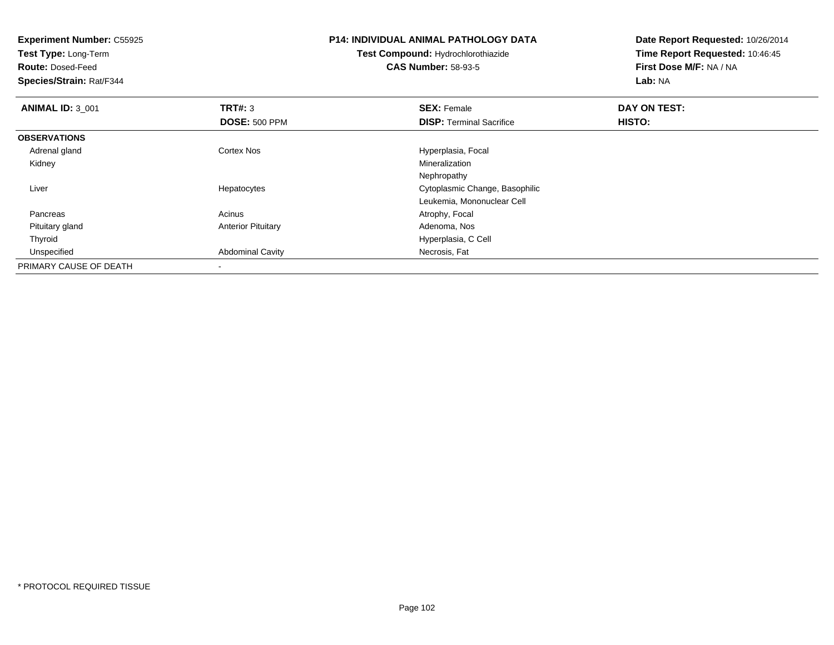**Experiment Number:** C55925**Test Type:** Long-Term**Route:** Dosed-Feed **Species/Strain:** Rat/F344**P14: INDIVIDUAL ANIMAL PATHOLOGY DATATest Compound:** Hydrochlorothiazide**CAS Number:** 58-93-5**Date Report Requested:** 10/26/2014**Time Report Requested:** 10:46:45**First Dose M/F:** NA / NA**Lab:** NA**ANIMAL ID:** 3\_001**TRT#:** 3 **SEX:** Female **DAY ON TEST: DOSE:** 500 PPM**DISP:** Terminal Sacrifice **HISTO: OBSERVATIONS** Adrenal glandCortex Nos **Exercía Exercía Exercía Exercía Exercía Exercía Exercía Exercía Exercía Exercía Exercía Exercía Exercía Exercía Exercía Exercía Exercía Exercía Exercía Exercía Exercía Exercía Exercía Exercía Exercía Exercía Ex**  Kidneyy with the control of the control of the control of the control of the control of the control of the control of the control of the control of the control of the control of the control of the control of the control of the c NephropathyS<br>
Secret Cytoplasmic Change, Basophilic Liver HepatocytesLeukemia, Mononuclear Cell Pancreass and the contract of the Acinus Acinus and the Acinus Atrophy, Focal and the Atrophy, Focal and the Acinus Acinus Acinus Acinus Acinus Acinus Acinus Acinus Acinus Acinus Acinus Acinus Acinus Acinus Acinus Acinus Acinus Ac Pituitary glandAnterior Pituitary **Adenoma, Nos** Adenoma, Nos Thyroid Hyperplasia, C Cell UnspecifiedAbdominal Cavity **Necrosis**, Fat PRIMARY CAUSE OF DEATH-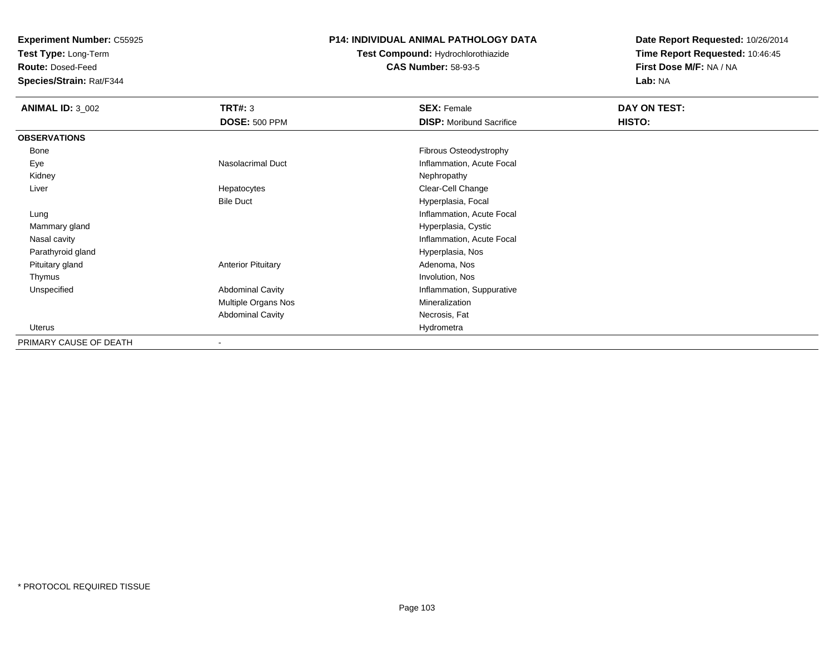**Test Type:** Long-Term

**Route:** Dosed-Feed

**Species/Strain:** Rat/F344

### **P14: INDIVIDUAL ANIMAL PATHOLOGY DATA**

**Test Compound:** Hydrochlorothiazide**CAS Number:** 58-93-5

| <b>ANIMAL ID: 3_002</b> | <b>TRT#: 3</b>            | <b>SEX: Female</b>              | DAY ON TEST:  |  |
|-------------------------|---------------------------|---------------------------------|---------------|--|
|                         | <b>DOSE: 500 PPM</b>      | <b>DISP:</b> Moribund Sacrifice | <b>HISTO:</b> |  |
| <b>OBSERVATIONS</b>     |                           |                                 |               |  |
| Bone                    |                           | Fibrous Osteodystrophy          |               |  |
| Eye                     | Nasolacrimal Duct         | Inflammation, Acute Focal       |               |  |
| Kidney                  |                           | Nephropathy                     |               |  |
| Liver                   | Hepatocytes               | Clear-Cell Change               |               |  |
|                         | <b>Bile Duct</b>          | Hyperplasia, Focal              |               |  |
| Lung                    |                           | Inflammation, Acute Focal       |               |  |
| Mammary gland           |                           | Hyperplasia, Cystic             |               |  |
| Nasal cavity            |                           | Inflammation, Acute Focal       |               |  |
| Parathyroid gland       |                           | Hyperplasia, Nos                |               |  |
| Pituitary gland         | <b>Anterior Pituitary</b> | Adenoma, Nos                    |               |  |
| Thymus                  |                           | Involution, Nos                 |               |  |
| Unspecified             | <b>Abdominal Cavity</b>   | Inflammation, Suppurative       |               |  |
|                         | Multiple Organs Nos       | Mineralization                  |               |  |
|                         | <b>Abdominal Cavity</b>   | Necrosis, Fat                   |               |  |
| Uterus                  |                           | Hydrometra                      |               |  |
| PRIMARY CAUSE OF DEATH  |                           |                                 |               |  |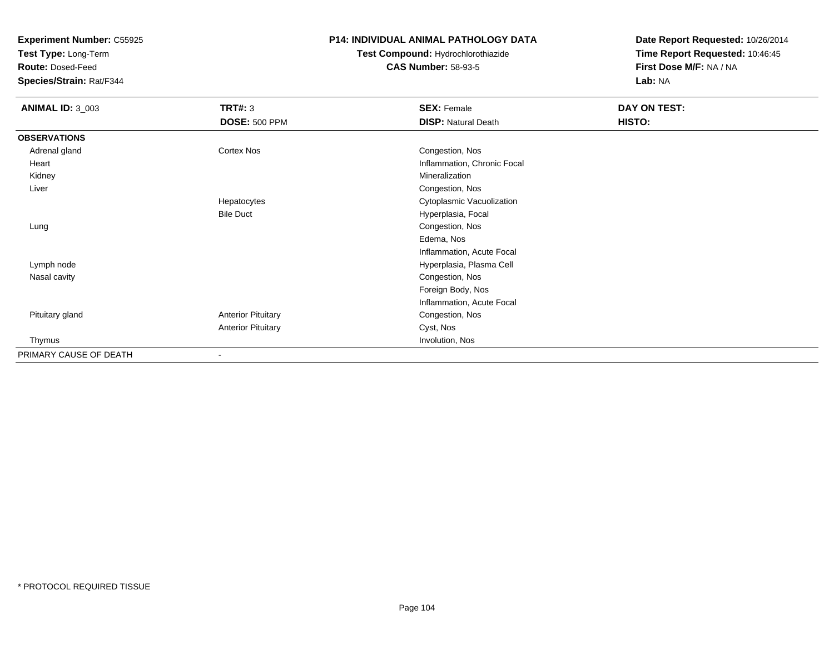**Test Type:** Long-Term

**Route:** Dosed-Feed

**Species/Strain:** Rat/F344

## **P14: INDIVIDUAL ANIMAL PATHOLOGY DATA**

# **Test Compound:** Hydrochlorothiazide**CAS Number:** 58-93-5

| <b>ANIMAL ID: 3_003</b> | <b>TRT#: 3</b>            | <b>SEX: Female</b>          | DAY ON TEST: |  |
|-------------------------|---------------------------|-----------------------------|--------------|--|
|                         | <b>DOSE: 500 PPM</b>      | <b>DISP: Natural Death</b>  | HISTO:       |  |
| <b>OBSERVATIONS</b>     |                           |                             |              |  |
| Adrenal gland           | Cortex Nos                | Congestion, Nos             |              |  |
| Heart                   |                           | Inflammation, Chronic Focal |              |  |
| Kidney                  |                           | Mineralization              |              |  |
| Liver                   |                           | Congestion, Nos             |              |  |
|                         | Hepatocytes               | Cytoplasmic Vacuolization   |              |  |
|                         | <b>Bile Duct</b>          | Hyperplasia, Focal          |              |  |
| Lung                    |                           | Congestion, Nos             |              |  |
|                         |                           | Edema, Nos                  |              |  |
|                         |                           | Inflammation, Acute Focal   |              |  |
| Lymph node              |                           | Hyperplasia, Plasma Cell    |              |  |
| Nasal cavity            |                           | Congestion, Nos             |              |  |
|                         |                           | Foreign Body, Nos           |              |  |
|                         |                           | Inflammation, Acute Focal   |              |  |
| Pituitary gland         | <b>Anterior Pituitary</b> | Congestion, Nos             |              |  |
|                         | <b>Anterior Pituitary</b> | Cyst, Nos                   |              |  |
| Thymus                  |                           | Involution, Nos             |              |  |
| PRIMARY CAUSE OF DEATH  | ۰                         |                             |              |  |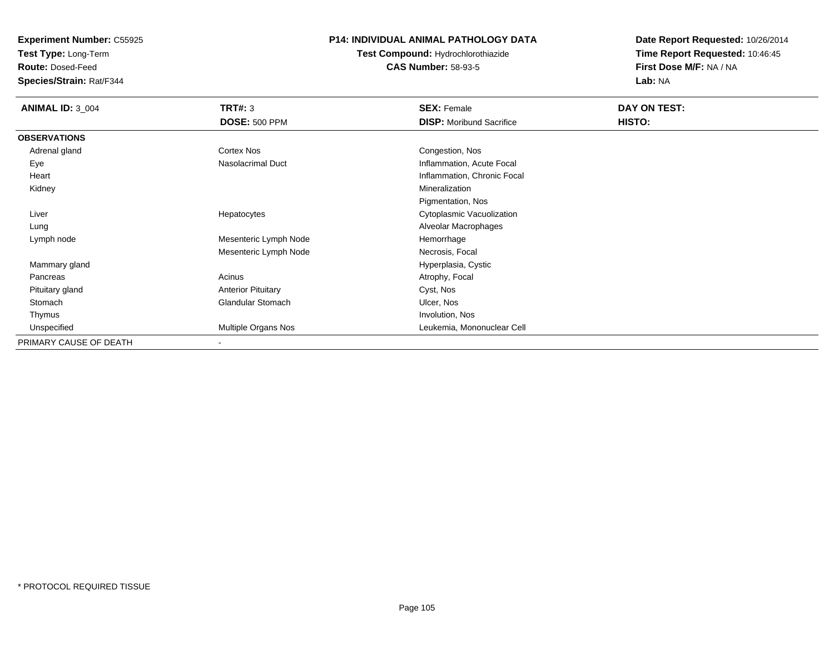**Test Type:** Long-Term

**Route:** Dosed-Feed

**Species/Strain:** Rat/F344

## **P14: INDIVIDUAL ANIMAL PATHOLOGY DATA**

# **Test Compound:** Hydrochlorothiazide**CAS Number:** 58-93-5

| <b>ANIMAL ID: 3_004</b> | <b>TRT#: 3</b>            | <b>SEX: Female</b>              | DAY ON TEST: |  |
|-------------------------|---------------------------|---------------------------------|--------------|--|
|                         | <b>DOSE: 500 PPM</b>      | <b>DISP:</b> Moribund Sacrifice | HISTO:       |  |
| <b>OBSERVATIONS</b>     |                           |                                 |              |  |
| Adrenal gland           | Cortex Nos                | Congestion, Nos                 |              |  |
| Eye                     | Nasolacrimal Duct         | Inflammation, Acute Focal       |              |  |
| Heart                   |                           | Inflammation, Chronic Focal     |              |  |
| Kidney                  |                           | Mineralization                  |              |  |
|                         |                           | Pigmentation, Nos               |              |  |
| Liver                   | Hepatocytes               | Cytoplasmic Vacuolization       |              |  |
| Lung                    |                           | Alveolar Macrophages            |              |  |
| Lymph node              | Mesenteric Lymph Node     | Hemorrhage                      |              |  |
|                         | Mesenteric Lymph Node     | Necrosis, Focal                 |              |  |
| Mammary gland           |                           | Hyperplasia, Cystic             |              |  |
| Pancreas                | Acinus                    | Atrophy, Focal                  |              |  |
| Pituitary gland         | <b>Anterior Pituitary</b> | Cyst, Nos                       |              |  |
| Stomach                 | Glandular Stomach         | Ulcer, Nos                      |              |  |
| Thymus                  |                           | Involution, Nos                 |              |  |
| Unspecified             | Multiple Organs Nos       | Leukemia, Mononuclear Cell      |              |  |
| PRIMARY CAUSE OF DEATH  | $\overline{\phantom{a}}$  |                                 |              |  |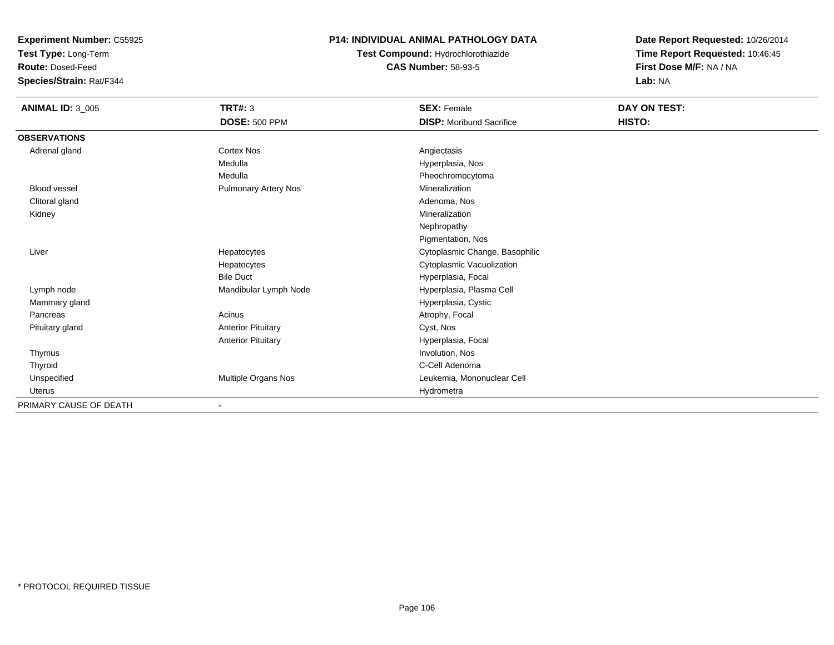**Test Type:** Long-Term

**Route:** Dosed-Feed

**Species/Strain:** Rat/F344

## **P14: INDIVIDUAL ANIMAL PATHOLOGY DATA**

**Test Compound:** Hydrochlorothiazide**CAS Number:** 58-93-5

| <b>ANIMAL ID: 3_005</b> | <b>TRT#: 3</b>              | <b>SEX: Female</b>              | DAY ON TEST: |
|-------------------------|-----------------------------|---------------------------------|--------------|
|                         | <b>DOSE: 500 PPM</b>        | <b>DISP:</b> Moribund Sacrifice | HISTO:       |
| <b>OBSERVATIONS</b>     |                             |                                 |              |
| Adrenal gland           | <b>Cortex Nos</b>           | Angiectasis                     |              |
|                         | Medulla                     | Hyperplasia, Nos                |              |
|                         | Medulla                     | Pheochromocytoma                |              |
| <b>Blood vessel</b>     | <b>Pulmonary Artery Nos</b> | Mineralization                  |              |
| Clitoral gland          |                             | Adenoma, Nos                    |              |
| Kidney                  |                             | Mineralization                  |              |
|                         |                             | Nephropathy                     |              |
|                         |                             | Pigmentation, Nos               |              |
| Liver                   | Hepatocytes                 | Cytoplasmic Change, Basophilic  |              |
|                         | Hepatocytes                 | Cytoplasmic Vacuolization       |              |
|                         | <b>Bile Duct</b>            | Hyperplasia, Focal              |              |
| Lymph node              | Mandibular Lymph Node       | Hyperplasia, Plasma Cell        |              |
| Mammary gland           |                             | Hyperplasia, Cystic             |              |
| Pancreas                | Acinus                      | Atrophy, Focal                  |              |
| Pituitary gland         | <b>Anterior Pituitary</b>   | Cyst, Nos                       |              |
|                         | <b>Anterior Pituitary</b>   | Hyperplasia, Focal              |              |
| Thymus                  |                             | Involution, Nos                 |              |
| Thyroid                 |                             | C-Cell Adenoma                  |              |
| Unspecified             | Multiple Organs Nos         | Leukemia, Mononuclear Cell      |              |
| Uterus                  |                             | Hydrometra                      |              |
| PRIMARY CAUSE OF DEATH  | $\blacksquare$              |                                 |              |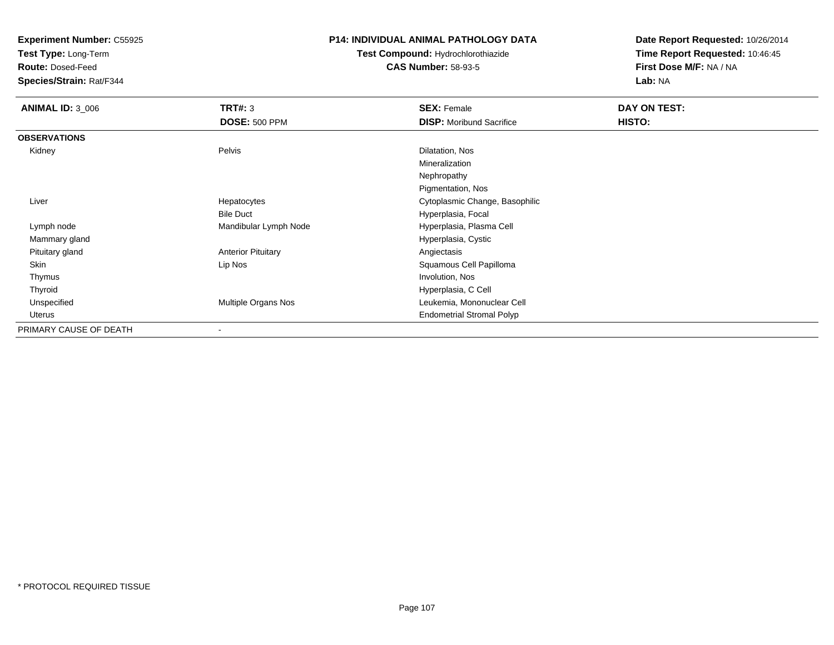**Test Type:** Long-Term

**Route:** Dosed-Feed

**Species/Strain:** Rat/F344

### **P14: INDIVIDUAL ANIMAL PATHOLOGY DATA**

# **Test Compound:** Hydrochlorothiazide**CAS Number:** 58-93-5

| <b>ANIMAL ID: 3 006</b> | TRT#: 3                   | <b>SEX: Female</b>               | DAY ON TEST: |
|-------------------------|---------------------------|----------------------------------|--------------|
|                         | <b>DOSE: 500 PPM</b>      | <b>DISP:</b> Moribund Sacrifice  | HISTO:       |
| <b>OBSERVATIONS</b>     |                           |                                  |              |
| Kidney                  | Pelvis                    | Dilatation, Nos                  |              |
|                         |                           | Mineralization                   |              |
|                         |                           | Nephropathy                      |              |
|                         |                           | Pigmentation, Nos                |              |
| Liver                   | Hepatocytes               | Cytoplasmic Change, Basophilic   |              |
|                         | <b>Bile Duct</b>          | Hyperplasia, Focal               |              |
| Lymph node              | Mandibular Lymph Node     | Hyperplasia, Plasma Cell         |              |
| Mammary gland           |                           | Hyperplasia, Cystic              |              |
| Pituitary gland         | <b>Anterior Pituitary</b> | Angiectasis                      |              |
| <b>Skin</b>             | Lip Nos                   | Squamous Cell Papilloma          |              |
| Thymus                  |                           | Involution, Nos                  |              |
| Thyroid                 |                           | Hyperplasia, C Cell              |              |
| Unspecified             | Multiple Organs Nos       | Leukemia, Mononuclear Cell       |              |
| <b>Uterus</b>           |                           | <b>Endometrial Stromal Polyp</b> |              |
| PRIMARY CAUSE OF DEATH  | ۰                         |                                  |              |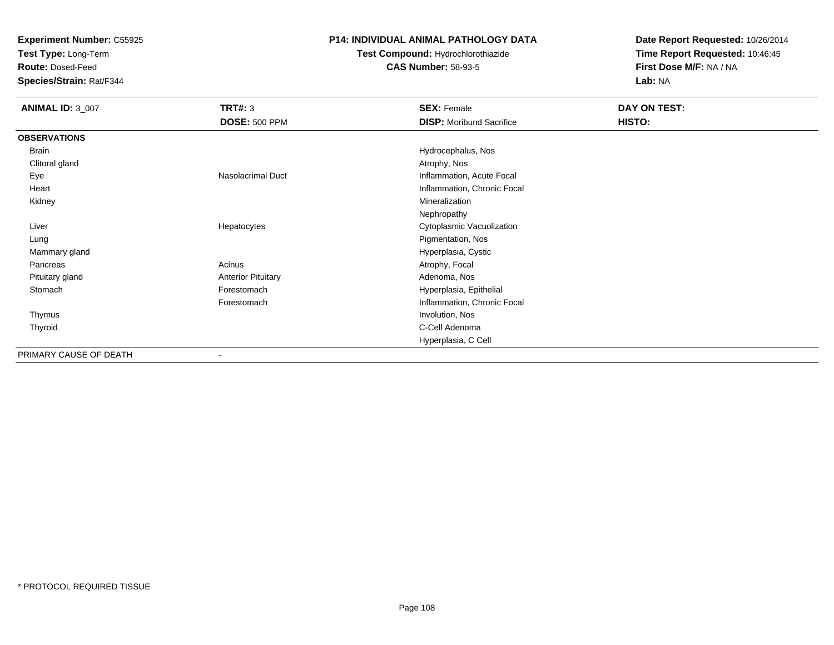**Test Type:** Long-Term

**Route:** Dosed-Feed

**Species/Strain:** Rat/F344

#### **P14: INDIVIDUAL ANIMAL PATHOLOGY DATA**

# **Test Compound:** Hydrochlorothiazide**CAS Number:** 58-93-5

| <b>ANIMAL ID: 3_007</b> | <b>TRT#: 3</b>            | <b>SEX: Female</b>              | DAY ON TEST: |
|-------------------------|---------------------------|---------------------------------|--------------|
|                         | <b>DOSE: 500 PPM</b>      | <b>DISP:</b> Moribund Sacrifice | HISTO:       |
| <b>OBSERVATIONS</b>     |                           |                                 |              |
| Brain                   |                           | Hydrocephalus, Nos              |              |
| Clitoral gland          |                           | Atrophy, Nos                    |              |
| Eye                     | <b>Nasolacrimal Duct</b>  | Inflammation, Acute Focal       |              |
| Heart                   |                           | Inflammation, Chronic Focal     |              |
| Kidney                  |                           | Mineralization                  |              |
|                         |                           | Nephropathy                     |              |
| Liver                   | Hepatocytes               | Cytoplasmic Vacuolization       |              |
| Lung                    |                           | Pigmentation, Nos               |              |
| Mammary gland           |                           | Hyperplasia, Cystic             |              |
| Pancreas                | Acinus                    | Atrophy, Focal                  |              |
| Pituitary gland         | <b>Anterior Pituitary</b> | Adenoma, Nos                    |              |
| Stomach                 | Forestomach               | Hyperplasia, Epithelial         |              |
|                         | Forestomach               | Inflammation, Chronic Focal     |              |
| Thymus                  |                           | Involution, Nos                 |              |
| Thyroid                 |                           | C-Cell Adenoma                  |              |
|                         |                           | Hyperplasia, C Cell             |              |
| PRIMARY CAUSE OF DEATH  | $\overline{\phantom{a}}$  |                                 |              |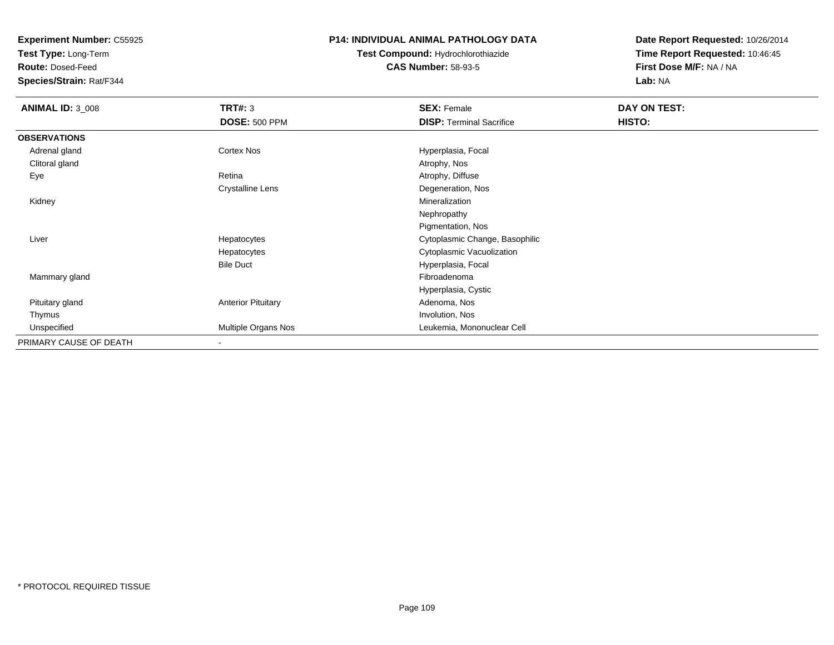**Test Type:** Long-Term

**Route:** Dosed-Feed

**Species/Strain:** Rat/F344

# **P14: INDIVIDUAL ANIMAL PATHOLOGY DATA**

**Test Compound:** Hydrochlorothiazide**CAS Number:** 58-93-5

| <b>ANIMAL ID: 3_008</b> | TRT#: 3                   | <b>SEX: Female</b>              | DAY ON TEST: |  |
|-------------------------|---------------------------|---------------------------------|--------------|--|
|                         | <b>DOSE: 500 PPM</b>      | <b>DISP: Terminal Sacrifice</b> | HISTO:       |  |
| <b>OBSERVATIONS</b>     |                           |                                 |              |  |
| Adrenal gland           | <b>Cortex Nos</b>         | Hyperplasia, Focal              |              |  |
| Clitoral gland          |                           | Atrophy, Nos                    |              |  |
| Eye                     | Retina                    | Atrophy, Diffuse                |              |  |
|                         | Crystalline Lens          | Degeneration, Nos               |              |  |
| Kidney                  |                           | Mineralization                  |              |  |
|                         |                           | Nephropathy                     |              |  |
|                         |                           | Pigmentation, Nos               |              |  |
| Liver                   | Hepatocytes               | Cytoplasmic Change, Basophilic  |              |  |
|                         | Hepatocytes               | Cytoplasmic Vacuolization       |              |  |
|                         | <b>Bile Duct</b>          | Hyperplasia, Focal              |              |  |
| Mammary gland           |                           | Fibroadenoma                    |              |  |
|                         |                           | Hyperplasia, Cystic             |              |  |
| Pituitary gland         | <b>Anterior Pituitary</b> | Adenoma, Nos                    |              |  |
| Thymus                  |                           | Involution, Nos                 |              |  |
| Unspecified             | Multiple Organs Nos       | Leukemia, Mononuclear Cell      |              |  |
| PRIMARY CAUSE OF DEATH  | $\overline{\phantom{a}}$  |                                 |              |  |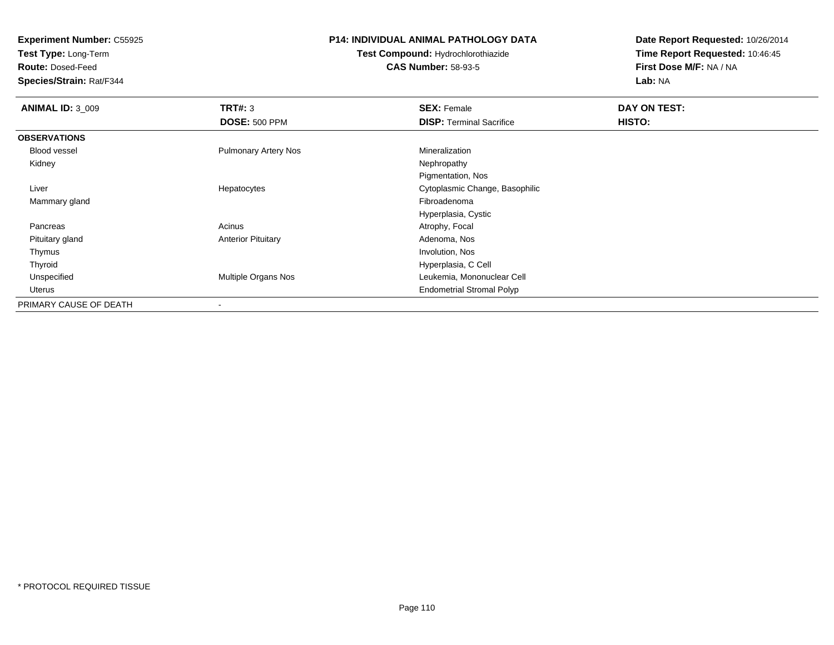**Test Type:** Long-Term

**Route:** Dosed-Feed

**Species/Strain:** Rat/F344

# **P14: INDIVIDUAL ANIMAL PATHOLOGY DATA**

**Test Compound:** Hydrochlorothiazide**CAS Number:** 58-93-5

| <b>ANIMAL ID: 3 009</b> | TRT#: 3                     | <b>SEX: Female</b>               | DAY ON TEST: |  |
|-------------------------|-----------------------------|----------------------------------|--------------|--|
|                         | <b>DOSE: 500 PPM</b>        | <b>DISP: Terminal Sacrifice</b>  | HISTO:       |  |
| <b>OBSERVATIONS</b>     |                             |                                  |              |  |
| <b>Blood vessel</b>     | <b>Pulmonary Artery Nos</b> | Mineralization                   |              |  |
| Kidney                  |                             | Nephropathy                      |              |  |
|                         |                             | Pigmentation, Nos                |              |  |
| Liver                   | Hepatocytes                 | Cytoplasmic Change, Basophilic   |              |  |
| Mammary gland           |                             | Fibroadenoma                     |              |  |
|                         |                             | Hyperplasia, Cystic              |              |  |
| Pancreas                | Acinus                      | Atrophy, Focal                   |              |  |
| Pituitary gland         | <b>Anterior Pituitary</b>   | Adenoma, Nos                     |              |  |
| Thymus                  |                             | Involution, Nos                  |              |  |
| Thyroid                 |                             | Hyperplasia, C Cell              |              |  |
| Unspecified             | Multiple Organs Nos         | Leukemia, Mononuclear Cell       |              |  |
| Uterus                  |                             | <b>Endometrial Stromal Polyp</b> |              |  |
| PRIMARY CAUSE OF DEATH  |                             |                                  |              |  |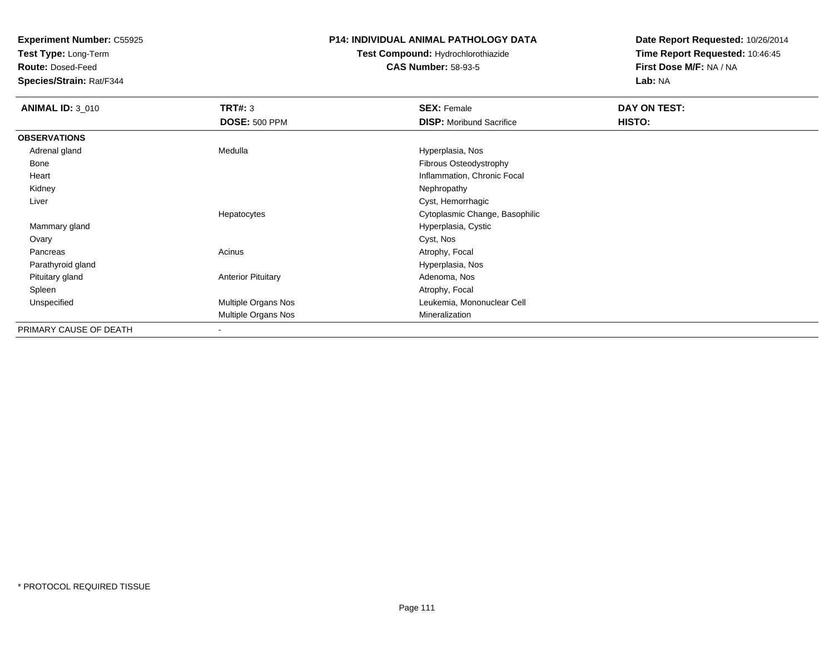**Test Type:** Long-Term

**Route:** Dosed-Feed

**Species/Strain:** Rat/F344

## **P14: INDIVIDUAL ANIMAL PATHOLOGY DATA**

# **Test Compound:** Hydrochlorothiazide**CAS Number:** 58-93-5

| <b>ANIMAL ID: 3_010</b> | TRT#: 3                   | <b>SEX: Female</b>              | DAY ON TEST: |  |
|-------------------------|---------------------------|---------------------------------|--------------|--|
|                         | <b>DOSE: 500 PPM</b>      | <b>DISP:</b> Moribund Sacrifice | HISTO:       |  |
| <b>OBSERVATIONS</b>     |                           |                                 |              |  |
| Adrenal gland           | Medulla                   | Hyperplasia, Nos                |              |  |
| Bone                    |                           | Fibrous Osteodystrophy          |              |  |
| Heart                   |                           | Inflammation, Chronic Focal     |              |  |
| Kidney                  |                           | Nephropathy                     |              |  |
| Liver                   |                           | Cyst, Hemorrhagic               |              |  |
|                         | Hepatocytes               | Cytoplasmic Change, Basophilic  |              |  |
| Mammary gland           |                           | Hyperplasia, Cystic             |              |  |
| Ovary                   |                           | Cyst, Nos                       |              |  |
| Pancreas                | Acinus                    | Atrophy, Focal                  |              |  |
| Parathyroid gland       |                           | Hyperplasia, Nos                |              |  |
| Pituitary gland         | <b>Anterior Pituitary</b> | Adenoma, Nos                    |              |  |
| Spleen                  |                           | Atrophy, Focal                  |              |  |
| Unspecified             | Multiple Organs Nos       | Leukemia, Mononuclear Cell      |              |  |
|                         | Multiple Organs Nos       | Mineralization                  |              |  |
| PRIMARY CAUSE OF DEATH  | ٠                         |                                 |              |  |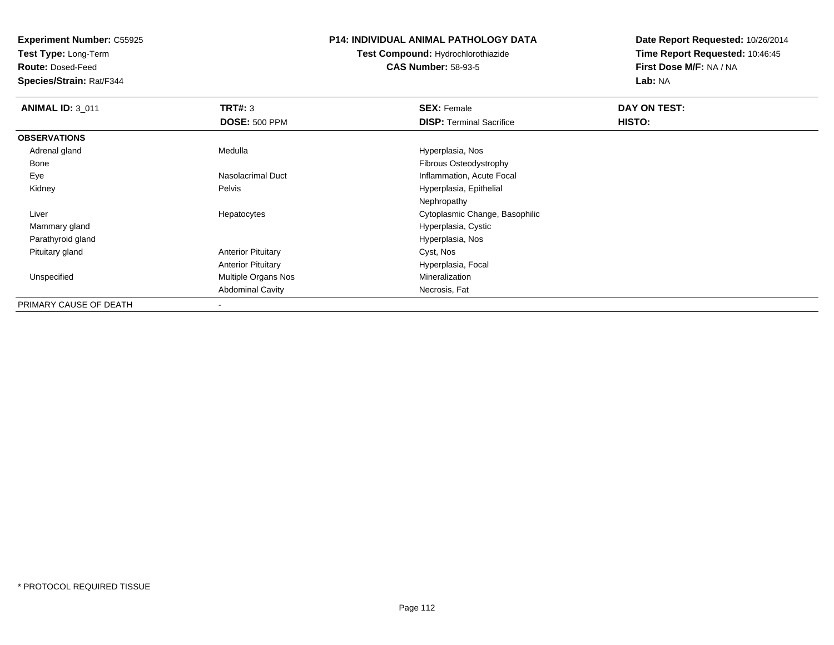**Test Type:** Long-Term

**Route:** Dosed-Feed

**Species/Strain:** Rat/F344

## **P14: INDIVIDUAL ANIMAL PATHOLOGY DATA**

# **Test Compound:** Hydrochlorothiazide**CAS Number:** 58-93-5

| <b>ANIMAL ID: 3 011</b> | TRT#: 3                   | <b>SEX: Female</b>              | DAY ON TEST: |  |
|-------------------------|---------------------------|---------------------------------|--------------|--|
|                         | <b>DOSE: 500 PPM</b>      | <b>DISP: Terminal Sacrifice</b> | HISTO:       |  |
| <b>OBSERVATIONS</b>     |                           |                                 |              |  |
| Adrenal gland           | Medulla                   | Hyperplasia, Nos                |              |  |
| Bone                    |                           | Fibrous Osteodystrophy          |              |  |
| Eye                     | Nasolacrimal Duct         | Inflammation, Acute Focal       |              |  |
| Kidney                  | Pelvis                    | Hyperplasia, Epithelial         |              |  |
|                         |                           | Nephropathy                     |              |  |
| Liver                   | Hepatocytes               | Cytoplasmic Change, Basophilic  |              |  |
| Mammary gland           |                           | Hyperplasia, Cystic             |              |  |
| Parathyroid gland       |                           | Hyperplasia, Nos                |              |  |
| Pituitary gland         | <b>Anterior Pituitary</b> | Cyst, Nos                       |              |  |
|                         | <b>Anterior Pituitary</b> | Hyperplasia, Focal              |              |  |
| Unspecified             | Multiple Organs Nos       | Mineralization                  |              |  |
|                         | <b>Abdominal Cavity</b>   | Necrosis, Fat                   |              |  |
| PRIMARY CAUSE OF DEATH  | $\,$                      |                                 |              |  |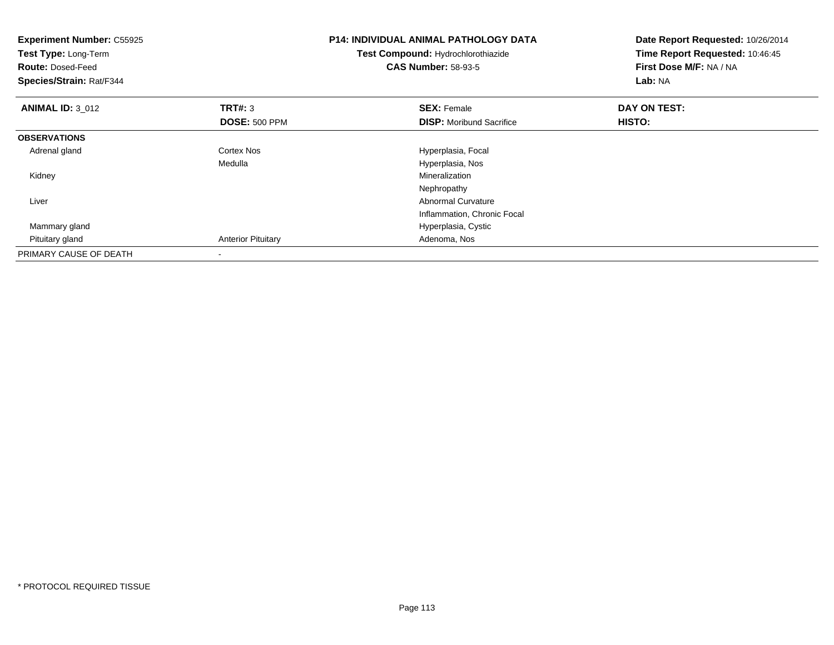| <b>Experiment Number: C55925</b><br><b>Test Type: Long-Term</b><br><b>Route: Dosed-Feed</b><br>Species/Strain: Rat/F344 |                           | <b>P14: INDIVIDUAL ANIMAL PATHOLOGY DATA</b><br>Test Compound: Hydrochlorothiazide<br><b>CAS Number: 58-93-5</b> | Date Report Requested: 10/26/2014<br>Time Report Requested: 10:46:45<br>First Dose M/F: NA / NA<br>Lab: NA |
|-------------------------------------------------------------------------------------------------------------------------|---------------------------|------------------------------------------------------------------------------------------------------------------|------------------------------------------------------------------------------------------------------------|
| <b>ANIMAL ID: 3_012</b>                                                                                                 | <b>TRT#: 3</b>            | <b>SEX: Female</b>                                                                                               | DAY ON TEST:                                                                                               |
|                                                                                                                         | <b>DOSE: 500 PPM</b>      | <b>DISP:</b> Moribund Sacrifice                                                                                  | HISTO:                                                                                                     |
| <b>OBSERVATIONS</b>                                                                                                     |                           |                                                                                                                  |                                                                                                            |
| Adrenal gland                                                                                                           | <b>Cortex Nos</b>         | Hyperplasia, Focal                                                                                               |                                                                                                            |
|                                                                                                                         | Medulla                   | Hyperplasia, Nos                                                                                                 |                                                                                                            |
| Kidney                                                                                                                  |                           | Mineralization                                                                                                   |                                                                                                            |
|                                                                                                                         |                           | Nephropathy                                                                                                      |                                                                                                            |
| Liver                                                                                                                   |                           | <b>Abnormal Curvature</b>                                                                                        |                                                                                                            |
|                                                                                                                         |                           | Inflammation, Chronic Focal                                                                                      |                                                                                                            |
| Mammary gland                                                                                                           |                           | Hyperplasia, Cystic                                                                                              |                                                                                                            |
| Pituitary gland                                                                                                         | <b>Anterior Pituitary</b> | Adenoma, Nos                                                                                                     |                                                                                                            |
| PRIMARY CAUSE OF DEATH                                                                                                  |                           |                                                                                                                  |                                                                                                            |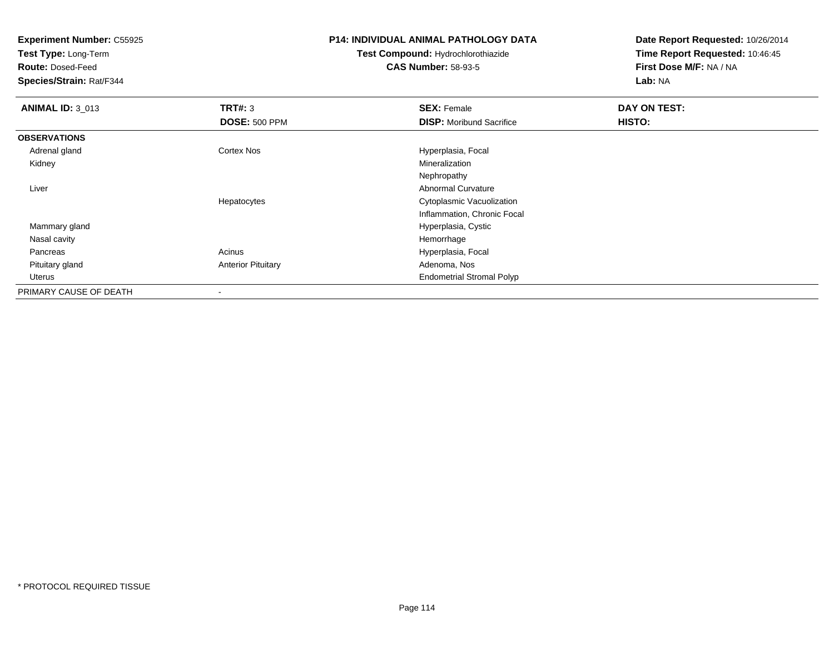**Test Type:** Long-Term

**Route:** Dosed-Feed

**Species/Strain:** Rat/F344

#### **P14: INDIVIDUAL ANIMAL PATHOLOGY DATA**

# **Test Compound:** Hydrochlorothiazide**CAS Number:** 58-93-5

| <b>ANIMAL ID: 3_013</b> | TRT#: 3                   | <b>SEX: Female</b>               | DAY ON TEST: |  |
|-------------------------|---------------------------|----------------------------------|--------------|--|
|                         | <b>DOSE: 500 PPM</b>      | <b>DISP:</b> Moribund Sacrifice  | HISTO:       |  |
| <b>OBSERVATIONS</b>     |                           |                                  |              |  |
| Adrenal gland           | <b>Cortex Nos</b>         | Hyperplasia, Focal               |              |  |
| Kidney                  |                           | Mineralization                   |              |  |
|                         |                           | Nephropathy                      |              |  |
| Liver                   |                           | <b>Abnormal Curvature</b>        |              |  |
|                         | Hepatocytes               | Cytoplasmic Vacuolization        |              |  |
|                         |                           | Inflammation, Chronic Focal      |              |  |
| Mammary gland           |                           | Hyperplasia, Cystic              |              |  |
| Nasal cavity            |                           | Hemorrhage                       |              |  |
| Pancreas                | Acinus                    | Hyperplasia, Focal               |              |  |
| Pituitary gland         | <b>Anterior Pituitary</b> | Adenoma, Nos                     |              |  |
| Uterus                  |                           | <b>Endometrial Stromal Polyp</b> |              |  |
| PRIMARY CAUSE OF DEATH  |                           |                                  |              |  |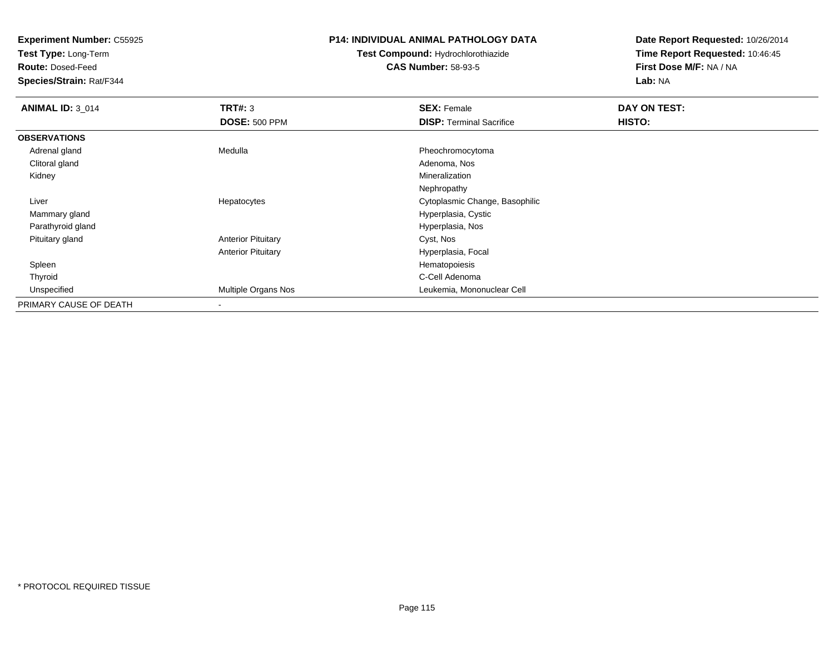**Test Type:** Long-Term

**Route:** Dosed-Feed

**Species/Strain:** Rat/F344

# **P14: INDIVIDUAL ANIMAL PATHOLOGY DATA**

**Test Compound:** Hydrochlorothiazide**CAS Number:** 58-93-5

| <b>ANIMAL ID: 3 014</b> | TRT#: 3                   | <b>SEX: Female</b>              | DAY ON TEST: |  |
|-------------------------|---------------------------|---------------------------------|--------------|--|
|                         | <b>DOSE: 500 PPM</b>      | <b>DISP: Terminal Sacrifice</b> | HISTO:       |  |
| <b>OBSERVATIONS</b>     |                           |                                 |              |  |
| Adrenal gland           | Medulla                   | Pheochromocytoma                |              |  |
| Clitoral gland          |                           | Adenoma, Nos                    |              |  |
| Kidney                  |                           | Mineralization                  |              |  |
|                         |                           | Nephropathy                     |              |  |
| Liver                   | Hepatocytes               | Cytoplasmic Change, Basophilic  |              |  |
| Mammary gland           |                           | Hyperplasia, Cystic             |              |  |
| Parathyroid gland       |                           | Hyperplasia, Nos                |              |  |
| Pituitary gland         | <b>Anterior Pituitary</b> | Cyst, Nos                       |              |  |
|                         | <b>Anterior Pituitary</b> | Hyperplasia, Focal              |              |  |
| Spleen                  |                           | Hematopoiesis                   |              |  |
| Thyroid                 |                           | C-Cell Adenoma                  |              |  |
| Unspecified             | Multiple Organs Nos       | Leukemia, Mononuclear Cell      |              |  |
| PRIMARY CAUSE OF DEATH  | $\,$                      |                                 |              |  |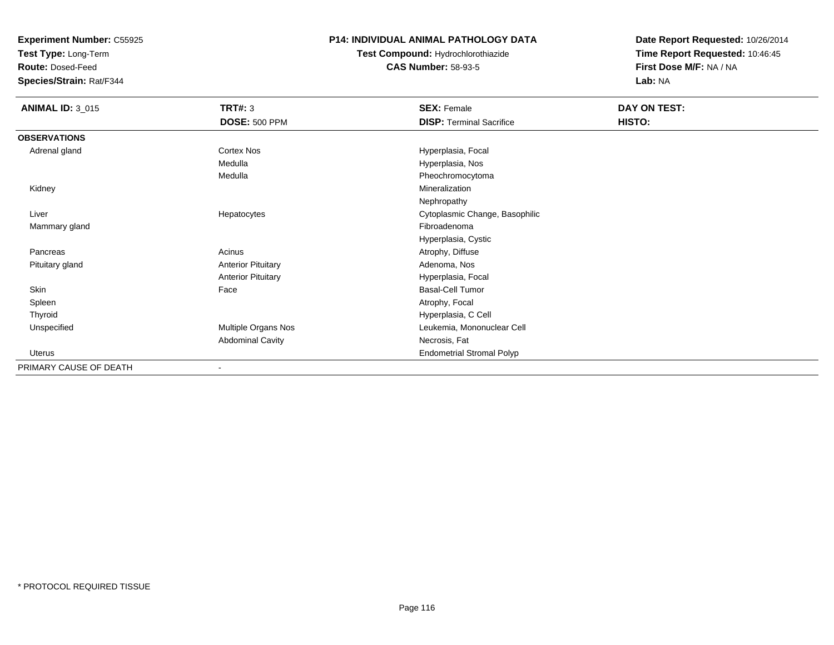**Test Type:** Long-Term

**Route:** Dosed-Feed

**Species/Strain:** Rat/F344

# **P14: INDIVIDUAL ANIMAL PATHOLOGY DATA**

**Test Compound:** Hydrochlorothiazide**CAS Number:** 58-93-5

| <b>ANIMAL ID: 3_015</b> | <b>TRT#: 3</b>            | <b>SEX: Female</b>               | DAY ON TEST: |
|-------------------------|---------------------------|----------------------------------|--------------|
|                         | <b>DOSE: 500 PPM</b>      | <b>DISP: Terminal Sacrifice</b>  | HISTO:       |
| <b>OBSERVATIONS</b>     |                           |                                  |              |
| Adrenal gland           | Cortex Nos                | Hyperplasia, Focal               |              |
|                         | Medulla                   | Hyperplasia, Nos                 |              |
|                         | Medulla                   | Pheochromocytoma                 |              |
| Kidney                  |                           | Mineralization                   |              |
|                         |                           | Nephropathy                      |              |
| Liver                   | Hepatocytes               | Cytoplasmic Change, Basophilic   |              |
| Mammary gland           |                           | Fibroadenoma                     |              |
|                         |                           | Hyperplasia, Cystic              |              |
| Pancreas                | Acinus                    | Atrophy, Diffuse                 |              |
| Pituitary gland         | <b>Anterior Pituitary</b> | Adenoma, Nos                     |              |
|                         | <b>Anterior Pituitary</b> | Hyperplasia, Focal               |              |
| Skin                    | Face                      | Basal-Cell Tumor                 |              |
| Spleen                  |                           | Atrophy, Focal                   |              |
| Thyroid                 |                           | Hyperplasia, C Cell              |              |
| Unspecified             | Multiple Organs Nos       | Leukemia, Mononuclear Cell       |              |
|                         | <b>Abdominal Cavity</b>   | Necrosis, Fat                    |              |
| Uterus                  |                           | <b>Endometrial Stromal Polyp</b> |              |
| PRIMARY CAUSE OF DEATH  | ۰                         |                                  |              |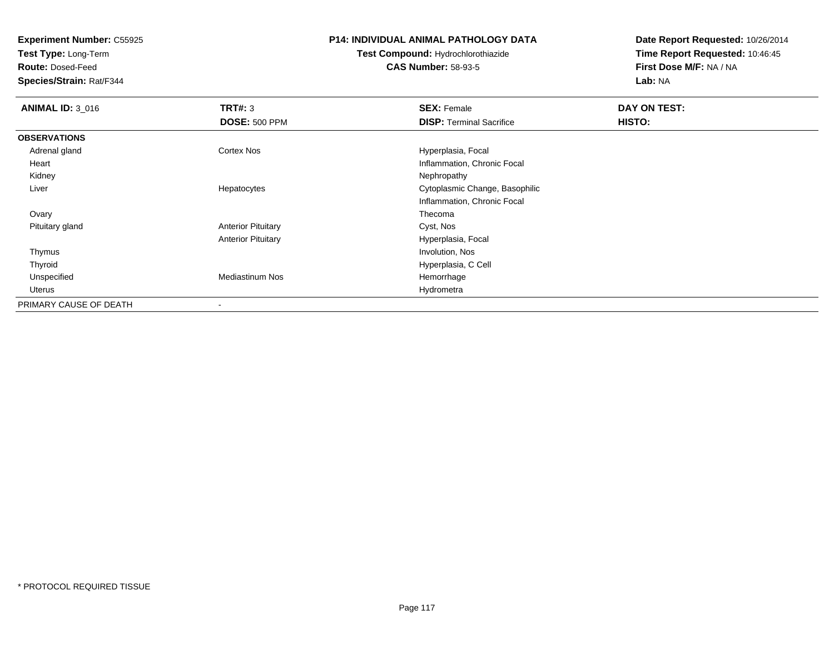**Test Type:** Long-Term

**Route:** Dosed-Feed

**Species/Strain:** Rat/F344

### **P14: INDIVIDUAL ANIMAL PATHOLOGY DATA**

# **Test Compound:** Hydrochlorothiazide**CAS Number:** 58-93-5

| <b>ANIMAL ID: 3_016</b> | TRT#: 3                   | <b>SEX: Female</b>              | DAY ON TEST: |  |
|-------------------------|---------------------------|---------------------------------|--------------|--|
|                         | <b>DOSE: 500 PPM</b>      | <b>DISP: Terminal Sacrifice</b> | HISTO:       |  |
| <b>OBSERVATIONS</b>     |                           |                                 |              |  |
| Adrenal gland           | <b>Cortex Nos</b>         | Hyperplasia, Focal              |              |  |
| Heart                   |                           | Inflammation, Chronic Focal     |              |  |
| Kidney                  |                           | Nephropathy                     |              |  |
| Liver                   | Hepatocytes               | Cytoplasmic Change, Basophilic  |              |  |
|                         |                           | Inflammation, Chronic Focal     |              |  |
| Ovary                   |                           | Thecoma                         |              |  |
| Pituitary gland         | <b>Anterior Pituitary</b> | Cyst, Nos                       |              |  |
|                         | <b>Anterior Pituitary</b> | Hyperplasia, Focal              |              |  |
| Thymus                  |                           | Involution, Nos                 |              |  |
| Thyroid                 |                           | Hyperplasia, C Cell             |              |  |
| Unspecified             | <b>Mediastinum Nos</b>    | Hemorrhage                      |              |  |
| Uterus                  |                           | Hydrometra                      |              |  |
| PRIMARY CAUSE OF DEATH  | $\overline{\phantom{a}}$  |                                 |              |  |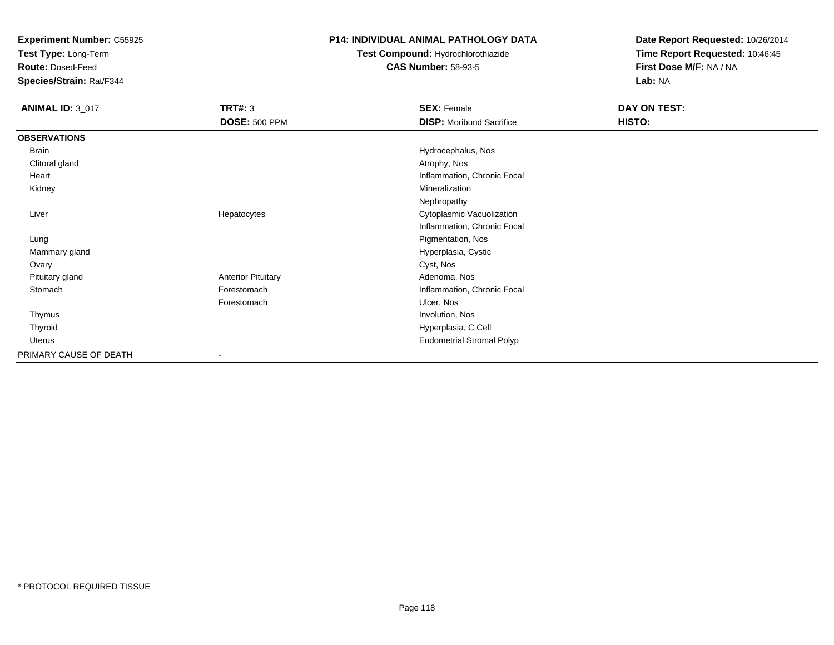**Test Type:** Long-Term

**Route:** Dosed-Feed

**Species/Strain:** Rat/F344

### **P14: INDIVIDUAL ANIMAL PATHOLOGY DATA**

**Test Compound:** Hydrochlorothiazide**CAS Number:** 58-93-5

| <b>ANIMAL ID: 3_017</b> | <b>TRT#: 3</b>            | <b>SEX: Female</b>               | DAY ON TEST: |
|-------------------------|---------------------------|----------------------------------|--------------|
|                         | <b>DOSE: 500 PPM</b>      | <b>DISP:</b> Moribund Sacrifice  | HISTO:       |
| <b>OBSERVATIONS</b>     |                           |                                  |              |
| Brain                   |                           | Hydrocephalus, Nos               |              |
| Clitoral gland          |                           | Atrophy, Nos                     |              |
| Heart                   |                           | Inflammation, Chronic Focal      |              |
| Kidney                  |                           | Mineralization                   |              |
|                         |                           | Nephropathy                      |              |
| Liver                   | Hepatocytes               | Cytoplasmic Vacuolization        |              |
|                         |                           | Inflammation, Chronic Focal      |              |
| Lung                    |                           | Pigmentation, Nos                |              |
| Mammary gland           |                           | Hyperplasia, Cystic              |              |
| Ovary                   |                           | Cyst, Nos                        |              |
| Pituitary gland         | <b>Anterior Pituitary</b> | Adenoma, Nos                     |              |
| Stomach                 | Forestomach               | Inflammation, Chronic Focal      |              |
|                         | Forestomach               | Ulcer, Nos                       |              |
| Thymus                  |                           | Involution, Nos                  |              |
| Thyroid                 |                           | Hyperplasia, C Cell              |              |
| Uterus                  |                           | <b>Endometrial Stromal Polyp</b> |              |
| PRIMARY CAUSE OF DEATH  |                           |                                  |              |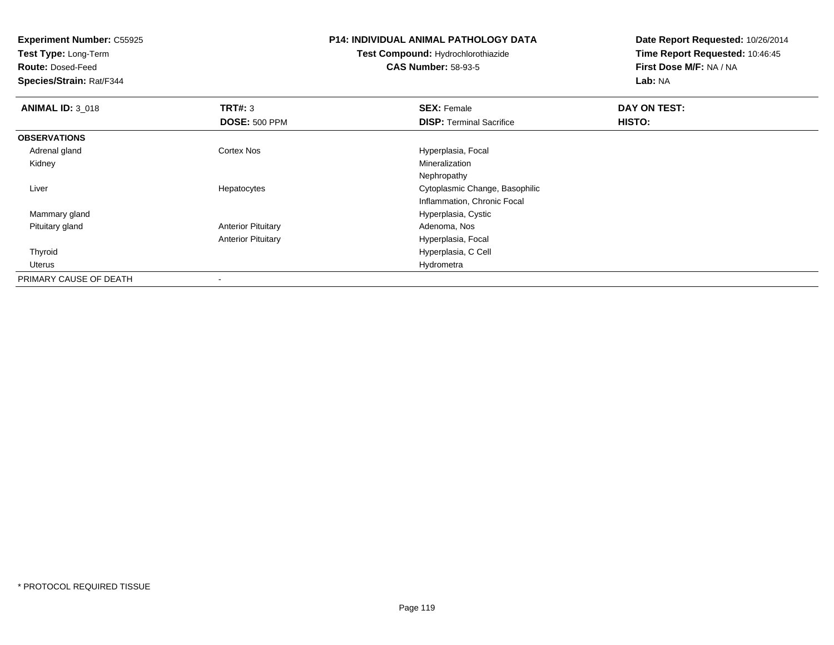**Test Type:** Long-Term

**Route:** Dosed-Feed

**Species/Strain:** Rat/F344

# **P14: INDIVIDUAL ANIMAL PATHOLOGY DATA**

**Test Compound:** Hydrochlorothiazide**CAS Number:** 58-93-5

| <b>ANIMAL ID: 3_018</b> | TRT#: 3                   | <b>SEX: Female</b>              | DAY ON TEST: |  |
|-------------------------|---------------------------|---------------------------------|--------------|--|
|                         | <b>DOSE: 500 PPM</b>      | <b>DISP: Terminal Sacrifice</b> | HISTO:       |  |
| <b>OBSERVATIONS</b>     |                           |                                 |              |  |
| Adrenal gland           | <b>Cortex Nos</b>         | Hyperplasia, Focal              |              |  |
| Kidney                  |                           | Mineralization                  |              |  |
|                         |                           | Nephropathy                     |              |  |
| Liver                   | Hepatocytes               | Cytoplasmic Change, Basophilic  |              |  |
|                         |                           | Inflammation, Chronic Focal     |              |  |
| Mammary gland           |                           | Hyperplasia, Cystic             |              |  |
| Pituitary gland         | <b>Anterior Pituitary</b> | Adenoma, Nos                    |              |  |
|                         | <b>Anterior Pituitary</b> | Hyperplasia, Focal              |              |  |
| Thyroid                 |                           | Hyperplasia, C Cell             |              |  |
| Uterus                  |                           | Hydrometra                      |              |  |
| PRIMARY CAUSE OF DEATH  |                           |                                 |              |  |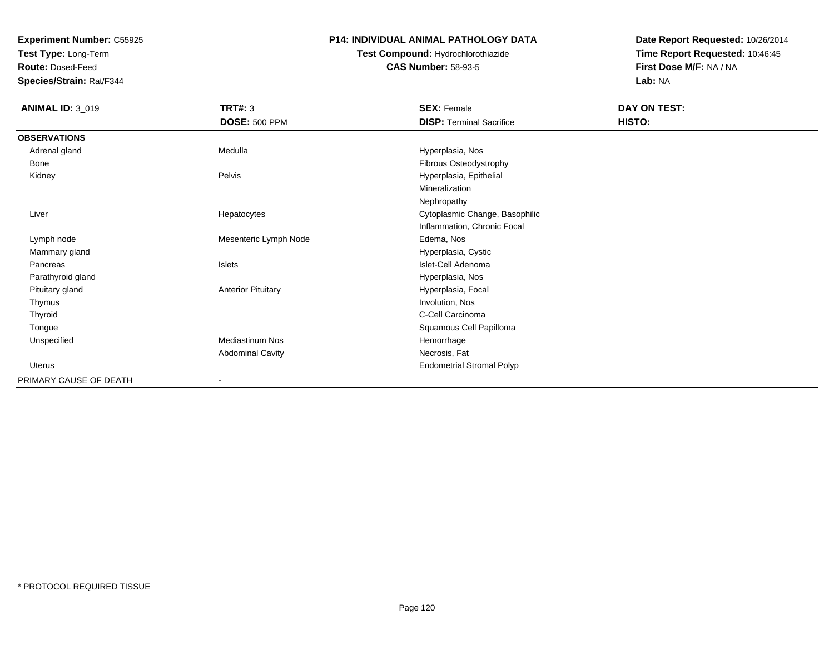**Test Type:** Long-Term

**Route:** Dosed-Feed

**Species/Strain:** Rat/F344

# **P14: INDIVIDUAL ANIMAL PATHOLOGY DATA**

# **Test Compound:** Hydrochlorothiazide**CAS Number:** 58-93-5

| <b>ANIMAL ID: 3_019</b> | TRT#: 3                   | <b>SEX: Female</b>               | DAY ON TEST: |
|-------------------------|---------------------------|----------------------------------|--------------|
|                         | <b>DOSE: 500 PPM</b>      | <b>DISP: Terminal Sacrifice</b>  | HISTO:       |
| <b>OBSERVATIONS</b>     |                           |                                  |              |
| Adrenal gland           | Medulla                   | Hyperplasia, Nos                 |              |
| Bone                    |                           | Fibrous Osteodystrophy           |              |
| Kidney                  | Pelvis                    | Hyperplasia, Epithelial          |              |
|                         |                           | Mineralization                   |              |
|                         |                           | Nephropathy                      |              |
| Liver                   | Hepatocytes               | Cytoplasmic Change, Basophilic   |              |
|                         |                           | Inflammation, Chronic Focal      |              |
| Lymph node              | Mesenteric Lymph Node     | Edema, Nos                       |              |
| Mammary gland           |                           | Hyperplasia, Cystic              |              |
| Pancreas                | <b>Islets</b>             | Islet-Cell Adenoma               |              |
| Parathyroid gland       |                           | Hyperplasia, Nos                 |              |
| Pituitary gland         | <b>Anterior Pituitary</b> | Hyperplasia, Focal               |              |
| Thymus                  |                           | Involution, Nos                  |              |
| Thyroid                 |                           | C-Cell Carcinoma                 |              |
| Tongue                  |                           | Squamous Cell Papilloma          |              |
| Unspecified             | <b>Mediastinum Nos</b>    | Hemorrhage                       |              |
|                         | <b>Abdominal Cavity</b>   | Necrosis, Fat                    |              |
| Uterus                  |                           | <b>Endometrial Stromal Polyp</b> |              |
| PRIMARY CAUSE OF DEATH  | ٠                         |                                  |              |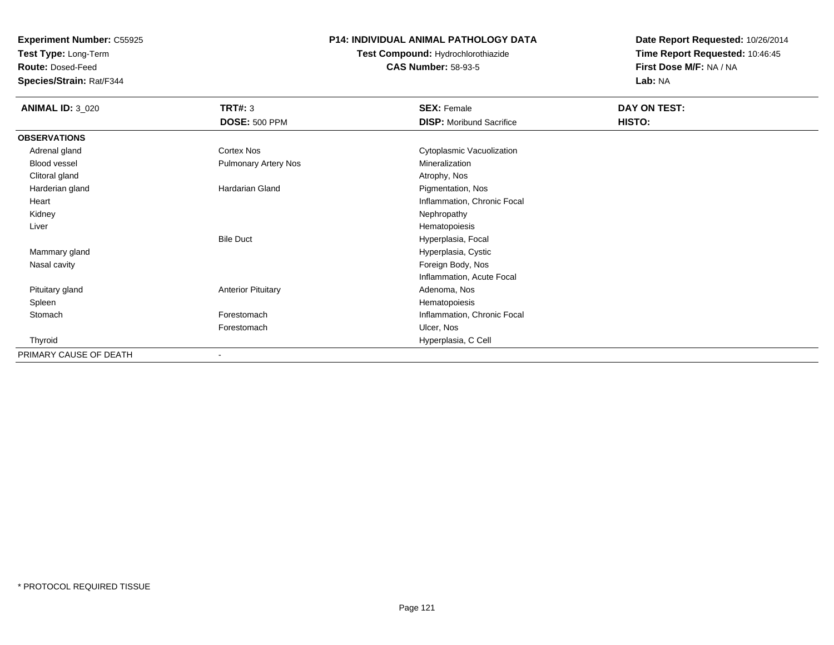**Test Type:** Long-Term

**Route:** Dosed-Feed

**Species/Strain:** Rat/F344

# **P14: INDIVIDUAL ANIMAL PATHOLOGY DATA**

**Test Compound:** Hydrochlorothiazide**CAS Number:** 58-93-5

| <b>ANIMAL ID: 3_020</b> | <b>TRT#: 3</b>              | <b>SEX: Female</b>              | DAY ON TEST: |
|-------------------------|-----------------------------|---------------------------------|--------------|
|                         | <b>DOSE: 500 PPM</b>        | <b>DISP:</b> Moribund Sacrifice | HISTO:       |
| <b>OBSERVATIONS</b>     |                             |                                 |              |
| Adrenal gland           | Cortex Nos                  | Cytoplasmic Vacuolization       |              |
| Blood vessel            | <b>Pulmonary Artery Nos</b> | Mineralization                  |              |
| Clitoral gland          |                             | Atrophy, Nos                    |              |
| Harderian gland         | <b>Hardarian Gland</b>      | Pigmentation, Nos               |              |
| Heart                   |                             | Inflammation, Chronic Focal     |              |
| Kidney                  |                             | Nephropathy                     |              |
| Liver                   |                             | Hematopoiesis                   |              |
|                         | <b>Bile Duct</b>            | Hyperplasia, Focal              |              |
| Mammary gland           |                             | Hyperplasia, Cystic             |              |
| Nasal cavity            |                             | Foreign Body, Nos               |              |
|                         |                             | Inflammation, Acute Focal       |              |
| Pituitary gland         | <b>Anterior Pituitary</b>   | Adenoma, Nos                    |              |
| Spleen                  |                             | Hematopoiesis                   |              |
| Stomach                 | Forestomach                 | Inflammation, Chronic Focal     |              |
|                         | Forestomach                 | Ulcer, Nos                      |              |
| Thyroid                 |                             | Hyperplasia, C Cell             |              |
| PRIMARY CAUSE OF DEATH  |                             |                                 |              |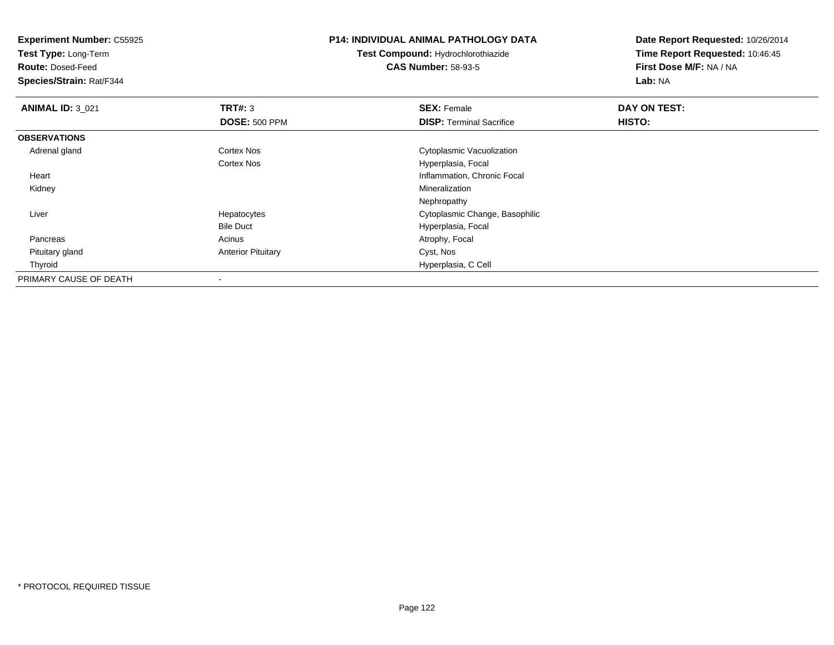**Experiment Number:** C55925**Test Type:** Long-Term**Route:** Dosed-Feed **Species/Strain:** Rat/F344**P14: INDIVIDUAL ANIMAL PATHOLOGY DATATest Compound:** Hydrochlorothiazide**CAS Number:** 58-93-5**Date Report Requested:** 10/26/2014**Time Report Requested:** 10:46:45**First Dose M/F:** NA / NA**Lab:** NA**ANIMAL ID:** 3\_021**TRT#:** 3 **SEX:** Female **DAY ON TEST: DOSE:** 500 PPM**DISP:** Terminal Sacrifice **HISTO: OBSERVATIONS** Adrenal glandCortex Nos **Cytoplasmic Vacuolization** Cortex Nos Hyperplasia, Focal Heart Inflammation, Chronic Focal Kidneyy with the control of the control of the control of the control of the control of the control of the control of the control of the control of the control of the control of the control of the control of the control of the c NephropathyS<br>
Secret Cytoplasmic Change, Basophilic Liver HepatocytesBile Duct Hyperplasia, Focal PancreasAcinus **Acinus** Atrophy, Focal Pituitary glandAnterior Pituitary **Cyst, Nos**  Thyroid Hyperplasia, C Cell PRIMARY CAUSE OF DEATH-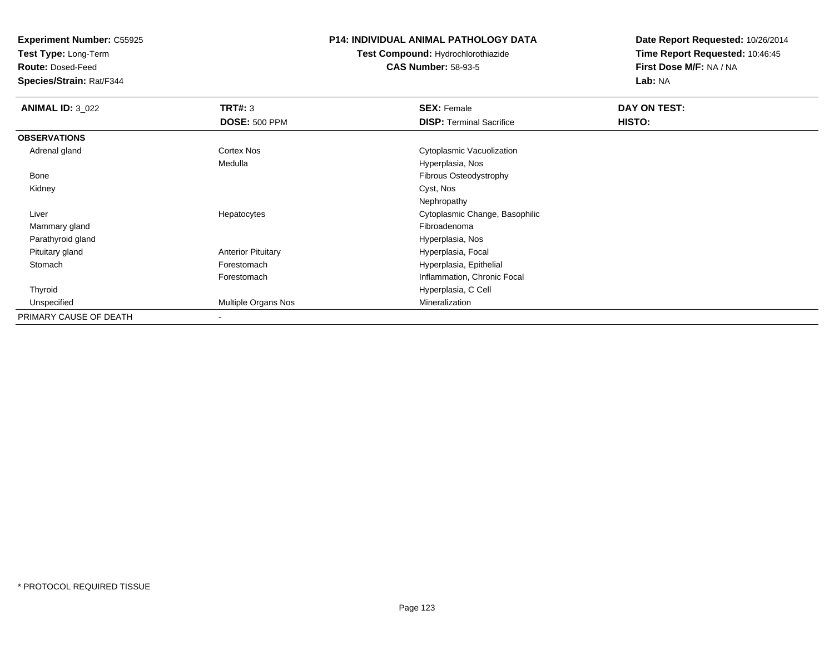**Test Type:** Long-Term

**Route:** Dosed-Feed

**Species/Strain:** Rat/F344

# **P14: INDIVIDUAL ANIMAL PATHOLOGY DATA**

**Test Compound:** Hydrochlorothiazide**CAS Number:** 58-93-5

| <b>ANIMAL ID: 3_022</b> | TRT#: 3                   | <b>SEX: Female</b>              | DAY ON TEST: |  |
|-------------------------|---------------------------|---------------------------------|--------------|--|
|                         | <b>DOSE: 500 PPM</b>      | <b>DISP: Terminal Sacrifice</b> | HISTO:       |  |
| <b>OBSERVATIONS</b>     |                           |                                 |              |  |
| Adrenal gland           | Cortex Nos                | Cytoplasmic Vacuolization       |              |  |
|                         | Medulla                   | Hyperplasia, Nos                |              |  |
| Bone                    |                           | Fibrous Osteodystrophy          |              |  |
| Kidney                  |                           | Cyst, Nos                       |              |  |
|                         |                           | Nephropathy                     |              |  |
| Liver                   | Hepatocytes               | Cytoplasmic Change, Basophilic  |              |  |
| Mammary gland           |                           | Fibroadenoma                    |              |  |
| Parathyroid gland       |                           | Hyperplasia, Nos                |              |  |
| Pituitary gland         | <b>Anterior Pituitary</b> | Hyperplasia, Focal              |              |  |
| Stomach                 | Forestomach               | Hyperplasia, Epithelial         |              |  |
|                         | Forestomach               | Inflammation, Chronic Focal     |              |  |
| Thyroid                 |                           | Hyperplasia, C Cell             |              |  |
| Unspecified             | Multiple Organs Nos       | Mineralization                  |              |  |
| PRIMARY CAUSE OF DEATH  | ۰                         |                                 |              |  |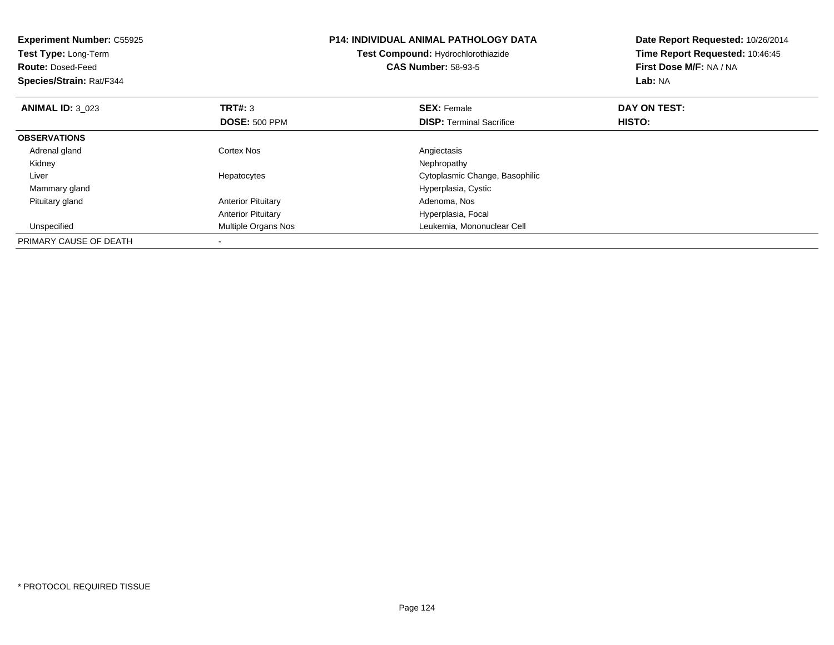| <b>Experiment Number: C55925</b><br>Test Type: Long-Term<br><b>Route: Dosed-Feed</b><br>Species/Strain: Rat/F344 |                           | <b>P14: INDIVIDUAL ANIMAL PATHOLOGY DATA</b><br>Test Compound: Hydrochlorothiazide<br><b>CAS Number: 58-93-5</b> | Date Report Requested: 10/26/2014<br>Time Report Requested: 10:46:45<br>First Dose M/F: NA / NA<br>Lab: NA |
|------------------------------------------------------------------------------------------------------------------|---------------------------|------------------------------------------------------------------------------------------------------------------|------------------------------------------------------------------------------------------------------------|
| <b>ANIMAL ID: 3 023</b>                                                                                          | <b>TRT#: 3</b>            | <b>SEX: Female</b>                                                                                               | DAY ON TEST:                                                                                               |
|                                                                                                                  | <b>DOSE: 500 PPM</b>      | <b>DISP:</b> Terminal Sacrifice                                                                                  | <b>HISTO:</b>                                                                                              |
| <b>OBSERVATIONS</b>                                                                                              |                           |                                                                                                                  |                                                                                                            |
| Adrenal gland                                                                                                    | Cortex Nos                | Angiectasis                                                                                                      |                                                                                                            |
| Kidney                                                                                                           |                           | Nephropathy                                                                                                      |                                                                                                            |
| Liver                                                                                                            | Hepatocytes               | Cytoplasmic Change, Basophilic                                                                                   |                                                                                                            |
| Mammary gland                                                                                                    |                           | Hyperplasia, Cystic                                                                                              |                                                                                                            |
| Pituitary gland                                                                                                  | <b>Anterior Pituitary</b> | Adenoma, Nos                                                                                                     |                                                                                                            |
|                                                                                                                  | <b>Anterior Pituitary</b> | Hyperplasia, Focal                                                                                               |                                                                                                            |
| Unspecified                                                                                                      | Multiple Organs Nos       | Leukemia, Mononuclear Cell                                                                                       |                                                                                                            |
| PRIMARY CAUSE OF DEATH                                                                                           |                           |                                                                                                                  |                                                                                                            |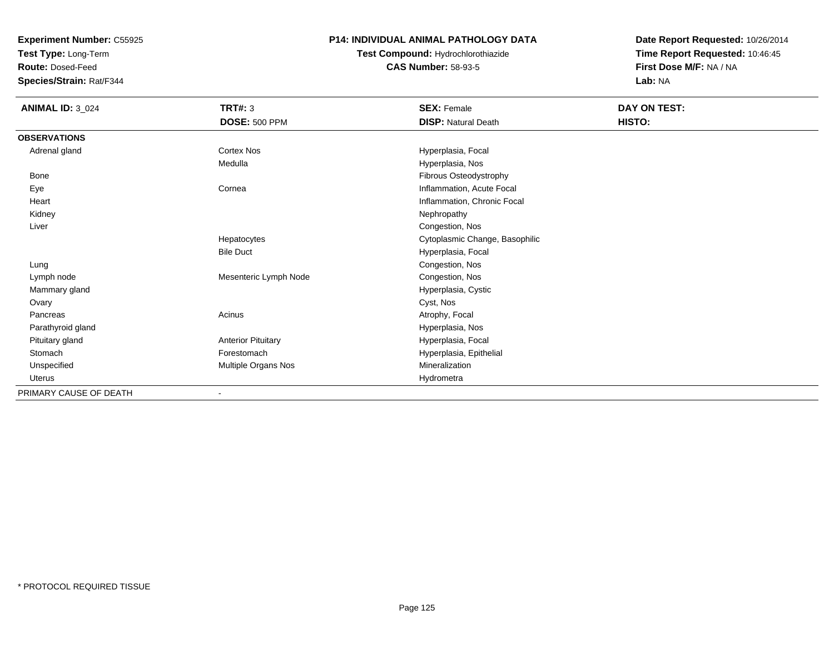**Test Type:** Long-Term

**Route:** Dosed-Feed

**Species/Strain:** Rat/F344

# **P14: INDIVIDUAL ANIMAL PATHOLOGY DATA**

**Test Compound:** Hydrochlorothiazide**CAS Number:** 58-93-5

| <b>ANIMAL ID: 3 024</b> | TRT#: 3                   | <b>SEX: Female</b>             | DAY ON TEST: |  |
|-------------------------|---------------------------|--------------------------------|--------------|--|
|                         | <b>DOSE: 500 PPM</b>      | <b>DISP: Natural Death</b>     | HISTO:       |  |
| <b>OBSERVATIONS</b>     |                           |                                |              |  |
| Adrenal gland           | Cortex Nos                | Hyperplasia, Focal             |              |  |
|                         | Medulla                   | Hyperplasia, Nos               |              |  |
| Bone                    |                           | Fibrous Osteodystrophy         |              |  |
| Eye                     | Cornea                    | Inflammation, Acute Focal      |              |  |
| Heart                   |                           | Inflammation, Chronic Focal    |              |  |
| Kidney                  |                           | Nephropathy                    |              |  |
| Liver                   |                           | Congestion, Nos                |              |  |
|                         | Hepatocytes               | Cytoplasmic Change, Basophilic |              |  |
|                         | <b>Bile Duct</b>          | Hyperplasia, Focal             |              |  |
| Lung                    |                           | Congestion, Nos                |              |  |
| Lymph node              | Mesenteric Lymph Node     | Congestion, Nos                |              |  |
| Mammary gland           |                           | Hyperplasia, Cystic            |              |  |
| Ovary                   |                           | Cyst, Nos                      |              |  |
| Pancreas                | Acinus                    | Atrophy, Focal                 |              |  |
| Parathyroid gland       |                           | Hyperplasia, Nos               |              |  |
| Pituitary gland         | <b>Anterior Pituitary</b> | Hyperplasia, Focal             |              |  |
| Stomach                 | Forestomach               | Hyperplasia, Epithelial        |              |  |
| Unspecified             | Multiple Organs Nos       | Mineralization                 |              |  |
| <b>Uterus</b>           |                           | Hydrometra                     |              |  |
| PRIMARY CAUSE OF DEATH  | $\overline{\phantom{a}}$  |                                |              |  |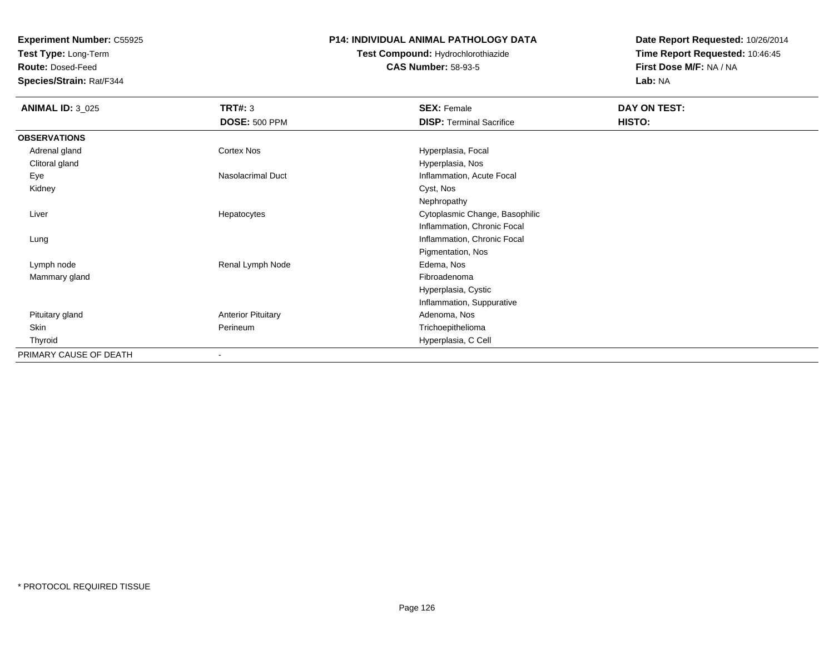**Test Type:** Long-Term

**Route:** Dosed-Feed

**Species/Strain:** Rat/F344

# **P14: INDIVIDUAL ANIMAL PATHOLOGY DATA**

# **Test Compound:** Hydrochlorothiazide**CAS Number:** 58-93-5

| <b>ANIMAL ID: 3_025</b> | <b>TRT#: 3</b>            | <b>SEX: Female</b>              | DAY ON TEST: |
|-------------------------|---------------------------|---------------------------------|--------------|
|                         | <b>DOSE: 500 PPM</b>      | <b>DISP: Terminal Sacrifice</b> | HISTO:       |
| <b>OBSERVATIONS</b>     |                           |                                 |              |
| Adrenal gland           | Cortex Nos                | Hyperplasia, Focal              |              |
| Clitoral gland          |                           | Hyperplasia, Nos                |              |
| Eye                     | <b>Nasolacrimal Duct</b>  | Inflammation, Acute Focal       |              |
| Kidney                  |                           | Cyst, Nos                       |              |
|                         |                           | Nephropathy                     |              |
| Liver                   | Hepatocytes               | Cytoplasmic Change, Basophilic  |              |
|                         |                           | Inflammation, Chronic Focal     |              |
| Lung                    |                           | Inflammation, Chronic Focal     |              |
|                         |                           | Pigmentation, Nos               |              |
| Lymph node              | Renal Lymph Node          | Edema, Nos                      |              |
| Mammary gland           |                           | Fibroadenoma                    |              |
|                         |                           | Hyperplasia, Cystic             |              |
|                         |                           | Inflammation, Suppurative       |              |
| Pituitary gland         | <b>Anterior Pituitary</b> | Adenoma, Nos                    |              |
| <b>Skin</b>             | Perineum                  | Trichoepithelioma               |              |
| Thyroid                 |                           | Hyperplasia, C Cell             |              |
| PRIMARY CAUSE OF DEATH  | ۰                         |                                 |              |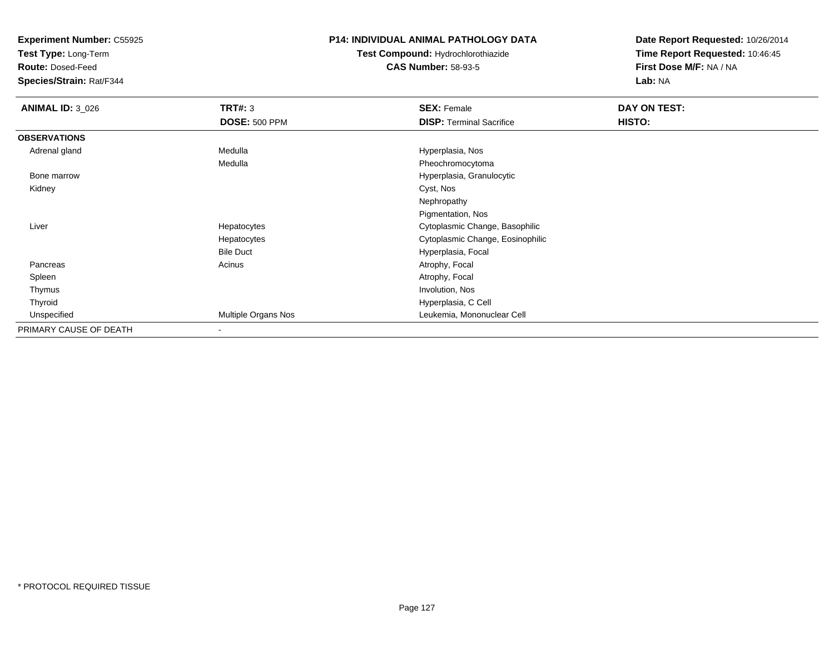**Test Type:** Long-Term

**Route:** Dosed-Feed

**Species/Strain:** Rat/F344

# **P14: INDIVIDUAL ANIMAL PATHOLOGY DATA**

# **Test Compound:** Hydrochlorothiazide**CAS Number:** 58-93-5

| <b>ANIMAL ID: 3_026</b> | <b>TRT#: 3</b>           | <b>SEX: Female</b>               | DAY ON TEST:  |  |
|-------------------------|--------------------------|----------------------------------|---------------|--|
|                         | <b>DOSE: 500 PPM</b>     | <b>DISP: Terminal Sacrifice</b>  | <b>HISTO:</b> |  |
| <b>OBSERVATIONS</b>     |                          |                                  |               |  |
| Adrenal gland           | Medulla                  | Hyperplasia, Nos                 |               |  |
|                         | Medulla                  | Pheochromocytoma                 |               |  |
| Bone marrow             |                          | Hyperplasia, Granulocytic        |               |  |
| Kidney                  |                          | Cyst, Nos                        |               |  |
|                         |                          | Nephropathy                      |               |  |
|                         |                          | Pigmentation, Nos                |               |  |
| Liver                   | Hepatocytes              | Cytoplasmic Change, Basophilic   |               |  |
|                         | Hepatocytes              | Cytoplasmic Change, Eosinophilic |               |  |
|                         | <b>Bile Duct</b>         | Hyperplasia, Focal               |               |  |
| Pancreas                | Acinus                   | Atrophy, Focal                   |               |  |
| Spleen                  |                          | Atrophy, Focal                   |               |  |
| Thymus                  |                          | Involution, Nos                  |               |  |
| Thyroid                 |                          | Hyperplasia, C Cell              |               |  |
| Unspecified             | Multiple Organs Nos      | Leukemia, Mononuclear Cell       |               |  |
| PRIMARY CAUSE OF DEATH  | $\overline{\phantom{a}}$ |                                  |               |  |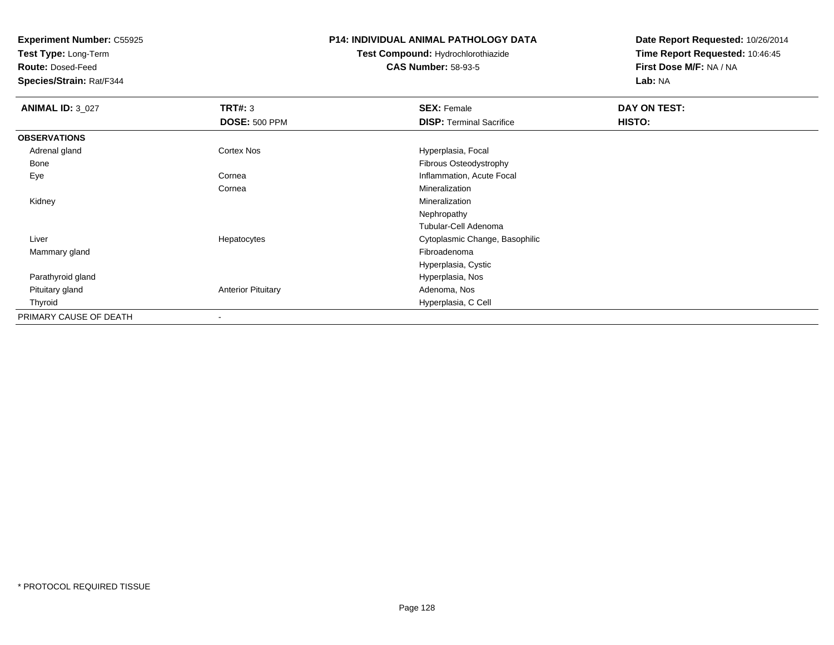**Test Type:** Long-Term

**Route:** Dosed-Feed

**Species/Strain:** Rat/F344

### **P14: INDIVIDUAL ANIMAL PATHOLOGY DATA**

# **Test Compound:** Hydrochlorothiazide**CAS Number:** 58-93-5

| <b>ANIMAL ID: 3_027</b> | TRT#: 3                   | <b>SEX: Female</b>              | DAY ON TEST: |  |
|-------------------------|---------------------------|---------------------------------|--------------|--|
|                         | <b>DOSE: 500 PPM</b>      | <b>DISP: Terminal Sacrifice</b> | HISTO:       |  |
| <b>OBSERVATIONS</b>     |                           |                                 |              |  |
| Adrenal gland           | <b>Cortex Nos</b>         | Hyperplasia, Focal              |              |  |
| Bone                    |                           | Fibrous Osteodystrophy          |              |  |
| Eye                     | Cornea                    | Inflammation, Acute Focal       |              |  |
|                         | Cornea                    | Mineralization                  |              |  |
| Kidney                  |                           | Mineralization                  |              |  |
|                         |                           | Nephropathy                     |              |  |
|                         |                           | Tubular-Cell Adenoma            |              |  |
| Liver                   | Hepatocytes               | Cytoplasmic Change, Basophilic  |              |  |
| Mammary gland           |                           | Fibroadenoma                    |              |  |
|                         |                           | Hyperplasia, Cystic             |              |  |
| Parathyroid gland       |                           | Hyperplasia, Nos                |              |  |
| Pituitary gland         | <b>Anterior Pituitary</b> | Adenoma, Nos                    |              |  |
| Thyroid                 |                           | Hyperplasia, C Cell             |              |  |
| PRIMARY CAUSE OF DEATH  |                           |                                 |              |  |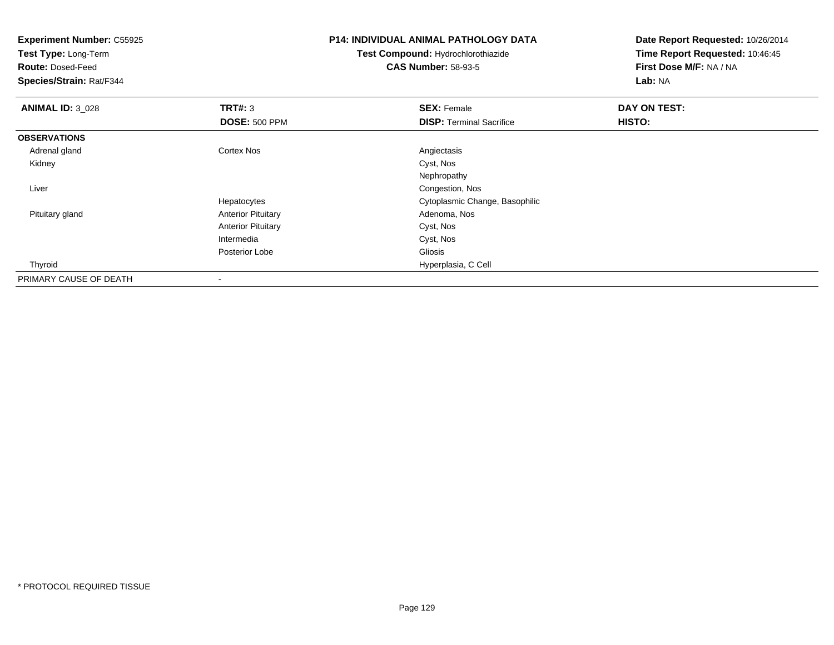| <b>Experiment Number: C55925</b> |                           | <b>P14: INDIVIDUAL ANIMAL PATHOLOGY DATA</b> | Date Report Requested: 10/26/2014 |
|----------------------------------|---------------------------|----------------------------------------------|-----------------------------------|
| Test Type: Long-Term             |                           | Test Compound: Hydrochlorothiazide           | Time Report Requested: 10:46:45   |
| <b>Route: Dosed-Feed</b>         |                           | <b>CAS Number: 58-93-5</b>                   | First Dose M/F: NA / NA           |
| Species/Strain: Rat/F344         |                           |                                              | Lab: NA                           |
| <b>ANIMAL ID: 3_028</b>          | TRT#: 3                   | <b>SEX: Female</b>                           | DAY ON TEST:                      |
|                                  | <b>DOSE: 500 PPM</b>      | <b>DISP: Terminal Sacrifice</b>              | HISTO:                            |
| <b>OBSERVATIONS</b>              |                           |                                              |                                   |
| Adrenal gland                    | <b>Cortex Nos</b>         | Angiectasis                                  |                                   |
| Kidney                           |                           | Cyst, Nos                                    |                                   |
|                                  |                           | Nephropathy                                  |                                   |
| Liver                            |                           | Congestion, Nos                              |                                   |
|                                  | Hepatocytes               | Cytoplasmic Change, Basophilic               |                                   |
| Pituitary gland                  | <b>Anterior Pituitary</b> | Adenoma, Nos                                 |                                   |
|                                  | <b>Anterior Pituitary</b> | Cyst, Nos                                    |                                   |
|                                  | Intermedia                | Cyst, Nos                                    |                                   |
|                                  | Posterior Lobe            | Gliosis                                      |                                   |
| Thyroid                          |                           | Hyperplasia, C Cell                          |                                   |
| PRIMARY CAUSE OF DEATH           |                           |                                              |                                   |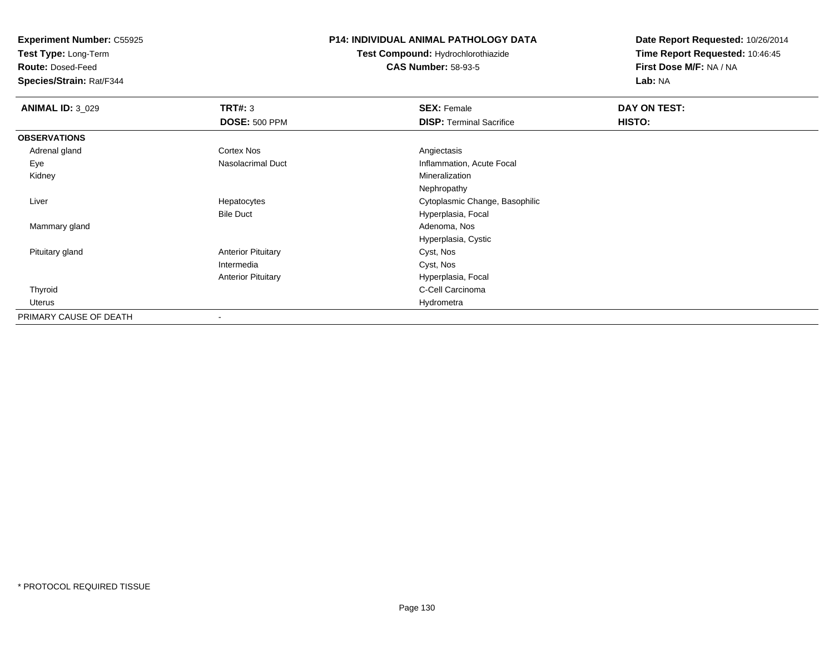**Test Type:** Long-Term

**Route:** Dosed-Feed

**Species/Strain:** Rat/F344

### **P14: INDIVIDUAL ANIMAL PATHOLOGY DATA**

**Test Compound:** Hydrochlorothiazide**CAS Number:** 58-93-5

| <b>ANIMAL ID: 3_029</b> | TRT#: 3                   | <b>SEX: Female</b>              | DAY ON TEST: |  |
|-------------------------|---------------------------|---------------------------------|--------------|--|
|                         | <b>DOSE: 500 PPM</b>      | <b>DISP: Terminal Sacrifice</b> | HISTO:       |  |
| <b>OBSERVATIONS</b>     |                           |                                 |              |  |
| Adrenal gland           | <b>Cortex Nos</b>         | Angiectasis                     |              |  |
| Eye                     | Nasolacrimal Duct         | Inflammation, Acute Focal       |              |  |
| Kidney                  |                           | Mineralization                  |              |  |
|                         |                           | Nephropathy                     |              |  |
| Liver                   | Hepatocytes               | Cytoplasmic Change, Basophilic  |              |  |
|                         | <b>Bile Duct</b>          | Hyperplasia, Focal              |              |  |
| Mammary gland           |                           | Adenoma, Nos                    |              |  |
|                         |                           | Hyperplasia, Cystic             |              |  |
| Pituitary gland         | <b>Anterior Pituitary</b> | Cyst, Nos                       |              |  |
|                         | Intermedia                | Cyst, Nos                       |              |  |
|                         | <b>Anterior Pituitary</b> | Hyperplasia, Focal              |              |  |
| Thyroid                 |                           | C-Cell Carcinoma                |              |  |
| Uterus                  |                           | Hydrometra                      |              |  |
| PRIMARY CAUSE OF DEATH  |                           |                                 |              |  |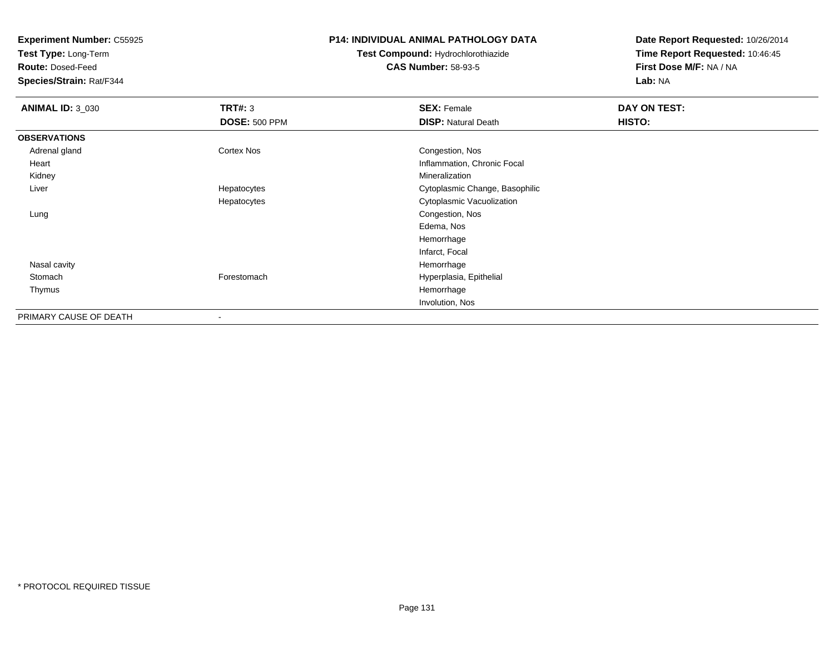**Test Type:** Long-Term

**Route:** Dosed-Feed

**Species/Strain:** Rat/F344

## **P14: INDIVIDUAL ANIMAL PATHOLOGY DATA**

# **Test Compound:** Hydrochlorothiazide**CAS Number:** 58-93-5

| <b>ANIMAL ID: 3_030</b> | TRT#: 3              | <b>SEX: Female</b>             | DAY ON TEST: |  |
|-------------------------|----------------------|--------------------------------|--------------|--|
|                         | <b>DOSE: 500 PPM</b> | <b>DISP: Natural Death</b>     | HISTO:       |  |
| <b>OBSERVATIONS</b>     |                      |                                |              |  |
| Adrenal gland           | <b>Cortex Nos</b>    | Congestion, Nos                |              |  |
| Heart                   |                      | Inflammation, Chronic Focal    |              |  |
| Kidney                  |                      | Mineralization                 |              |  |
| Liver                   | Hepatocytes          | Cytoplasmic Change, Basophilic |              |  |
|                         | Hepatocytes          | Cytoplasmic Vacuolization      |              |  |
| Lung                    |                      | Congestion, Nos                |              |  |
|                         |                      | Edema, Nos                     |              |  |
|                         |                      | Hemorrhage                     |              |  |
|                         |                      | Infarct, Focal                 |              |  |
| Nasal cavity            |                      | Hemorrhage                     |              |  |
| Stomach                 | Forestomach          | Hyperplasia, Epithelial        |              |  |
| Thymus                  |                      | Hemorrhage                     |              |  |
|                         |                      | Involution, Nos                |              |  |
| PRIMARY CAUSE OF DEATH  |                      |                                |              |  |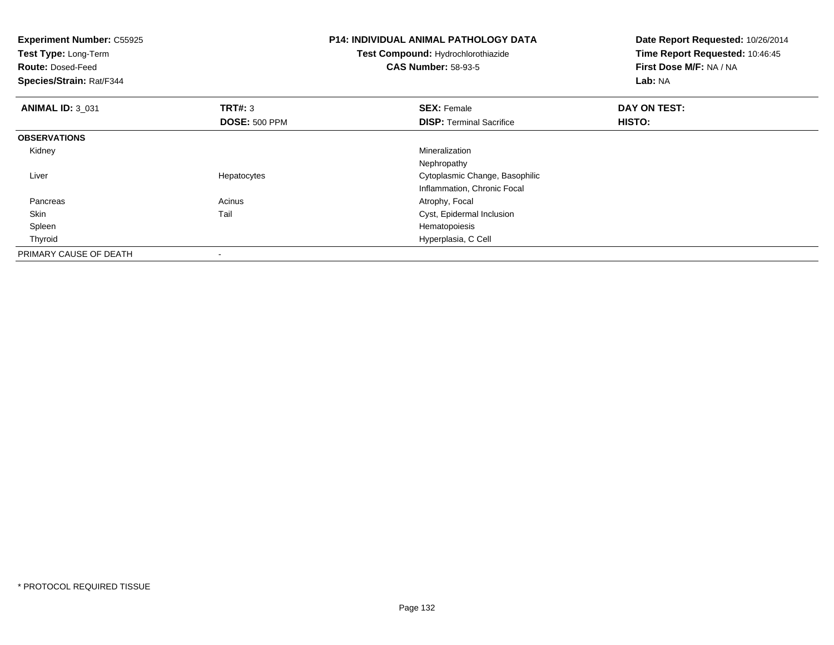| <b>Experiment Number: C55925</b><br>Test Type: Long-Term<br><b>Route: Dosed-Feed</b><br>Species/Strain: Rat/F344 |                                 | <b>P14: INDIVIDUAL ANIMAL PATHOLOGY DATA</b><br>Test Compound: Hydrochlorothiazide<br><b>CAS Number: 58-93-5</b> | Date Report Requested: 10/26/2014<br>Time Report Requested: 10:46:45<br>First Dose M/F: NA / NA<br>Lab: NA |
|------------------------------------------------------------------------------------------------------------------|---------------------------------|------------------------------------------------------------------------------------------------------------------|------------------------------------------------------------------------------------------------------------|
| <b>ANIMAL ID: 3 031</b>                                                                                          | TRT#: 3<br><b>DOSE: 500 PPM</b> | <b>SEX: Female</b><br><b>DISP:</b> Terminal Sacrifice                                                            | DAY ON TEST:<br><b>HISTO:</b>                                                                              |
| <b>OBSERVATIONS</b>                                                                                              |                                 |                                                                                                                  |                                                                                                            |
| Kidney                                                                                                           |                                 | Mineralization                                                                                                   |                                                                                                            |
|                                                                                                                  |                                 | Nephropathy                                                                                                      |                                                                                                            |
| Liver                                                                                                            | Hepatocytes                     | Cytoplasmic Change, Basophilic                                                                                   |                                                                                                            |
|                                                                                                                  |                                 | Inflammation, Chronic Focal                                                                                      |                                                                                                            |
| Pancreas                                                                                                         | Acinus                          | Atrophy, Focal                                                                                                   |                                                                                                            |
| Skin                                                                                                             | Tail                            | Cyst, Epidermal Inclusion                                                                                        |                                                                                                            |
| Spleen                                                                                                           |                                 | Hematopoiesis                                                                                                    |                                                                                                            |
| Thyroid                                                                                                          |                                 | Hyperplasia, C Cell                                                                                              |                                                                                                            |
| PRIMARY CAUSE OF DEATH                                                                                           |                                 |                                                                                                                  |                                                                                                            |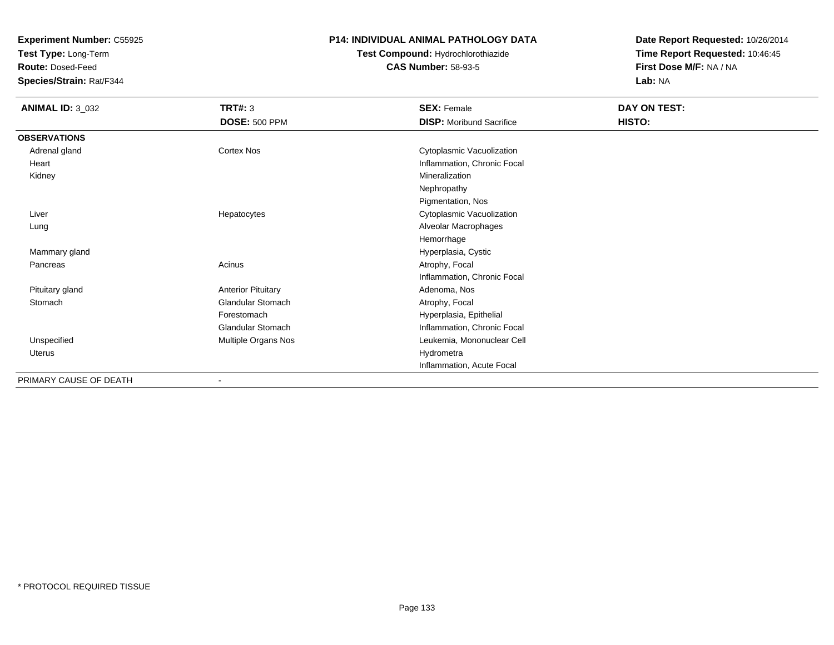**Test Type:** Long-Term

**Route:** Dosed-Feed

**Species/Strain:** Rat/F344

### **P14: INDIVIDUAL ANIMAL PATHOLOGY DATA**

# **Test Compound:** Hydrochlorothiazide**CAS Number:** 58-93-5

| <b>ANIMAL ID: 3_032</b> | <b>TRT#: 3</b>            | <b>SEX: Female</b>              | DAY ON TEST: |  |
|-------------------------|---------------------------|---------------------------------|--------------|--|
|                         | <b>DOSE: 500 PPM</b>      | <b>DISP:</b> Moribund Sacrifice | HISTO:       |  |
| <b>OBSERVATIONS</b>     |                           |                                 |              |  |
| Adrenal gland           | <b>Cortex Nos</b>         | Cytoplasmic Vacuolization       |              |  |
| Heart                   |                           | Inflammation, Chronic Focal     |              |  |
| Kidney                  |                           | Mineralization                  |              |  |
|                         |                           | Nephropathy                     |              |  |
|                         |                           | Pigmentation, Nos               |              |  |
| Liver                   | Hepatocytes               | Cytoplasmic Vacuolization       |              |  |
| Lung                    |                           | Alveolar Macrophages            |              |  |
|                         |                           | Hemorrhage                      |              |  |
| Mammary gland           |                           | Hyperplasia, Cystic             |              |  |
| Pancreas                | Acinus                    | Atrophy, Focal                  |              |  |
|                         |                           | Inflammation, Chronic Focal     |              |  |
| Pituitary gland         | <b>Anterior Pituitary</b> | Adenoma, Nos                    |              |  |
| Stomach                 | Glandular Stomach         | Atrophy, Focal                  |              |  |
|                         | Forestomach               | Hyperplasia, Epithelial         |              |  |
|                         | <b>Glandular Stomach</b>  | Inflammation, Chronic Focal     |              |  |
| Unspecified             | Multiple Organs Nos       | Leukemia, Mononuclear Cell      |              |  |
| <b>Uterus</b>           |                           | Hydrometra                      |              |  |
|                         |                           | Inflammation, Acute Focal       |              |  |
| PRIMARY CAUSE OF DEATH  |                           |                                 |              |  |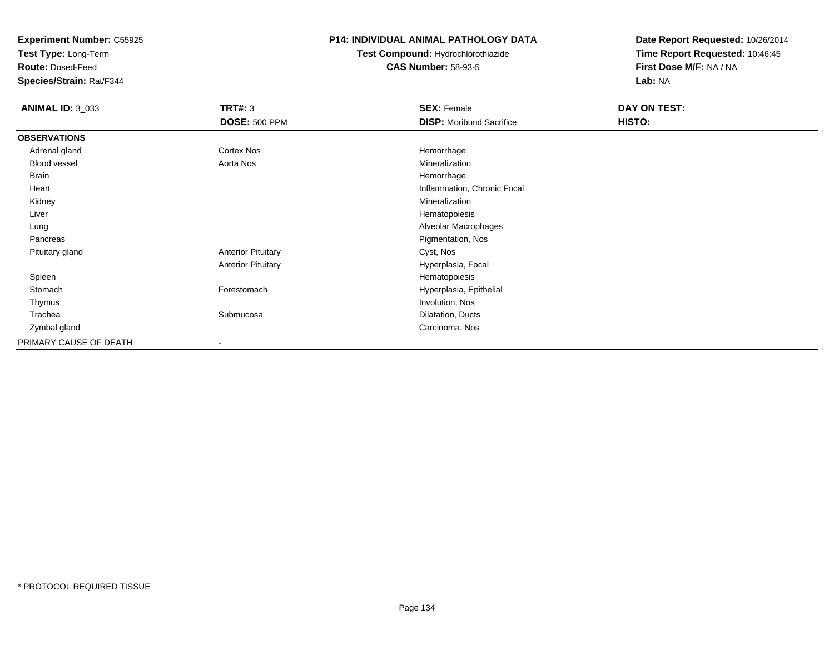**Test Type:** Long-Term

**Route:** Dosed-Feed

**Species/Strain:** Rat/F344

## **P14: INDIVIDUAL ANIMAL PATHOLOGY DATA**

**Test Compound:** Hydrochlorothiazide**CAS Number:** 58-93-5

| <b>ANIMAL ID: 3_033</b> | <b>TRT#: 3</b>            | <b>SEX: Female</b>              | DAY ON TEST: |  |
|-------------------------|---------------------------|---------------------------------|--------------|--|
|                         | <b>DOSE: 500 PPM</b>      | <b>DISP: Moribund Sacrifice</b> | HISTO:       |  |
| <b>OBSERVATIONS</b>     |                           |                                 |              |  |
| Adrenal gland           | <b>Cortex Nos</b>         | Hemorrhage                      |              |  |
| <b>Blood vessel</b>     | Aorta Nos                 | Mineralization                  |              |  |
| <b>Brain</b>            |                           | Hemorrhage                      |              |  |
| Heart                   |                           | Inflammation, Chronic Focal     |              |  |
| Kidney                  |                           | Mineralization                  |              |  |
| Liver                   |                           | Hematopoiesis                   |              |  |
| Lung                    |                           | Alveolar Macrophages            |              |  |
| Pancreas                |                           | Pigmentation, Nos               |              |  |
| Pituitary gland         | <b>Anterior Pituitary</b> | Cyst, Nos                       |              |  |
|                         | <b>Anterior Pituitary</b> | Hyperplasia, Focal              |              |  |
| Spleen                  |                           | Hematopoiesis                   |              |  |
| Stomach                 | Forestomach               | Hyperplasia, Epithelial         |              |  |
| Thymus                  |                           | Involution, Nos                 |              |  |
| Trachea                 | Submucosa                 | Dilatation, Ducts               |              |  |
| Zymbal gland            |                           | Carcinoma, Nos                  |              |  |
| PRIMARY CAUSE OF DEATH  |                           |                                 |              |  |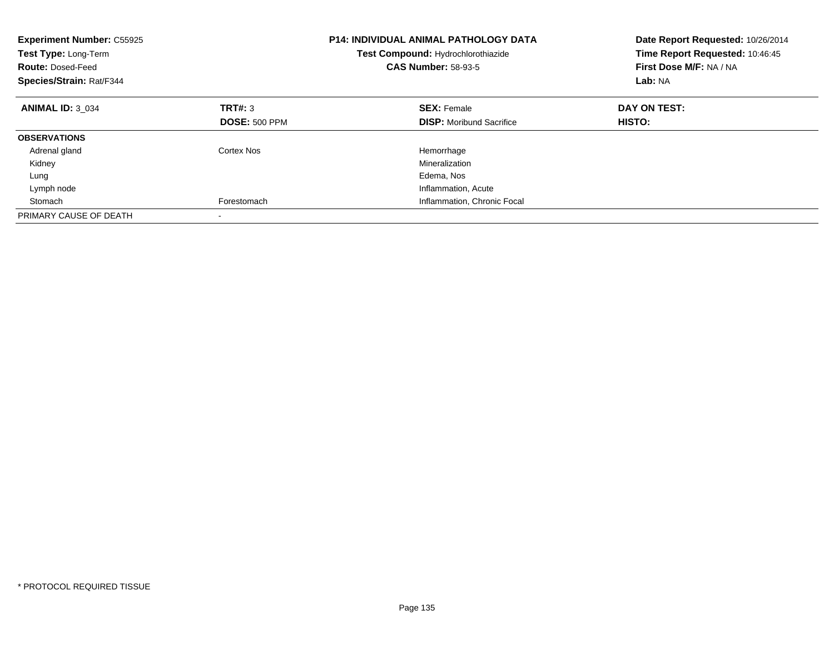| <b>Experiment Number: C55925</b><br>Test Type: Long-Term<br><b>Route: Dosed-Feed</b><br>Species/Strain: Rat/F344 |                      | <b>P14: INDIVIDUAL ANIMAL PATHOLOGY DATA</b><br>Test Compound: Hydrochlorothiazide<br><b>CAS Number: 58-93-5</b> | Date Report Requested: 10/26/2014<br>Time Report Requested: 10:46:45<br>First Dose M/F: NA / NA<br>Lab: NA |  |
|------------------------------------------------------------------------------------------------------------------|----------------------|------------------------------------------------------------------------------------------------------------------|------------------------------------------------------------------------------------------------------------|--|
| <b>ANIMAL ID: 3 034</b>                                                                                          | TRT#: 3              | <b>SEX: Female</b>                                                                                               | DAY ON TEST:                                                                                               |  |
|                                                                                                                  | <b>DOSE: 500 PPM</b> | <b>DISP:</b> Moribund Sacrifice                                                                                  | HISTO:                                                                                                     |  |
| <b>OBSERVATIONS</b>                                                                                              |                      |                                                                                                                  |                                                                                                            |  |
| Adrenal gland                                                                                                    | Cortex Nos           | Hemorrhage                                                                                                       |                                                                                                            |  |
| Kidney                                                                                                           |                      | Mineralization                                                                                                   |                                                                                                            |  |
| Lung                                                                                                             |                      | Edema, Nos                                                                                                       |                                                                                                            |  |
| Lymph node                                                                                                       |                      | Inflammation, Acute                                                                                              |                                                                                                            |  |
| Stomach                                                                                                          | Forestomach          | Inflammation, Chronic Focal                                                                                      |                                                                                                            |  |
| PRIMARY CAUSE OF DEATH                                                                                           |                      |                                                                                                                  |                                                                                                            |  |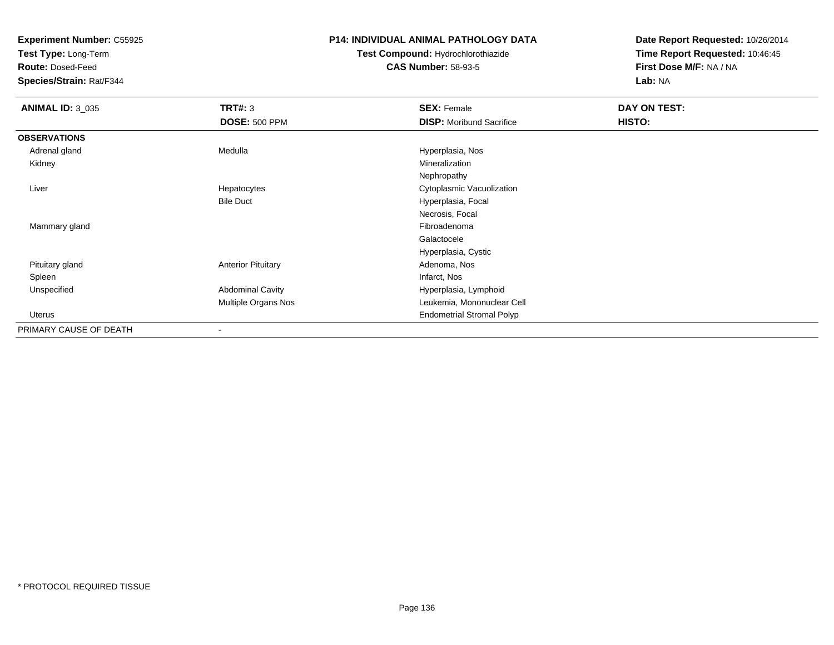**Test Type:** Long-Term

**Route:** Dosed-Feed

**Species/Strain:** Rat/F344

## **P14: INDIVIDUAL ANIMAL PATHOLOGY DATA**

**Test Compound:** Hydrochlorothiazide**CAS Number:** 58-93-5

| <b>ANIMAL ID: 3_035</b> | TRT#: 3                   | <b>SEX: Female</b>               | DAY ON TEST: |
|-------------------------|---------------------------|----------------------------------|--------------|
|                         | <b>DOSE: 500 PPM</b>      | <b>DISP:</b> Moribund Sacrifice  | HISTO:       |
| <b>OBSERVATIONS</b>     |                           |                                  |              |
| Adrenal gland           | Medulla                   | Hyperplasia, Nos                 |              |
| Kidney                  |                           | Mineralization                   |              |
|                         |                           | Nephropathy                      |              |
| Liver                   | Hepatocytes               | Cytoplasmic Vacuolization        |              |
|                         | <b>Bile Duct</b>          | Hyperplasia, Focal               |              |
|                         |                           | Necrosis, Focal                  |              |
| Mammary gland           |                           | Fibroadenoma                     |              |
|                         |                           | Galactocele                      |              |
|                         |                           | Hyperplasia, Cystic              |              |
| Pituitary gland         | <b>Anterior Pituitary</b> | Adenoma, Nos                     |              |
| Spleen                  |                           | Infarct, Nos                     |              |
| Unspecified             | <b>Abdominal Cavity</b>   | Hyperplasia, Lymphoid            |              |
|                         | Multiple Organs Nos       | Leukemia, Mononuclear Cell       |              |
| Uterus                  |                           | <b>Endometrial Stromal Polyp</b> |              |
| PRIMARY CAUSE OF DEATH  | $\blacksquare$            |                                  |              |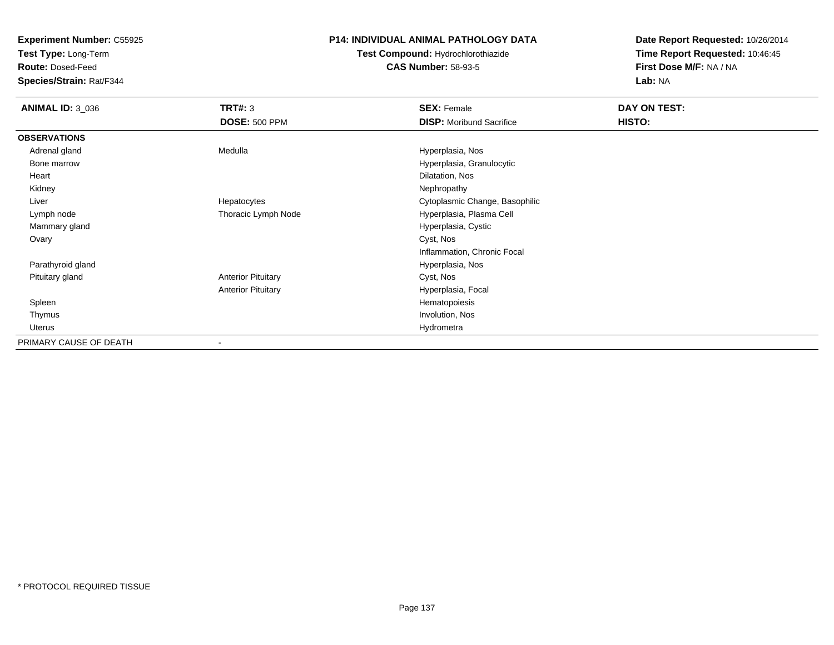**Test Type:** Long-Term

**Route:** Dosed-Feed

**Species/Strain:** Rat/F344

# **P14: INDIVIDUAL ANIMAL PATHOLOGY DATA**

**Test Compound:** Hydrochlorothiazide**CAS Number:** 58-93-5

| <b>ANIMAL ID: 3_036</b> | <b>TRT#: 3</b>            | <b>SEX: Female</b>              | DAY ON TEST: |  |
|-------------------------|---------------------------|---------------------------------|--------------|--|
|                         | <b>DOSE: 500 PPM</b>      | <b>DISP:</b> Moribund Sacrifice | HISTO:       |  |
| <b>OBSERVATIONS</b>     |                           |                                 |              |  |
| Adrenal gland           | Medulla                   | Hyperplasia, Nos                |              |  |
| Bone marrow             |                           | Hyperplasia, Granulocytic       |              |  |
| Heart                   |                           | Dilatation, Nos                 |              |  |
| Kidney                  |                           | Nephropathy                     |              |  |
| Liver                   | Hepatocytes               | Cytoplasmic Change, Basophilic  |              |  |
| Lymph node              | Thoracic Lymph Node       | Hyperplasia, Plasma Cell        |              |  |
| Mammary gland           |                           | Hyperplasia, Cystic             |              |  |
| Ovary                   |                           | Cyst, Nos                       |              |  |
|                         |                           | Inflammation, Chronic Focal     |              |  |
| Parathyroid gland       |                           | Hyperplasia, Nos                |              |  |
| Pituitary gland         | <b>Anterior Pituitary</b> | Cyst, Nos                       |              |  |
|                         | <b>Anterior Pituitary</b> | Hyperplasia, Focal              |              |  |
| Spleen                  |                           | Hematopoiesis                   |              |  |
| Thymus                  |                           | Involution, Nos                 |              |  |
| Uterus                  |                           | Hydrometra                      |              |  |
| PRIMARY CAUSE OF DEATH  |                           |                                 |              |  |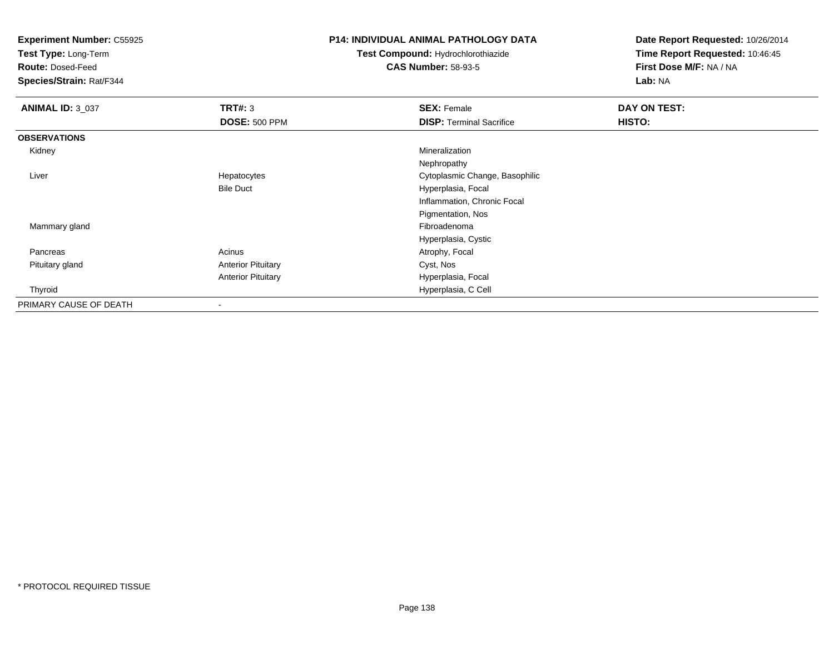**Test Type:** Long-Term

**Route:** Dosed-Feed

**Species/Strain:** Rat/F344

# **P14: INDIVIDUAL ANIMAL PATHOLOGY DATA**

**Test Compound:** Hydrochlorothiazide**CAS Number:** 58-93-5

| <b>ANIMAL ID: 3_037</b> | TRT#: 3                   | <b>SEX: Female</b>              | DAY ON TEST: |
|-------------------------|---------------------------|---------------------------------|--------------|
|                         | <b>DOSE: 500 PPM</b>      | <b>DISP: Terminal Sacrifice</b> | HISTO:       |
| <b>OBSERVATIONS</b>     |                           |                                 |              |
| Kidney                  |                           | Mineralization                  |              |
|                         |                           | Nephropathy                     |              |
| Liver                   | Hepatocytes               | Cytoplasmic Change, Basophilic  |              |
|                         | <b>Bile Duct</b>          | Hyperplasia, Focal              |              |
|                         |                           | Inflammation, Chronic Focal     |              |
|                         |                           | Pigmentation, Nos               |              |
| Mammary gland           |                           | Fibroadenoma                    |              |
|                         |                           | Hyperplasia, Cystic             |              |
| Pancreas                | Acinus                    | Atrophy, Focal                  |              |
| Pituitary gland         | <b>Anterior Pituitary</b> | Cyst, Nos                       |              |
|                         | <b>Anterior Pituitary</b> | Hyperplasia, Focal              |              |
| Thyroid                 |                           | Hyperplasia, C Cell             |              |
| PRIMARY CAUSE OF DEATH  | $\,$                      |                                 |              |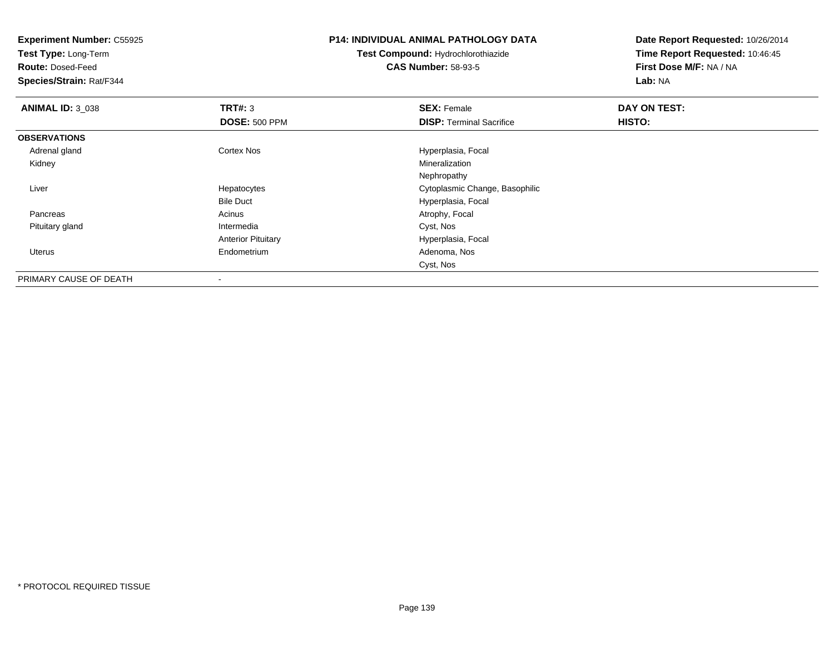**Test Type:** Long-Term

**Route:** Dosed-Feed

**Species/Strain:** Rat/F344

## **P14: INDIVIDUAL ANIMAL PATHOLOGY DATA**

**Test Compound:** Hydrochlorothiazide**CAS Number:** 58-93-5

| <b>ANIMAL ID: 3 038</b> | TRT#: 3                   | <b>SEX: Female</b>              | DAY ON TEST: |  |
|-------------------------|---------------------------|---------------------------------|--------------|--|
|                         | <b>DOSE: 500 PPM</b>      | <b>DISP: Terminal Sacrifice</b> | HISTO:       |  |
| <b>OBSERVATIONS</b>     |                           |                                 |              |  |
| Adrenal gland           | <b>Cortex Nos</b>         | Hyperplasia, Focal              |              |  |
| Kidney                  |                           | Mineralization                  |              |  |
|                         |                           | Nephropathy                     |              |  |
| Liver                   | Hepatocytes               | Cytoplasmic Change, Basophilic  |              |  |
|                         | <b>Bile Duct</b>          | Hyperplasia, Focal              |              |  |
| Pancreas                | Acinus                    | Atrophy, Focal                  |              |  |
| Pituitary gland         | Intermedia                | Cyst, Nos                       |              |  |
|                         | <b>Anterior Pituitary</b> | Hyperplasia, Focal              |              |  |
| Uterus                  | Endometrium               | Adenoma, Nos                    |              |  |
|                         |                           | Cyst, Nos                       |              |  |
| PRIMARY CAUSE OF DEATH  | $\overline{\phantom{a}}$  |                                 |              |  |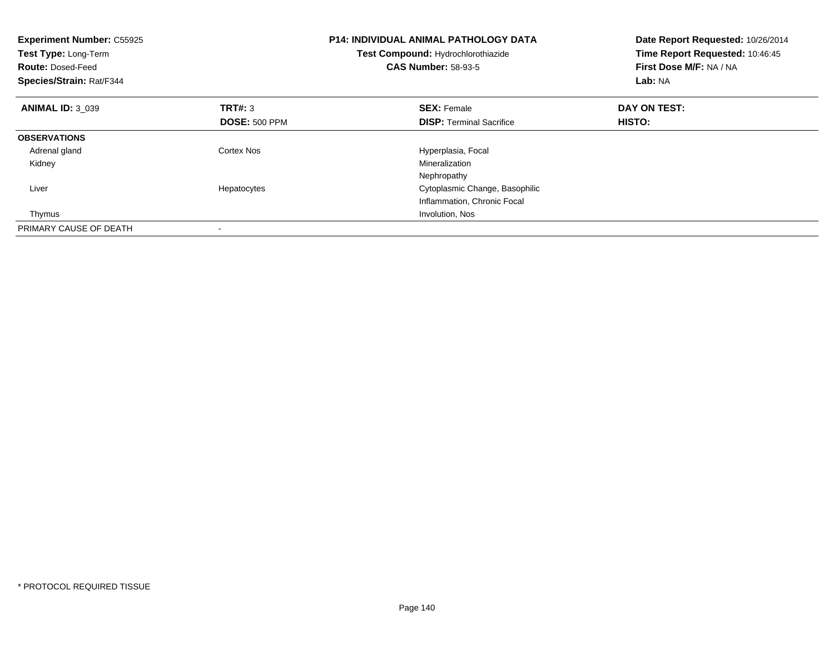| <b>Experiment Number: C55925</b><br>Test Type: Long-Term<br><b>Route: Dosed-Feed</b><br>Species/Strain: Rat/F344 |                      | <b>P14: INDIVIDUAL ANIMAL PATHOLOGY DATA</b><br>Test Compound: Hydrochlorothiazide<br><b>CAS Number: 58-93-5</b> | Date Report Requested: 10/26/2014<br>Time Report Requested: 10:46:45<br>First Dose M/F: NA / NA<br>Lab: NA |
|------------------------------------------------------------------------------------------------------------------|----------------------|------------------------------------------------------------------------------------------------------------------|------------------------------------------------------------------------------------------------------------|
| <b>ANIMAL ID: 3 039</b>                                                                                          | <b>TRT#: 3</b>       | <b>SEX: Female</b>                                                                                               | DAY ON TEST:                                                                                               |
|                                                                                                                  | <b>DOSE: 500 PPM</b> | <b>DISP:</b> Terminal Sacrifice                                                                                  | HISTO:                                                                                                     |
| <b>OBSERVATIONS</b>                                                                                              |                      |                                                                                                                  |                                                                                                            |
| Adrenal gland                                                                                                    | Cortex Nos           | Hyperplasia, Focal                                                                                               |                                                                                                            |
| Kidney                                                                                                           |                      | Mineralization                                                                                                   |                                                                                                            |
|                                                                                                                  |                      | Nephropathy                                                                                                      |                                                                                                            |
| Liver                                                                                                            | Hepatocytes          | Cytoplasmic Change, Basophilic                                                                                   |                                                                                                            |
|                                                                                                                  |                      | Inflammation, Chronic Focal                                                                                      |                                                                                                            |
| Thymus                                                                                                           |                      | Involution, Nos                                                                                                  |                                                                                                            |
| PRIMARY CAUSE OF DEATH                                                                                           |                      |                                                                                                                  |                                                                                                            |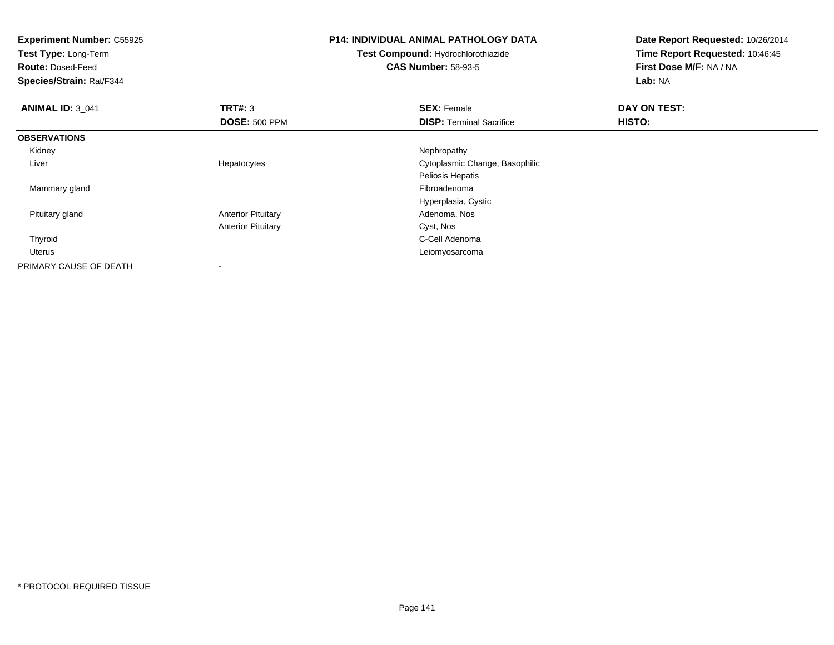| <b>Experiment Number: C55925</b><br>Test Type: Long-Term<br><b>Route: Dosed-Feed</b><br>Species/Strain: Rat/F344 |                                 | <b>P14: INDIVIDUAL ANIMAL PATHOLOGY DATA</b><br>Test Compound: Hydrochlorothiazide<br><b>CAS Number: 58-93-5</b> | Date Report Requested: 10/26/2014<br>Time Report Requested: 10:46:45<br>First Dose M/F: NA / NA<br>Lab: NA |  |
|------------------------------------------------------------------------------------------------------------------|---------------------------------|------------------------------------------------------------------------------------------------------------------|------------------------------------------------------------------------------------------------------------|--|
| <b>ANIMAL ID: 3_041</b>                                                                                          | TRT#: 3<br><b>DOSE: 500 PPM</b> | <b>SEX: Female</b><br><b>DISP: Terminal Sacrifice</b>                                                            | DAY ON TEST:<br>HISTO:                                                                                     |  |
| <b>OBSERVATIONS</b>                                                                                              |                                 |                                                                                                                  |                                                                                                            |  |
| Kidney                                                                                                           |                                 | Nephropathy                                                                                                      |                                                                                                            |  |
| Liver                                                                                                            | Hepatocytes                     | Cytoplasmic Change, Basophilic                                                                                   |                                                                                                            |  |
|                                                                                                                  |                                 | Peliosis Hepatis                                                                                                 |                                                                                                            |  |
| Mammary gland                                                                                                    |                                 | Fibroadenoma                                                                                                     |                                                                                                            |  |
|                                                                                                                  |                                 | Hyperplasia, Cystic                                                                                              |                                                                                                            |  |
| Pituitary gland                                                                                                  | <b>Anterior Pituitary</b>       | Adenoma, Nos                                                                                                     |                                                                                                            |  |
|                                                                                                                  | <b>Anterior Pituitary</b>       | Cyst, Nos                                                                                                        |                                                                                                            |  |
| Thyroid                                                                                                          |                                 | C-Cell Adenoma                                                                                                   |                                                                                                            |  |
| Uterus                                                                                                           |                                 | Leiomyosarcoma                                                                                                   |                                                                                                            |  |
| PRIMARY CAUSE OF DEATH                                                                                           |                                 |                                                                                                                  |                                                                                                            |  |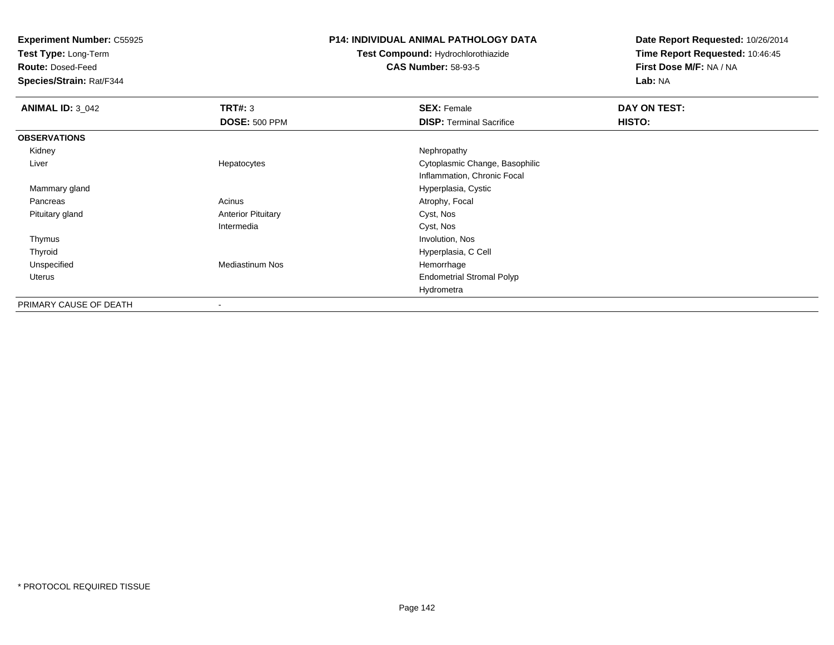**Test Type:** Long-Term

**Route:** Dosed-Feed

**Species/Strain:** Rat/F344

### **P14: INDIVIDUAL ANIMAL PATHOLOGY DATA**

# **Test Compound:** Hydrochlorothiazide**CAS Number:** 58-93-5

| <b>ANIMAL ID: 3_042</b> | TRT#: 3                   | <b>SEX: Female</b>               | DAY ON TEST: |
|-------------------------|---------------------------|----------------------------------|--------------|
|                         | <b>DOSE: 500 PPM</b>      | <b>DISP: Terminal Sacrifice</b>  | HISTO:       |
| <b>OBSERVATIONS</b>     |                           |                                  |              |
| Kidney                  |                           | Nephropathy                      |              |
| Liver                   | Hepatocytes               | Cytoplasmic Change, Basophilic   |              |
|                         |                           | Inflammation, Chronic Focal      |              |
| Mammary gland           |                           | Hyperplasia, Cystic              |              |
| Pancreas                | Acinus                    | Atrophy, Focal                   |              |
| Pituitary gland         | <b>Anterior Pituitary</b> | Cyst, Nos                        |              |
|                         | Intermedia                | Cyst, Nos                        |              |
| Thymus                  |                           | Involution, Nos                  |              |
| Thyroid                 |                           | Hyperplasia, C Cell              |              |
| Unspecified             | <b>Mediastinum Nos</b>    | Hemorrhage                       |              |
| Uterus                  |                           | <b>Endometrial Stromal Polyp</b> |              |
|                         |                           | Hydrometra                       |              |
| PRIMARY CAUSE OF DEATH  | $\,$                      |                                  |              |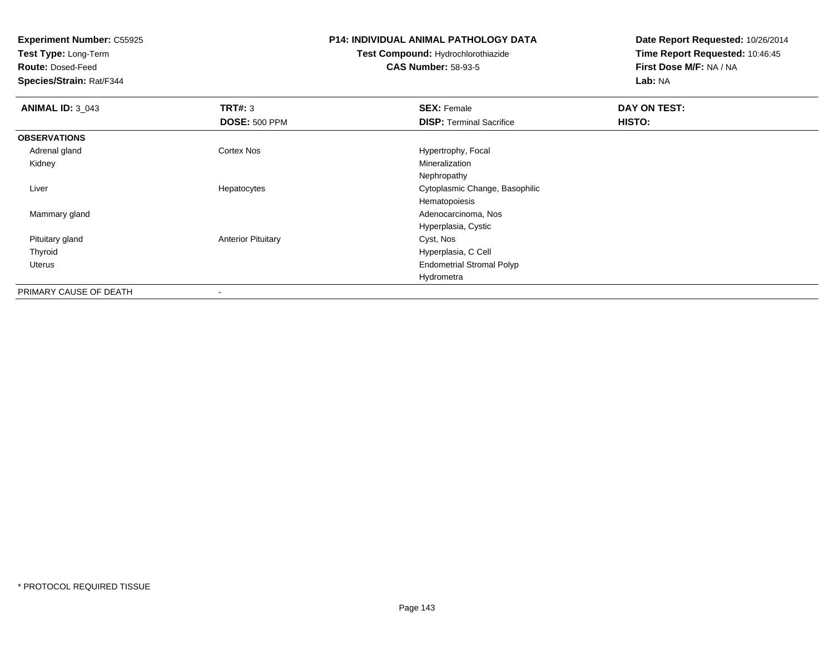**Test Type:** Long-Term

**Route:** Dosed-Feed

**Species/Strain:** Rat/F344

# **P14: INDIVIDUAL ANIMAL PATHOLOGY DATA**

**Test Compound:** Hydrochlorothiazide**CAS Number:** 58-93-5

| <b>ANIMAL ID: 3_043</b> | TRT#: 3                   | <b>SEX: Female</b>               | DAY ON TEST: |  |
|-------------------------|---------------------------|----------------------------------|--------------|--|
|                         | <b>DOSE: 500 PPM</b>      | <b>DISP: Terminal Sacrifice</b>  | HISTO:       |  |
| <b>OBSERVATIONS</b>     |                           |                                  |              |  |
| Adrenal gland           | Cortex Nos                | Hypertrophy, Focal               |              |  |
| Kidney                  |                           | Mineralization                   |              |  |
|                         |                           | Nephropathy                      |              |  |
| Liver                   | Hepatocytes               | Cytoplasmic Change, Basophilic   |              |  |
|                         |                           | Hematopoiesis                    |              |  |
| Mammary gland           |                           | Adenocarcinoma, Nos              |              |  |
|                         |                           | Hyperplasia, Cystic              |              |  |
| Pituitary gland         | <b>Anterior Pituitary</b> | Cyst, Nos                        |              |  |
| Thyroid                 |                           | Hyperplasia, C Cell              |              |  |
| Uterus                  |                           | <b>Endometrial Stromal Polyp</b> |              |  |
|                         |                           | Hydrometra                       |              |  |
| PRIMARY CAUSE OF DEATH  |                           |                                  |              |  |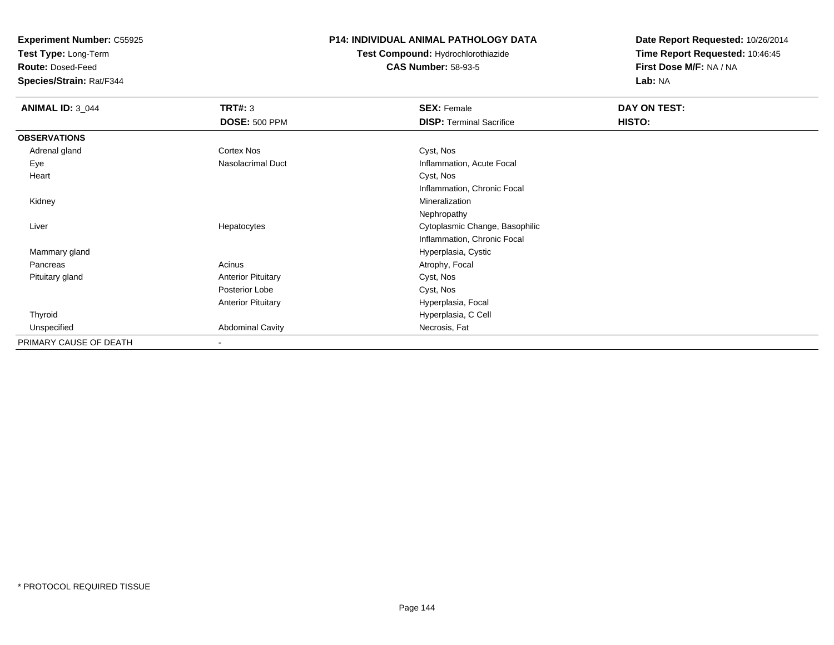**Test Type:** Long-Term

**Route:** Dosed-Feed

**Species/Strain:** Rat/F344

# **P14: INDIVIDUAL ANIMAL PATHOLOGY DATA**

**Test Compound:** Hydrochlorothiazide**CAS Number:** 58-93-5

| <b>ANIMAL ID: 3_044</b> | <b>TRT#: 3</b>            | <b>SEX: Female</b>              | DAY ON TEST: |  |
|-------------------------|---------------------------|---------------------------------|--------------|--|
|                         | <b>DOSE: 500 PPM</b>      | <b>DISP: Terminal Sacrifice</b> | HISTO:       |  |
| <b>OBSERVATIONS</b>     |                           |                                 |              |  |
| Adrenal gland           | Cortex Nos                | Cyst, Nos                       |              |  |
| Eye                     | Nasolacrimal Duct         | Inflammation, Acute Focal       |              |  |
| Heart                   |                           | Cyst, Nos                       |              |  |
|                         |                           | Inflammation, Chronic Focal     |              |  |
| Kidney                  |                           | Mineralization                  |              |  |
|                         |                           | Nephropathy                     |              |  |
| Liver                   | Hepatocytes               | Cytoplasmic Change, Basophilic  |              |  |
|                         |                           | Inflammation, Chronic Focal     |              |  |
| Mammary gland           |                           | Hyperplasia, Cystic             |              |  |
| Pancreas                | Acinus                    | Atrophy, Focal                  |              |  |
| Pituitary gland         | <b>Anterior Pituitary</b> | Cyst, Nos                       |              |  |
|                         | Posterior Lobe            | Cyst, Nos                       |              |  |
|                         | <b>Anterior Pituitary</b> | Hyperplasia, Focal              |              |  |
| Thyroid                 |                           | Hyperplasia, C Cell             |              |  |
| Unspecified             | <b>Abdominal Cavity</b>   | Necrosis, Fat                   |              |  |
| PRIMARY CAUSE OF DEATH  | $\blacksquare$            |                                 |              |  |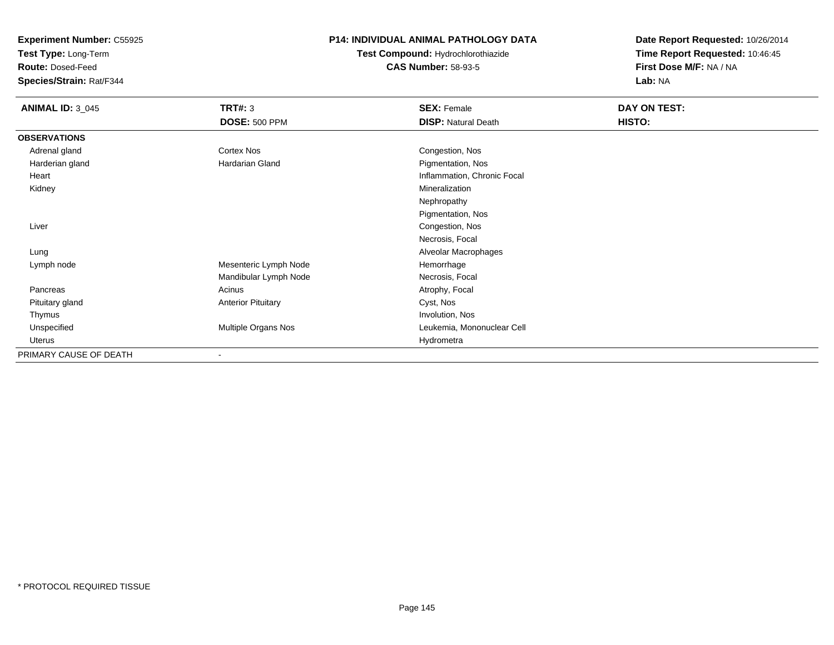**Test Type:** Long-Term

**Route:** Dosed-Feed

**Species/Strain:** Rat/F344

# **P14: INDIVIDUAL ANIMAL PATHOLOGY DATA**

# **Test Compound:** Hydrochlorothiazide**CAS Number:** 58-93-5

| <b>ANIMAL ID: 3_045</b> | <b>TRT#: 3</b>            | <b>SEX: Female</b>          | DAY ON TEST: |
|-------------------------|---------------------------|-----------------------------|--------------|
|                         | <b>DOSE: 500 PPM</b>      | <b>DISP: Natural Death</b>  | HISTO:       |
| <b>OBSERVATIONS</b>     |                           |                             |              |
| Adrenal gland           | Cortex Nos                | Congestion, Nos             |              |
| Harderian gland         | Hardarian Gland           | Pigmentation, Nos           |              |
| Heart                   |                           | Inflammation, Chronic Focal |              |
| Kidney                  |                           | Mineralization              |              |
|                         |                           | Nephropathy                 |              |
|                         |                           | Pigmentation, Nos           |              |
| Liver                   |                           | Congestion, Nos             |              |
|                         |                           | Necrosis, Focal             |              |
| Lung                    |                           | Alveolar Macrophages        |              |
| Lymph node              | Mesenteric Lymph Node     | Hemorrhage                  |              |
|                         | Mandibular Lymph Node     | Necrosis, Focal             |              |
| Pancreas                | Acinus                    | Atrophy, Focal              |              |
| Pituitary gland         | <b>Anterior Pituitary</b> | Cyst, Nos                   |              |
| Thymus                  |                           | Involution, Nos             |              |
| Unspecified             | Multiple Organs Nos       | Leukemia, Mononuclear Cell  |              |
| Uterus                  |                           | Hydrometra                  |              |
| PRIMARY CAUSE OF DEATH  | $\blacksquare$            |                             |              |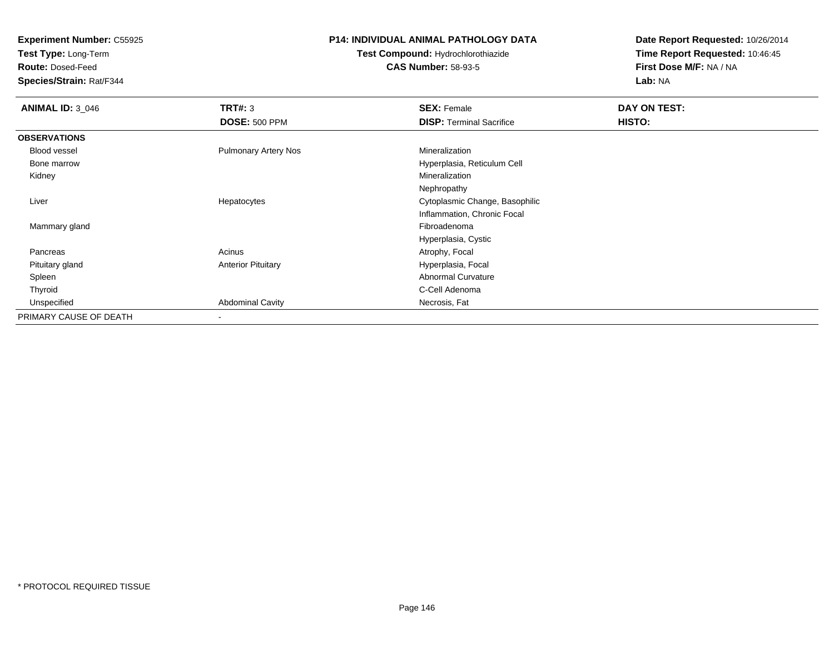**Test Type:** Long-Term

**Route:** Dosed-Feed

**Species/Strain:** Rat/F344

## **P14: INDIVIDUAL ANIMAL PATHOLOGY DATA**

# **Test Compound:** Hydrochlorothiazide**CAS Number:** 58-93-5

| <b>ANIMAL ID: 3_046</b> | TRT#: 3                     | <b>SEX: Female</b>              | DAY ON TEST: |  |
|-------------------------|-----------------------------|---------------------------------|--------------|--|
|                         | <b>DOSE: 500 PPM</b>        | <b>DISP: Terminal Sacrifice</b> | HISTO:       |  |
| <b>OBSERVATIONS</b>     |                             |                                 |              |  |
| <b>Blood vessel</b>     | <b>Pulmonary Artery Nos</b> | Mineralization                  |              |  |
| Bone marrow             |                             | Hyperplasia, Reticulum Cell     |              |  |
| Kidney                  |                             | Mineralization                  |              |  |
|                         |                             | Nephropathy                     |              |  |
| Liver                   | Hepatocytes                 | Cytoplasmic Change, Basophilic  |              |  |
|                         |                             | Inflammation, Chronic Focal     |              |  |
| Mammary gland           |                             | Fibroadenoma                    |              |  |
|                         |                             | Hyperplasia, Cystic             |              |  |
| Pancreas                | Acinus                      | Atrophy, Focal                  |              |  |
| Pituitary gland         | <b>Anterior Pituitary</b>   | Hyperplasia, Focal              |              |  |
| Spleen                  |                             | <b>Abnormal Curvature</b>       |              |  |
| Thyroid                 |                             | C-Cell Adenoma                  |              |  |
| Unspecified             | <b>Abdominal Cavity</b>     | Necrosis, Fat                   |              |  |
| PRIMARY CAUSE OF DEATH  |                             |                                 |              |  |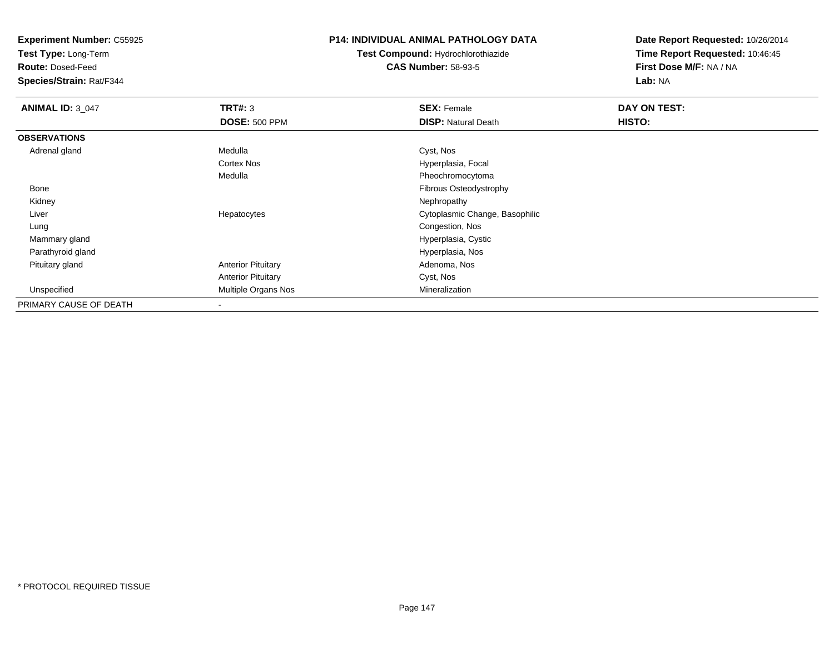**Test Type:** Long-Term

**Route:** Dosed-Feed

**Species/Strain:** Rat/F344

### **P14: INDIVIDUAL ANIMAL PATHOLOGY DATA**

**Test Compound:** Hydrochlorothiazide**CAS Number:** 58-93-5

| <b>ANIMAL ID: 3_047</b> | TRT#: 3                   | <b>SEX: Female</b>             | DAY ON TEST: |  |
|-------------------------|---------------------------|--------------------------------|--------------|--|
|                         | <b>DOSE: 500 PPM</b>      | <b>DISP: Natural Death</b>     | HISTO:       |  |
| <b>OBSERVATIONS</b>     |                           |                                |              |  |
| Adrenal gland           | Medulla                   | Cyst, Nos                      |              |  |
|                         | Cortex Nos                | Hyperplasia, Focal             |              |  |
|                         | Medulla                   | Pheochromocytoma               |              |  |
| Bone                    |                           | Fibrous Osteodystrophy         |              |  |
| Kidney                  |                           | Nephropathy                    |              |  |
| Liver                   | Hepatocytes               | Cytoplasmic Change, Basophilic |              |  |
| Lung                    |                           | Congestion, Nos                |              |  |
| Mammary gland           |                           | Hyperplasia, Cystic            |              |  |
| Parathyroid gland       |                           | Hyperplasia, Nos               |              |  |
| Pituitary gland         | <b>Anterior Pituitary</b> | Adenoma, Nos                   |              |  |
|                         | <b>Anterior Pituitary</b> | Cyst, Nos                      |              |  |
| Unspecified             | Multiple Organs Nos       | Mineralization                 |              |  |
| PRIMARY CAUSE OF DEATH  |                           |                                |              |  |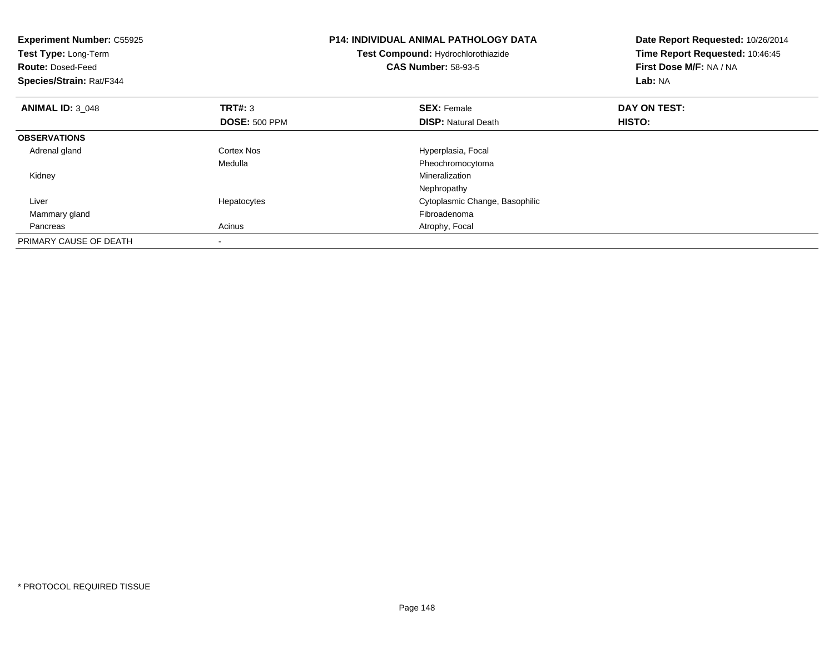| <b>Experiment Number: C55925</b><br>Test Type: Long-Term<br><b>Route: Dosed-Feed</b><br>Species/Strain: Rat/F344 |                      | <b>P14: INDIVIDUAL ANIMAL PATHOLOGY DATA</b><br>Test Compound: Hydrochlorothiazide<br><b>CAS Number: 58-93-5</b> | Date Report Requested: 10/26/2014<br>Time Report Requested: 10:46:45<br>First Dose M/F: NA / NA<br>Lab: NA |
|------------------------------------------------------------------------------------------------------------------|----------------------|------------------------------------------------------------------------------------------------------------------|------------------------------------------------------------------------------------------------------------|
| <b>ANIMAL ID: 3 048</b>                                                                                          | <b>TRT#: 3</b>       | <b>SEX: Female</b>                                                                                               | DAY ON TEST:                                                                                               |
|                                                                                                                  | <b>DOSE: 500 PPM</b> | <b>DISP:</b> Natural Death                                                                                       | <b>HISTO:</b>                                                                                              |
| <b>OBSERVATIONS</b>                                                                                              |                      |                                                                                                                  |                                                                                                            |
| Adrenal gland                                                                                                    | Cortex Nos           | Hyperplasia, Focal                                                                                               |                                                                                                            |
|                                                                                                                  | Medulla              | Pheochromocytoma                                                                                                 |                                                                                                            |
| Kidney                                                                                                           |                      | Mineralization                                                                                                   |                                                                                                            |
|                                                                                                                  |                      | Nephropathy                                                                                                      |                                                                                                            |
| Liver                                                                                                            | Hepatocytes          | Cytoplasmic Change, Basophilic                                                                                   |                                                                                                            |
| Mammary gland                                                                                                    |                      | Fibroadenoma                                                                                                     |                                                                                                            |
| Pancreas                                                                                                         | Acinus               | Atrophy, Focal                                                                                                   |                                                                                                            |
| PRIMARY CAUSE OF DEATH                                                                                           |                      |                                                                                                                  |                                                                                                            |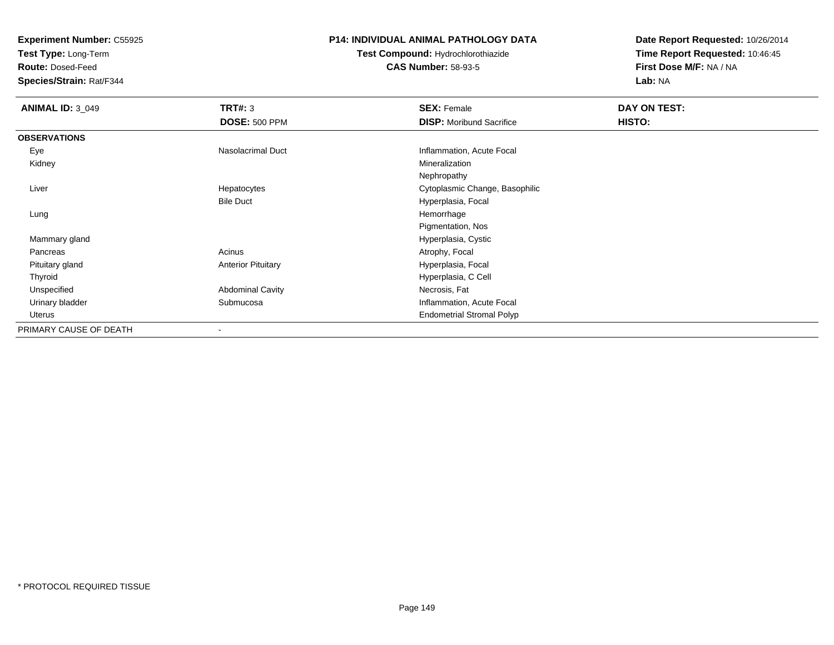**Test Type:** Long-Term

**Route:** Dosed-Feed

**Species/Strain:** Rat/F344

### **P14: INDIVIDUAL ANIMAL PATHOLOGY DATA**

**Test Compound:** Hydrochlorothiazide**CAS Number:** 58-93-5

| <b>ANIMAL ID: 3_049</b> | TRT#: 3                   | <b>SEX: Female</b>               | DAY ON TEST: |  |
|-------------------------|---------------------------|----------------------------------|--------------|--|
|                         | <b>DOSE: 500 PPM</b>      | <b>DISP:</b> Moribund Sacrifice  | HISTO:       |  |
| <b>OBSERVATIONS</b>     |                           |                                  |              |  |
| Eye                     | Nasolacrimal Duct         | Inflammation, Acute Focal        |              |  |
| Kidney                  |                           | Mineralization                   |              |  |
|                         |                           | Nephropathy                      |              |  |
| Liver                   | Hepatocytes               | Cytoplasmic Change, Basophilic   |              |  |
|                         | <b>Bile Duct</b>          | Hyperplasia, Focal               |              |  |
| Lung                    |                           | Hemorrhage                       |              |  |
|                         |                           | Pigmentation, Nos                |              |  |
| Mammary gland           |                           | Hyperplasia, Cystic              |              |  |
| Pancreas                | Acinus                    | Atrophy, Focal                   |              |  |
| Pituitary gland         | <b>Anterior Pituitary</b> | Hyperplasia, Focal               |              |  |
| Thyroid                 |                           | Hyperplasia, C Cell              |              |  |
| Unspecified             | <b>Abdominal Cavity</b>   | Necrosis, Fat                    |              |  |
| Urinary bladder         | Submucosa                 | Inflammation, Acute Focal        |              |  |
| Uterus                  |                           | <b>Endometrial Stromal Polyp</b> |              |  |
| PRIMARY CAUSE OF DEATH  | $\blacksquare$            |                                  |              |  |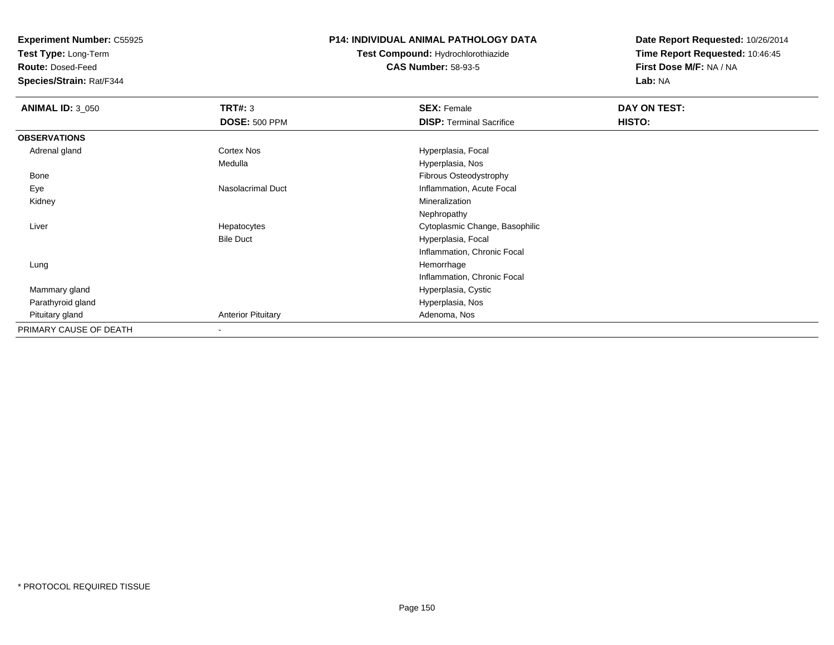**Test Type:** Long-Term

**Route:** Dosed-Feed

**Species/Strain:** Rat/F344

### **P14: INDIVIDUAL ANIMAL PATHOLOGY DATA**

**Test Compound:** Hydrochlorothiazide**CAS Number:** 58-93-5

| <b>ANIMAL ID: 3_050</b> | <b>TRT#: 3</b>            | <b>SEX: Female</b>              | DAY ON TEST: |  |
|-------------------------|---------------------------|---------------------------------|--------------|--|
|                         | <b>DOSE: 500 PPM</b>      | <b>DISP: Terminal Sacrifice</b> | HISTO:       |  |
| <b>OBSERVATIONS</b>     |                           |                                 |              |  |
| Adrenal gland           | Cortex Nos                | Hyperplasia, Focal              |              |  |
|                         | Medulla                   | Hyperplasia, Nos                |              |  |
| Bone                    |                           | Fibrous Osteodystrophy          |              |  |
| Eye                     | Nasolacrimal Duct         | Inflammation, Acute Focal       |              |  |
| Kidney                  |                           | Mineralization                  |              |  |
|                         |                           | Nephropathy                     |              |  |
| Liver                   | Hepatocytes               | Cytoplasmic Change, Basophilic  |              |  |
|                         | <b>Bile Duct</b>          | Hyperplasia, Focal              |              |  |
|                         |                           | Inflammation, Chronic Focal     |              |  |
| Lung                    |                           | Hemorrhage                      |              |  |
|                         |                           | Inflammation, Chronic Focal     |              |  |
| Mammary gland           |                           | Hyperplasia, Cystic             |              |  |
| Parathyroid gland       |                           | Hyperplasia, Nos                |              |  |
| Pituitary gland         | <b>Anterior Pituitary</b> | Adenoma, Nos                    |              |  |
| PRIMARY CAUSE OF DEATH  |                           |                                 |              |  |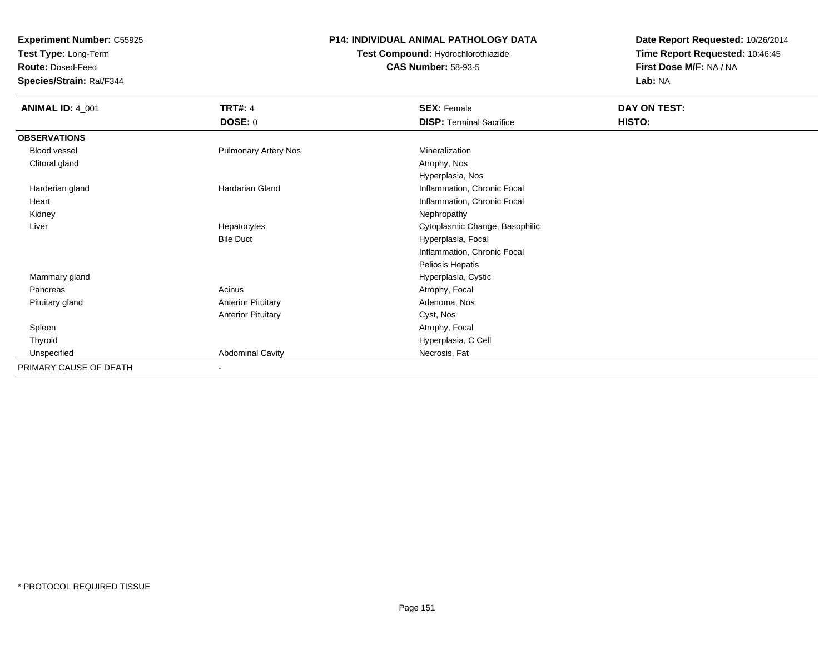**Test Type:** Long-Term

**Route:** Dosed-Feed

**Species/Strain:** Rat/F344

### **P14: INDIVIDUAL ANIMAL PATHOLOGY DATA**

**Test Compound:** Hydrochlorothiazide**CAS Number:** 58-93-5

| <b>ANIMAL ID: 4_001</b> | <b>TRT#: 4</b>              | <b>SEX: Female</b>              | DAY ON TEST: |  |
|-------------------------|-----------------------------|---------------------------------|--------------|--|
|                         | <b>DOSE: 0</b>              | <b>DISP: Terminal Sacrifice</b> | HISTO:       |  |
| <b>OBSERVATIONS</b>     |                             |                                 |              |  |
| <b>Blood vessel</b>     | <b>Pulmonary Artery Nos</b> | Mineralization                  |              |  |
| Clitoral gland          |                             | Atrophy, Nos                    |              |  |
|                         |                             | Hyperplasia, Nos                |              |  |
| Harderian gland         | <b>Hardarian Gland</b>      | Inflammation, Chronic Focal     |              |  |
| Heart                   |                             | Inflammation, Chronic Focal     |              |  |
| Kidney                  |                             | Nephropathy                     |              |  |
| Liver                   | Hepatocytes                 | Cytoplasmic Change, Basophilic  |              |  |
|                         | <b>Bile Duct</b>            | Hyperplasia, Focal              |              |  |
|                         |                             | Inflammation, Chronic Focal     |              |  |
|                         |                             | Peliosis Hepatis                |              |  |
| Mammary gland           |                             | Hyperplasia, Cystic             |              |  |
| Pancreas                | Acinus                      | Atrophy, Focal                  |              |  |
| Pituitary gland         | <b>Anterior Pituitary</b>   | Adenoma, Nos                    |              |  |
|                         | <b>Anterior Pituitary</b>   | Cyst, Nos                       |              |  |
| Spleen                  |                             | Atrophy, Focal                  |              |  |
| Thyroid                 |                             | Hyperplasia, C Cell             |              |  |
| Unspecified             | <b>Abdominal Cavity</b>     | Necrosis, Fat                   |              |  |
| PRIMARY CAUSE OF DEATH  |                             |                                 |              |  |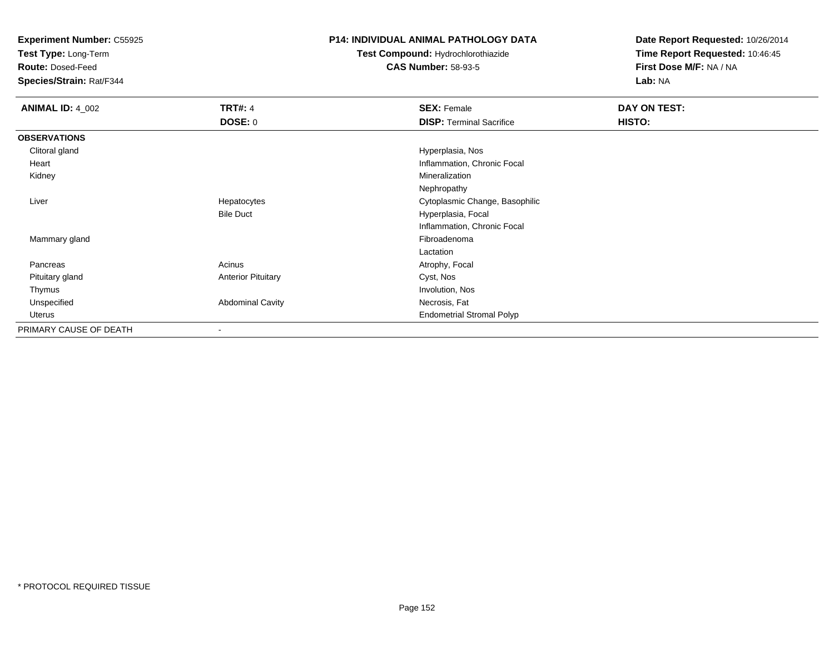**Test Type:** Long-Term

**Route:** Dosed-Feed

**Species/Strain:** Rat/F344

### **P14: INDIVIDUAL ANIMAL PATHOLOGY DATA**

**Test Compound:** Hydrochlorothiazide**CAS Number:** 58-93-5

| <b>ANIMAL ID: 4_002</b> | <b>TRT#: 4</b>            | <b>SEX: Female</b>               | DAY ON TEST: |
|-------------------------|---------------------------|----------------------------------|--------------|
|                         | <b>DOSE: 0</b>            | <b>DISP: Terminal Sacrifice</b>  | HISTO:       |
| <b>OBSERVATIONS</b>     |                           |                                  |              |
| Clitoral gland          |                           | Hyperplasia, Nos                 |              |
| Heart                   |                           | Inflammation, Chronic Focal      |              |
| Kidney                  |                           | Mineralization                   |              |
|                         |                           | Nephropathy                      |              |
| Liver                   | Hepatocytes               | Cytoplasmic Change, Basophilic   |              |
|                         | <b>Bile Duct</b>          | Hyperplasia, Focal               |              |
|                         |                           | Inflammation, Chronic Focal      |              |
| Mammary gland           |                           | Fibroadenoma                     |              |
|                         |                           | Lactation                        |              |
| Pancreas                | Acinus                    | Atrophy, Focal                   |              |
| Pituitary gland         | <b>Anterior Pituitary</b> | Cyst, Nos                        |              |
| Thymus                  |                           | Involution, Nos                  |              |
| Unspecified             | <b>Abdominal Cavity</b>   | Necrosis, Fat                    |              |
| Uterus                  |                           | <b>Endometrial Stromal Polyp</b> |              |
| PRIMARY CAUSE OF DEATH  | $\overline{\phantom{a}}$  |                                  |              |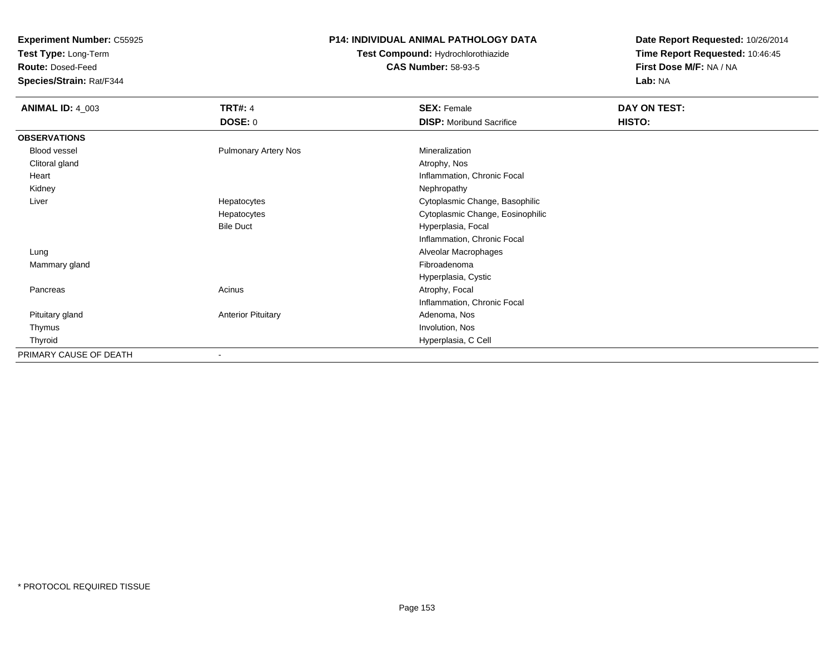**Test Type:** Long-Term

**Route:** Dosed-Feed

**Species/Strain:** Rat/F344

## **P14: INDIVIDUAL ANIMAL PATHOLOGY DATA**

**Test Compound:** Hydrochlorothiazide**CAS Number:** 58-93-5

| <b>ANIMAL ID: 4_003</b> | <b>TRT#: 4</b>              | <b>SEX: Female</b>               | DAY ON TEST: |
|-------------------------|-----------------------------|----------------------------------|--------------|
|                         | <b>DOSE: 0</b>              | <b>DISP:</b> Moribund Sacrifice  | HISTO:       |
| <b>OBSERVATIONS</b>     |                             |                                  |              |
| Blood vessel            | <b>Pulmonary Artery Nos</b> | Mineralization                   |              |
| Clitoral gland          |                             | Atrophy, Nos                     |              |
| Heart                   |                             | Inflammation, Chronic Focal      |              |
| Kidney                  |                             | Nephropathy                      |              |
| Liver                   | Hepatocytes                 | Cytoplasmic Change, Basophilic   |              |
|                         | Hepatocytes                 | Cytoplasmic Change, Eosinophilic |              |
|                         | <b>Bile Duct</b>            | Hyperplasia, Focal               |              |
|                         |                             | Inflammation, Chronic Focal      |              |
| Lung                    |                             | Alveolar Macrophages             |              |
| Mammary gland           |                             | Fibroadenoma                     |              |
|                         |                             | Hyperplasia, Cystic              |              |
| Pancreas                | Acinus                      | Atrophy, Focal                   |              |
|                         |                             | Inflammation, Chronic Focal      |              |
| Pituitary gland         | <b>Anterior Pituitary</b>   | Adenoma, Nos                     |              |
| Thymus                  |                             | Involution, Nos                  |              |
| Thyroid                 |                             | Hyperplasia, C Cell              |              |
| PRIMARY CAUSE OF DEATH  | ۰                           |                                  |              |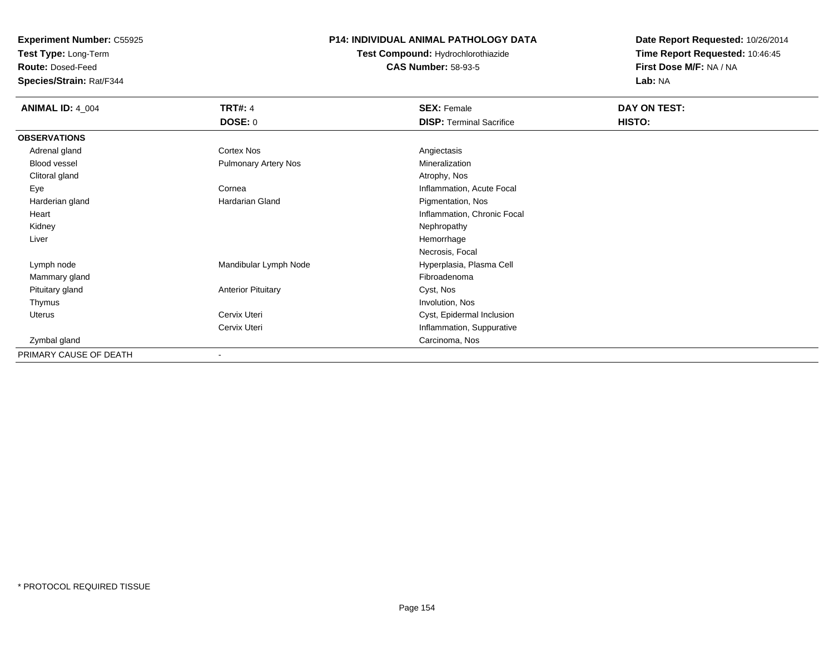**Test Type:** Long-Term

**Route:** Dosed-Feed

**Species/Strain:** Rat/F344

# **P14: INDIVIDUAL ANIMAL PATHOLOGY DATA**

**Test Compound:** Hydrochlorothiazide**CAS Number:** 58-93-5

| <b>ANIMAL ID: 4_004</b> | <b>TRT#: 4</b>              | <b>SEX: Female</b>              | DAY ON TEST: |  |
|-------------------------|-----------------------------|---------------------------------|--------------|--|
|                         | <b>DOSE: 0</b>              | <b>DISP: Terminal Sacrifice</b> | HISTO:       |  |
| <b>OBSERVATIONS</b>     |                             |                                 |              |  |
| Adrenal gland           | Cortex Nos                  | Angiectasis                     |              |  |
| <b>Blood vessel</b>     | <b>Pulmonary Artery Nos</b> | Mineralization                  |              |  |
| Clitoral gland          |                             | Atrophy, Nos                    |              |  |
| Eye                     | Cornea                      | Inflammation, Acute Focal       |              |  |
| Harderian gland         | Hardarian Gland             | Pigmentation, Nos               |              |  |
| Heart                   |                             | Inflammation, Chronic Focal     |              |  |
| Kidney                  |                             | Nephropathy                     |              |  |
| Liver                   |                             | Hemorrhage                      |              |  |
|                         |                             | Necrosis, Focal                 |              |  |
| Lymph node              | Mandibular Lymph Node       | Hyperplasia, Plasma Cell        |              |  |
| Mammary gland           |                             | Fibroadenoma                    |              |  |
| Pituitary gland         | <b>Anterior Pituitary</b>   | Cyst, Nos                       |              |  |
| Thymus                  |                             | Involution, Nos                 |              |  |
| Uterus                  | Cervix Uteri                | Cyst, Epidermal Inclusion       |              |  |
|                         | Cervix Uteri                | Inflammation, Suppurative       |              |  |
| Zymbal gland            |                             | Carcinoma, Nos                  |              |  |
| PRIMARY CAUSE OF DEATH  |                             |                                 |              |  |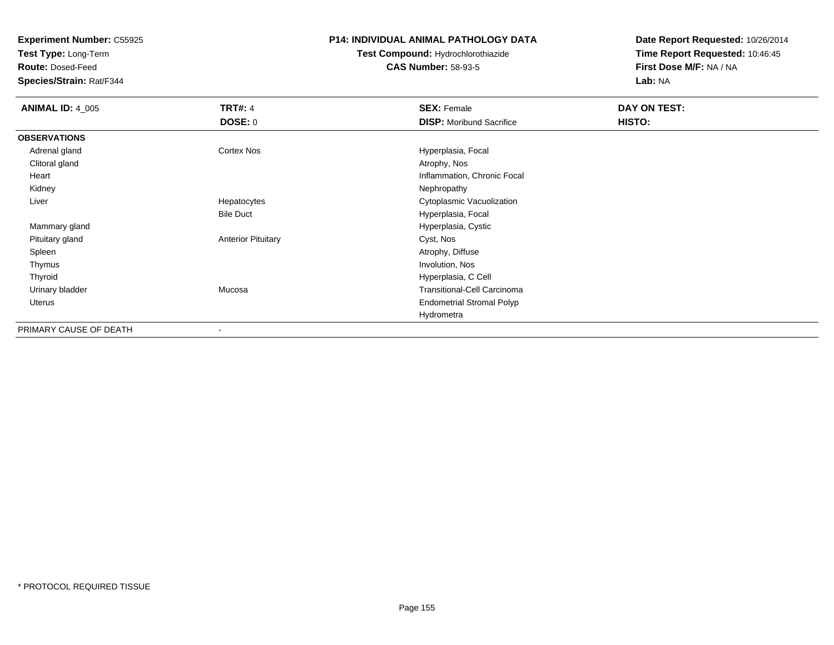**Test Type:** Long-Term

**Route:** Dosed-Feed

**Species/Strain:** Rat/F344

### **P14: INDIVIDUAL ANIMAL PATHOLOGY DATA**

**Test Compound:** Hydrochlorothiazide**CAS Number:** 58-93-5

| <b>ANIMAL ID: 4_005</b> | <b>TRT#: 4</b>            | <b>SEX: Female</b>                 | DAY ON TEST: |  |
|-------------------------|---------------------------|------------------------------------|--------------|--|
|                         | <b>DOSE: 0</b>            | <b>DISP:</b> Moribund Sacrifice    | HISTO:       |  |
| <b>OBSERVATIONS</b>     |                           |                                    |              |  |
| Adrenal gland           | <b>Cortex Nos</b>         | Hyperplasia, Focal                 |              |  |
| Clitoral gland          |                           | Atrophy, Nos                       |              |  |
| Heart                   |                           | Inflammation, Chronic Focal        |              |  |
| Kidney                  |                           | Nephropathy                        |              |  |
| Liver                   | Hepatocytes               | Cytoplasmic Vacuolization          |              |  |
|                         | <b>Bile Duct</b>          | Hyperplasia, Focal                 |              |  |
| Mammary gland           |                           | Hyperplasia, Cystic                |              |  |
| Pituitary gland         | <b>Anterior Pituitary</b> | Cyst, Nos                          |              |  |
| Spleen                  |                           | Atrophy, Diffuse                   |              |  |
| Thymus                  |                           | Involution, Nos                    |              |  |
| Thyroid                 |                           | Hyperplasia, C Cell                |              |  |
| Urinary bladder         | Mucosa                    | <b>Transitional-Cell Carcinoma</b> |              |  |
| Uterus                  |                           | <b>Endometrial Stromal Polyp</b>   |              |  |
|                         |                           | Hydrometra                         |              |  |
| PRIMARY CAUSE OF DEATH  | $\overline{\phantom{a}}$  |                                    |              |  |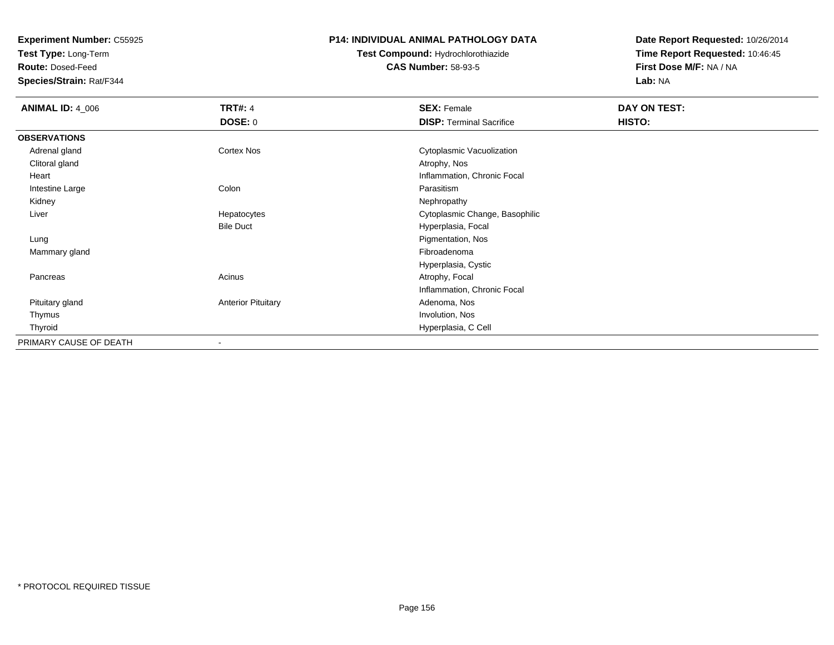**Test Type:** Long-Term

**Route:** Dosed-Feed

**Species/Strain:** Rat/F344

### **P14: INDIVIDUAL ANIMAL PATHOLOGY DATA**

**Test Compound:** Hydrochlorothiazide**CAS Number:** 58-93-5

| <b>ANIMAL ID: 4_006</b> | <b>TRT#: 4</b>            | <b>SEX: Female</b>              | DAY ON TEST: |  |
|-------------------------|---------------------------|---------------------------------|--------------|--|
|                         | <b>DOSE: 0</b>            | <b>DISP: Terminal Sacrifice</b> | HISTO:       |  |
| <b>OBSERVATIONS</b>     |                           |                                 |              |  |
| Adrenal gland           | <b>Cortex Nos</b>         | Cytoplasmic Vacuolization       |              |  |
| Clitoral gland          |                           | Atrophy, Nos                    |              |  |
| Heart                   |                           | Inflammation, Chronic Focal     |              |  |
| Intestine Large         | Colon                     | Parasitism                      |              |  |
| Kidney                  |                           | Nephropathy                     |              |  |
| Liver                   | Hepatocytes               | Cytoplasmic Change, Basophilic  |              |  |
|                         | <b>Bile Duct</b>          | Hyperplasia, Focal              |              |  |
| Lung                    |                           | Pigmentation, Nos               |              |  |
| Mammary gland           |                           | Fibroadenoma                    |              |  |
|                         |                           | Hyperplasia, Cystic             |              |  |
| Pancreas                | Acinus                    | Atrophy, Focal                  |              |  |
|                         |                           | Inflammation, Chronic Focal     |              |  |
| Pituitary gland         | <b>Anterior Pituitary</b> | Adenoma, Nos                    |              |  |
| Thymus                  |                           | Involution, Nos                 |              |  |
| Thyroid                 |                           | Hyperplasia, C Cell             |              |  |
| PRIMARY CAUSE OF DEATH  |                           |                                 |              |  |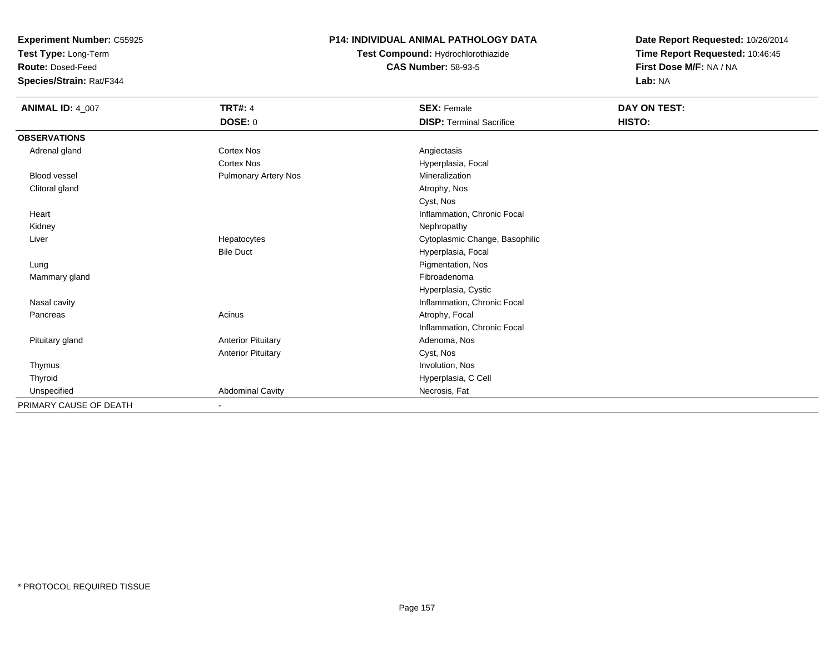**Test Type:** Long-Term

**Route:** Dosed-Feed

**Species/Strain:** Rat/F344

# **P14: INDIVIDUAL ANIMAL PATHOLOGY DATA**

**Test Compound:** Hydrochlorothiazide**CAS Number:** 58-93-5

| <b>ANIMAL ID: 4_007</b> | <b>TRT#: 4</b>              | <b>SEX: Female</b>              | DAY ON TEST: |
|-------------------------|-----------------------------|---------------------------------|--------------|
|                         | DOSE: 0                     | <b>DISP: Terminal Sacrifice</b> | HISTO:       |
| <b>OBSERVATIONS</b>     |                             |                                 |              |
| Adrenal gland           | <b>Cortex Nos</b>           | Angiectasis                     |              |
|                         | Cortex Nos                  | Hyperplasia, Focal              |              |
| <b>Blood vessel</b>     | <b>Pulmonary Artery Nos</b> | Mineralization                  |              |
| Clitoral gland          |                             | Atrophy, Nos                    |              |
|                         |                             | Cyst, Nos                       |              |
| Heart                   |                             | Inflammation, Chronic Focal     |              |
| Kidney                  |                             | Nephropathy                     |              |
| Liver                   | Hepatocytes                 | Cytoplasmic Change, Basophilic  |              |
|                         | <b>Bile Duct</b>            | Hyperplasia, Focal              |              |
| Lung                    |                             | Pigmentation, Nos               |              |
| Mammary gland           |                             | Fibroadenoma                    |              |
|                         |                             | Hyperplasia, Cystic             |              |
| Nasal cavity            |                             | Inflammation, Chronic Focal     |              |
| Pancreas                | Acinus                      | Atrophy, Focal                  |              |
|                         |                             | Inflammation, Chronic Focal     |              |
| Pituitary gland         | <b>Anterior Pituitary</b>   | Adenoma, Nos                    |              |
|                         | <b>Anterior Pituitary</b>   | Cyst, Nos                       |              |
| Thymus                  |                             | Involution, Nos                 |              |
| Thyroid                 |                             | Hyperplasia, C Cell             |              |
| Unspecified             | <b>Abdominal Cavity</b>     | Necrosis, Fat                   |              |
| PRIMARY CAUSE OF DEATH  | ٠                           |                                 |              |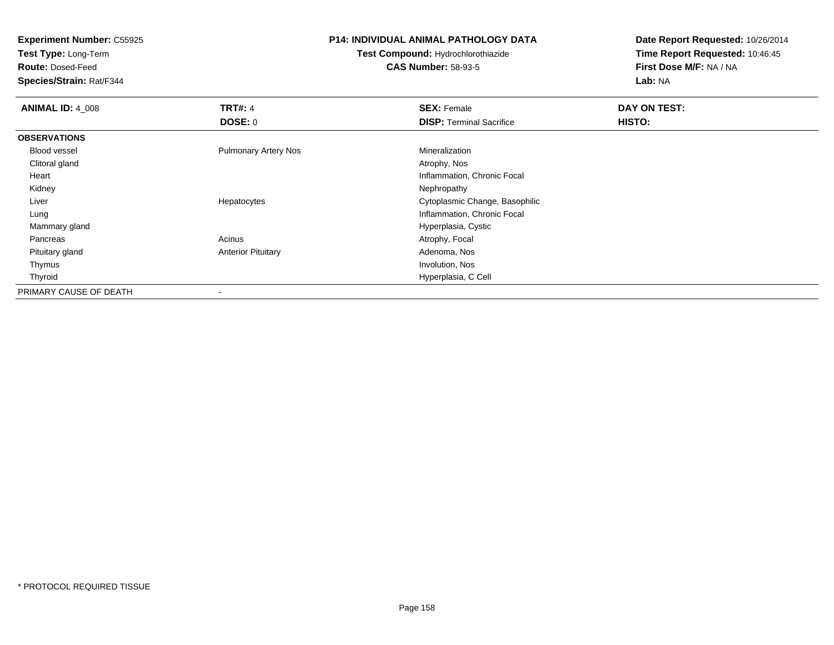**Test Type:** Long-Term

**Route:** Dosed-Feed

**Species/Strain:** Rat/F344

### **P14: INDIVIDUAL ANIMAL PATHOLOGY DATA**

**Test Compound:** Hydrochlorothiazide**CAS Number:** 58-93-5

| <b>ANIMAL ID: 4_008</b> | <b>TRT#: 4</b>              | <b>SEX: Female</b>              | DAY ON TEST: |  |
|-------------------------|-----------------------------|---------------------------------|--------------|--|
|                         | DOSE: 0                     | <b>DISP:</b> Terminal Sacrifice | HISTO:       |  |
| <b>OBSERVATIONS</b>     |                             |                                 |              |  |
| <b>Blood vessel</b>     | <b>Pulmonary Artery Nos</b> | Mineralization                  |              |  |
| Clitoral gland          |                             | Atrophy, Nos                    |              |  |
| Heart                   |                             | Inflammation, Chronic Focal     |              |  |
| Kidney                  |                             | Nephropathy                     |              |  |
| Liver                   | Hepatocytes                 | Cytoplasmic Change, Basophilic  |              |  |
| Lung                    |                             | Inflammation, Chronic Focal     |              |  |
| Mammary gland           |                             | Hyperplasia, Cystic             |              |  |
| Pancreas                | Acinus                      | Atrophy, Focal                  |              |  |
| Pituitary gland         | <b>Anterior Pituitary</b>   | Adenoma, Nos                    |              |  |
| Thymus                  |                             | Involution, Nos                 |              |  |
| Thyroid                 |                             | Hyperplasia, C Cell             |              |  |
| PRIMARY CAUSE OF DEATH  |                             |                                 |              |  |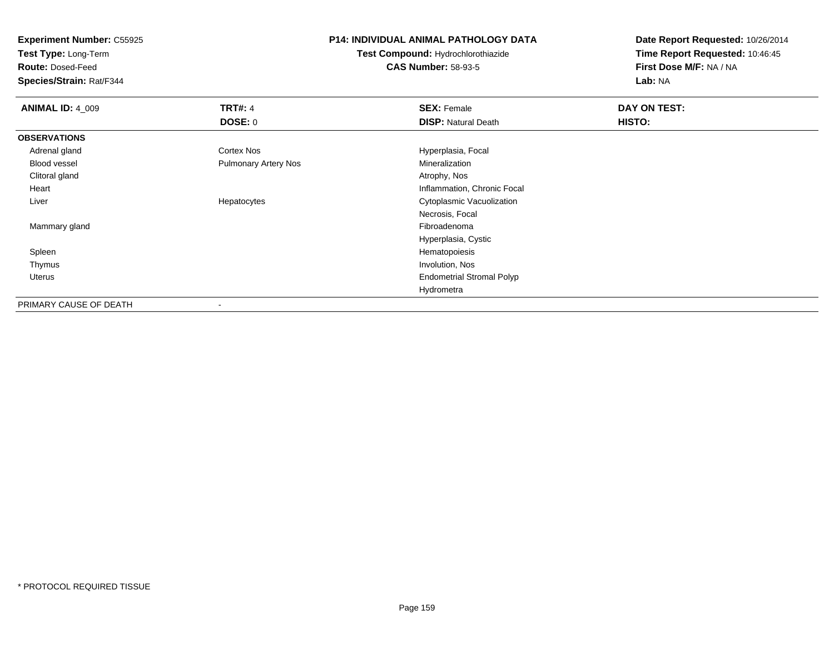**Test Type:** Long-Term

**Route:** Dosed-Feed

**Species/Strain:** Rat/F344

### **P14: INDIVIDUAL ANIMAL PATHOLOGY DATA**

**Test Compound:** Hydrochlorothiazide**CAS Number:** 58-93-5

| <b>ANIMAL ID: 4_009</b> | <b>TRT#: 4</b>              | <b>SEX: Female</b>               | DAY ON TEST: |  |
|-------------------------|-----------------------------|----------------------------------|--------------|--|
|                         | <b>DOSE: 0</b>              | <b>DISP: Natural Death</b>       | HISTO:       |  |
| <b>OBSERVATIONS</b>     |                             |                                  |              |  |
| Adrenal gland           | Cortex Nos                  | Hyperplasia, Focal               |              |  |
| Blood vessel            | <b>Pulmonary Artery Nos</b> | Mineralization                   |              |  |
| Clitoral gland          |                             | Atrophy, Nos                     |              |  |
| Heart                   |                             | Inflammation, Chronic Focal      |              |  |
| Liver                   | Hepatocytes                 | Cytoplasmic Vacuolization        |              |  |
|                         |                             | Necrosis, Focal                  |              |  |
| Mammary gland           |                             | Fibroadenoma                     |              |  |
|                         |                             | Hyperplasia, Cystic              |              |  |
| Spleen                  |                             | Hematopoiesis                    |              |  |
| Thymus                  |                             | Involution, Nos                  |              |  |
| Uterus                  |                             | <b>Endometrial Stromal Polyp</b> |              |  |
|                         |                             | Hydrometra                       |              |  |
| PRIMARY CAUSE OF DEATH  | ۰                           |                                  |              |  |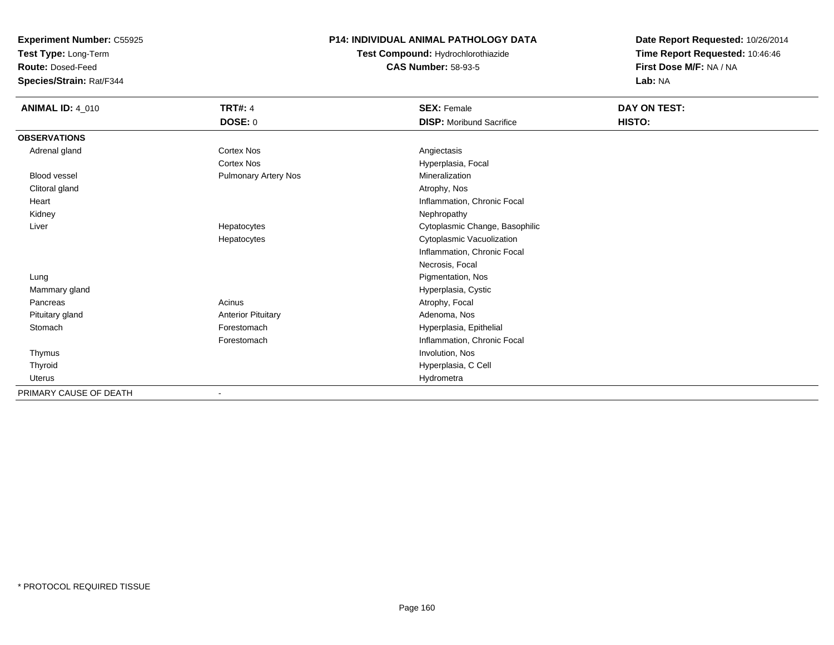**Test Type:** Long-Term

**Route:** Dosed-Feed

**Species/Strain:** Rat/F344

# **P14: INDIVIDUAL ANIMAL PATHOLOGY DATA**

**Test Compound:** Hydrochlorothiazide**CAS Number:** 58-93-5

| <b>ANIMAL ID: 4_010</b> | <b>TRT#: 4</b>              | <b>SEX: Female</b>              | DAY ON TEST: |  |
|-------------------------|-----------------------------|---------------------------------|--------------|--|
|                         | <b>DOSE: 0</b>              | <b>DISP:</b> Moribund Sacrifice | HISTO:       |  |
| <b>OBSERVATIONS</b>     |                             |                                 |              |  |
| Adrenal gland           | <b>Cortex Nos</b>           | Angiectasis                     |              |  |
|                         | <b>Cortex Nos</b>           | Hyperplasia, Focal              |              |  |
| Blood vessel            | <b>Pulmonary Artery Nos</b> | Mineralization                  |              |  |
| Clitoral gland          |                             | Atrophy, Nos                    |              |  |
| Heart                   |                             | Inflammation, Chronic Focal     |              |  |
| Kidney                  |                             | Nephropathy                     |              |  |
| Liver                   | Hepatocytes                 | Cytoplasmic Change, Basophilic  |              |  |
|                         | Hepatocytes                 | Cytoplasmic Vacuolization       |              |  |
|                         |                             | Inflammation, Chronic Focal     |              |  |
|                         |                             | Necrosis, Focal                 |              |  |
| Lung                    |                             | Pigmentation, Nos               |              |  |
| Mammary gland           |                             | Hyperplasia, Cystic             |              |  |
| Pancreas                | Acinus                      | Atrophy, Focal                  |              |  |
| Pituitary gland         | <b>Anterior Pituitary</b>   | Adenoma, Nos                    |              |  |
| Stomach                 | Forestomach                 | Hyperplasia, Epithelial         |              |  |
|                         | Forestomach                 | Inflammation, Chronic Focal     |              |  |
| Thymus                  |                             | Involution, Nos                 |              |  |
| Thyroid                 |                             | Hyperplasia, C Cell             |              |  |
| Uterus                  |                             | Hydrometra                      |              |  |
| PRIMARY CAUSE OF DEATH  |                             |                                 |              |  |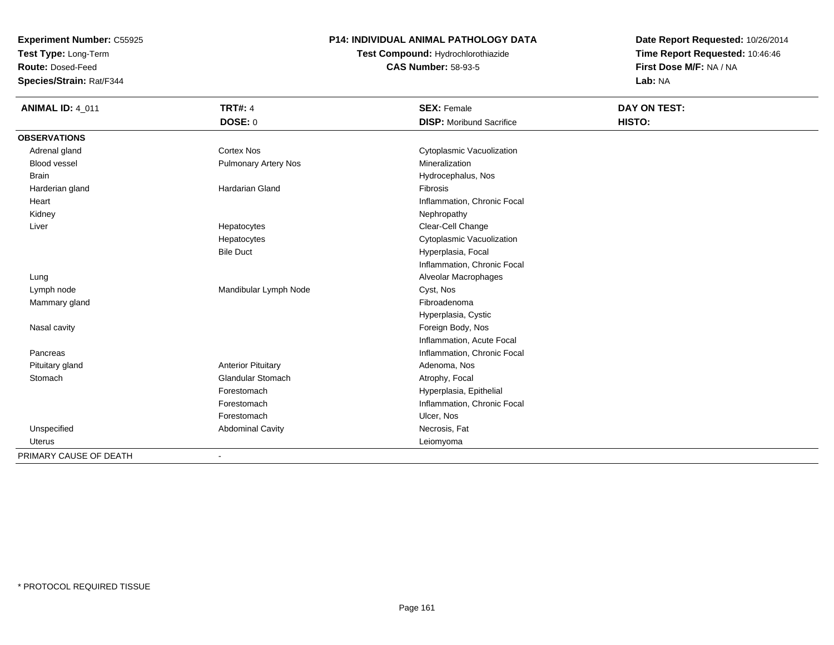**Test Type:** Long-Term

**Route:** Dosed-Feed

**Species/Strain:** Rat/F344

## **P14: INDIVIDUAL ANIMAL PATHOLOGY DATA**

**Test Compound:** Hydrochlorothiazide**CAS Number:** 58-93-5

| <b>ANIMAL ID: 4_011</b> | <b>TRT#: 4</b>              | <b>SEX: Female</b>              | DAY ON TEST: |  |
|-------------------------|-----------------------------|---------------------------------|--------------|--|
|                         | DOSE: 0                     | <b>DISP:</b> Moribund Sacrifice | HISTO:       |  |
| <b>OBSERVATIONS</b>     |                             |                                 |              |  |
| Adrenal gland           | <b>Cortex Nos</b>           | Cytoplasmic Vacuolization       |              |  |
| <b>Blood vessel</b>     | <b>Pulmonary Artery Nos</b> | Mineralization                  |              |  |
| <b>Brain</b>            |                             | Hydrocephalus, Nos              |              |  |
| Harderian gland         | <b>Hardarian Gland</b>      | Fibrosis                        |              |  |
| Heart                   |                             | Inflammation, Chronic Focal     |              |  |
| Kidney                  |                             | Nephropathy                     |              |  |
| Liver                   | Hepatocytes                 | Clear-Cell Change               |              |  |
|                         | Hepatocytes                 | Cytoplasmic Vacuolization       |              |  |
|                         | <b>Bile Duct</b>            | Hyperplasia, Focal              |              |  |
|                         |                             | Inflammation, Chronic Focal     |              |  |
| Lung                    |                             | Alveolar Macrophages            |              |  |
| Lymph node              | Mandibular Lymph Node       | Cyst, Nos                       |              |  |
| Mammary gland           |                             | Fibroadenoma                    |              |  |
|                         |                             | Hyperplasia, Cystic             |              |  |
| Nasal cavity            |                             | Foreign Body, Nos               |              |  |
|                         |                             | Inflammation, Acute Focal       |              |  |
| Pancreas                |                             | Inflammation, Chronic Focal     |              |  |
| Pituitary gland         | <b>Anterior Pituitary</b>   | Adenoma, Nos                    |              |  |
| Stomach                 | <b>Glandular Stomach</b>    | Atrophy, Focal                  |              |  |
|                         | Forestomach                 | Hyperplasia, Epithelial         |              |  |
|                         | Forestomach                 | Inflammation, Chronic Focal     |              |  |
|                         | Forestomach                 | Ulcer, Nos                      |              |  |
| Unspecified             | <b>Abdominal Cavity</b>     | Necrosis, Fat                   |              |  |
| <b>Uterus</b>           |                             | Leiomyoma                       |              |  |
| PRIMARY CAUSE OF DEATH  | $\blacksquare$              |                                 |              |  |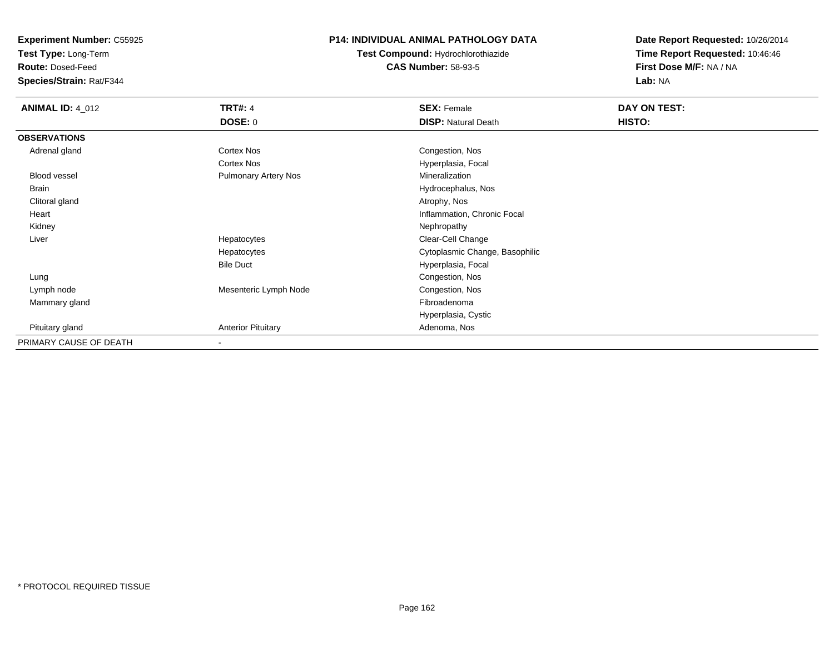**Test Type:** Long-Term

**Route:** Dosed-Feed

**Species/Strain:** Rat/F344

# **P14: INDIVIDUAL ANIMAL PATHOLOGY DATA**

**Test Compound:** Hydrochlorothiazide**CAS Number:** 58-93-5

| <b>ANIMAL ID: 4_012</b> | <b>TRT#: 4</b>              | <b>SEX: Female</b>             | DAY ON TEST: |  |
|-------------------------|-----------------------------|--------------------------------|--------------|--|
|                         | <b>DOSE: 0</b>              | <b>DISP: Natural Death</b>     | HISTO:       |  |
| <b>OBSERVATIONS</b>     |                             |                                |              |  |
| Adrenal gland           | <b>Cortex Nos</b>           | Congestion, Nos                |              |  |
|                         | <b>Cortex Nos</b>           | Hyperplasia, Focal             |              |  |
| Blood vessel            | <b>Pulmonary Artery Nos</b> | Mineralization                 |              |  |
| Brain                   |                             | Hydrocephalus, Nos             |              |  |
| Clitoral gland          |                             | Atrophy, Nos                   |              |  |
| Heart                   |                             | Inflammation, Chronic Focal    |              |  |
| Kidney                  |                             | Nephropathy                    |              |  |
| Liver                   | Hepatocytes                 | Clear-Cell Change              |              |  |
|                         | Hepatocytes                 | Cytoplasmic Change, Basophilic |              |  |
|                         | <b>Bile Duct</b>            | Hyperplasia, Focal             |              |  |
| Lung                    |                             | Congestion, Nos                |              |  |
| Lymph node              | Mesenteric Lymph Node       | Congestion, Nos                |              |  |
| Mammary gland           |                             | Fibroadenoma                   |              |  |
|                         |                             | Hyperplasia, Cystic            |              |  |
| Pituitary gland         | <b>Anterior Pituitary</b>   | Adenoma, Nos                   |              |  |
| PRIMARY CAUSE OF DEATH  |                             |                                |              |  |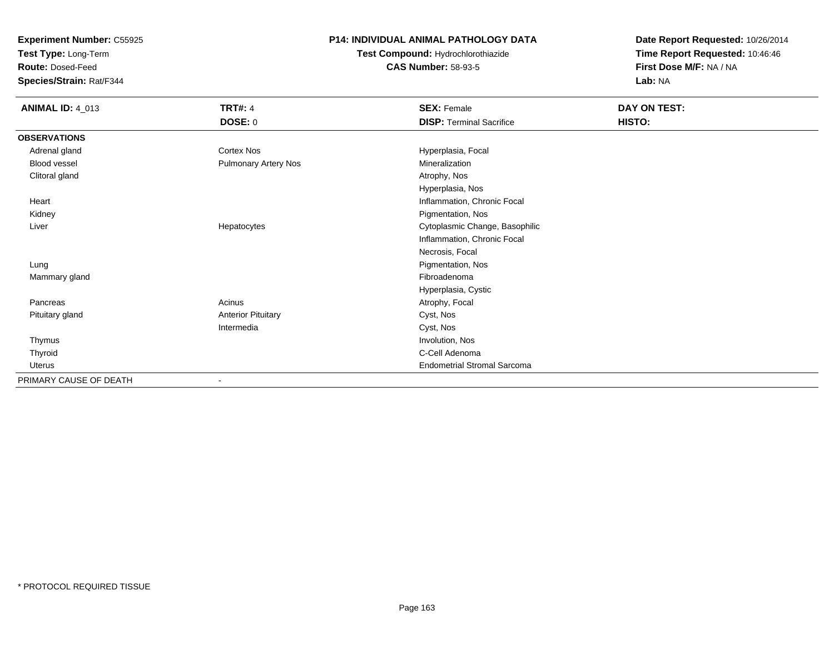**Test Type:** Long-Term

**Route:** Dosed-Feed

**Species/Strain:** Rat/F344

# **P14: INDIVIDUAL ANIMAL PATHOLOGY DATA**

**Test Compound:** Hydrochlorothiazide**CAS Number:** 58-93-5

| <b>ANIMAL ID: 4_013</b> | <b>TRT#: 4</b><br><b>DOSE: 0</b> | <b>SEX: Female</b><br><b>DISP: Terminal Sacrifice</b> | DAY ON TEST:<br>HISTO: |
|-------------------------|----------------------------------|-------------------------------------------------------|------------------------|
| <b>OBSERVATIONS</b>     |                                  |                                                       |                        |
| Adrenal gland           | Cortex Nos                       | Hyperplasia, Focal                                    |                        |
| <b>Blood vessel</b>     | Pulmonary Artery Nos             | Mineralization                                        |                        |
| Clitoral gland          |                                  | Atrophy, Nos                                          |                        |
|                         |                                  | Hyperplasia, Nos                                      |                        |
| Heart                   |                                  | Inflammation, Chronic Focal                           |                        |
| Kidney                  |                                  | Pigmentation, Nos                                     |                        |
| Liver                   | Hepatocytes                      | Cytoplasmic Change, Basophilic                        |                        |
|                         |                                  | Inflammation, Chronic Focal                           |                        |
|                         |                                  | Necrosis, Focal                                       |                        |
| Lung                    |                                  | Pigmentation, Nos                                     |                        |
| Mammary gland           |                                  | Fibroadenoma                                          |                        |
|                         |                                  | Hyperplasia, Cystic                                   |                        |
| Pancreas                | Acinus                           | Atrophy, Focal                                        |                        |
| Pituitary gland         | <b>Anterior Pituitary</b>        | Cyst, Nos                                             |                        |
|                         | Intermedia                       | Cyst, Nos                                             |                        |
| Thymus                  |                                  | Involution, Nos                                       |                        |
| Thyroid                 |                                  | C-Cell Adenoma                                        |                        |
| <b>Uterus</b>           |                                  | <b>Endometrial Stromal Sarcoma</b>                    |                        |
| PRIMARY CAUSE OF DEATH  |                                  |                                                       |                        |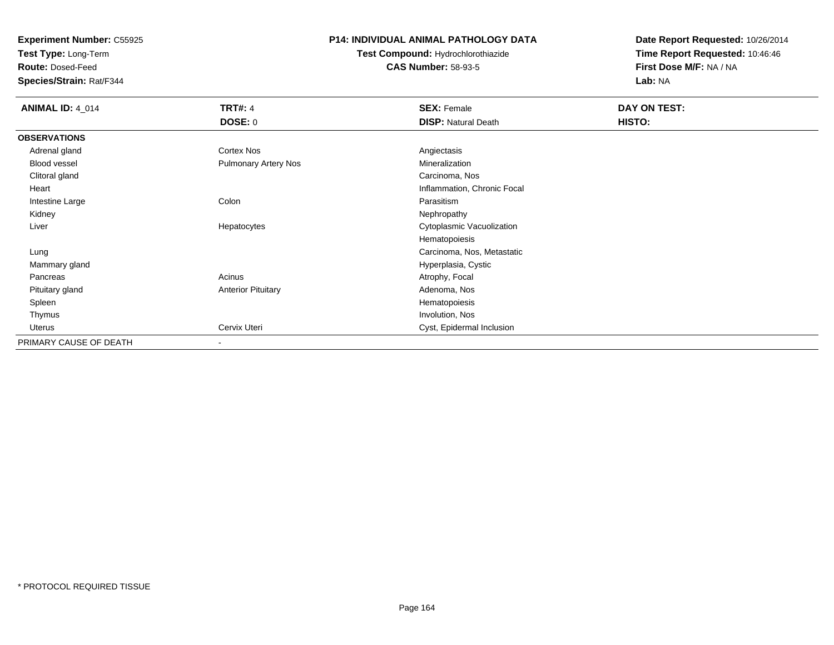**Test Type:** Long-Term

**Route:** Dosed-Feed

**Species/Strain:** Rat/F344

### **P14: INDIVIDUAL ANIMAL PATHOLOGY DATA**

**Test Compound:** Hydrochlorothiazide**CAS Number:** 58-93-5

| <b>ANIMAL ID: 4_014</b> | <b>TRT#: 4</b>              | <b>SEX: Female</b>          | DAY ON TEST: |  |
|-------------------------|-----------------------------|-----------------------------|--------------|--|
|                         | <b>DOSE: 0</b>              | <b>DISP: Natural Death</b>  | HISTO:       |  |
| <b>OBSERVATIONS</b>     |                             |                             |              |  |
| Adrenal gland           | <b>Cortex Nos</b>           | Angiectasis                 |              |  |
| Blood vessel            | <b>Pulmonary Artery Nos</b> | Mineralization              |              |  |
| Clitoral gland          |                             | Carcinoma, Nos              |              |  |
| Heart                   |                             | Inflammation, Chronic Focal |              |  |
| Intestine Large         | Colon                       | Parasitism                  |              |  |
| Kidney                  |                             | Nephropathy                 |              |  |
| Liver                   | Hepatocytes                 | Cytoplasmic Vacuolization   |              |  |
|                         |                             | Hematopoiesis               |              |  |
| Lung                    |                             | Carcinoma, Nos, Metastatic  |              |  |
| Mammary gland           |                             | Hyperplasia, Cystic         |              |  |
| Pancreas                | Acinus                      | Atrophy, Focal              |              |  |
| Pituitary gland         | <b>Anterior Pituitary</b>   | Adenoma, Nos                |              |  |
| Spleen                  |                             | Hematopoiesis               |              |  |
| Thymus                  |                             | Involution, Nos             |              |  |
| Uterus                  | Cervix Uteri                | Cyst, Epidermal Inclusion   |              |  |
| PRIMARY CAUSE OF DEATH  |                             |                             |              |  |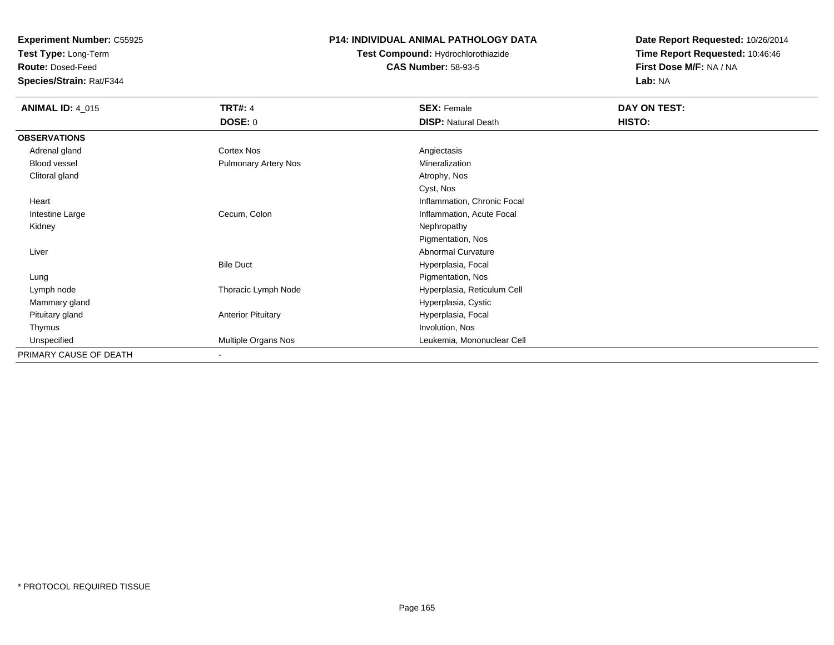**Test Type:** Long-Term

**Route:** Dosed-Feed

**Species/Strain:** Rat/F344

# **P14: INDIVIDUAL ANIMAL PATHOLOGY DATA**

# **Test Compound:** Hydrochlorothiazide**CAS Number:** 58-93-5

| <b>ANIMAL ID: 4_015</b> | <b>TRT#: 4</b>            | <b>SEX: Female</b>          | DAY ON TEST: |
|-------------------------|---------------------------|-----------------------------|--------------|
|                         | <b>DOSE: 0</b>            | <b>DISP: Natural Death</b>  | HISTO:       |
| <b>OBSERVATIONS</b>     |                           |                             |              |
| Adrenal gland           | Cortex Nos                | Angiectasis                 |              |
| Blood vessel            | Pulmonary Artery Nos      | Mineralization              |              |
| Clitoral gland          |                           | Atrophy, Nos                |              |
|                         |                           | Cyst, Nos                   |              |
| Heart                   |                           | Inflammation, Chronic Focal |              |
| Intestine Large         | Cecum, Colon              | Inflammation, Acute Focal   |              |
| Kidney                  |                           | Nephropathy                 |              |
|                         |                           | Pigmentation, Nos           |              |
| Liver                   |                           | Abnormal Curvature          |              |
|                         | <b>Bile Duct</b>          | Hyperplasia, Focal          |              |
| Lung                    |                           | Pigmentation, Nos           |              |
| Lymph node              | Thoracic Lymph Node       | Hyperplasia, Reticulum Cell |              |
| Mammary gland           |                           | Hyperplasia, Cystic         |              |
| Pituitary gland         | <b>Anterior Pituitary</b> | Hyperplasia, Focal          |              |
| Thymus                  |                           | Involution, Nos             |              |
| Unspecified             | Multiple Organs Nos       | Leukemia, Mononuclear Cell  |              |
| PRIMARY CAUSE OF DEATH  | $\blacksquare$            |                             |              |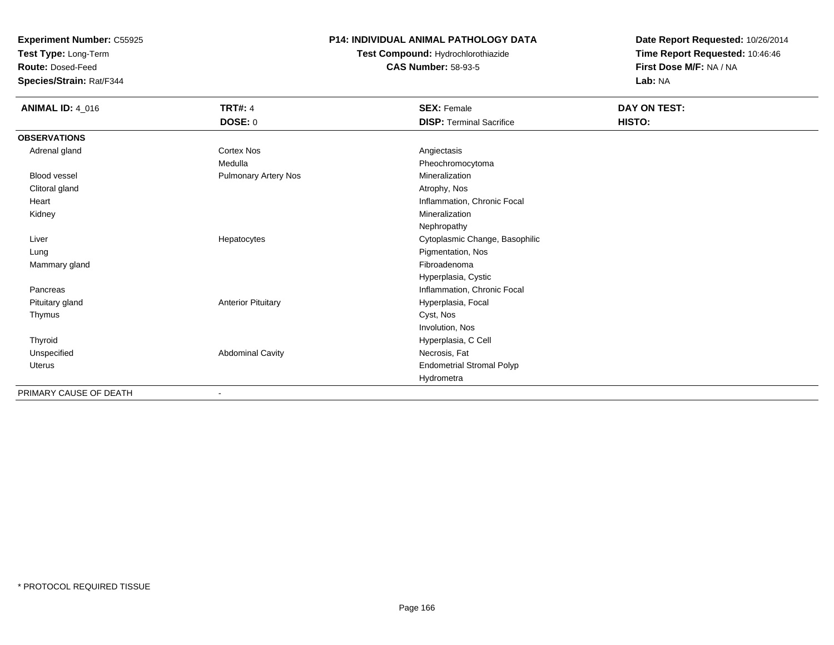**Test Type:** Long-Term

**Route:** Dosed-Feed

**Species/Strain:** Rat/F344

# **P14: INDIVIDUAL ANIMAL PATHOLOGY DATA**

**Test Compound:** Hydrochlorothiazide**CAS Number:** 58-93-5

| <b>ANIMAL ID: 4_016</b> | <b>TRT#: 4</b>              | <b>SEX: Female</b>               | DAY ON TEST: |  |
|-------------------------|-----------------------------|----------------------------------|--------------|--|
|                         | DOSE: 0                     | <b>DISP: Terminal Sacrifice</b>  | HISTO:       |  |
| <b>OBSERVATIONS</b>     |                             |                                  |              |  |
| Adrenal gland           | Cortex Nos                  | Angiectasis                      |              |  |
|                         | Medulla                     | Pheochromocytoma                 |              |  |
| <b>Blood vessel</b>     | <b>Pulmonary Artery Nos</b> | Mineralization                   |              |  |
| Clitoral gland          |                             | Atrophy, Nos                     |              |  |
| Heart                   |                             | Inflammation, Chronic Focal      |              |  |
| Kidney                  |                             | Mineralization                   |              |  |
|                         |                             | Nephropathy                      |              |  |
| Liver                   | Hepatocytes                 | Cytoplasmic Change, Basophilic   |              |  |
| Lung                    |                             | Pigmentation, Nos                |              |  |
| Mammary gland           |                             | Fibroadenoma                     |              |  |
|                         |                             | Hyperplasia, Cystic              |              |  |
| Pancreas                |                             | Inflammation, Chronic Focal      |              |  |
| Pituitary gland         | <b>Anterior Pituitary</b>   | Hyperplasia, Focal               |              |  |
| Thymus                  |                             | Cyst, Nos                        |              |  |
|                         |                             | Involution, Nos                  |              |  |
| Thyroid                 |                             | Hyperplasia, C Cell              |              |  |
| Unspecified             | <b>Abdominal Cavity</b>     | Necrosis, Fat                    |              |  |
| Uterus                  |                             | <b>Endometrial Stromal Polyp</b> |              |  |
|                         |                             | Hydrometra                       |              |  |
| PRIMARY CAUSE OF DEATH  |                             |                                  |              |  |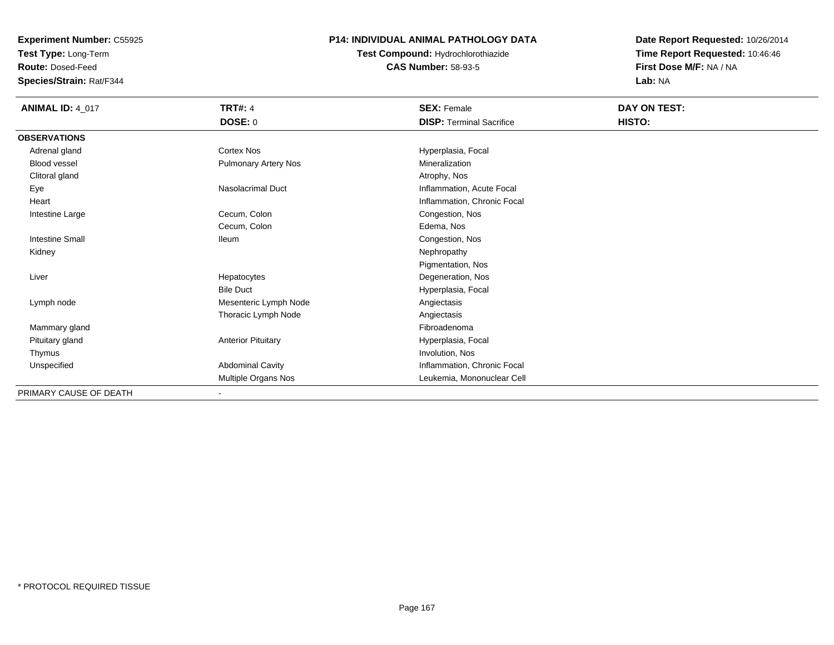**Test Type:** Long-Term

**Route:** Dosed-Feed

**Species/Strain:** Rat/F344

# **P14: INDIVIDUAL ANIMAL PATHOLOGY DATA**

**Test Compound:** Hydrochlorothiazide**CAS Number:** 58-93-5

| <b>ANIMAL ID: 4_017</b> | <b>TRT#: 4</b>              | <b>SEX: Female</b>              | DAY ON TEST: |  |
|-------------------------|-----------------------------|---------------------------------|--------------|--|
|                         | DOSE: 0                     | <b>DISP: Terminal Sacrifice</b> | HISTO:       |  |
| <b>OBSERVATIONS</b>     |                             |                                 |              |  |
| Adrenal gland           | <b>Cortex Nos</b>           | Hyperplasia, Focal              |              |  |
| Blood vessel            | <b>Pulmonary Artery Nos</b> | Mineralization                  |              |  |
| Clitoral gland          |                             | Atrophy, Nos                    |              |  |
| Eye                     | Nasolacrimal Duct           | Inflammation, Acute Focal       |              |  |
| Heart                   |                             | Inflammation, Chronic Focal     |              |  |
| Intestine Large         | Cecum, Colon                | Congestion, Nos                 |              |  |
|                         | Cecum, Colon                | Edema, Nos                      |              |  |
| <b>Intestine Small</b>  | <b>Ileum</b>                | Congestion, Nos                 |              |  |
| Kidney                  |                             | Nephropathy                     |              |  |
|                         |                             | Pigmentation, Nos               |              |  |
| Liver                   | Hepatocytes                 | Degeneration, Nos               |              |  |
|                         | <b>Bile Duct</b>            | Hyperplasia, Focal              |              |  |
| Lymph node              | Mesenteric Lymph Node       | Angiectasis                     |              |  |
|                         | Thoracic Lymph Node         | Angiectasis                     |              |  |
| Mammary gland           |                             | Fibroadenoma                    |              |  |
| Pituitary gland         | <b>Anterior Pituitary</b>   | Hyperplasia, Focal              |              |  |
| Thymus                  |                             | Involution, Nos                 |              |  |
| Unspecified             | Abdominal Cavity            | Inflammation, Chronic Focal     |              |  |
|                         | Multiple Organs Nos         | Leukemia, Mononuclear Cell      |              |  |
| PRIMARY CAUSE OF DEATH  |                             |                                 |              |  |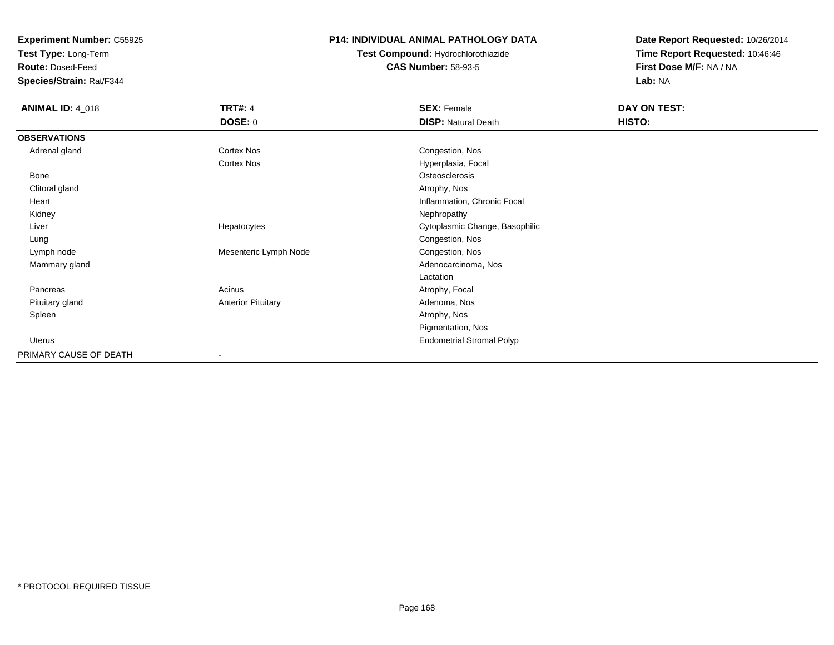**Test Type:** Long-Term

**Route:** Dosed-Feed

**Species/Strain:** Rat/F344

## **P14: INDIVIDUAL ANIMAL PATHOLOGY DATA**

**Test Compound:** Hydrochlorothiazide**CAS Number:** 58-93-5

| <b>ANIMAL ID: 4_018</b> | <b>TRT#: 4</b>            | <b>SEX: Female</b>               | DAY ON TEST: |  |
|-------------------------|---------------------------|----------------------------------|--------------|--|
|                         | <b>DOSE: 0</b>            | <b>DISP: Natural Death</b>       | HISTO:       |  |
| <b>OBSERVATIONS</b>     |                           |                                  |              |  |
| Adrenal gland           | Cortex Nos                | Congestion, Nos                  |              |  |
|                         | Cortex Nos                | Hyperplasia, Focal               |              |  |
| Bone                    |                           | Osteosclerosis                   |              |  |
| Clitoral gland          |                           | Atrophy, Nos                     |              |  |
| Heart                   |                           | Inflammation, Chronic Focal      |              |  |
| Kidney                  |                           | Nephropathy                      |              |  |
| Liver                   | Hepatocytes               | Cytoplasmic Change, Basophilic   |              |  |
| Lung                    |                           | Congestion, Nos                  |              |  |
| Lymph node              | Mesenteric Lymph Node     | Congestion, Nos                  |              |  |
| Mammary gland           |                           | Adenocarcinoma, Nos              |              |  |
|                         |                           | Lactation                        |              |  |
| Pancreas                | Acinus                    | Atrophy, Focal                   |              |  |
| Pituitary gland         | <b>Anterior Pituitary</b> | Adenoma, Nos                     |              |  |
| Spleen                  |                           | Atrophy, Nos                     |              |  |
|                         |                           | Pigmentation, Nos                |              |  |
| <b>Uterus</b>           |                           | <b>Endometrial Stromal Polyp</b> |              |  |
| PRIMARY CAUSE OF DEATH  | $\overline{\phantom{a}}$  |                                  |              |  |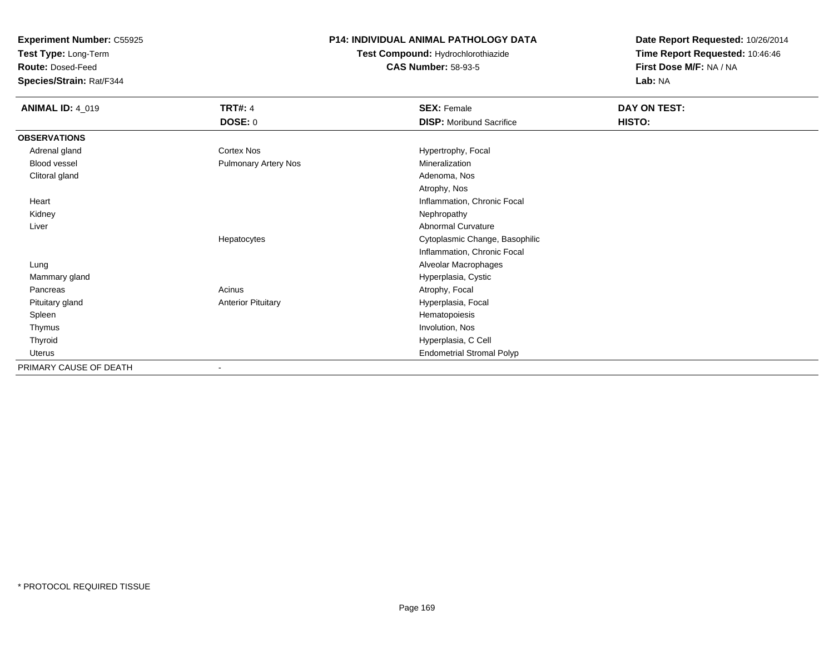**Test Type:** Long-Term

**Route:** Dosed-Feed

**Species/Strain:** Rat/F344

# **P14: INDIVIDUAL ANIMAL PATHOLOGY DATA**

**Test Compound:** Hydrochlorothiazide**CAS Number:** 58-93-5

| <b>ANIMAL ID: 4_019</b> | <b>TRT#: 4</b>              | <b>SEX: Female</b>               | DAY ON TEST: |
|-------------------------|-----------------------------|----------------------------------|--------------|
|                         | DOSE: 0                     | <b>DISP:</b> Moribund Sacrifice  | HISTO:       |
| <b>OBSERVATIONS</b>     |                             |                                  |              |
| Adrenal gland           | <b>Cortex Nos</b>           | Hypertrophy, Focal               |              |
| Blood vessel            | <b>Pulmonary Artery Nos</b> | Mineralization                   |              |
| Clitoral gland          |                             | Adenoma, Nos                     |              |
|                         |                             | Atrophy, Nos                     |              |
| Heart                   |                             | Inflammation, Chronic Focal      |              |
| Kidney                  |                             | Nephropathy                      |              |
| Liver                   |                             | <b>Abnormal Curvature</b>        |              |
|                         | Hepatocytes                 | Cytoplasmic Change, Basophilic   |              |
|                         |                             | Inflammation, Chronic Focal      |              |
| Lung                    |                             | Alveolar Macrophages             |              |
| Mammary gland           |                             | Hyperplasia, Cystic              |              |
| Pancreas                | Acinus                      | Atrophy, Focal                   |              |
| Pituitary gland         | <b>Anterior Pituitary</b>   | Hyperplasia, Focal               |              |
| Spleen                  |                             | Hematopoiesis                    |              |
| Thymus                  |                             | Involution, Nos                  |              |
| Thyroid                 |                             | Hyperplasia, C Cell              |              |
| Uterus                  |                             | <b>Endometrial Stromal Polyp</b> |              |
| PRIMARY CAUSE OF DEATH  |                             |                                  |              |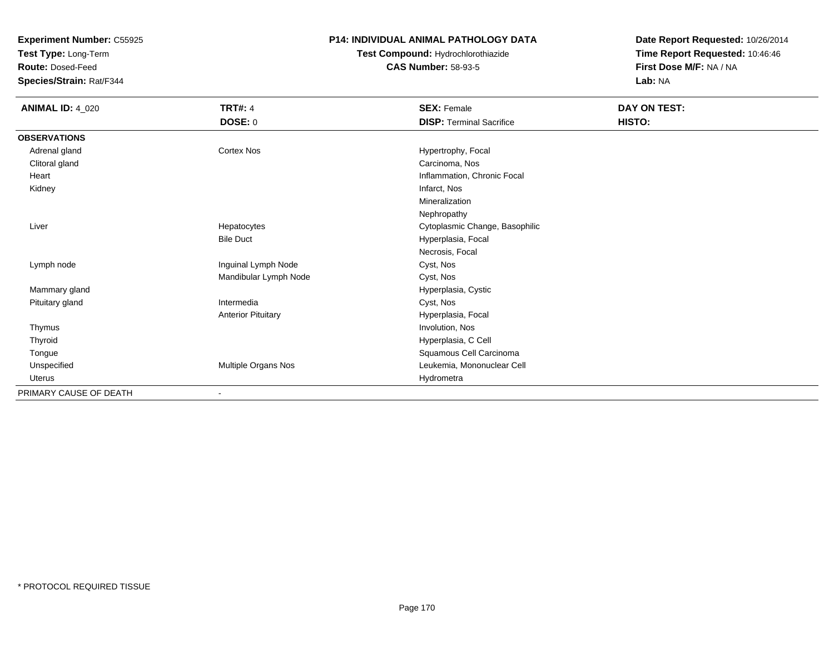**Test Type:** Long-Term

**Route:** Dosed-Feed

**Species/Strain:** Rat/F344

### **P14: INDIVIDUAL ANIMAL PATHOLOGY DATA**

**Test Compound:** Hydrochlorothiazide**CAS Number:** 58-93-5

| <b>ANIMAL ID: 4_020</b> | <b>TRT#: 4</b>            | <b>SEX: Female</b>              | DAY ON TEST: |
|-------------------------|---------------------------|---------------------------------|--------------|
|                         | <b>DOSE: 0</b>            | <b>DISP: Terminal Sacrifice</b> | HISTO:       |
| <b>OBSERVATIONS</b>     |                           |                                 |              |
| Adrenal gland           | Cortex Nos                | Hypertrophy, Focal              |              |
| Clitoral gland          |                           | Carcinoma, Nos                  |              |
| Heart                   |                           | Inflammation, Chronic Focal     |              |
| Kidney                  |                           | Infarct, Nos                    |              |
|                         |                           | Mineralization                  |              |
|                         |                           | Nephropathy                     |              |
| Liver                   | Hepatocytes               | Cytoplasmic Change, Basophilic  |              |
|                         | <b>Bile Duct</b>          | Hyperplasia, Focal              |              |
|                         |                           | Necrosis, Focal                 |              |
| Lymph node              | Inguinal Lymph Node       | Cyst, Nos                       |              |
|                         | Mandibular Lymph Node     | Cyst, Nos                       |              |
| Mammary gland           |                           | Hyperplasia, Cystic             |              |
| Pituitary gland         | Intermedia                | Cyst, Nos                       |              |
|                         | <b>Anterior Pituitary</b> | Hyperplasia, Focal              |              |
| Thymus                  |                           | Involution, Nos                 |              |
| Thyroid                 |                           | Hyperplasia, C Cell             |              |
| Tongue                  |                           | Squamous Cell Carcinoma         |              |
| Unspecified             | Multiple Organs Nos       | Leukemia, Mononuclear Cell      |              |
| Uterus                  |                           | Hydrometra                      |              |
| PRIMARY CAUSE OF DEATH  | ٠                         |                                 |              |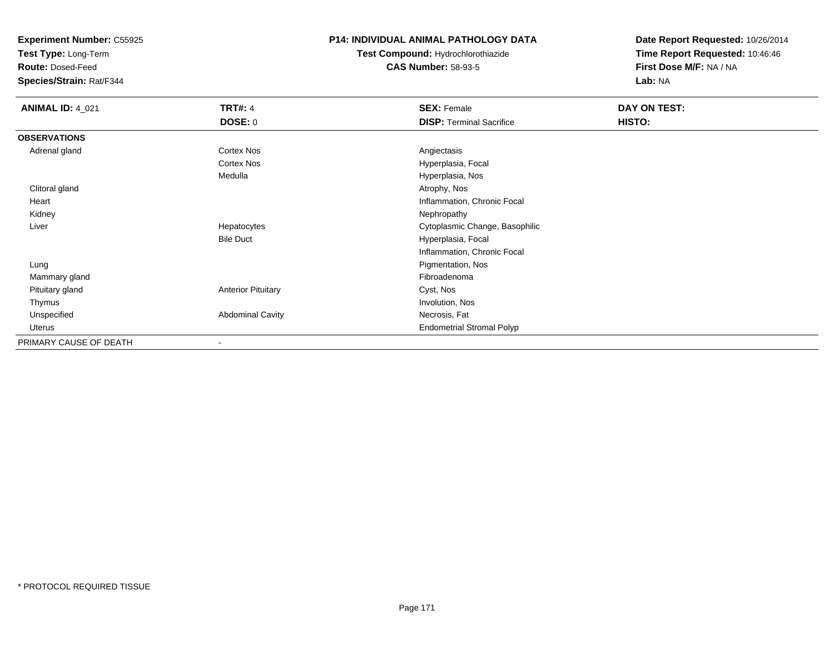**Test Type:** Long-Term

**Route:** Dosed-Feed

**Species/Strain:** Rat/F344

### **P14: INDIVIDUAL ANIMAL PATHOLOGY DATA**

**Test Compound:** Hydrochlorothiazide**CAS Number:** 58-93-5

| <b>ANIMAL ID: 4_021</b> | <b>TRT#: 4</b>            | <b>SEX: Female</b>               | DAY ON TEST: |  |
|-------------------------|---------------------------|----------------------------------|--------------|--|
|                         | <b>DOSE: 0</b>            | <b>DISP: Terminal Sacrifice</b>  | HISTO:       |  |
| <b>OBSERVATIONS</b>     |                           |                                  |              |  |
| Adrenal gland           | <b>Cortex Nos</b>         | Angiectasis                      |              |  |
|                         | <b>Cortex Nos</b>         | Hyperplasia, Focal               |              |  |
|                         | Medulla                   | Hyperplasia, Nos                 |              |  |
| Clitoral gland          |                           | Atrophy, Nos                     |              |  |
| Heart                   |                           | Inflammation, Chronic Focal      |              |  |
| Kidney                  |                           | Nephropathy                      |              |  |
| Liver                   | Hepatocytes               | Cytoplasmic Change, Basophilic   |              |  |
|                         | <b>Bile Duct</b>          | Hyperplasia, Focal               |              |  |
|                         |                           | Inflammation, Chronic Focal      |              |  |
| Lung                    |                           | Pigmentation, Nos                |              |  |
| Mammary gland           |                           | Fibroadenoma                     |              |  |
| Pituitary gland         | <b>Anterior Pituitary</b> | Cyst, Nos                        |              |  |
| Thymus                  |                           | Involution, Nos                  |              |  |
| Unspecified             | <b>Abdominal Cavity</b>   | Necrosis, Fat                    |              |  |
| Uterus                  |                           | <b>Endometrial Stromal Polyp</b> |              |  |
| PRIMARY CAUSE OF DEATH  |                           |                                  |              |  |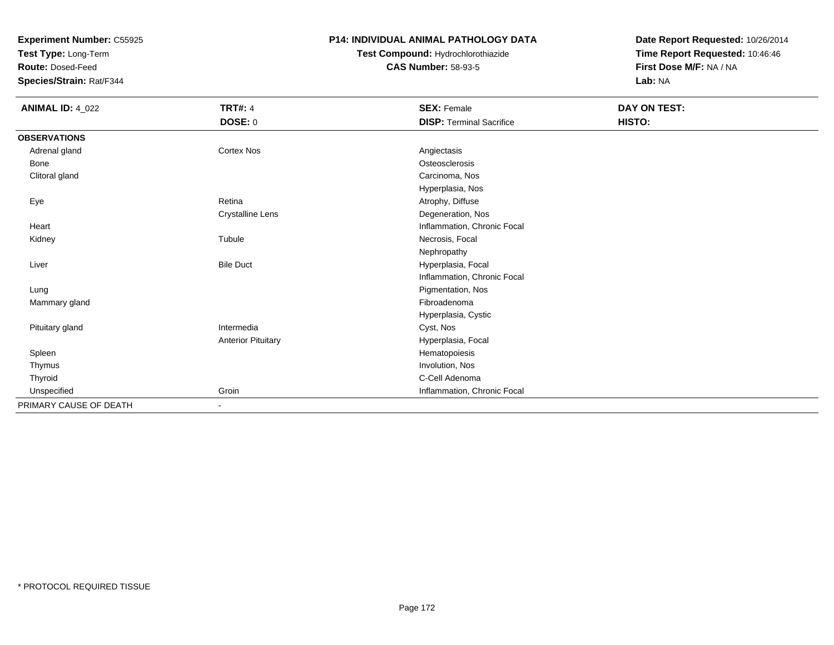**Test Type:** Long-Term

**Route:** Dosed-Feed

**Species/Strain:** Rat/F344

## **P14: INDIVIDUAL ANIMAL PATHOLOGY DATA**

# **Test Compound:** Hydrochlorothiazide**CAS Number:** 58-93-5

| <b>ANIMAL ID: 4_022</b> | <b>TRT#: 4</b>            | <b>SEX: Female</b>              | DAY ON TEST: |  |
|-------------------------|---------------------------|---------------------------------|--------------|--|
|                         | DOSE: 0                   | <b>DISP: Terminal Sacrifice</b> | HISTO:       |  |
| <b>OBSERVATIONS</b>     |                           |                                 |              |  |
| Adrenal gland           | Cortex Nos                | Angiectasis                     |              |  |
| Bone                    |                           | Osteosclerosis                  |              |  |
| Clitoral gland          |                           | Carcinoma, Nos                  |              |  |
|                         |                           | Hyperplasia, Nos                |              |  |
| Eye                     | Retina                    | Atrophy, Diffuse                |              |  |
|                         | <b>Crystalline Lens</b>   | Degeneration, Nos               |              |  |
| Heart                   |                           | Inflammation, Chronic Focal     |              |  |
| Kidney                  | Tubule                    | Necrosis, Focal                 |              |  |
|                         |                           | Nephropathy                     |              |  |
| Liver                   | <b>Bile Duct</b>          | Hyperplasia, Focal              |              |  |
|                         |                           | Inflammation, Chronic Focal     |              |  |
| Lung                    |                           | Pigmentation, Nos               |              |  |
| Mammary gland           |                           | Fibroadenoma                    |              |  |
|                         |                           | Hyperplasia, Cystic             |              |  |
| Pituitary gland         | Intermedia                | Cyst, Nos                       |              |  |
|                         | <b>Anterior Pituitary</b> | Hyperplasia, Focal              |              |  |
| Spleen                  |                           | Hematopoiesis                   |              |  |
| Thymus                  |                           | Involution, Nos                 |              |  |
| Thyroid                 |                           | C-Cell Adenoma                  |              |  |
| Unspecified             | Groin                     | Inflammation, Chronic Focal     |              |  |
| PRIMARY CAUSE OF DEATH  | $\blacksquare$            |                                 |              |  |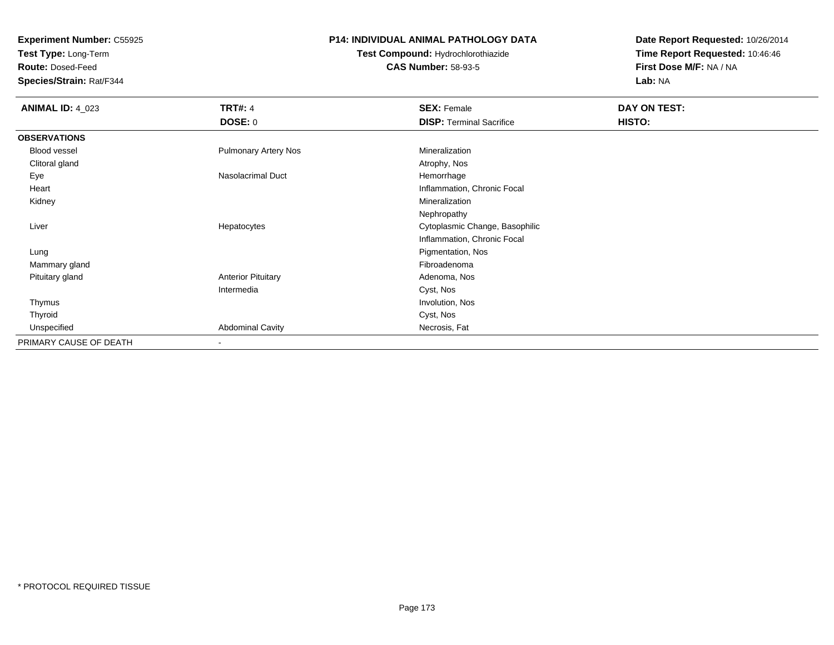**Test Type:** Long-Term

**Route:** Dosed-Feed

**Species/Strain:** Rat/F344

### **P14: INDIVIDUAL ANIMAL PATHOLOGY DATA**

**Test Compound:** Hydrochlorothiazide**CAS Number:** 58-93-5

| <b>ANIMAL ID: 4_023</b> | <b>TRT#: 4</b>              | <b>SEX: Female</b>              | DAY ON TEST: |  |
|-------------------------|-----------------------------|---------------------------------|--------------|--|
|                         | <b>DOSE: 0</b>              | <b>DISP: Terminal Sacrifice</b> | HISTO:       |  |
| <b>OBSERVATIONS</b>     |                             |                                 |              |  |
| Blood vessel            | <b>Pulmonary Artery Nos</b> | Mineralization                  |              |  |
| Clitoral gland          |                             | Atrophy, Nos                    |              |  |
| Eye                     | Nasolacrimal Duct           | Hemorrhage                      |              |  |
| Heart                   |                             | Inflammation, Chronic Focal     |              |  |
| Kidney                  |                             | Mineralization                  |              |  |
|                         |                             | Nephropathy                     |              |  |
| Liver                   | Hepatocytes                 | Cytoplasmic Change, Basophilic  |              |  |
|                         |                             | Inflammation, Chronic Focal     |              |  |
| Lung                    |                             | Pigmentation, Nos               |              |  |
| Mammary gland           |                             | Fibroadenoma                    |              |  |
| Pituitary gland         | <b>Anterior Pituitary</b>   | Adenoma, Nos                    |              |  |
|                         | Intermedia                  | Cyst, Nos                       |              |  |
| Thymus                  |                             | Involution, Nos                 |              |  |
| Thyroid                 |                             | Cyst, Nos                       |              |  |
| Unspecified             | <b>Abdominal Cavity</b>     | Necrosis, Fat                   |              |  |
| PRIMARY CAUSE OF DEATH  | $\overline{\phantom{a}}$    |                                 |              |  |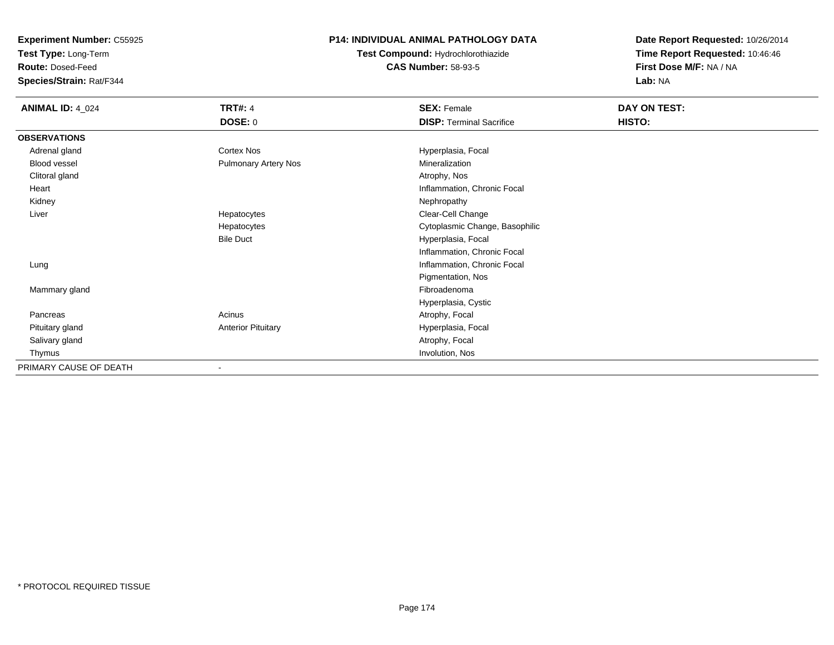**Test Type:** Long-Term

**Route:** Dosed-Feed

**Species/Strain:** Rat/F344

# **P14: INDIVIDUAL ANIMAL PATHOLOGY DATA**

**Test Compound:** Hydrochlorothiazide**CAS Number:** 58-93-5

| <b>ANIMAL ID: 4_024</b> | <b>TRT#: 4</b>            | <b>SEX: Female</b>              | DAY ON TEST: |
|-------------------------|---------------------------|---------------------------------|--------------|
|                         | <b>DOSE: 0</b>            | <b>DISP: Terminal Sacrifice</b> | HISTO:       |
| <b>OBSERVATIONS</b>     |                           |                                 |              |
| Adrenal gland           | Cortex Nos                | Hyperplasia, Focal              |              |
| Blood vessel            | Pulmonary Artery Nos      | Mineralization                  |              |
| Clitoral gland          |                           | Atrophy, Nos                    |              |
| Heart                   |                           | Inflammation, Chronic Focal     |              |
| Kidney                  |                           | Nephropathy                     |              |
| Liver                   | Hepatocytes               | Clear-Cell Change               |              |
|                         | Hepatocytes               | Cytoplasmic Change, Basophilic  |              |
|                         | <b>Bile Duct</b>          | Hyperplasia, Focal              |              |
|                         |                           | Inflammation, Chronic Focal     |              |
| Lung                    |                           | Inflammation, Chronic Focal     |              |
|                         |                           | Pigmentation, Nos               |              |
| Mammary gland           |                           | Fibroadenoma                    |              |
|                         |                           | Hyperplasia, Cystic             |              |
| Pancreas                | Acinus                    | Atrophy, Focal                  |              |
| Pituitary gland         | <b>Anterior Pituitary</b> | Hyperplasia, Focal              |              |
| Salivary gland          |                           | Atrophy, Focal                  |              |
| Thymus                  |                           | Involution, Nos                 |              |
| PRIMARY CAUSE OF DEATH  |                           |                                 |              |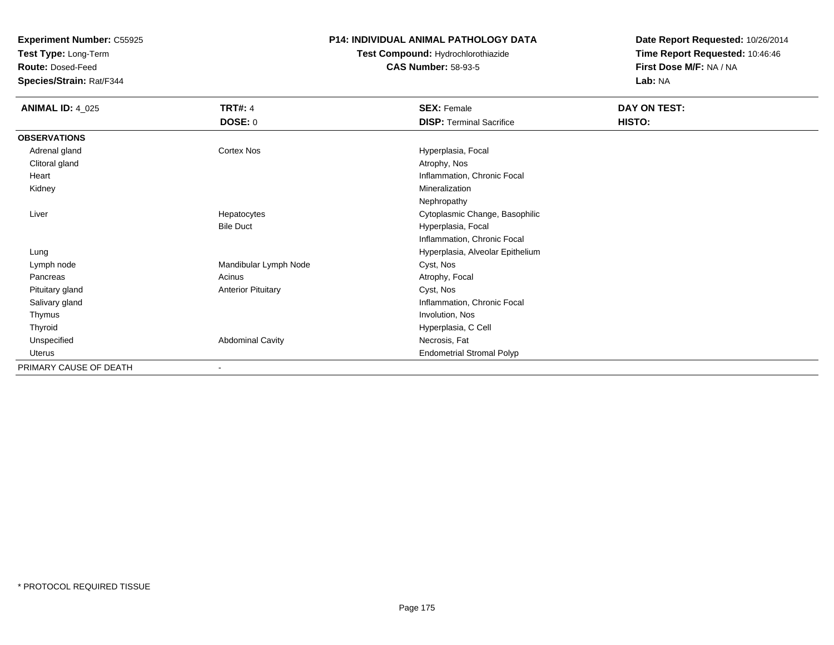**Test Type:** Long-Term

**Route:** Dosed-Feed

**Species/Strain:** Rat/F344

### **P14: INDIVIDUAL ANIMAL PATHOLOGY DATA**

**Test Compound:** Hydrochlorothiazide**CAS Number:** 58-93-5

| <b>ANIMAL ID: 4_025</b> | <b>TRT#: 4</b>            | <b>SEX: Female</b>               | DAY ON TEST: |  |
|-------------------------|---------------------------|----------------------------------|--------------|--|
|                         | <b>DOSE: 0</b>            | <b>DISP: Terminal Sacrifice</b>  | HISTO:       |  |
| <b>OBSERVATIONS</b>     |                           |                                  |              |  |
| Adrenal gland           | <b>Cortex Nos</b>         | Hyperplasia, Focal               |              |  |
| Clitoral gland          |                           | Atrophy, Nos                     |              |  |
| Heart                   |                           | Inflammation, Chronic Focal      |              |  |
| Kidney                  |                           | Mineralization                   |              |  |
|                         |                           | Nephropathy                      |              |  |
| Liver                   | Hepatocytes               | Cytoplasmic Change, Basophilic   |              |  |
|                         | <b>Bile Duct</b>          | Hyperplasia, Focal               |              |  |
|                         |                           | Inflammation, Chronic Focal      |              |  |
| Lung                    |                           | Hyperplasia, Alveolar Epithelium |              |  |
| Lymph node              | Mandibular Lymph Node     | Cyst, Nos                        |              |  |
| Pancreas                | Acinus                    | Atrophy, Focal                   |              |  |
| Pituitary gland         | <b>Anterior Pituitary</b> | Cyst, Nos                        |              |  |
| Salivary gland          |                           | Inflammation, Chronic Focal      |              |  |
| Thymus                  |                           | Involution, Nos                  |              |  |
| Thyroid                 |                           | Hyperplasia, C Cell              |              |  |
| Unspecified             | <b>Abdominal Cavity</b>   | Necrosis, Fat                    |              |  |
| Uterus                  |                           | <b>Endometrial Stromal Polyp</b> |              |  |
| PRIMARY CAUSE OF DEATH  |                           |                                  |              |  |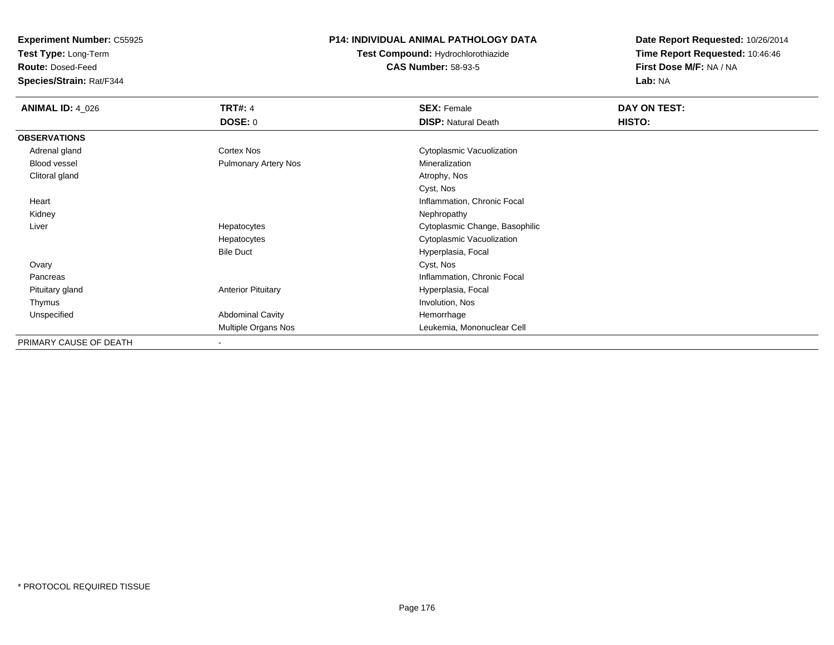**Test Type:** Long-Term

**Route:** Dosed-Feed

**Species/Strain:** Rat/F344

# **P14: INDIVIDUAL ANIMAL PATHOLOGY DATA**

**Test Compound:** Hydrochlorothiazide**CAS Number:** 58-93-5

| <b>ANIMAL ID: 4_026</b> | <b>TRT#: 4</b>              | <b>SEX: Female</b>             | DAY ON TEST: |  |
|-------------------------|-----------------------------|--------------------------------|--------------|--|
|                         | <b>DOSE: 0</b>              | <b>DISP: Natural Death</b>     | HISTO:       |  |
| <b>OBSERVATIONS</b>     |                             |                                |              |  |
| Adrenal gland           | Cortex Nos                  | Cytoplasmic Vacuolization      |              |  |
| <b>Blood vessel</b>     | <b>Pulmonary Artery Nos</b> | Mineralization                 |              |  |
| Clitoral gland          |                             | Atrophy, Nos                   |              |  |
|                         |                             | Cyst, Nos                      |              |  |
| Heart                   |                             | Inflammation, Chronic Focal    |              |  |
| Kidney                  |                             | Nephropathy                    |              |  |
| Liver                   | Hepatocytes                 | Cytoplasmic Change, Basophilic |              |  |
|                         | Hepatocytes                 | Cytoplasmic Vacuolization      |              |  |
|                         | <b>Bile Duct</b>            | Hyperplasia, Focal             |              |  |
| Ovary                   |                             | Cyst, Nos                      |              |  |
| Pancreas                |                             | Inflammation, Chronic Focal    |              |  |
| Pituitary gland         | <b>Anterior Pituitary</b>   | Hyperplasia, Focal             |              |  |
| Thymus                  |                             | Involution, Nos                |              |  |
| Unspecified             | <b>Abdominal Cavity</b>     | Hemorrhage                     |              |  |
|                         | Multiple Organs Nos         | Leukemia, Mononuclear Cell     |              |  |
| PRIMARY CAUSE OF DEATH  |                             |                                |              |  |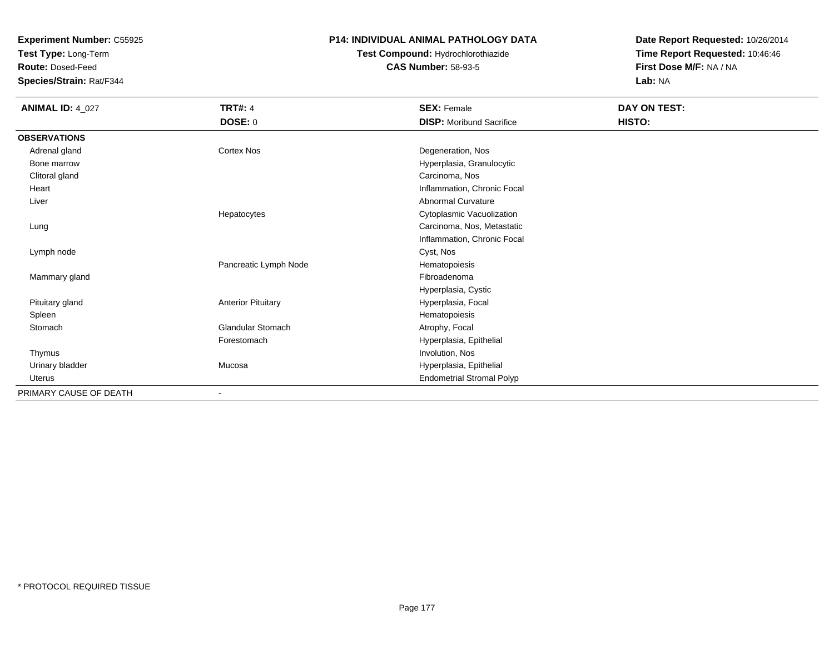**Test Type:** Long-Term

**Route:** Dosed-Feed

**Species/Strain:** Rat/F344

### **P14: INDIVIDUAL ANIMAL PATHOLOGY DATA**

**Test Compound:** Hydrochlorothiazide**CAS Number:** 58-93-5

| <b>ANIMAL ID: 4_027</b> | <b>TRT#: 4</b>            | <b>SEX: Female</b>               | DAY ON TEST: |
|-------------------------|---------------------------|----------------------------------|--------------|
|                         | <b>DOSE: 0</b>            | <b>DISP:</b> Moribund Sacrifice  | HISTO:       |
| <b>OBSERVATIONS</b>     |                           |                                  |              |
| Adrenal gland           | Cortex Nos                | Degeneration, Nos                |              |
| Bone marrow             |                           | Hyperplasia, Granulocytic        |              |
| Clitoral gland          |                           | Carcinoma, Nos                   |              |
| Heart                   |                           | Inflammation, Chronic Focal      |              |
| Liver                   |                           | Abnormal Curvature               |              |
|                         | Hepatocytes               | Cytoplasmic Vacuolization        |              |
| Lung                    |                           | Carcinoma, Nos, Metastatic       |              |
|                         |                           | Inflammation, Chronic Focal      |              |
| Lymph node              |                           | Cyst, Nos                        |              |
|                         | Pancreatic Lymph Node     | Hematopoiesis                    |              |
| Mammary gland           |                           | Fibroadenoma                     |              |
|                         |                           | Hyperplasia, Cystic              |              |
| Pituitary gland         | <b>Anterior Pituitary</b> | Hyperplasia, Focal               |              |
| Spleen                  |                           | Hematopoiesis                    |              |
| Stomach                 | Glandular Stomach         | Atrophy, Focal                   |              |
|                         | Forestomach               | Hyperplasia, Epithelial          |              |
| Thymus                  |                           | Involution, Nos                  |              |
| Urinary bladder         | Mucosa                    | Hyperplasia, Epithelial          |              |
| Uterus                  |                           | <b>Endometrial Stromal Polyp</b> |              |
| PRIMARY CAUSE OF DEATH  | ٠                         |                                  |              |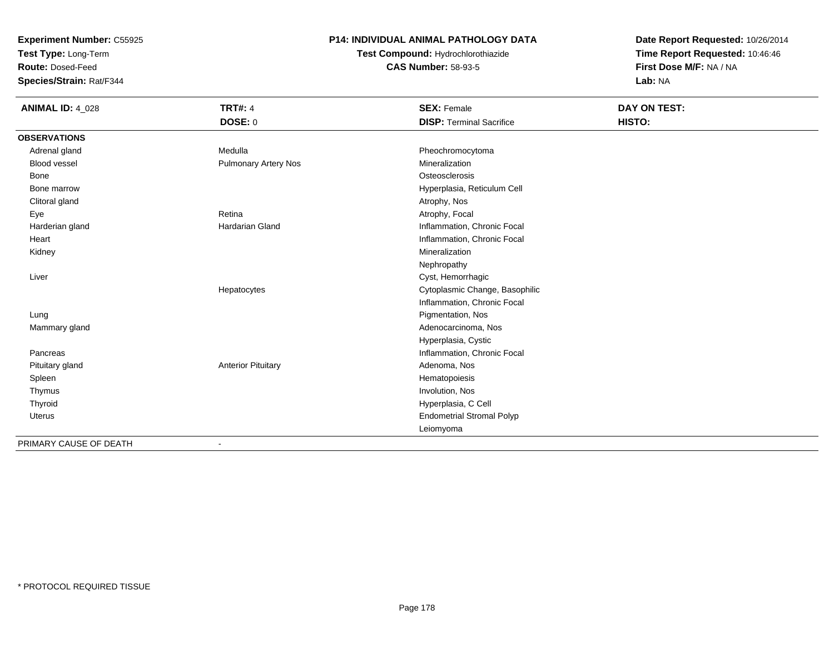**Test Type:** Long-Term

**Route:** Dosed-Feed

**Species/Strain:** Rat/F344

# **P14: INDIVIDUAL ANIMAL PATHOLOGY DATA**

**Test Compound:** Hydrochlorothiazide**CAS Number:** 58-93-5

| <b>ANIMAL ID: 4_028</b> | <b>TRT#: 4</b>              | <b>SEX: Female</b>               | DAY ON TEST: |  |
|-------------------------|-----------------------------|----------------------------------|--------------|--|
|                         | <b>DOSE: 0</b>              | <b>DISP: Terminal Sacrifice</b>  | HISTO:       |  |
| <b>OBSERVATIONS</b>     |                             |                                  |              |  |
| Adrenal gland           | Medulla                     | Pheochromocytoma                 |              |  |
| <b>Blood vessel</b>     | <b>Pulmonary Artery Nos</b> | Mineralization                   |              |  |
| Bone                    |                             | Osteosclerosis                   |              |  |
| Bone marrow             |                             | Hyperplasia, Reticulum Cell      |              |  |
| Clitoral gland          |                             | Atrophy, Nos                     |              |  |
| Eye                     | Retina                      | Atrophy, Focal                   |              |  |
| Harderian gland         | Hardarian Gland             | Inflammation, Chronic Focal      |              |  |
| Heart                   |                             | Inflammation, Chronic Focal      |              |  |
| Kidney                  |                             | Mineralization                   |              |  |
|                         |                             | Nephropathy                      |              |  |
| Liver                   |                             | Cyst, Hemorrhagic                |              |  |
|                         | Hepatocytes                 | Cytoplasmic Change, Basophilic   |              |  |
|                         |                             | Inflammation, Chronic Focal      |              |  |
| Lung                    |                             | Pigmentation, Nos                |              |  |
| Mammary gland           |                             | Adenocarcinoma, Nos              |              |  |
|                         |                             | Hyperplasia, Cystic              |              |  |
| Pancreas                |                             | Inflammation, Chronic Focal      |              |  |
| Pituitary gland         | <b>Anterior Pituitary</b>   | Adenoma, Nos                     |              |  |
| Spleen                  |                             | Hematopoiesis                    |              |  |
| Thymus                  |                             | Involution, Nos                  |              |  |
| Thyroid                 |                             | Hyperplasia, C Cell              |              |  |
| Uterus                  |                             | <b>Endometrial Stromal Polyp</b> |              |  |
|                         |                             | Leiomyoma                        |              |  |
| PRIMARY CAUSE OF DEATH  |                             |                                  |              |  |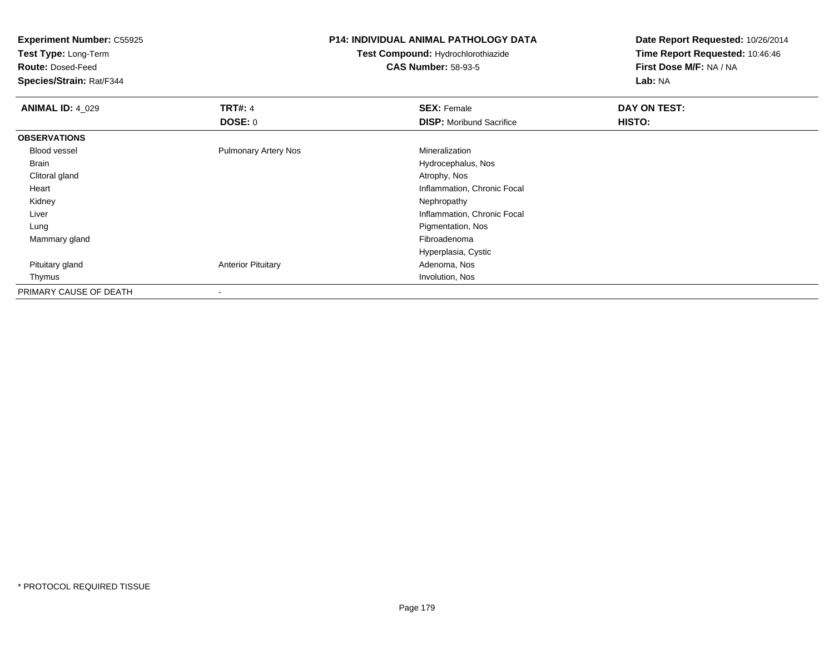**Test Type:** Long-Term

**Route:** Dosed-Feed

**Species/Strain:** Rat/F344

### **P14: INDIVIDUAL ANIMAL PATHOLOGY DATA**

**Test Compound:** Hydrochlorothiazide**CAS Number:** 58-93-5

| <b>ANIMAL ID: 4_029</b> | <b>TRT#: 4</b>              | <b>SEX: Female</b>              | DAY ON TEST: |  |
|-------------------------|-----------------------------|---------------------------------|--------------|--|
|                         | <b>DOSE: 0</b>              | <b>DISP:</b> Moribund Sacrifice | HISTO:       |  |
| <b>OBSERVATIONS</b>     |                             |                                 |              |  |
| <b>Blood vessel</b>     | <b>Pulmonary Artery Nos</b> | Mineralization                  |              |  |
| Brain                   |                             | Hydrocephalus, Nos              |              |  |
| Clitoral gland          |                             | Atrophy, Nos                    |              |  |
| Heart                   |                             | Inflammation, Chronic Focal     |              |  |
| Kidney                  |                             | Nephropathy                     |              |  |
| Liver                   |                             | Inflammation, Chronic Focal     |              |  |
| Lung                    |                             | Pigmentation, Nos               |              |  |
| Mammary gland           |                             | Fibroadenoma                    |              |  |
|                         |                             | Hyperplasia, Cystic             |              |  |
| Pituitary gland         | <b>Anterior Pituitary</b>   | Adenoma, Nos                    |              |  |
| Thymus                  |                             | Involution, Nos                 |              |  |
| PRIMARY CAUSE OF DEATH  |                             |                                 |              |  |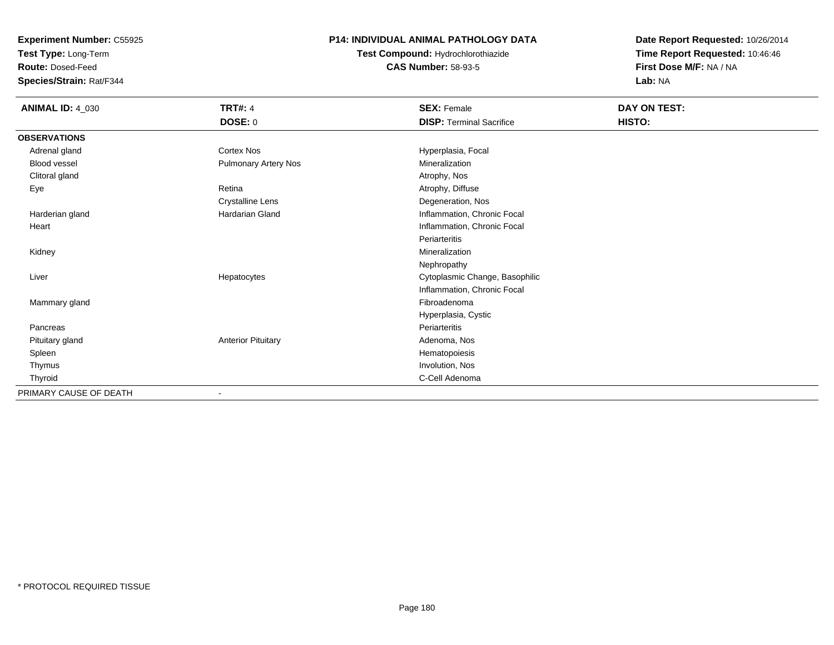**Test Type:** Long-Term

**Route:** Dosed-Feed

**Species/Strain:** Rat/F344

# **P14: INDIVIDUAL ANIMAL PATHOLOGY DATA**

**Test Compound:** Hydrochlorothiazide**CAS Number:** 58-93-5

| <b>ANIMAL ID: 4_030</b> | <b>TRT#: 4</b>              | <b>SEX: Female</b>              | DAY ON TEST: |  |
|-------------------------|-----------------------------|---------------------------------|--------------|--|
|                         | DOSE: 0                     | <b>DISP: Terminal Sacrifice</b> | HISTO:       |  |
| <b>OBSERVATIONS</b>     |                             |                                 |              |  |
| Adrenal gland           | Cortex Nos                  | Hyperplasia, Focal              |              |  |
| Blood vessel            | <b>Pulmonary Artery Nos</b> | Mineralization                  |              |  |
| Clitoral gland          |                             | Atrophy, Nos                    |              |  |
| Eye                     | Retina                      | Atrophy, Diffuse                |              |  |
|                         | <b>Crystalline Lens</b>     | Degeneration, Nos               |              |  |
| Harderian gland         | <b>Hardarian Gland</b>      | Inflammation, Chronic Focal     |              |  |
| Heart                   |                             | Inflammation, Chronic Focal     |              |  |
|                         |                             | Periarteritis                   |              |  |
| Kidney                  |                             | Mineralization                  |              |  |
|                         |                             | Nephropathy                     |              |  |
| Liver                   | Hepatocytes                 | Cytoplasmic Change, Basophilic  |              |  |
|                         |                             | Inflammation, Chronic Focal     |              |  |
| Mammary gland           |                             | Fibroadenoma                    |              |  |
|                         |                             | Hyperplasia, Cystic             |              |  |
| Pancreas                |                             | Periarteritis                   |              |  |
| Pituitary gland         | <b>Anterior Pituitary</b>   | Adenoma, Nos                    |              |  |
| Spleen                  |                             | Hematopoiesis                   |              |  |
| Thymus                  |                             | Involution, Nos                 |              |  |
| Thyroid                 |                             | C-Cell Adenoma                  |              |  |
| PRIMARY CAUSE OF DEATH  |                             |                                 |              |  |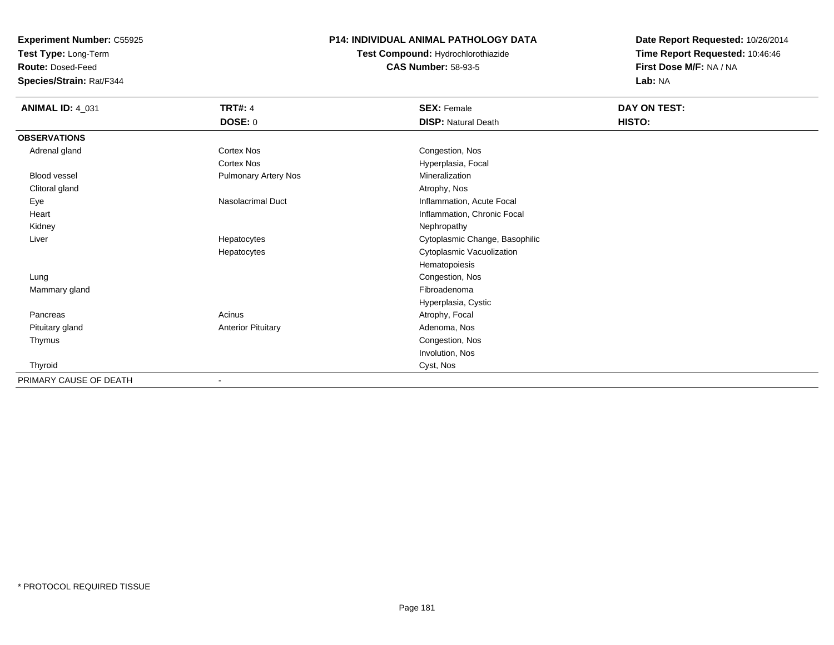**Test Type:** Long-Term

**Route:** Dosed-Feed

**Species/Strain:** Rat/F344

### **P14: INDIVIDUAL ANIMAL PATHOLOGY DATA**

**Test Compound:** Hydrochlorothiazide**CAS Number:** 58-93-5

| <b>ANIMAL ID: 4_031</b> | <b>TRT#: 4</b>              | <b>SEX: Female</b>             | DAY ON TEST: |  |
|-------------------------|-----------------------------|--------------------------------|--------------|--|
|                         | <b>DOSE: 0</b>              | <b>DISP: Natural Death</b>     | HISTO:       |  |
| <b>OBSERVATIONS</b>     |                             |                                |              |  |
| Adrenal gland           | Cortex Nos                  | Congestion, Nos                |              |  |
|                         | Cortex Nos                  | Hyperplasia, Focal             |              |  |
| Blood vessel            | <b>Pulmonary Artery Nos</b> | Mineralization                 |              |  |
| Clitoral gland          |                             | Atrophy, Nos                   |              |  |
| Eye                     | Nasolacrimal Duct           | Inflammation, Acute Focal      |              |  |
| Heart                   |                             | Inflammation, Chronic Focal    |              |  |
| Kidney                  |                             | Nephropathy                    |              |  |
| Liver                   | Hepatocytes                 | Cytoplasmic Change, Basophilic |              |  |
|                         | Hepatocytes                 | Cytoplasmic Vacuolization      |              |  |
|                         |                             | Hematopoiesis                  |              |  |
| Lung                    |                             | Congestion, Nos                |              |  |
| Mammary gland           |                             | Fibroadenoma                   |              |  |
|                         |                             | Hyperplasia, Cystic            |              |  |
| Pancreas                | Acinus                      | Atrophy, Focal                 |              |  |
| Pituitary gland         | <b>Anterior Pituitary</b>   | Adenoma, Nos                   |              |  |
| Thymus                  |                             | Congestion, Nos                |              |  |
|                         |                             | Involution, Nos                |              |  |
| Thyroid                 |                             | Cyst, Nos                      |              |  |
| PRIMARY CAUSE OF DEATH  | $\blacksquare$              |                                |              |  |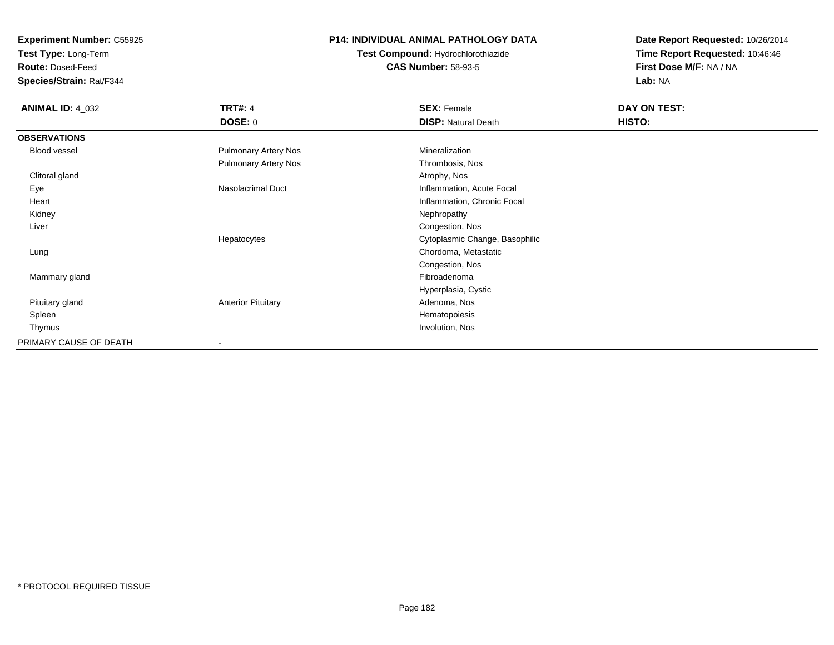**Test Type:** Long-Term

**Route:** Dosed-Feed

**Species/Strain:** Rat/F344

#### **P14: INDIVIDUAL ANIMAL PATHOLOGY DATA**

**Test Compound:** Hydrochlorothiazide**CAS Number:** 58-93-5

| <b>ANIMAL ID: 4_032</b> | <b>TRT#: 4</b>              | <b>SEX: Female</b>             | DAY ON TEST:  |  |
|-------------------------|-----------------------------|--------------------------------|---------------|--|
|                         | <b>DOSE: 0</b>              | <b>DISP: Natural Death</b>     | <b>HISTO:</b> |  |
| <b>OBSERVATIONS</b>     |                             |                                |               |  |
| <b>Blood vessel</b>     | <b>Pulmonary Artery Nos</b> | Mineralization                 |               |  |
|                         | Pulmonary Artery Nos        | Thrombosis, Nos                |               |  |
| Clitoral gland          |                             | Atrophy, Nos                   |               |  |
| Eye                     | Nasolacrimal Duct           | Inflammation, Acute Focal      |               |  |
| Heart                   |                             | Inflammation, Chronic Focal    |               |  |
| Kidney                  |                             | Nephropathy                    |               |  |
| Liver                   |                             | Congestion, Nos                |               |  |
|                         | Hepatocytes                 | Cytoplasmic Change, Basophilic |               |  |
| Lung                    |                             | Chordoma, Metastatic           |               |  |
|                         |                             | Congestion, Nos                |               |  |
| Mammary gland           |                             | Fibroadenoma                   |               |  |
|                         |                             | Hyperplasia, Cystic            |               |  |
| Pituitary gland         | <b>Anterior Pituitary</b>   | Adenoma, Nos                   |               |  |
| Spleen                  |                             | Hematopoiesis                  |               |  |
| Thymus                  |                             | Involution, Nos                |               |  |
| PRIMARY CAUSE OF DEATH  |                             |                                |               |  |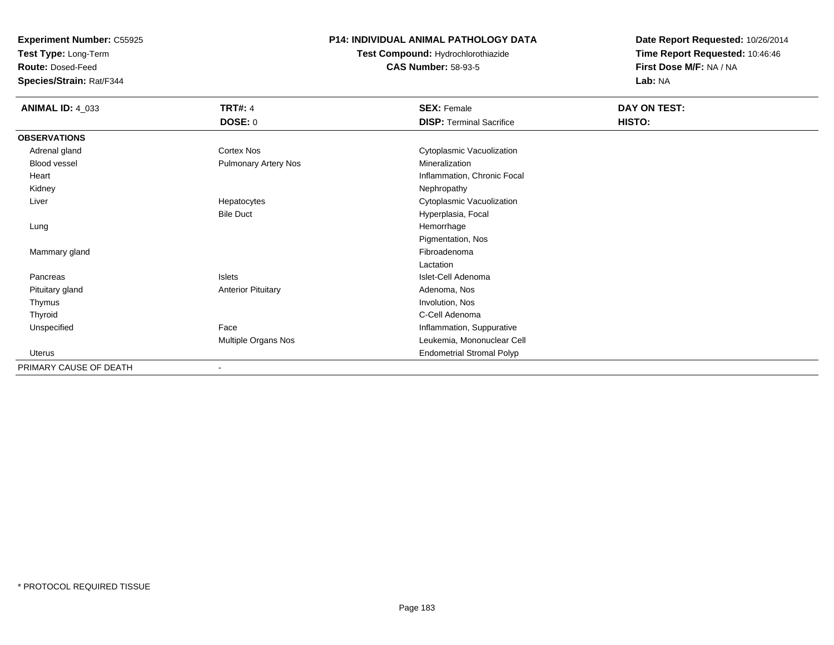**Test Type:** Long-Term

**Route:** Dosed-Feed

**Species/Strain:** Rat/F344

### **P14: INDIVIDUAL ANIMAL PATHOLOGY DATA**

**Test Compound:** Hydrochlorothiazide**CAS Number:** 58-93-5

| <b>ANIMAL ID: 4_033</b> | <b>TRT#: 4</b>            | <b>SEX: Female</b>               | DAY ON TEST: |
|-------------------------|---------------------------|----------------------------------|--------------|
|                         | <b>DOSE: 0</b>            | <b>DISP: Terminal Sacrifice</b>  | HISTO:       |
| <b>OBSERVATIONS</b>     |                           |                                  |              |
| Adrenal gland           | Cortex Nos                | Cytoplasmic Vacuolization        |              |
| Blood vessel            | Pulmonary Artery Nos      | Mineralization                   |              |
| Heart                   |                           | Inflammation, Chronic Focal      |              |
| Kidney                  |                           | Nephropathy                      |              |
| Liver                   | Hepatocytes               | Cytoplasmic Vacuolization        |              |
|                         | <b>Bile Duct</b>          | Hyperplasia, Focal               |              |
| Lung                    |                           | Hemorrhage                       |              |
|                         |                           | Pigmentation, Nos                |              |
| Mammary gland           |                           | Fibroadenoma                     |              |
|                         |                           | Lactation                        |              |
| Pancreas                | Islets                    | Islet-Cell Adenoma               |              |
| Pituitary gland         | <b>Anterior Pituitary</b> | Adenoma, Nos                     |              |
| Thymus                  |                           | Involution, Nos                  |              |
| Thyroid                 |                           | C-Cell Adenoma                   |              |
| Unspecified             | Face                      | Inflammation, Suppurative        |              |
|                         | Multiple Organs Nos       | Leukemia, Mononuclear Cell       |              |
| <b>Uterus</b>           |                           | <b>Endometrial Stromal Polyp</b> |              |
| PRIMARY CAUSE OF DEATH  |                           |                                  |              |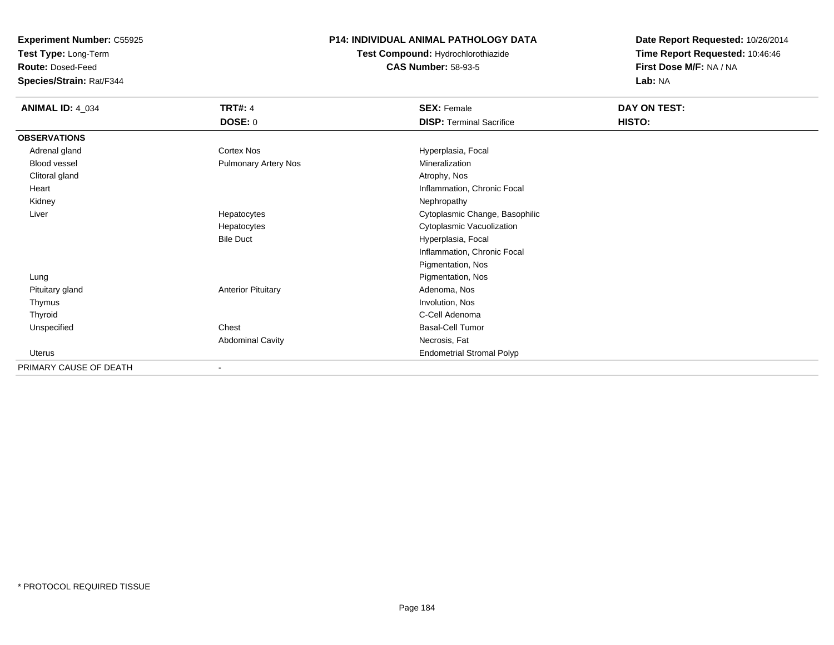**Test Type:** Long-Term

**Route:** Dosed-Feed

**Species/Strain:** Rat/F344

### **P14: INDIVIDUAL ANIMAL PATHOLOGY DATA**

**Test Compound:** Hydrochlorothiazide**CAS Number:** 58-93-5

| <b>ANIMAL ID: 4_034</b> | <b>TRT#: 4</b>              | <b>SEX: Female</b>               | DAY ON TEST: |
|-------------------------|-----------------------------|----------------------------------|--------------|
|                         | DOSE: 0                     | <b>DISP: Terminal Sacrifice</b>  | HISTO:       |
| <b>OBSERVATIONS</b>     |                             |                                  |              |
| Adrenal gland           | <b>Cortex Nos</b>           | Hyperplasia, Focal               |              |
| Blood vessel            | <b>Pulmonary Artery Nos</b> | Mineralization                   |              |
| Clitoral gland          |                             | Atrophy, Nos                     |              |
| Heart                   |                             | Inflammation, Chronic Focal      |              |
| Kidney                  |                             | Nephropathy                      |              |
| Liver                   | Hepatocytes                 | Cytoplasmic Change, Basophilic   |              |
|                         | Hepatocytes                 | Cytoplasmic Vacuolization        |              |
|                         | <b>Bile Duct</b>            | Hyperplasia, Focal               |              |
|                         |                             | Inflammation, Chronic Focal      |              |
|                         |                             | Pigmentation, Nos                |              |
| Lung                    |                             | Pigmentation, Nos                |              |
| Pituitary gland         | <b>Anterior Pituitary</b>   | Adenoma, Nos                     |              |
| Thymus                  |                             | Involution, Nos                  |              |
| Thyroid                 |                             | C-Cell Adenoma                   |              |
| Unspecified             | Chest                       | <b>Basal-Cell Tumor</b>          |              |
|                         | <b>Abdominal Cavity</b>     | Necrosis, Fat                    |              |
| Uterus                  |                             | <b>Endometrial Stromal Polyp</b> |              |
| PRIMARY CAUSE OF DEATH  |                             |                                  |              |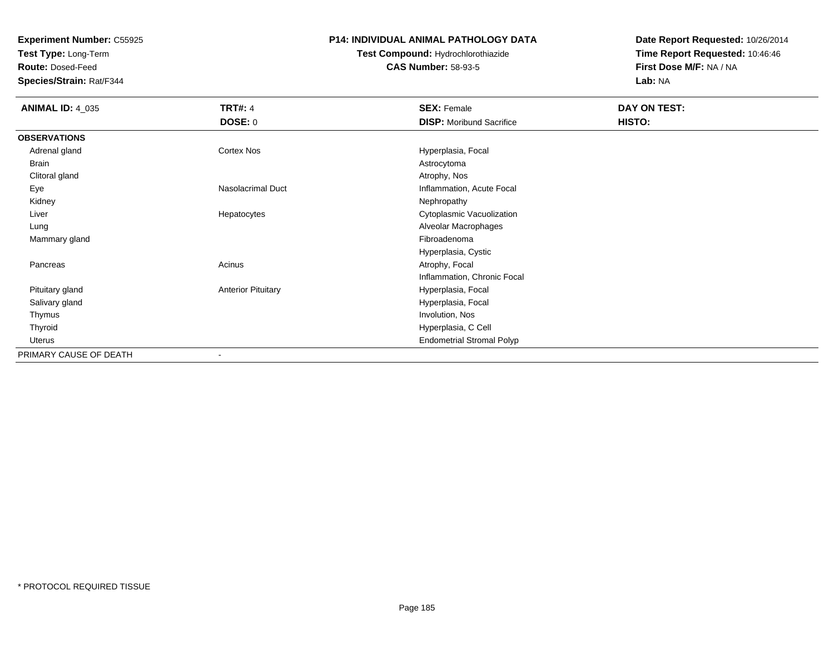**Test Type:** Long-Term

**Route:** Dosed-Feed

**Species/Strain:** Rat/F344

#### **P14: INDIVIDUAL ANIMAL PATHOLOGY DATA**

# **Test Compound:** Hydrochlorothiazide**CAS Number:** 58-93-5

| <b>ANIMAL ID: 4_035</b> | <b>TRT#: 4</b>            | <b>SEX: Female</b>               | DAY ON TEST: |  |
|-------------------------|---------------------------|----------------------------------|--------------|--|
|                         | <b>DOSE: 0</b>            | <b>DISP:</b> Moribund Sacrifice  | HISTO:       |  |
| <b>OBSERVATIONS</b>     |                           |                                  |              |  |
| Adrenal gland           | Cortex Nos                | Hyperplasia, Focal               |              |  |
| Brain                   |                           | Astrocytoma                      |              |  |
| Clitoral gland          |                           | Atrophy, Nos                     |              |  |
| Eye                     | Nasolacrimal Duct         | Inflammation, Acute Focal        |              |  |
| Kidney                  |                           | Nephropathy                      |              |  |
| Liver                   | Hepatocytes               | Cytoplasmic Vacuolization        |              |  |
| Lung                    |                           | Alveolar Macrophages             |              |  |
| Mammary gland           |                           | Fibroadenoma                     |              |  |
|                         |                           | Hyperplasia, Cystic              |              |  |
| Pancreas                | Acinus                    | Atrophy, Focal                   |              |  |
|                         |                           | Inflammation, Chronic Focal      |              |  |
| Pituitary gland         | <b>Anterior Pituitary</b> | Hyperplasia, Focal               |              |  |
| Salivary gland          |                           | Hyperplasia, Focal               |              |  |
| Thymus                  |                           | Involution, Nos                  |              |  |
| Thyroid                 |                           | Hyperplasia, C Cell              |              |  |
| Uterus                  |                           | <b>Endometrial Stromal Polyp</b> |              |  |
| PRIMARY CAUSE OF DEATH  |                           |                                  |              |  |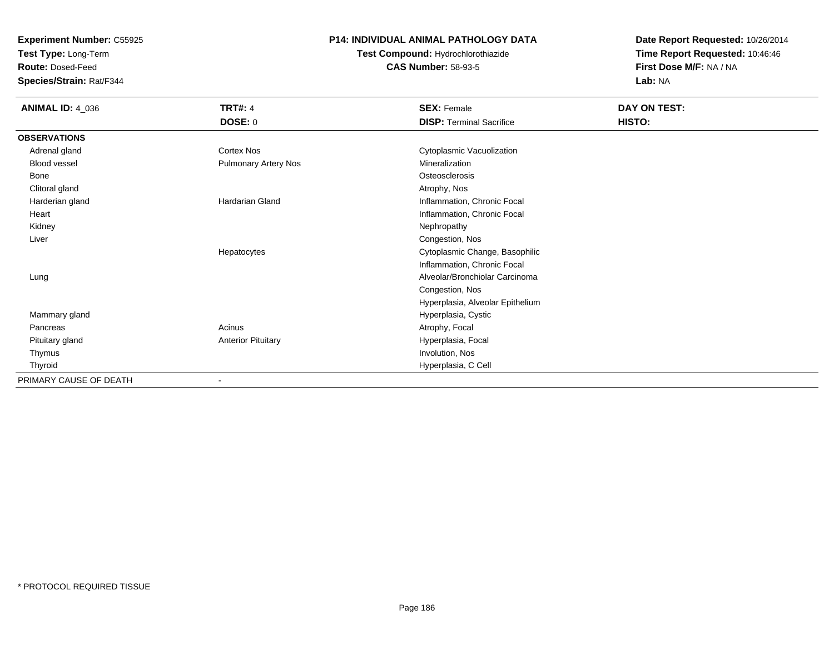**Test Type:** Long-Term

**Route:** Dosed-Feed

**Species/Strain:** Rat/F344

### **P14: INDIVIDUAL ANIMAL PATHOLOGY DATA**

**Test Compound:** Hydrochlorothiazide**CAS Number:** 58-93-5

| <b>ANIMAL ID: 4_036</b> | <b>TRT#: 4</b>              | <b>SEX: Female</b>               | DAY ON TEST: |  |
|-------------------------|-----------------------------|----------------------------------|--------------|--|
|                         | DOSE: 0                     | <b>DISP: Terminal Sacrifice</b>  | HISTO:       |  |
| <b>OBSERVATIONS</b>     |                             |                                  |              |  |
| Adrenal gland           | Cortex Nos                  | Cytoplasmic Vacuolization        |              |  |
| Blood vessel            | <b>Pulmonary Artery Nos</b> | Mineralization                   |              |  |
| Bone                    |                             | Osteosclerosis                   |              |  |
| Clitoral gland          |                             | Atrophy, Nos                     |              |  |
| Harderian gland         | <b>Hardarian Gland</b>      | Inflammation, Chronic Focal      |              |  |
| Heart                   |                             | Inflammation, Chronic Focal      |              |  |
| Kidney                  |                             | Nephropathy                      |              |  |
| Liver                   |                             | Congestion, Nos                  |              |  |
|                         | Hepatocytes                 | Cytoplasmic Change, Basophilic   |              |  |
|                         |                             | Inflammation, Chronic Focal      |              |  |
| Lung                    |                             | Alveolar/Bronchiolar Carcinoma   |              |  |
|                         |                             | Congestion, Nos                  |              |  |
|                         |                             | Hyperplasia, Alveolar Epithelium |              |  |
| Mammary gland           |                             | Hyperplasia, Cystic              |              |  |
| Pancreas                | Acinus                      | Atrophy, Focal                   |              |  |
| Pituitary gland         | <b>Anterior Pituitary</b>   | Hyperplasia, Focal               |              |  |
| Thymus                  |                             | Involution, Nos                  |              |  |
| Thyroid                 |                             | Hyperplasia, C Cell              |              |  |
| PRIMARY CAUSE OF DEATH  |                             |                                  |              |  |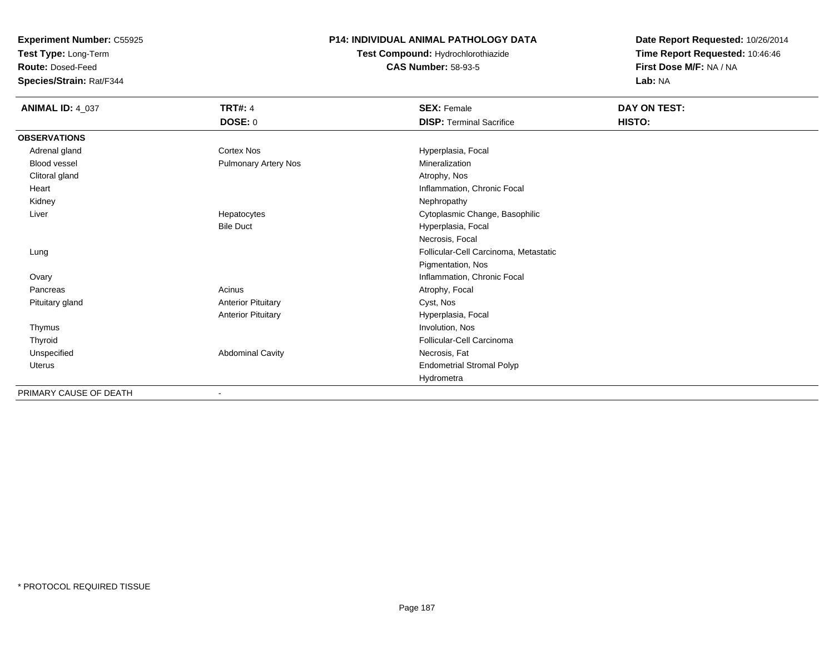**Test Type:** Long-Term

**Route:** Dosed-Feed

**Species/Strain:** Rat/F344

### **P14: INDIVIDUAL ANIMAL PATHOLOGY DATA**

**Test Compound:** Hydrochlorothiazide**CAS Number:** 58-93-5

| <b>ANIMAL ID: 4_037</b> | <b>TRT#: 4</b>            | <b>SEX: Female</b>                    | DAY ON TEST: |  |
|-------------------------|---------------------------|---------------------------------------|--------------|--|
|                         | <b>DOSE: 0</b>            | <b>DISP: Terminal Sacrifice</b>       | HISTO:       |  |
| <b>OBSERVATIONS</b>     |                           |                                       |              |  |
| Adrenal gland           | Cortex Nos                | Hyperplasia, Focal                    |              |  |
| Blood vessel            | Pulmonary Artery Nos      | Mineralization                        |              |  |
| Clitoral gland          |                           | Atrophy, Nos                          |              |  |
| Heart                   |                           | Inflammation, Chronic Focal           |              |  |
| Kidney                  |                           | Nephropathy                           |              |  |
| Liver                   | Hepatocytes               | Cytoplasmic Change, Basophilic        |              |  |
|                         | <b>Bile Duct</b>          | Hyperplasia, Focal                    |              |  |
|                         |                           | Necrosis, Focal                       |              |  |
| Lung                    |                           | Follicular-Cell Carcinoma, Metastatic |              |  |
|                         |                           | Pigmentation, Nos                     |              |  |
| Ovary                   |                           | Inflammation, Chronic Focal           |              |  |
| Pancreas                | Acinus                    | Atrophy, Focal                        |              |  |
| Pituitary gland         | <b>Anterior Pituitary</b> | Cyst, Nos                             |              |  |
|                         | <b>Anterior Pituitary</b> | Hyperplasia, Focal                    |              |  |
| Thymus                  |                           | Involution, Nos                       |              |  |
| Thyroid                 |                           | Follicular-Cell Carcinoma             |              |  |
| Unspecified             | <b>Abdominal Cavity</b>   | Necrosis, Fat                         |              |  |
| Uterus                  |                           | <b>Endometrial Stromal Polyp</b>      |              |  |
|                         |                           | Hydrometra                            |              |  |
| PRIMARY CAUSE OF DEATH  |                           |                                       |              |  |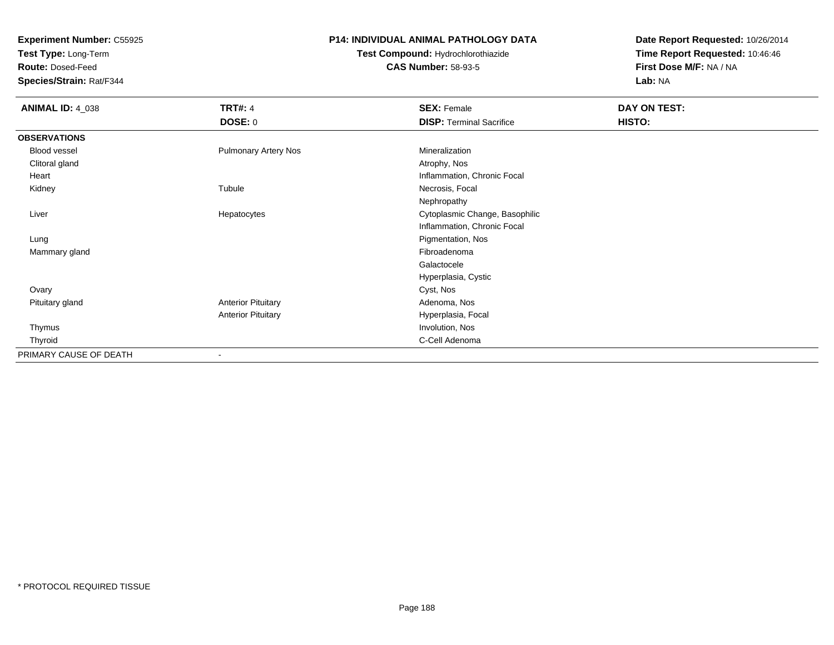**Test Type:** Long-Term

**Route:** Dosed-Feed

**Species/Strain:** Rat/F344

#### **P14: INDIVIDUAL ANIMAL PATHOLOGY DATA**

**Test Compound:** Hydrochlorothiazide**CAS Number:** 58-93-5

| <b>ANIMAL ID: 4_038</b> | <b>TRT#: 4</b><br><b>DOSE: 0</b> | <b>SEX: Female</b><br><b>DISP: Terminal Sacrifice</b> | DAY ON TEST:<br>HISTO: |
|-------------------------|----------------------------------|-------------------------------------------------------|------------------------|
| <b>OBSERVATIONS</b>     |                                  |                                                       |                        |
| Blood vessel            | <b>Pulmonary Artery Nos</b>      | Mineralization                                        |                        |
| Clitoral gland          |                                  | Atrophy, Nos                                          |                        |
| Heart                   |                                  | Inflammation, Chronic Focal                           |                        |
| Kidney                  | Tubule                           | Necrosis, Focal                                       |                        |
|                         |                                  | Nephropathy                                           |                        |
| Liver                   | Hepatocytes                      | Cytoplasmic Change, Basophilic                        |                        |
|                         |                                  | Inflammation, Chronic Focal                           |                        |
| Lung                    |                                  | Pigmentation, Nos                                     |                        |
| Mammary gland           |                                  | Fibroadenoma                                          |                        |
|                         |                                  | Galactocele                                           |                        |
|                         |                                  | Hyperplasia, Cystic                                   |                        |
| Ovary                   |                                  | Cyst, Nos                                             |                        |
| Pituitary gland         | <b>Anterior Pituitary</b>        | Adenoma, Nos                                          |                        |
|                         | <b>Anterior Pituitary</b>        | Hyperplasia, Focal                                    |                        |
| Thymus                  |                                  | Involution, Nos                                       |                        |
| Thyroid                 |                                  | C-Cell Adenoma                                        |                        |
| PRIMARY CAUSE OF DEATH  | $\overline{\phantom{a}}$         |                                                       |                        |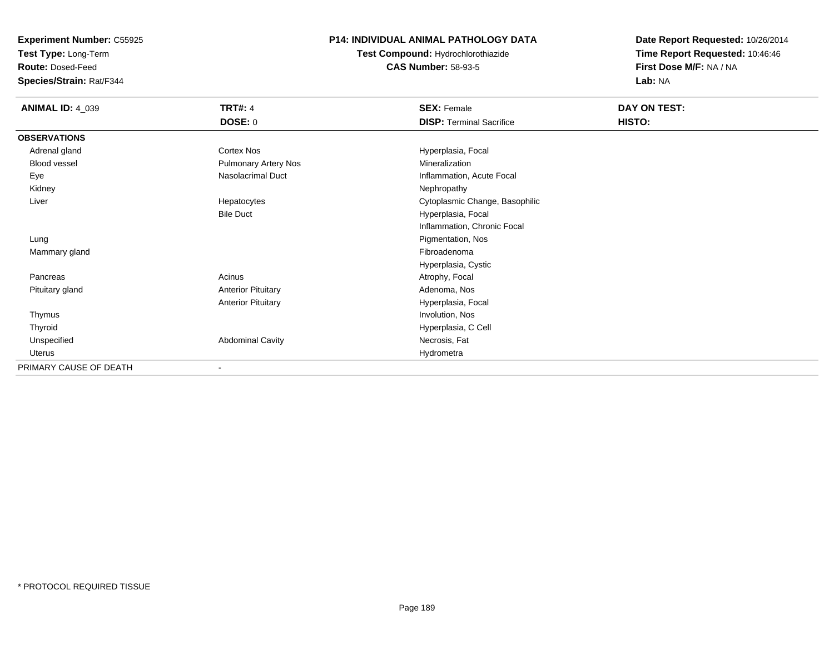**Test Type:** Long-Term

**Route:** Dosed-Feed

**Species/Strain:** Rat/F344

### **P14: INDIVIDUAL ANIMAL PATHOLOGY DATA**

**Test Compound:** Hydrochlorothiazide**CAS Number:** 58-93-5

| <b>ANIMAL ID: 4_039</b> | <b>TRT#: 4</b>              | <b>SEX: Female</b>              | DAY ON TEST: |
|-------------------------|-----------------------------|---------------------------------|--------------|
|                         | <b>DOSE: 0</b>              | <b>DISP: Terminal Sacrifice</b> | HISTO:       |
| <b>OBSERVATIONS</b>     |                             |                                 |              |
| Adrenal gland           | Cortex Nos                  | Hyperplasia, Focal              |              |
| Blood vessel            | <b>Pulmonary Artery Nos</b> | Mineralization                  |              |
| Eye                     | Nasolacrimal Duct           | Inflammation, Acute Focal       |              |
| Kidney                  |                             | Nephropathy                     |              |
| Liver                   | Hepatocytes                 | Cytoplasmic Change, Basophilic  |              |
|                         | <b>Bile Duct</b>            | Hyperplasia, Focal              |              |
|                         |                             | Inflammation, Chronic Focal     |              |
| Lung                    |                             | Pigmentation, Nos               |              |
| Mammary gland           |                             | Fibroadenoma                    |              |
|                         |                             | Hyperplasia, Cystic             |              |
| Pancreas                | Acinus                      | Atrophy, Focal                  |              |
| Pituitary gland         | <b>Anterior Pituitary</b>   | Adenoma, Nos                    |              |
|                         | <b>Anterior Pituitary</b>   | Hyperplasia, Focal              |              |
| Thymus                  |                             | Involution, Nos                 |              |
| Thyroid                 |                             | Hyperplasia, C Cell             |              |
| Unspecified             | <b>Abdominal Cavity</b>     | Necrosis, Fat                   |              |
| Uterus                  |                             | Hydrometra                      |              |
| PRIMARY CAUSE OF DEATH  | $\blacksquare$              |                                 |              |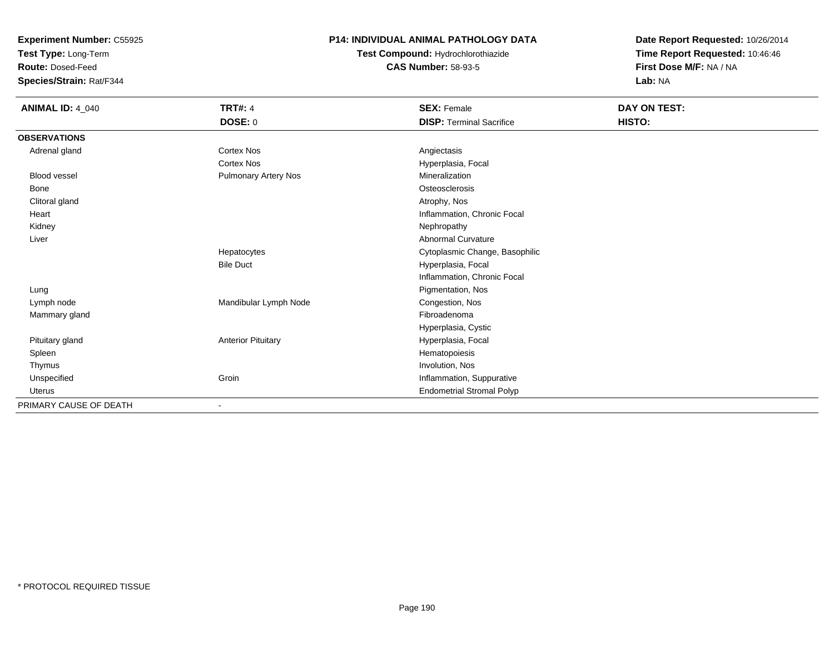**Test Type:** Long-Term

**Route:** Dosed-Feed

**Species/Strain:** Rat/F344

### **P14: INDIVIDUAL ANIMAL PATHOLOGY DATA**

**Test Compound:** Hydrochlorothiazide**CAS Number:** 58-93-5

| <b>ANIMAL ID: 4_040</b> | <b>TRT#: 4</b>            | <b>SEX: Female</b>               | DAY ON TEST: |  |
|-------------------------|---------------------------|----------------------------------|--------------|--|
|                         | <b>DOSE: 0</b>            | <b>DISP: Terminal Sacrifice</b>  | HISTO:       |  |
| <b>OBSERVATIONS</b>     |                           |                                  |              |  |
| Adrenal gland           | <b>Cortex Nos</b>         | Angiectasis                      |              |  |
|                         | <b>Cortex Nos</b>         | Hyperplasia, Focal               |              |  |
| <b>Blood vessel</b>     | Pulmonary Artery Nos      | Mineralization                   |              |  |
| Bone                    |                           | Osteosclerosis                   |              |  |
| Clitoral gland          |                           | Atrophy, Nos                     |              |  |
| Heart                   |                           | Inflammation, Chronic Focal      |              |  |
| Kidney                  |                           | Nephropathy                      |              |  |
| Liver                   |                           | <b>Abnormal Curvature</b>        |              |  |
|                         | Hepatocytes               | Cytoplasmic Change, Basophilic   |              |  |
|                         | <b>Bile Duct</b>          | Hyperplasia, Focal               |              |  |
|                         |                           | Inflammation, Chronic Focal      |              |  |
| Lung                    |                           | Pigmentation, Nos                |              |  |
| Lymph node              | Mandibular Lymph Node     | Congestion, Nos                  |              |  |
| Mammary gland           |                           | Fibroadenoma                     |              |  |
|                         |                           | Hyperplasia, Cystic              |              |  |
| Pituitary gland         | <b>Anterior Pituitary</b> | Hyperplasia, Focal               |              |  |
| Spleen                  |                           | Hematopoiesis                    |              |  |
| Thymus                  |                           | Involution, Nos                  |              |  |
| Unspecified             | Groin                     | Inflammation, Suppurative        |              |  |
| Uterus                  |                           | <b>Endometrial Stromal Polyp</b> |              |  |
| PRIMARY CAUSE OF DEATH  | $\blacksquare$            |                                  |              |  |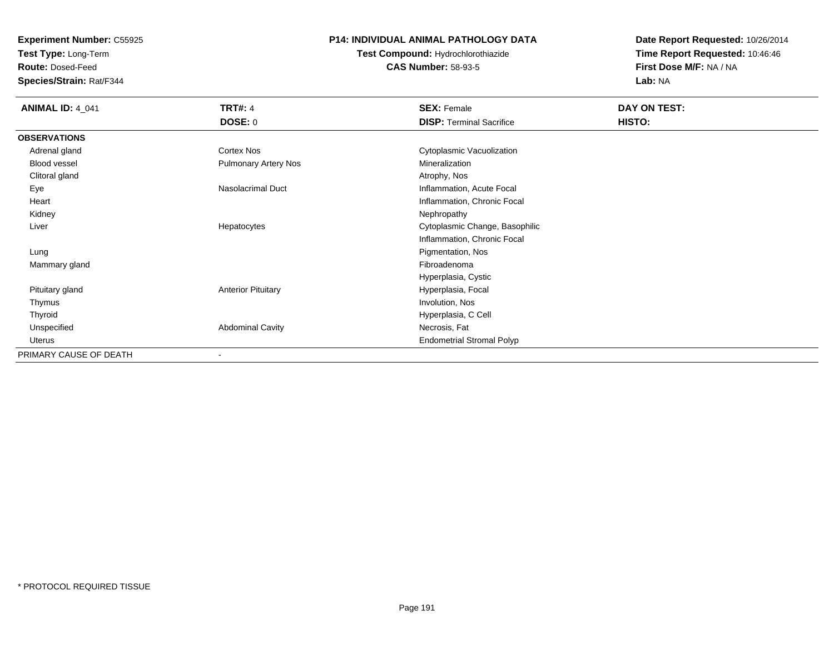**Test Type:** Long-Term

**Route:** Dosed-Feed

**Species/Strain:** Rat/F344

#### **P14: INDIVIDUAL ANIMAL PATHOLOGY DATA**

**Test Compound:** Hydrochlorothiazide**CAS Number:** 58-93-5

| <b>ANIMAL ID: 4_041</b> | <b>TRT#: 4</b>              | <b>SEX: Female</b>               | DAY ON TEST: |  |
|-------------------------|-----------------------------|----------------------------------|--------------|--|
|                         | <b>DOSE: 0</b>              | <b>DISP: Terminal Sacrifice</b>  | HISTO:       |  |
| <b>OBSERVATIONS</b>     |                             |                                  |              |  |
| Adrenal gland           | Cortex Nos                  | Cytoplasmic Vacuolization        |              |  |
| Blood vessel            | <b>Pulmonary Artery Nos</b> | Mineralization                   |              |  |
| Clitoral gland          |                             | Atrophy, Nos                     |              |  |
| Eye                     | Nasolacrimal Duct           | Inflammation, Acute Focal        |              |  |
| Heart                   |                             | Inflammation, Chronic Focal      |              |  |
| Kidney                  |                             | Nephropathy                      |              |  |
| Liver                   | Hepatocytes                 | Cytoplasmic Change, Basophilic   |              |  |
|                         |                             | Inflammation, Chronic Focal      |              |  |
| Lung                    |                             | Pigmentation, Nos                |              |  |
| Mammary gland           |                             | Fibroadenoma                     |              |  |
|                         |                             | Hyperplasia, Cystic              |              |  |
| Pituitary gland         | <b>Anterior Pituitary</b>   | Hyperplasia, Focal               |              |  |
| Thymus                  |                             | Involution, Nos                  |              |  |
| Thyroid                 |                             | Hyperplasia, C Cell              |              |  |
| Unspecified             | <b>Abdominal Cavity</b>     | Necrosis, Fat                    |              |  |
| Uterus                  |                             | <b>Endometrial Stromal Polyp</b> |              |  |
| PRIMARY CAUSE OF DEATH  |                             |                                  |              |  |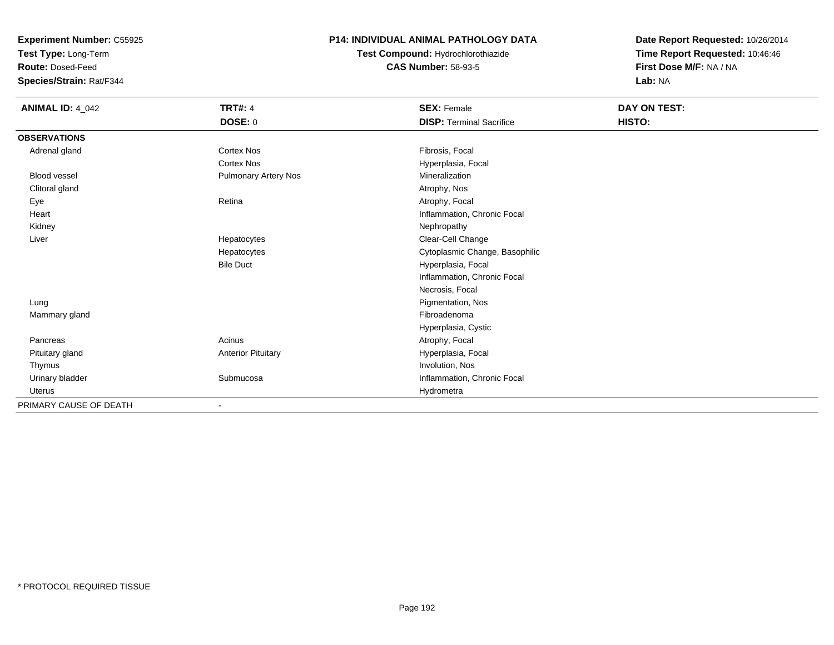**Test Type:** Long-Term

**Route:** Dosed-Feed

**Species/Strain:** Rat/F344

#### **P14: INDIVIDUAL ANIMAL PATHOLOGY DATA**

**Test Compound:** Hydrochlorothiazide**CAS Number:** 58-93-5

| <b>ANIMAL ID: 4_042</b> | <b>TRT#: 4</b>              | <b>SEX: Female</b>              | DAY ON TEST: |  |
|-------------------------|-----------------------------|---------------------------------|--------------|--|
|                         | DOSE: 0                     | <b>DISP: Terminal Sacrifice</b> | HISTO:       |  |
| <b>OBSERVATIONS</b>     |                             |                                 |              |  |
| Adrenal gland           | <b>Cortex Nos</b>           | Fibrosis, Focal                 |              |  |
|                         | <b>Cortex Nos</b>           | Hyperplasia, Focal              |              |  |
| <b>Blood vessel</b>     | <b>Pulmonary Artery Nos</b> | Mineralization                  |              |  |
| Clitoral gland          |                             | Atrophy, Nos                    |              |  |
| Eye                     | Retina                      | Atrophy, Focal                  |              |  |
| Heart                   |                             | Inflammation, Chronic Focal     |              |  |
| Kidney                  |                             | Nephropathy                     |              |  |
| Liver                   | Hepatocytes                 | Clear-Cell Change               |              |  |
|                         | Hepatocytes                 | Cytoplasmic Change, Basophilic  |              |  |
|                         | <b>Bile Duct</b>            | Hyperplasia, Focal              |              |  |
|                         |                             | Inflammation, Chronic Focal     |              |  |
|                         |                             | Necrosis, Focal                 |              |  |
| Lung                    |                             | Pigmentation, Nos               |              |  |
| Mammary gland           |                             | Fibroadenoma                    |              |  |
|                         |                             | Hyperplasia, Cystic             |              |  |
| Pancreas                | Acinus                      | Atrophy, Focal                  |              |  |
| Pituitary gland         | <b>Anterior Pituitary</b>   | Hyperplasia, Focal              |              |  |
| Thymus                  |                             | Involution, Nos                 |              |  |
| Urinary bladder         | Submucosa                   | Inflammation, Chronic Focal     |              |  |
| <b>Uterus</b>           |                             | Hydrometra                      |              |  |
| PRIMARY CAUSE OF DEATH  |                             |                                 |              |  |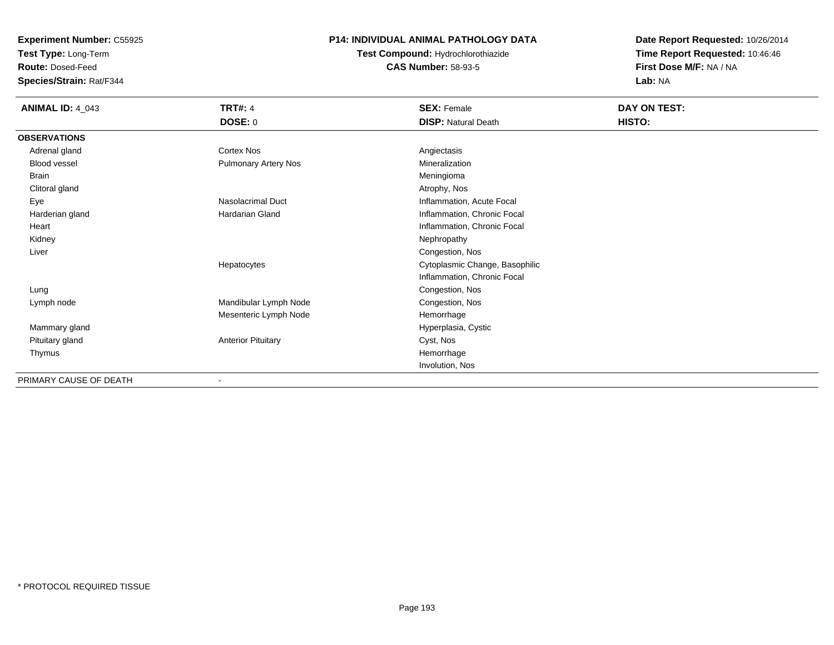**Test Type:** Long-Term

**Route:** Dosed-Feed

**Species/Strain:** Rat/F344

### **P14: INDIVIDUAL ANIMAL PATHOLOGY DATA**

**Test Compound:** Hydrochlorothiazide**CAS Number:** 58-93-5

| <b>ANIMAL ID: 4_043</b> | <b>TRT#: 4</b>            | <b>SEX: Female</b>             | DAY ON TEST: |
|-------------------------|---------------------------|--------------------------------|--------------|
|                         | <b>DOSE: 0</b>            | <b>DISP: Natural Death</b>     | HISTO:       |
| <b>OBSERVATIONS</b>     |                           |                                |              |
| Adrenal gland           | Cortex Nos                | Angiectasis                    |              |
| Blood vessel            | Pulmonary Artery Nos      | Mineralization                 |              |
| <b>Brain</b>            |                           | Meningioma                     |              |
| Clitoral gland          |                           | Atrophy, Nos                   |              |
| Eye                     | <b>Nasolacrimal Duct</b>  | Inflammation, Acute Focal      |              |
| Harderian gland         | Hardarian Gland           | Inflammation, Chronic Focal    |              |
| Heart                   |                           | Inflammation, Chronic Focal    |              |
| Kidney                  |                           | Nephropathy                    |              |
| Liver                   |                           | Congestion, Nos                |              |
|                         | Hepatocytes               | Cytoplasmic Change, Basophilic |              |
|                         |                           | Inflammation, Chronic Focal    |              |
| Lung                    |                           | Congestion, Nos                |              |
| Lymph node              | Mandibular Lymph Node     | Congestion, Nos                |              |
|                         | Mesenteric Lymph Node     | Hemorrhage                     |              |
| Mammary gland           |                           | Hyperplasia, Cystic            |              |
| Pituitary gland         | <b>Anterior Pituitary</b> | Cyst, Nos                      |              |
| Thymus                  |                           | Hemorrhage                     |              |
|                         |                           | Involution, Nos                |              |
| PRIMARY CAUSE OF DEATH  | $\overline{\phantom{a}}$  |                                |              |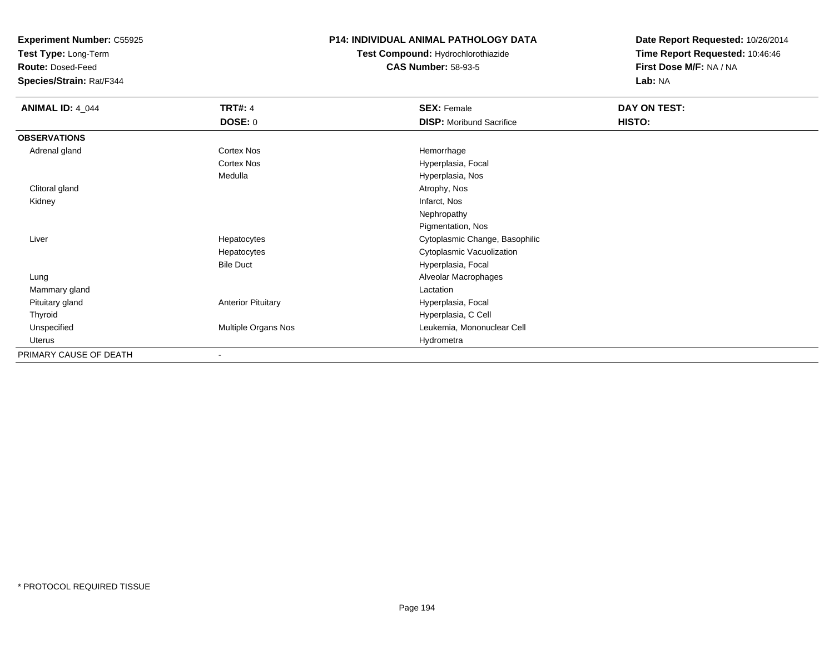**Test Type:** Long-Term

**Route:** Dosed-Feed

**Species/Strain:** Rat/F344

### **P14: INDIVIDUAL ANIMAL PATHOLOGY DATA**

**Test Compound:** Hydrochlorothiazide**CAS Number:** 58-93-5

| <b>ANIMAL ID: 4_044</b> | <b>TRT#: 4</b>            | <b>SEX: Female</b>              | DAY ON TEST: |  |
|-------------------------|---------------------------|---------------------------------|--------------|--|
|                         | DOSE: 0                   | <b>DISP:</b> Moribund Sacrifice | HISTO:       |  |
| <b>OBSERVATIONS</b>     |                           |                                 |              |  |
| Adrenal gland           | <b>Cortex Nos</b>         | Hemorrhage                      |              |  |
|                         | <b>Cortex Nos</b>         | Hyperplasia, Focal              |              |  |
|                         | Medulla                   | Hyperplasia, Nos                |              |  |
| Clitoral gland          |                           | Atrophy, Nos                    |              |  |
| Kidney                  |                           | Infarct, Nos                    |              |  |
|                         |                           | Nephropathy                     |              |  |
|                         |                           | Pigmentation, Nos               |              |  |
| Liver                   | Hepatocytes               | Cytoplasmic Change, Basophilic  |              |  |
|                         | Hepatocytes               | Cytoplasmic Vacuolization       |              |  |
|                         | <b>Bile Duct</b>          | Hyperplasia, Focal              |              |  |
| Lung                    |                           | Alveolar Macrophages            |              |  |
| Mammary gland           |                           | Lactation                       |              |  |
| Pituitary gland         | <b>Anterior Pituitary</b> | Hyperplasia, Focal              |              |  |
| Thyroid                 |                           | Hyperplasia, C Cell             |              |  |
| Unspecified             | Multiple Organs Nos       | Leukemia, Mononuclear Cell      |              |  |
| Uterus                  |                           | Hydrometra                      |              |  |
| PRIMARY CAUSE OF DEATH  |                           |                                 |              |  |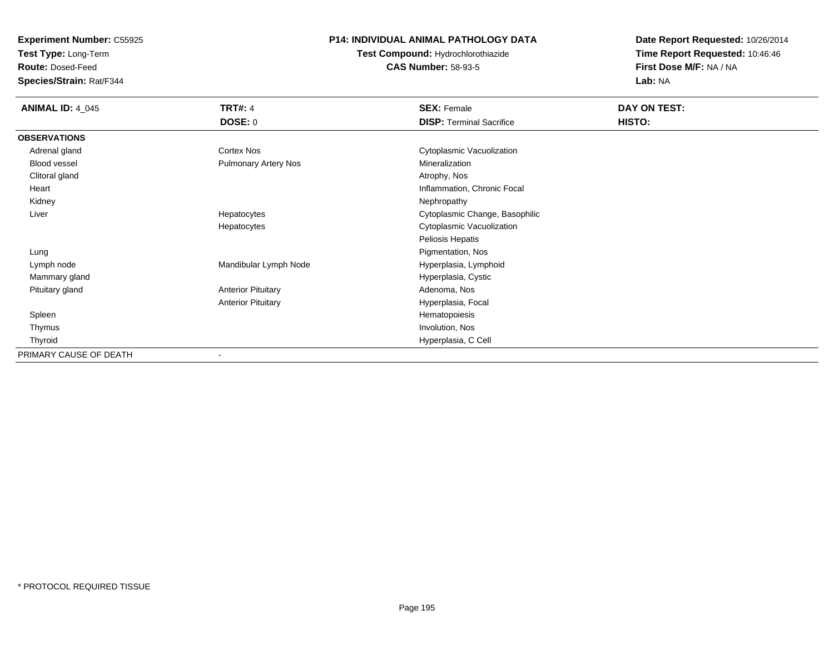**Test Type:** Long-Term

**Route:** Dosed-Feed

**Species/Strain:** Rat/F344

#### **P14: INDIVIDUAL ANIMAL PATHOLOGY DATA**

**Test Compound:** Hydrochlorothiazide**CAS Number:** 58-93-5

| <b>ANIMAL ID: 4_045</b> | <b>TRT#: 4</b>              | <b>SEX: Female</b>              | DAY ON TEST: |  |
|-------------------------|-----------------------------|---------------------------------|--------------|--|
|                         | <b>DOSE: 0</b>              | <b>DISP: Terminal Sacrifice</b> | HISTO:       |  |
| <b>OBSERVATIONS</b>     |                             |                                 |              |  |
| Adrenal gland           | <b>Cortex Nos</b>           | Cytoplasmic Vacuolization       |              |  |
| Blood vessel            | <b>Pulmonary Artery Nos</b> | Mineralization                  |              |  |
| Clitoral gland          |                             | Atrophy, Nos                    |              |  |
| Heart                   |                             | Inflammation, Chronic Focal     |              |  |
| Kidney                  |                             | Nephropathy                     |              |  |
| Liver                   | Hepatocytes                 | Cytoplasmic Change, Basophilic  |              |  |
|                         | Hepatocytes                 | Cytoplasmic Vacuolization       |              |  |
|                         |                             | Peliosis Hepatis                |              |  |
| Lung                    |                             | Pigmentation, Nos               |              |  |
| Lymph node              | Mandibular Lymph Node       | Hyperplasia, Lymphoid           |              |  |
| Mammary gland           |                             | Hyperplasia, Cystic             |              |  |
| Pituitary gland         | <b>Anterior Pituitary</b>   | Adenoma, Nos                    |              |  |
|                         | <b>Anterior Pituitary</b>   | Hyperplasia, Focal              |              |  |
| Spleen                  |                             | Hematopoiesis                   |              |  |
| Thymus                  |                             | Involution, Nos                 |              |  |
| Thyroid                 |                             | Hyperplasia, C Cell             |              |  |
| PRIMARY CAUSE OF DEATH  |                             |                                 |              |  |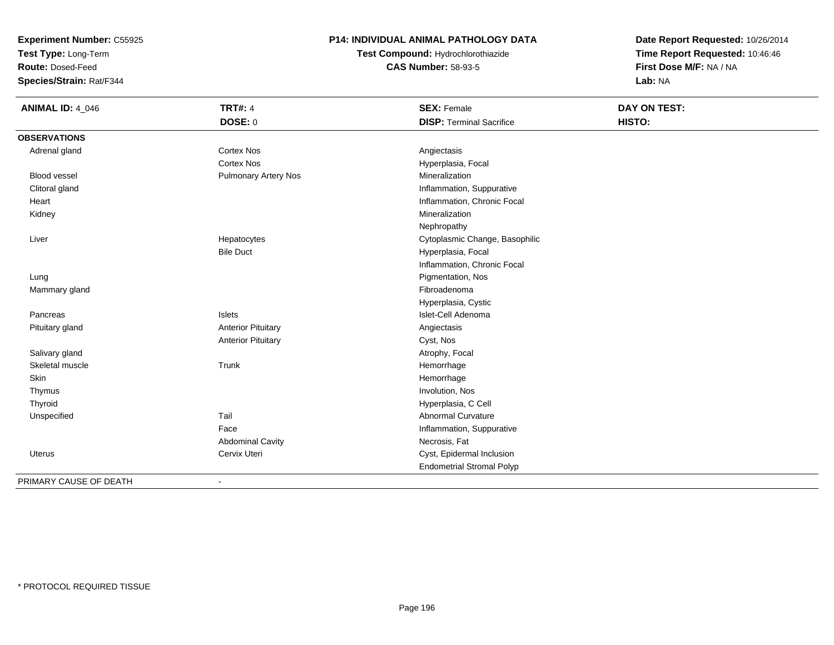**Test Type:** Long-Term

**Route:** Dosed-Feed

**Species/Strain:** Rat/F344

### **P14: INDIVIDUAL ANIMAL PATHOLOGY DATA**

**Test Compound:** Hydrochlorothiazide**CAS Number:** 58-93-5

**Date Report Requested:** 10/26/2014**Time Report Requested:** 10:46:46**First Dose M/F:** NA / NA**Lab:** NA

| <b>ANIMAL ID: 4_046</b> | <b>TRT#: 4</b>              | <b>SEX: Female</b>               | DAY ON TEST: |  |
|-------------------------|-----------------------------|----------------------------------|--------------|--|
|                         | <b>DOSE: 0</b>              | <b>DISP: Terminal Sacrifice</b>  | HISTO:       |  |
| <b>OBSERVATIONS</b>     |                             |                                  |              |  |
| Adrenal gland           | Cortex Nos                  | Angiectasis                      |              |  |
|                         | <b>Cortex Nos</b>           | Hyperplasia, Focal               |              |  |
| <b>Blood vessel</b>     | <b>Pulmonary Artery Nos</b> | Mineralization                   |              |  |
| Clitoral gland          |                             | Inflammation, Suppurative        |              |  |
| Heart                   |                             | Inflammation, Chronic Focal      |              |  |
| Kidney                  |                             | Mineralization                   |              |  |
|                         |                             | Nephropathy                      |              |  |
| Liver                   | Hepatocytes                 | Cytoplasmic Change, Basophilic   |              |  |
|                         | <b>Bile Duct</b>            | Hyperplasia, Focal               |              |  |
|                         |                             | Inflammation, Chronic Focal      |              |  |
| Lung                    |                             | Pigmentation, Nos                |              |  |
| Mammary gland           |                             | Fibroadenoma                     |              |  |
|                         |                             | Hyperplasia, Cystic              |              |  |
| Pancreas                | Islets                      | Islet-Cell Adenoma               |              |  |
| Pituitary gland         | <b>Anterior Pituitary</b>   | Angiectasis                      |              |  |
|                         | <b>Anterior Pituitary</b>   | Cyst, Nos                        |              |  |
| Salivary gland          |                             | Atrophy, Focal                   |              |  |
| Skeletal muscle         | Trunk                       | Hemorrhage                       |              |  |
| Skin                    |                             | Hemorrhage                       |              |  |
| Thymus                  |                             | Involution, Nos                  |              |  |
| Thyroid                 |                             | Hyperplasia, C Cell              |              |  |
| Unspecified             | Tail                        | <b>Abnormal Curvature</b>        |              |  |
|                         | Face                        | Inflammation, Suppurative        |              |  |
|                         | <b>Abdominal Cavity</b>     | Necrosis, Fat                    |              |  |
| Uterus                  | Cervix Uteri                | Cyst, Epidermal Inclusion        |              |  |
|                         |                             | <b>Endometrial Stromal Polyp</b> |              |  |
| PRIMARY CAUSE OF DEATH  |                             |                                  |              |  |

-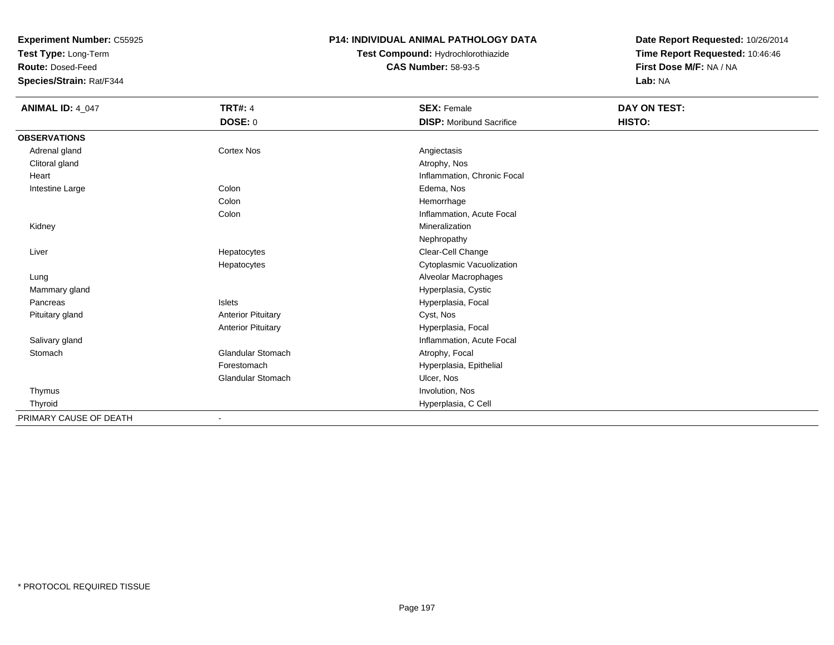**Test Type:** Long-Term

**Route:** Dosed-Feed

**Species/Strain:** Rat/F344

#### **P14: INDIVIDUAL ANIMAL PATHOLOGY DATA**

**Test Compound:** Hydrochlorothiazide**CAS Number:** 58-93-5

| <b>ANIMAL ID: 4_047</b> | <b>TRT#: 4</b>            | <b>SEX: Female</b>              | <b>DAY ON TEST:</b> |  |
|-------------------------|---------------------------|---------------------------------|---------------------|--|
|                         | <b>DOSE: 0</b>            | <b>DISP:</b> Moribund Sacrifice | HISTO:              |  |
| <b>OBSERVATIONS</b>     |                           |                                 |                     |  |
| Adrenal gland           | <b>Cortex Nos</b>         | Angiectasis                     |                     |  |
| Clitoral gland          |                           | Atrophy, Nos                    |                     |  |
| Heart                   |                           | Inflammation, Chronic Focal     |                     |  |
| Intestine Large         | Colon                     | Edema, Nos                      |                     |  |
|                         | Colon                     | Hemorrhage                      |                     |  |
|                         | Colon                     | Inflammation, Acute Focal       |                     |  |
| Kidney                  |                           | Mineralization                  |                     |  |
|                         |                           | Nephropathy                     |                     |  |
| Liver                   | Hepatocytes               | Clear-Cell Change               |                     |  |
|                         | Hepatocytes               | Cytoplasmic Vacuolization       |                     |  |
| Lung                    |                           | Alveolar Macrophages            |                     |  |
| Mammary gland           |                           | Hyperplasia, Cystic             |                     |  |
| Pancreas                | Islets                    | Hyperplasia, Focal              |                     |  |
| Pituitary gland         | <b>Anterior Pituitary</b> | Cyst, Nos                       |                     |  |
|                         | <b>Anterior Pituitary</b> | Hyperplasia, Focal              |                     |  |
| Salivary gland          |                           | Inflammation, Acute Focal       |                     |  |
| Stomach                 | <b>Glandular Stomach</b>  | Atrophy, Focal                  |                     |  |
|                         | Forestomach               | Hyperplasia, Epithelial         |                     |  |
|                         | <b>Glandular Stomach</b>  | Ulcer, Nos                      |                     |  |
| Thymus                  |                           | Involution, Nos                 |                     |  |
| Thyroid                 |                           | Hyperplasia, C Cell             |                     |  |
| PRIMARY CAUSE OF DEATH  |                           |                                 |                     |  |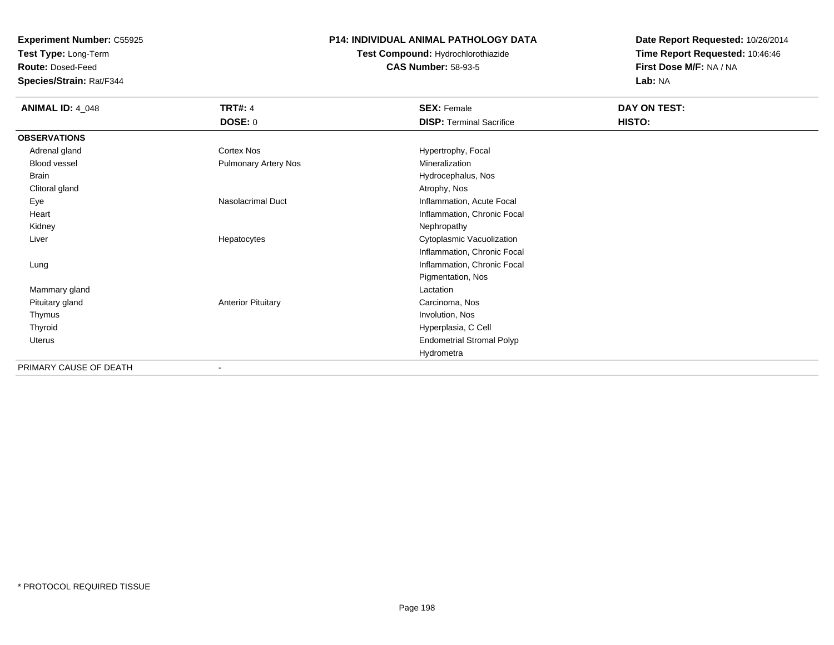**Test Type:** Long-Term

**Route:** Dosed-Feed

**Species/Strain:** Rat/F344

#### **P14: INDIVIDUAL ANIMAL PATHOLOGY DATA**

**Test Compound:** Hydrochlorothiazide**CAS Number:** 58-93-5

| <b>ANIMAL ID: 4_048</b> | <b>TRT#: 4</b>              | <b>SEX: Female</b>               | DAY ON TEST: |  |
|-------------------------|-----------------------------|----------------------------------|--------------|--|
|                         | <b>DOSE: 0</b>              | <b>DISP: Terminal Sacrifice</b>  | HISTO:       |  |
| <b>OBSERVATIONS</b>     |                             |                                  |              |  |
| Adrenal gland           | Cortex Nos                  | Hypertrophy, Focal               |              |  |
| Blood vessel            | <b>Pulmonary Artery Nos</b> | Mineralization                   |              |  |
| Brain                   |                             | Hydrocephalus, Nos               |              |  |
| Clitoral gland          |                             | Atrophy, Nos                     |              |  |
| Eye                     | <b>Nasolacrimal Duct</b>    | Inflammation, Acute Focal        |              |  |
| Heart                   |                             | Inflammation, Chronic Focal      |              |  |
| Kidney                  |                             | Nephropathy                      |              |  |
| Liver                   | Hepatocytes                 | Cytoplasmic Vacuolization        |              |  |
|                         |                             | Inflammation, Chronic Focal      |              |  |
| Lung                    |                             | Inflammation, Chronic Focal      |              |  |
|                         |                             | Pigmentation, Nos                |              |  |
| Mammary gland           |                             | Lactation                        |              |  |
| Pituitary gland         | <b>Anterior Pituitary</b>   | Carcinoma, Nos                   |              |  |
| Thymus                  |                             | Involution, Nos                  |              |  |
| Thyroid                 |                             | Hyperplasia, C Cell              |              |  |
| Uterus                  |                             | <b>Endometrial Stromal Polyp</b> |              |  |
|                         |                             | Hydrometra                       |              |  |
| PRIMARY CAUSE OF DEATH  |                             |                                  |              |  |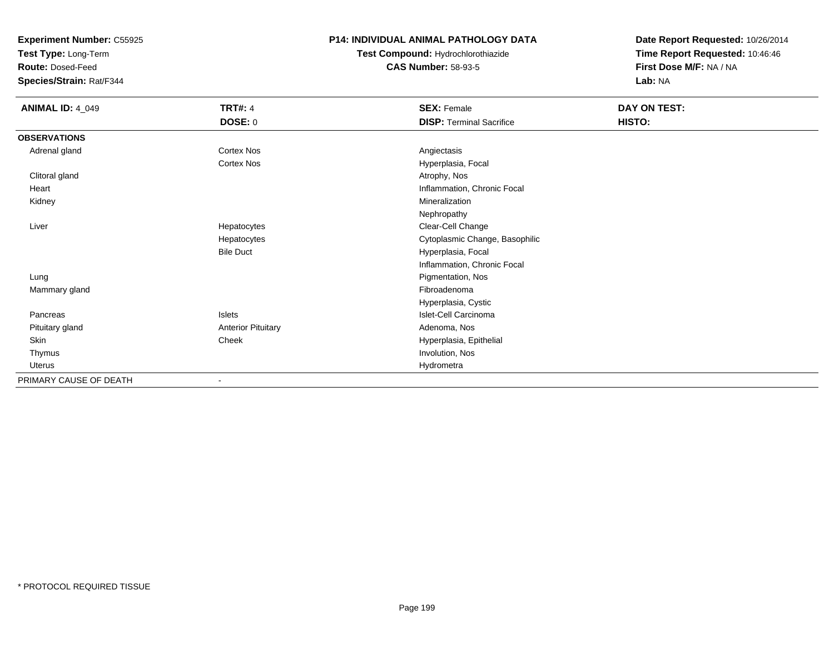**Test Type:** Long-Term

**Route:** Dosed-Feed

**Species/Strain:** Rat/F344

### **P14: INDIVIDUAL ANIMAL PATHOLOGY DATA**

**Test Compound:** Hydrochlorothiazide**CAS Number:** 58-93-5

| <b>ANIMAL ID: 4_049</b> | <b>TRT#: 4</b>            | <b>SEX: Female</b>              | DAY ON TEST: |  |
|-------------------------|---------------------------|---------------------------------|--------------|--|
|                         | <b>DOSE: 0</b>            | <b>DISP: Terminal Sacrifice</b> | HISTO:       |  |
| <b>OBSERVATIONS</b>     |                           |                                 |              |  |
| Adrenal gland           | Cortex Nos                | Angiectasis                     |              |  |
|                         | Cortex Nos                | Hyperplasia, Focal              |              |  |
| Clitoral gland          |                           | Atrophy, Nos                    |              |  |
| Heart                   |                           | Inflammation, Chronic Focal     |              |  |
| Kidney                  |                           | Mineralization                  |              |  |
|                         |                           | Nephropathy                     |              |  |
| Liver                   | Hepatocytes               | Clear-Cell Change               |              |  |
|                         | Hepatocytes               | Cytoplasmic Change, Basophilic  |              |  |
|                         | <b>Bile Duct</b>          | Hyperplasia, Focal              |              |  |
|                         |                           | Inflammation, Chronic Focal     |              |  |
| Lung                    |                           | Pigmentation, Nos               |              |  |
| Mammary gland           |                           | Fibroadenoma                    |              |  |
|                         |                           | Hyperplasia, Cystic             |              |  |
| Pancreas                | Islets                    | Islet-Cell Carcinoma            |              |  |
| Pituitary gland         | <b>Anterior Pituitary</b> | Adenoma, Nos                    |              |  |
| Skin                    | Cheek                     | Hyperplasia, Epithelial         |              |  |
| Thymus                  |                           | Involution, Nos                 |              |  |
| <b>Uterus</b>           |                           | Hydrometra                      |              |  |
| PRIMARY CAUSE OF DEATH  |                           |                                 |              |  |